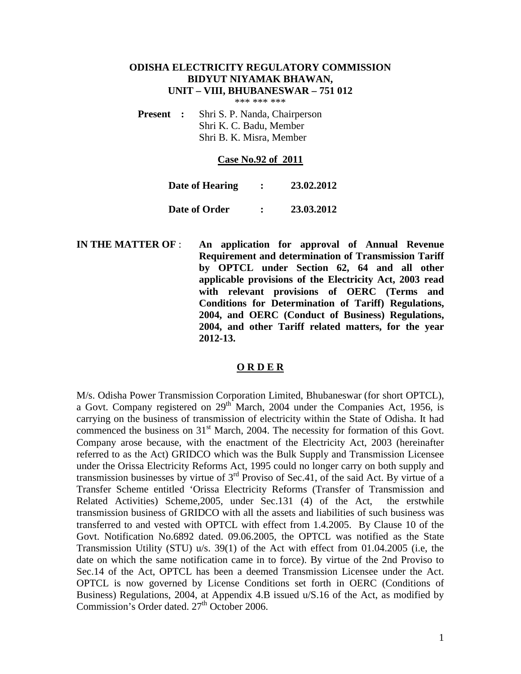# **ODISHA ELECTRICITY REGULATORY COMMISSION BIDYUT NIYAMAK BHAWAN, UNIT – VIII, BHUBANESWAR – 751 012**

\*\*\* \*\*\* \*\*\*

**Present :** Shri S. P. Nanda, Chairperson Shri K. C. Badu, Member Shri B. K. Misra, Member

#### **Case No.92 of 2011**

| Date of Hearing | 23.02.2012 |
|-----------------|------------|
| Date of Order   | 23.03.2012 |

**IN THE MATTER OF** : **An application for approval of Annual Revenue Requirement and determination of Transmission Tariff by OPTCL under Section 62, 64 and all other applicable provisions of the Electricity Act, 2003 read with relevant provisions of OERC (Terms and Conditions for Determination of Tariff) Regulations, 2004, and OERC (Conduct of Business) Regulations, 2004, and other Tariff related matters, for the year 2012-13.**

#### **O R D E R**

M/s. Odisha Power Transmission Corporation Limited, Bhubaneswar (for short OPTCL), a Govt. Company registered on 29<sup>th</sup> March, 2004 under the Companies Act, 1956, is carrying on the business of transmission of electricity within the State of Odisha. It had commenced the business on  $31<sup>st</sup>$  March, 2004. The necessity for formation of this Govt. Company arose because, with the enactment of the Electricity Act, 2003 (hereinafter referred to as the Act) GRIDCO which was the Bulk Supply and Transmission Licensee under the Orissa Electricity Reforms Act, 1995 could no longer carry on both supply and transmission businesses by virtue of  $3<sup>rd</sup>$  Proviso of Sec.41, of the said Act. By virtue of a Transfer Scheme entitled 'Orissa Electricity Reforms (Transfer of Transmission and Related Activities) Scheme,2005, under Sec.131 (4) of the Act, the erstwhile transmission business of GRIDCO with all the assets and liabilities of such business was transferred to and vested with OPTCL with effect from 1.4.2005. By Clause 10 of the Govt. Notification No.6892 dated. 09.06.2005, the OPTCL was notified as the State Transmission Utility (STU) u/s. 39(1) of the Act with effect from 01.04.2005 (i.e, the date on which the same notification came in to force). By virtue of the 2nd Proviso to Sec.14 of the Act, OPTCL has been a deemed Transmission Licensee under the Act. OPTCL is now governed by License Conditions set forth in OERC (Conditions of Business) Regulations, 2004, at Appendix 4.B issued u/S.16 of the Act, as modified by Commission's Order dated. 27<sup>th</sup> October 2006.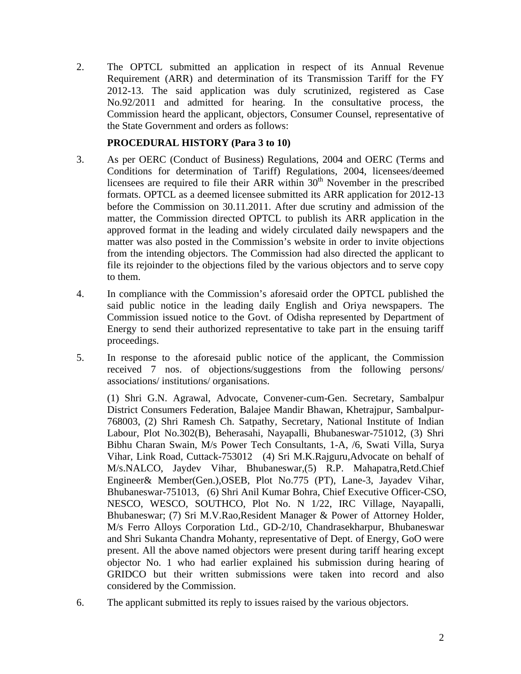2. The OPTCL submitted an application in respect of its Annual Revenue Requirement (ARR) and determination of its Transmission Tariff for the FY 2012-13. The said application was duly scrutinized, registered as Case No.92/2011 and admitted for hearing. In the consultative process, the Commission heard the applicant, objectors, Consumer Counsel, representative of the State Government and orders as follows:

# **PROCEDURAL HISTORY (Para 3 to 10)**

- 3. As per OERC (Conduct of Business) Regulations, 2004 and OERC (Terms and Conditions for determination of Tariff) Regulations, 2004, licensees/deemed licensees are required to file their ARR within  $30<sup>th</sup>$  November in the prescribed formats. OPTCL as a deemed licensee submitted its ARR application for 2012-13 before the Commission on 30.11.2011. After due scrutiny and admission of the matter, the Commission directed OPTCL to publish its ARR application in the approved format in the leading and widely circulated daily newspapers and the matter was also posted in the Commission's website in order to invite objections from the intending objectors. The Commission had also directed the applicant to file its rejoinder to the objections filed by the various objectors and to serve copy to them.
- 4. In compliance with the Commission's aforesaid order the OPTCL published the said public notice in the leading daily English and Oriya newspapers. The Commission issued notice to the Govt. of Odisha represented by Department of Energy to send their authorized representative to take part in the ensuing tariff proceedings.
- 5. In response to the aforesaid public notice of the applicant, the Commission received 7 nos. of objections/suggestions from the following persons/ associations/ institutions/ organisations.

(1) Shri G.N. Agrawal, Advocate, Convener-cum-Gen. Secretary, Sambalpur District Consumers Federation, Balajee Mandir Bhawan, Khetrajpur, Sambalpur-768003, (2) Shri Ramesh Ch. Satpathy, Secretary, National Institute of Indian Labour, Plot No.302(B), Beherasahi, Nayapalli, Bhubaneswar-751012, (3) Shri Bibhu Charan Swain, M/s Power Tech Consultants, 1-A, /6, Swati Villa, Surya Vihar, Link Road, Cuttack-753012 (4) Sri M.K.Rajguru,Advocate on behalf of M/s.NALCO, Jaydev Vihar, Bhubaneswar,(5) R.P. Mahapatra,Retd.Chief Engineer& Member(Gen.),OSEB, Plot No.775 (PT), Lane-3, Jayadev Vihar, Bhubaneswar-751013, (6) Shri Anil Kumar Bohra, Chief Executive Officer-CSO, NESCO, WESCO, SOUTHCO, Plot No. N 1/22, IRC Village, Nayapalli, Bhubaneswar; (7) Sri M.V.Rao,Resident Manager & Power of Attorney Holder, M/s Ferro Alloys Corporation Ltd., GD-2/10, Chandrasekharpur, Bhubaneswar and Shri Sukanta Chandra Mohanty, representative of Dept. of Energy, GoO were present. All the above named objectors were present during tariff hearing except objector No. 1 who had earlier explained his submission during hearing of GRIDCO but their written submissions were taken into record and also considered by the Commission.

6. The applicant submitted its reply to issues raised by the various objectors.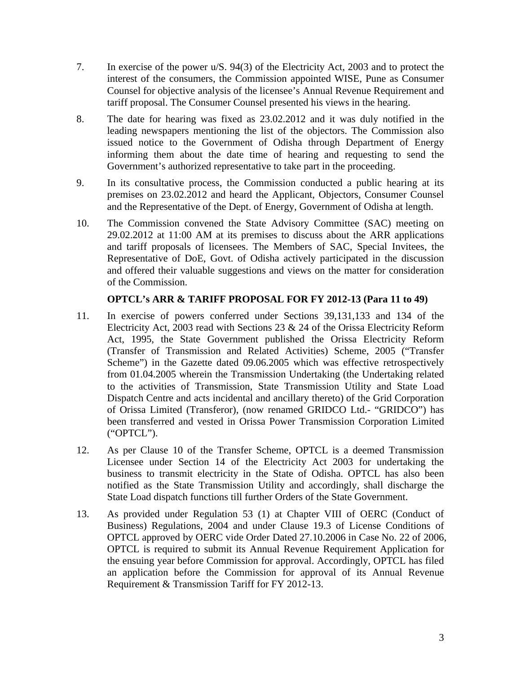- 7. In exercise of the power u/S. 94(3) of the Electricity Act, 2003 and to protect the interest of the consumers, the Commission appointed WISE, Pune as Consumer Counsel for objective analysis of the licensee's Annual Revenue Requirement and tariff proposal. The Consumer Counsel presented his views in the hearing.
- 8. The date for hearing was fixed as 23.02.2012 and it was duly notified in the leading newspapers mentioning the list of the objectors. The Commission also issued notice to the Government of Odisha through Department of Energy informing them about the date time of hearing and requesting to send the Government's authorized representative to take part in the proceeding.
- 9. In its consultative process, the Commission conducted a public hearing at its premises on 23.02.2012 and heard the Applicant, Objectors, Consumer Counsel and the Representative of the Dept. of Energy, Government of Odisha at length.
- 10. The Commission convened the State Advisory Committee (SAC) meeting on 29.02.2012 at 11:00 AM at its premises to discuss about the ARR applications and tariff proposals of licensees. The Members of SAC, Special Invitees, the Representative of DoE, Govt. of Odisha actively participated in the discussion and offered their valuable suggestions and views on the matter for consideration of the Commission.

# **OPTCL's ARR & TARIFF PROPOSAL FOR FY 2012-13 (Para 11 to 49)**

- 11. In exercise of powers conferred under Sections 39,131,133 and 134 of the Electricity Act, 2003 read with Sections 23 & 24 of the Orissa Electricity Reform Act, 1995, the State Government published the Orissa Electricity Reform (Transfer of Transmission and Related Activities) Scheme, 2005 ("Transfer Scheme") in the Gazette dated 09.06.2005 which was effective retrospectively from 01.04.2005 wherein the Transmission Undertaking (the Undertaking related to the activities of Transmission, State Transmission Utility and State Load Dispatch Centre and acts incidental and ancillary thereto) of the Grid Corporation of Orissa Limited (Transferor), (now renamed GRIDCO Ltd.- "GRIDCO") has been transferred and vested in Orissa Power Transmission Corporation Limited ("OPTCL").
- 12. As per Clause 10 of the Transfer Scheme, OPTCL is a deemed Transmission Licensee under Section 14 of the Electricity Act 2003 for undertaking the business to transmit electricity in the State of Odisha. OPTCL has also been notified as the State Transmission Utility and accordingly, shall discharge the State Load dispatch functions till further Orders of the State Government.
- 13. As provided under Regulation 53 (1) at Chapter VIII of OERC (Conduct of Business) Regulations, 2004 and under Clause 19.3 of License Conditions of OPTCL approved by OERC vide Order Dated 27.10.2006 in Case No. 22 of 2006, OPTCL is required to submit its Annual Revenue Requirement Application for the ensuing year before Commission for approval. Accordingly, OPTCL has filed an application before the Commission for approval of its Annual Revenue Requirement & Transmission Tariff for FY 2012-13.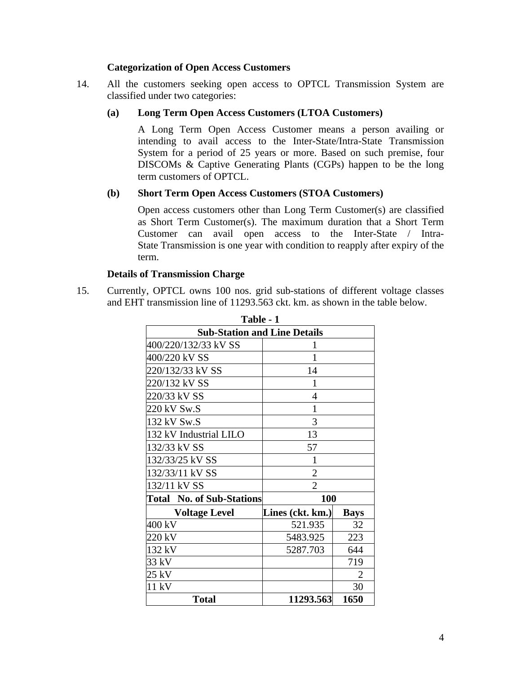## **Categorization of Open Access Customers**

14. All the customers seeking open access to OPTCL Transmission System are classified under two categories:

## **(a) Long Term Open Access Customers (LTOA Customers)**

A Long Term Open Access Customer means a person availing or intending to avail access to the Inter-State/Intra-State Transmission System for a period of 25 years or more. Based on such premise, four DISCOMs & Captive Generating Plants (CGPs) happen to be the long term customers of OPTCL.

# **(b) Short Term Open Access Customers (STOA Customers)**

Open access customers other than Long Term Customer(s) are classified as Short Term Customer(s). The maximum duration that a Short Term Customer can avail open access to the Inter-State / Intra-State Transmission is one year with condition to reapply after expiry of the term.

# **Details of Transmission Charge**

15. Currently, OPTCL owns 100 nos. grid sub-stations of different voltage classes and EHT transmission line of 11293.563 ckt. km. as shown in the table below.

**Table 1** 

| Table - 1                           |                  |             |  |  |  |  |
|-------------------------------------|------------------|-------------|--|--|--|--|
| <b>Sub-Station and Line Details</b> |                  |             |  |  |  |  |
| 400/220/132/33 kV SS                |                  |             |  |  |  |  |
| 400/220 kV SS                       | 1                |             |  |  |  |  |
| 220/132/33 kV SS                    | 14               |             |  |  |  |  |
| 220/132 kV SS                       | 1                |             |  |  |  |  |
| 220/33 kV SS                        | $\overline{4}$   |             |  |  |  |  |
| 220 kV Sw.S                         | 1                |             |  |  |  |  |
| 132 kV Sw.S                         | 3                |             |  |  |  |  |
| 132 kV Industrial LILO              | 13               |             |  |  |  |  |
| 132/33 kV SS                        | 57               |             |  |  |  |  |
| 132/33/25 kV SS                     | 1                |             |  |  |  |  |
| 132/33/11 kV SS                     | $\overline{2}$   |             |  |  |  |  |
| 132/11 kV SS                        | $\overline{2}$   |             |  |  |  |  |
| <b>Total No. of Sub-Stations</b>    | 100              |             |  |  |  |  |
| <b>Voltage Level</b>                | Lines (ckt. km.) | <b>Bays</b> |  |  |  |  |
| 400 kV                              | 521.935          | 32          |  |  |  |  |
| 220 kV                              | 5483.925         | 223         |  |  |  |  |
| 132 kV                              | 644<br>5287.703  |             |  |  |  |  |
| 33 kV                               | 719              |             |  |  |  |  |
| 25 kV                               | $\overline{2}$   |             |  |  |  |  |
| 11 kV                               |                  | 30          |  |  |  |  |
| <b>Total</b>                        | 11293.563        | 1650        |  |  |  |  |

4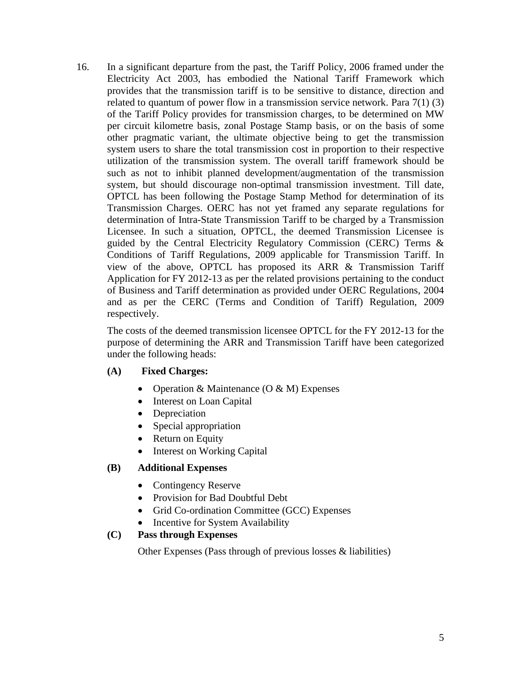16. In a significant departure from the past, the Tariff Policy, 2006 framed under the Electricity Act 2003, has embodied the National Tariff Framework which provides that the transmission tariff is to be sensitive to distance, direction and related to quantum of power flow in a transmission service network. Para 7(1) (3) of the Tariff Policy provides for transmission charges, to be determined on MW per circuit kilometre basis, zonal Postage Stamp basis, or on the basis of some other pragmatic variant, the ultimate objective being to get the transmission system users to share the total transmission cost in proportion to their respective utilization of the transmission system. The overall tariff framework should be such as not to inhibit planned development/augmentation of the transmission system, but should discourage non-optimal transmission investment. Till date, OPTCL has been following the Postage Stamp Method for determination of its Transmission Charges. OERC has not yet framed any separate regulations for determination of Intra-State Transmission Tariff to be charged by a Transmission Licensee. In such a situation, OPTCL, the deemed Transmission Licensee is guided by the Central Electricity Regulatory Commission (CERC) Terms & Conditions of Tariff Regulations, 2009 applicable for Transmission Tariff. In view of the above, OPTCL has proposed its ARR & Transmission Tariff Application for FY 2012-13 as per the related provisions pertaining to the conduct of Business and Tariff determination as provided under OERC Regulations, 2004 and as per the CERC (Terms and Condition of Tariff) Regulation, 2009 respectively.

The costs of the deemed transmission licensee OPTCL for the FY 2012-13 for the purpose of determining the ARR and Transmission Tariff have been categorized under the following heads:

## **(A) Fixed Charges:**

- Operation & Maintenance  $(O & M)$  Expenses
- Interest on Loan Capital
- Depreciation
- Special appropriation
- Return on Equity
- Interest on Working Capital

## **(B) Additional Expenses**

- Contingency Reserve
- Provision for Bad Doubtful Debt
- Grid Co-ordination Committee (GCC) Expenses
- Incentive for System Availability

## **(C) Pass through Expenses**

Other Expenses (Pass through of previous losses & liabilities)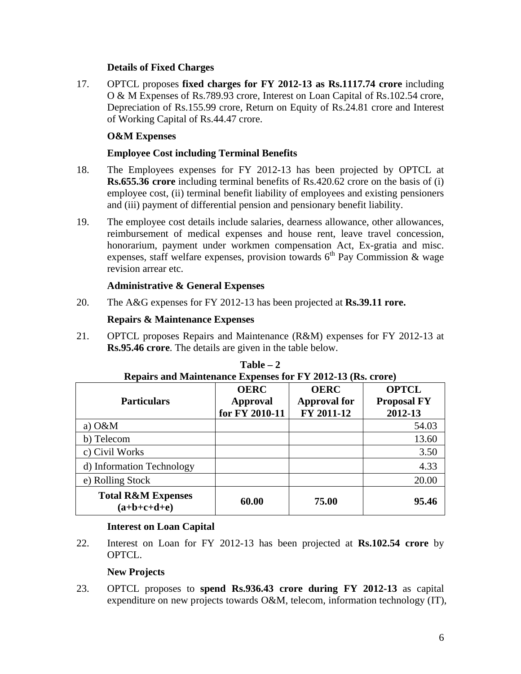# **Details of Fixed Charges**

17. OPTCL proposes **fixed charges for FY 2012-13 as Rs.1117.74 crore** including O & M Expenses of Rs.789.93 crore, Interest on Loan Capital of Rs.102.54 crore, Depreciation of Rs.155.99 crore, Return on Equity of Rs.24.81 crore and Interest of Working Capital of Rs.44.47 crore.

# **O&M Expenses**

# **Employee Cost including Terminal Benefits**

- 18. The Employees expenses for FY 2012-13 has been projected by OPTCL at **Rs.655.36 crore** including terminal benefits of Rs.420.62 crore on the basis of (i) employee cost, (ii) terminal benefit liability of employees and existing pensioners and (iii) payment of differential pension and pensionary benefit liability.
- 19. The employee cost details include salaries, dearness allowance, other allowances, reimbursement of medical expenses and house rent, leave travel concession, honorarium, payment under workmen compensation Act, Ex-gratia and misc. expenses, staff welfare expenses, provision towards  $6<sup>th</sup>$  Pay Commission & wage revision arrear etc.

# **Administrative & General Expenses**

20. The A&G expenses for FY 2012-13 has been projected at **Rs.39.11 rore.**

# **Repairs & Maintenance Expenses**

21. OPTCL proposes Repairs and Maintenance (R&M) expenses for FY 2012-13 at **Rs.95.46 crore**. The details are given in the table below.

| <b>Particulars</b>                             | <b>OERC</b><br>Approval<br>for FY 2010-11 | <b>OERC</b><br><b>Approval for</b><br>FY 2011-12 | <b>OPTCL</b><br><b>Proposal FY</b><br>2012-13 |
|------------------------------------------------|-------------------------------------------|--------------------------------------------------|-----------------------------------------------|
| a) $O\&M$                                      |                                           |                                                  | 54.03                                         |
| b) Telecom                                     |                                           |                                                  | 13.60                                         |
| c) Civil Works                                 |                                           |                                                  | 3.50                                          |
| d) Information Technology                      |                                           |                                                  | 4.33                                          |
| e) Rolling Stock                               |                                           |                                                  | 20.00                                         |
| <b>Total R&amp;M Expenses</b><br>$(a+b+c+d+e)$ | 60.00                                     | 75.00                                            | 95.46                                         |

# **Table – 2 Repairs and Maintenance Expenses for FY 2012-13 (Rs. crore)**

# **Interest on Loan Capital**

22. Interest on Loan for FY 2012-13 has been projected at **Rs.102.54 crore** by OPTCL.

# **New Projects**

23. OPTCL proposes to **spend Rs.936.43 crore during FY 2012-13** as capital expenditure on new projects towards O&M, telecom, information technology (IT),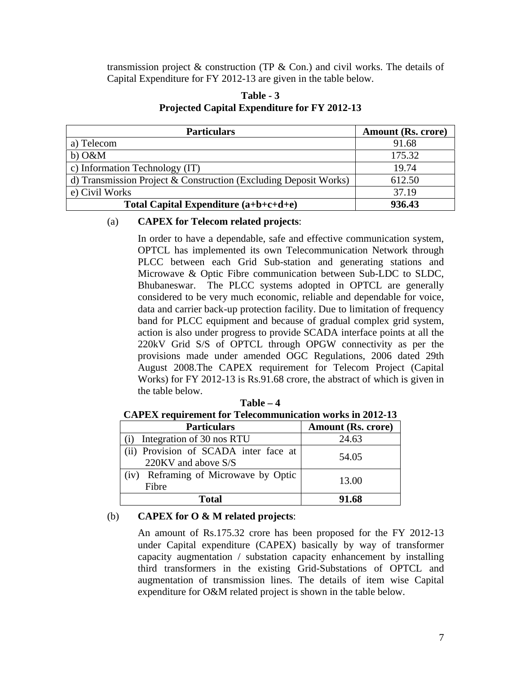transmission project  $\&$  construction (TP  $\&$  Con.) and civil works. The details of Capital Expenditure for FY 2012-13 are given in the table below.

| <b>Particulars</b>                                               | Amount (Rs. crore) |
|------------------------------------------------------------------|--------------------|
| a) Telecom                                                       | 91.68              |
| $b)$ O&M                                                         | 175.32             |
| c) Information Technology (IT)                                   | 19.74              |
| d) Transmission Project & Construction (Excluding Deposit Works) | 612.50             |
| e) Civil Works                                                   | 37.19              |
| Total Capital Expenditure $(a+b+c+d+e)$                          | 936.43             |

## **Table - 3 Projected Capital Expenditure for FY 2012-13**

## (a) **CAPEX for Telecom related projects**:

In order to have a dependable, safe and effective communication system, OPTCL has implemented its own Telecommunication Network through PLCC between each Grid Sub-station and generating stations and Microwave & Optic Fibre communication between Sub-LDC to SLDC, Bhubaneswar. The PLCC systems adopted in OPTCL are generally considered to be very much economic, reliable and dependable for voice, data and carrier back-up protection facility. Due to limitation of frequency band for PLCC equipment and because of gradual complex grid system, action is also under progress to provide SCADA interface points at all the 220kV Grid S/S of OPTCL through OPGW connectivity as per the provisions made under amended OGC Regulations, 2006 dated 29th August 2008.The CAPEX requirement for Telecom Project (Capital Works) for FY 2012-13 is Rs.91.68 crore, the abstract of which is given in the table below.

**Table – 4**

**CAPEX requirement for Telecommunication works in 2012-13**

| <b>Particulars</b>                                           | <b>Amount (Rs. crore)</b> |
|--------------------------------------------------------------|---------------------------|
| Integration of 30 nos RTU                                    | 24.63                     |
| (ii) Provision of SCADA inter face at<br>220KV and above S/S | 54.05                     |
| (iv) Reframing of Microwave by Optic<br>Fibre                | 13.00                     |
| Total                                                        | 91.68                     |

# (b) **CAPEX for O & M related projects**:

An amount of Rs.175.32 crore has been proposed for the FY 2012-13 under Capital expenditure (CAPEX) basically by way of transformer capacity augmentation / substation capacity enhancement by installing third transformers in the existing Grid-Substations of OPTCL and augmentation of transmission lines. The details of item wise Capital expenditure for O&M related project is shown in the table below.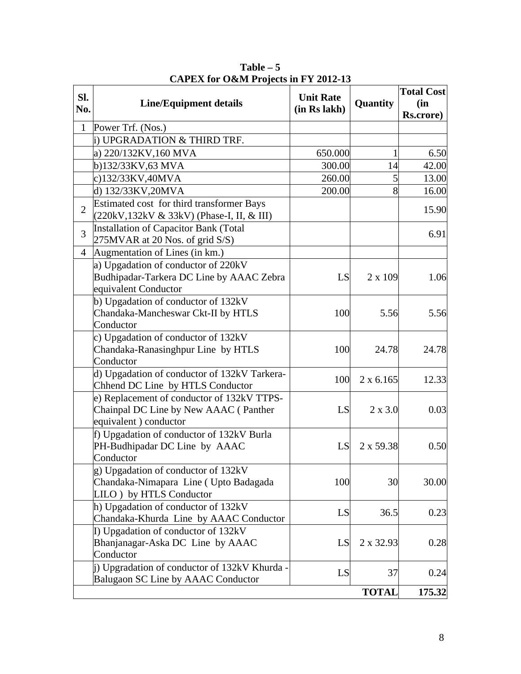| SI.<br>No.     | <b>Line/Equipment details</b>                                                                                | <b>Unit Rate</b><br>(in Rs lakh) | Quantity         | <b>Total Cost</b><br>(in<br><b>Rs.crore</b> ) |
|----------------|--------------------------------------------------------------------------------------------------------------|----------------------------------|------------------|-----------------------------------------------|
| $\mathbf{1}$   | Power Trf. (Nos.)                                                                                            |                                  |                  |                                               |
|                | i) UPGRADATION & THIRD TRF.                                                                                  |                                  |                  |                                               |
|                | a) 220/132KV, 160 MVA                                                                                        | 650.000                          | 1                | 6.50                                          |
|                | b)132/33KV,63 MVA                                                                                            | 300.00                           | 14               | 42.00                                         |
|                | c)132/33KV,40MVA                                                                                             | 260.00                           | 5                | 13.00                                         |
|                | d) 132/33KV, 20MVA                                                                                           | 200.00                           | 8                | 16.00                                         |
| $\overline{2}$ | Estimated cost for third transformer Bays<br>(220kV,132kV & 33kV) (Phase-I, II, & III)                       |                                  |                  | 15.90                                         |
| 3              | Installation of Capacitor Bank (Total<br>275MVAR at 20 Nos. of grid S/S)                                     |                                  |                  | 6.91                                          |
| $\overline{4}$ | Augmentation of Lines (in km.)                                                                               |                                  |                  |                                               |
|                | a) Upgadation of conductor of 220kV<br>Budhipadar-Tarkera DC Line by AAAC Zebra<br>equivalent Conductor      | LS                               | 2 x 109          | 1.06                                          |
|                | b) Upgadation of conductor of 132kV<br>Chandaka-Mancheswar Ckt-II by HTLS<br>Conductor                       | 100                              | 5.56             | 5.56                                          |
|                | c) Upgadation of conductor of $132kV$<br>Chandaka-Ranasinghpur Line by HTLS<br>Conductor                     | 100                              | 24.78            | 24.78                                         |
|                | d) Upgadation of conductor of 132kV Tarkera-<br>Chhend DC Line by HTLS Conductor                             | 100                              | $2 \times 6.165$ | 12.33                                         |
|                | e) Replacement of conductor of 132kV TTPS-<br>Chainpal DC Line by New AAAC (Panther<br>equivalent) conductor | LS                               | $2 \times 3.0$   | 0.03                                          |
|                | f) Upgadation of conductor of 132kV Burla<br>PH-Budhipadar DC Line by AAAC<br>Conductor                      | LS                               | 2 x 59.38        | 0.50                                          |
|                | g) Upgadation of conductor of 132kV<br>Chandaka-Nimapara Line (Upto Badagada<br>LILO ) by HTLS Conductor     | 100                              | 30               | 30.00                                         |
|                | h) Upgadation of conductor of 132kV<br>Chandaka-Khurda Line by AAAC Conductor                                | LS                               | 36.5             | 0.23                                          |
|                | I) Upgadation of conductor of $132kV$<br>Bhanjanagar-Aska DC Line by AAAC<br>Conductor                       | LS                               | 2 x 32.93        | 0.28                                          |
|                | i) Upgradation of conductor of 132kV Khurda -<br>Balugaon SC Line by AAAC Conductor                          | LS                               | 37               | 0.24                                          |
|                |                                                                                                              |                                  | <b>TOTAL</b>     | 175.32                                        |

**Table – 5 CAPEX for O&M Projects in FY 2012-13**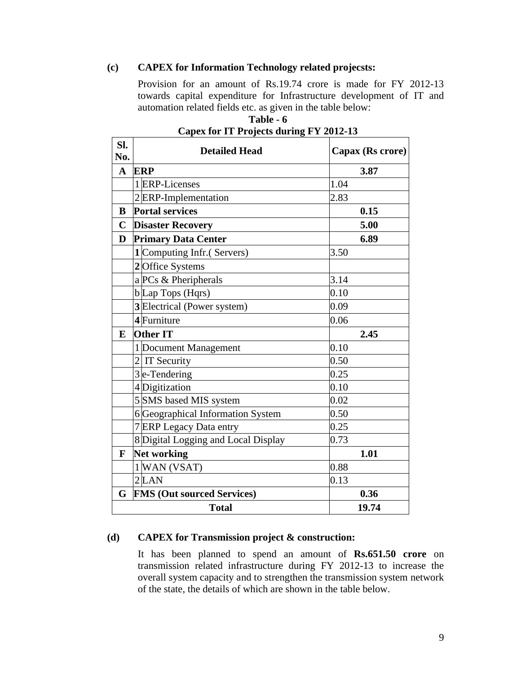## **(c) CAPEX for Information Technology related projecsts:**

Provision for an amount of Rs.19.74 crore is made for FY 2012-13 towards capital expenditure for Infrastructure development of IT and automation related fields etc. as given in the table below:

| SI.<br>No.  | <b>Detailed Head</b>                | Capax (Rs crore) |  |  |  |
|-------------|-------------------------------------|------------------|--|--|--|
| $\mathbf A$ | <b>ERP</b>                          | 3.87             |  |  |  |
|             | 1 ERP-Licenses                      | 1.04             |  |  |  |
|             | 2 ERP-Implementation                | 2.83             |  |  |  |
| B           | <b>Portal services</b>              | 0.15             |  |  |  |
| $\mathbf C$ | <b>Disaster Recovery</b>            | 5.00             |  |  |  |
| D           | <b>Primary Data Center</b>          | 6.89             |  |  |  |
|             | 1 Computing Infr.(Servers)          | 3.50             |  |  |  |
|             | 2 Office Systems                    |                  |  |  |  |
|             | a PCs & Pheripherals                | 3.14             |  |  |  |
|             | $b$ Lap Tops (Hqrs)                 | 0.10             |  |  |  |
|             | 3 Electrical (Power system)         | 0.09             |  |  |  |
|             | 4 Furniture                         | 0.06             |  |  |  |
| ${\bf E}$   | <b>Other IT</b>                     | 2.45             |  |  |  |
|             | 1 Document Management               | 0.10             |  |  |  |
|             | $2$ IT Security                     | 0.50             |  |  |  |
|             | $3$ e-Tendering                     | 0.25             |  |  |  |
|             | 4 Digitization                      | 0.10             |  |  |  |
|             | 5 SMS based MIS system              | 0.02             |  |  |  |
|             | 6 Geographical Information System   | 0.50             |  |  |  |
|             | 7 ERP Legacy Data entry             | 0.25             |  |  |  |
|             | 8 Digital Logging and Local Display | 0.73             |  |  |  |
| F           | <b>Net working</b>                  | 1.01             |  |  |  |
|             | 1 WAN (VSAT)                        | 0.88             |  |  |  |
|             | $2$ LAN                             | 0.13             |  |  |  |
| G           | <b>FMS (Out sourced Services)</b>   | 0.36             |  |  |  |
|             | <b>Total</b><br>19.74               |                  |  |  |  |

| Table - 6                               |
|-----------------------------------------|
| Capex for IT Projects during FY 2012-13 |

#### **(d) CAPEX for Transmission project & construction:**

It has been planned to spend an amount of **Rs.651.50 crore** on transmission related infrastructure during FY 2012-13 to increase the overall system capacity and to strengthen the transmission system network of the state, the details of which are shown in the table below.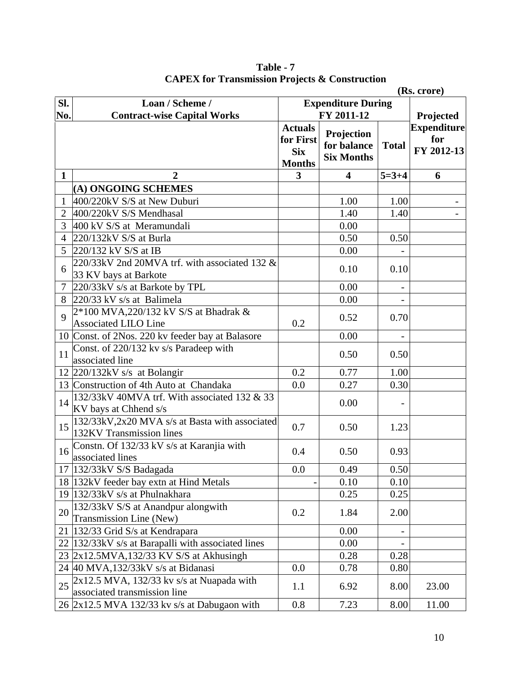|                |                                                                                                               |                                                            |                                                |                          | (Rs. crore)                             |
|----------------|---------------------------------------------------------------------------------------------------------------|------------------------------------------------------------|------------------------------------------------|--------------------------|-----------------------------------------|
| SI.            | Loan / Scheme /                                                                                               | <b>Expenditure During</b>                                  |                                                |                          |                                         |
| No.            | <b>Contract-wise Capital Works</b>                                                                            | FY 2011-12                                                 |                                                |                          | Projected                               |
|                |                                                                                                               | <b>Actuals</b><br>for First<br><b>Six</b><br><b>Months</b> | Projection<br>for balance<br><b>Six Months</b> | <b>Total</b>             | <b>Expenditure</b><br>for<br>FY 2012-13 |
| $\mathbf{1}$   | $\overline{2}$                                                                                                | 3                                                          | 4                                              | $5 = 3 + 4$              | 6                                       |
|                | (A) ONGOING SCHEMES                                                                                           |                                                            |                                                |                          |                                         |
| 1              | 400/220kV S/S at New Duburi                                                                                   |                                                            | 1.00                                           | 1.00                     |                                         |
| $\overline{2}$ | 400/220kV S/S Mendhasal                                                                                       |                                                            | 1.40                                           | 1.40                     |                                         |
| 3              | 400 kV S/S at Meramundali                                                                                     |                                                            | 0.00                                           |                          |                                         |
| 4              | $220/132$ kV S/S at Burla                                                                                     |                                                            | 0.50                                           | 0.50                     |                                         |
| $5^{\circ}$    | 220/132 kV S/S at IB                                                                                          |                                                            | 0.00                                           |                          |                                         |
| 6              | 220/33kV 2nd 20MVA trf. with associated 132 &<br>33 KV bays at Barkote                                        |                                                            | 0.10                                           | 0.10                     |                                         |
| $\tau$         | 220/33kV s/s at Barkote by TPL                                                                                |                                                            | 0.00                                           |                          |                                         |
| 8              | 220/33 kV s/s at Balimela                                                                                     |                                                            | 0.00                                           | $\overline{\phantom{0}}$ |                                         |
| $\mathbf Q$    | 2*100 MVA,220/132 kV S/S at Bhadrak &<br><b>Associated LILO Line</b>                                          | 0.2                                                        | 0.52                                           | 0.70                     |                                         |
|                | 10 Const. of 2Nos. 220 kv feeder bay at Balasore                                                              |                                                            | 0.00                                           |                          |                                         |
| 11             | Const. of 220/132 kv s/s Paradeep with<br>associated line                                                     |                                                            | 0.50                                           | 0.50                     |                                         |
|                | $12$ 220/132kV s/s at Bolangir                                                                                | 0.2                                                        | 0.77                                           | 1.00                     |                                         |
|                | 13 Construction of 4th Auto at Chandaka                                                                       | 0.0                                                        | 0.27                                           | 0.30                     |                                         |
| 14             | 132/33kV 40MVA trf. With associated 132 & 33<br>KV bays at Chhend s/s                                         |                                                            | 0.00                                           |                          |                                         |
|                | $15\left  \frac{132}{338}$ NV, $2x\overline{20}$ MVA s/s at Basta with associated<br>132KV Transmission lines | 0.7                                                        | 0.50                                           | 1.23                     |                                         |
| 16             | Constn. Of 132/33 kV s/s at Karanjia with<br>associated lines                                                 | 0.4                                                        | 0.50                                           | 0.93                     |                                         |
|                | 17 132/33kV S/S Badagada                                                                                      | 0.0                                                        | 0.49                                           | 0.50                     |                                         |
|                | 18 132kV feeder bay extn at Hind Metals                                                                       |                                                            | 0.10                                           | 0.10                     |                                         |
|                | 19 $132/33kV$ s/s at Phulnakhara                                                                              |                                                            | 0.25                                           | 0.25                     |                                         |
| 20             | 132/33kV S/S at Anandpur alongwith<br>Transmission Line (New)                                                 | 0.2                                                        | 1.84                                           | 2.00                     |                                         |
| 21             | 132/33 Grid S/s at Kendrapara                                                                                 |                                                            | 0.00                                           |                          |                                         |
|                | 22  132/33kV s/s at Barapalli with associated lines                                                           |                                                            | 0.00                                           |                          |                                         |
|                | 23 2x12.5MVA,132/33 KV S/S at Akhusingh                                                                       |                                                            | 0.28                                           | 0.28                     |                                         |
|                | 24 40 MVA,132/33kV s/s at Bidanasi                                                                            | 0.0                                                        | 0.78                                           | 0.80                     |                                         |
| 25             | $2x12.5$ MVA, 132/33 kv s/s at Nuapada with<br>associated transmission line                                   | 1.1                                                        | 6.92                                           | 8.00                     | 23.00                                   |
|                | 26 2x12.5 MVA 132/33 kv s/s at Dabugaon with                                                                  | 0.8                                                        | 7.23                                           | 8.00                     | 11.00                                   |

**Table - 7 CAPEX for Transmission Projects & Construction**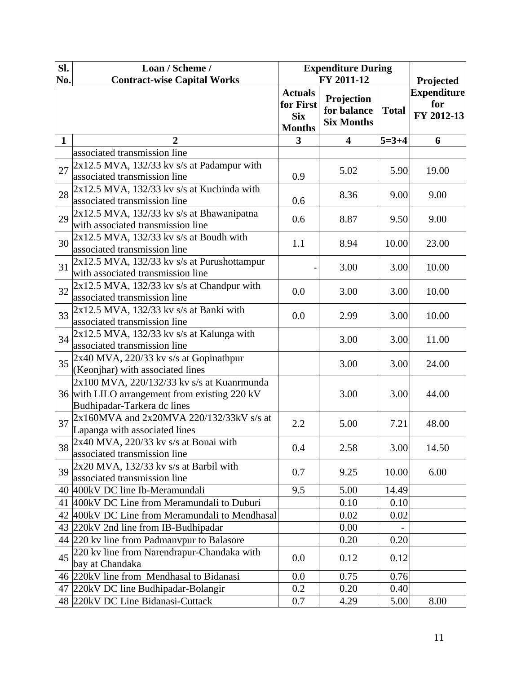| SI.<br>No.   | Loan / Scheme /<br><b>Contract-wise Capital Works</b>                                                                      | <b>Expenditure During</b><br>FY 2011-12                    |                                                |              | Projected                               |  |
|--------------|----------------------------------------------------------------------------------------------------------------------------|------------------------------------------------------------|------------------------------------------------|--------------|-----------------------------------------|--|
|              |                                                                                                                            | <b>Actuals</b><br>for First<br><b>Six</b><br><b>Months</b> | Projection<br>for balance<br><b>Six Months</b> | <b>Total</b> | <b>Expenditure</b><br>for<br>FY 2012-13 |  |
| $\mathbf{1}$ | 2                                                                                                                          | 3                                                          | 4                                              | $5 = 3 + 4$  | 6                                       |  |
|              | associated transmission line                                                                                               |                                                            |                                                |              |                                         |  |
| 27           | $2x12.5$ MVA, 132/33 kv s/s at Padampur with<br>associated transmission line                                               | 0.9                                                        | 5.02                                           | 5.90         | 19.00                                   |  |
| 28           | $2x12.5$ MVA, 132/33 kv s/s at Kuchinda with<br>associated transmission line                                               | 0.6                                                        | 8.36                                           | 9.00         | 9.00                                    |  |
| 29           | 2x12.5 MVA, 132/33 kv s/s at Bhawanipatna<br>with associated transmission line                                             | 0.6                                                        | 8.87                                           | 9.50         | 9.00                                    |  |
| 30           | $2x12.5$ MVA, 132/33 kv s/s at Boudh with<br>associated transmission line                                                  | 1.1                                                        | 8.94                                           | 10.00        | 23.00                                   |  |
| 31           | $2x12.5$ MVA, 132/33 kv s/s at Purushottampur<br>with associated transmission line                                         |                                                            | 3.00                                           | 3.00         | 10.00                                   |  |
| 32           | $2x12.5$ MVA, 132/33 kv s/s at Chandpur with<br>associated transmission line                                               | 0.0                                                        | 3.00                                           | 3.00         | 10.00                                   |  |
| 33           | 2x12.5 MVA, 132/33 kv s/s at Banki with<br>associated transmission line                                                    | 0.0                                                        | 2.99                                           | 3.00         | 10.00                                   |  |
| 34           | 2x12.5 MVA, 132/33 kv s/s at Kalunga with<br>associated transmission line                                                  |                                                            | 3.00                                           | 3.00         | 11.00                                   |  |
| 35           | $2x40$ MVA, 220/33 kv s/s at Gopinathpur<br>(Keonjhar) with associated lines                                               |                                                            | 3.00                                           | 3.00         | 24.00                                   |  |
|              | 2x100 MVA, 220/132/33 kv s/s at Kuanrmunda<br>36 with LILO arrangement from existing 220 kV<br>Budhipadar-Tarkera dc lines |                                                            | 3.00                                           | 3.00         | 44.00                                   |  |
| 37           | $2x160MVA$ and $2x20MVA$ 220/132/33kV s/s at<br>Lapanga with associated lines                                              | 2.2                                                        | 5.00                                           | 7.21         | 48.00                                   |  |
| 38           | 2x40 MVA, 220/33 kv s/s at Bonai with<br>associated transmission line                                                      | 0.4                                                        | 2.58                                           | 3.00         | 14.50                                   |  |
| 39           | $2x20$ MVA, 132/33 kv s/s at Barbil with<br>associated transmission line                                                   | 0.7                                                        | 9.25                                           | 10.00        | 6.00                                    |  |
|              | 40 400kV DC line Ib-Meramundali                                                                                            | 9.5                                                        | 5.00                                           | 14.49        |                                         |  |
|              | 41 400kV DC Line from Meramundali to Duburi                                                                                |                                                            | 0.10                                           | 0.10         |                                         |  |
|              | 42 400kV DC Line from Meramundali to Mendhasal                                                                             |                                                            | 0.02                                           | 0.02         |                                         |  |
|              | 43 220kV 2nd line from IB-Budhipadar                                                                                       |                                                            | 0.00                                           |              |                                         |  |
|              | 44 220 kv line from Padmanypur to Balasore                                                                                 |                                                            | 0.20                                           | 0.20         |                                         |  |
| 45           | 220 kv line from Narendrapur-Chandaka with<br>bay at Chandaka                                                              | 0.0                                                        | 0.12                                           | 0.12         |                                         |  |
|              | 46 220kV line from Mendhasal to Bidanasi                                                                                   | 0.0                                                        | 0.75                                           | 0.76         |                                         |  |
|              | 47 220kV DC line Budhipadar-Bolangir                                                                                       | 0.2                                                        | 0.20                                           | 0.40         |                                         |  |
|              | 48 220kV DC Line Bidanasi-Cuttack                                                                                          | 0.7                                                        | 4.29                                           | 5.00         | 8.00                                    |  |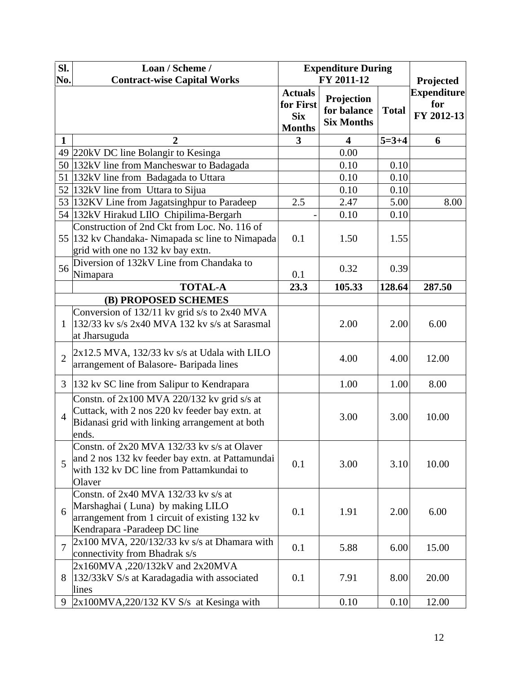| Sl.<br>No.     | Loan / Scheme /<br><b>Contract-wise Capital Works</b>                                                                                                      | <b>Expenditure During</b><br>FY 2011-12                    |                                                |              | Projected                               |
|----------------|------------------------------------------------------------------------------------------------------------------------------------------------------------|------------------------------------------------------------|------------------------------------------------|--------------|-----------------------------------------|
|                |                                                                                                                                                            | <b>Actuals</b><br>for First<br><b>Six</b><br><b>Months</b> | Projection<br>for balance<br><b>Six Months</b> | <b>Total</b> | <b>Expenditure</b><br>for<br>FY 2012-13 |
| $\mathbf 1$    | 2                                                                                                                                                          | 3                                                          | 4                                              | $5=3+4$      | 6                                       |
|                | 49 220kV DC line Bolangir to Kesinga                                                                                                                       |                                                            | 0.00                                           |              |                                         |
|                | 50 132kV line from Mancheswar to Badagada                                                                                                                  |                                                            | 0.10                                           | 0.10         |                                         |
|                | 51 132kV line from Badagada to Uttara                                                                                                                      |                                                            | 0.10                                           | 0.10         |                                         |
|                | 52 132kV line from Uttara to Sijua                                                                                                                         |                                                            | 0.10                                           | 0.10         |                                         |
|                | 53 132KV Line from Jagatsinghpur to Paradeep                                                                                                               | 2.5                                                        | 2.47                                           | 5.00         | 8.00                                    |
|                | 54 132kV Hirakud LIIO Chipilima-Bergarh                                                                                                                    |                                                            | 0.10                                           | 0.10         |                                         |
|                | Construction of 2nd Ckt from Loc. No. 116 of<br>55 132 kv Chandaka-Nimapada sc line to Nimapada<br>grid with one no 132 kv bay extn.                       | 0.1                                                        | 1.50                                           | 1.55         |                                         |
| 56             | Diversion of 132kV Line from Chandaka to<br>Nimapara                                                                                                       | 0.1                                                        | 0.32                                           | 0.39         |                                         |
|                | <b>TOTAL-A</b>                                                                                                                                             | 23.3                                                       | 105.33                                         | 128.64       | 287.50                                  |
|                | (B) PROPOSED SCHEMES                                                                                                                                       |                                                            |                                                |              |                                         |
| $\mathbf{1}$   | Conversion of 132/11 kv grid s/s to 2x40 MVA<br>$132/33$ kv s/s 2x40 MVA 132 kv s/s at Sarasmal<br>at Jharsuguda                                           |                                                            | 2.00                                           | 2.00         | 6.00                                    |
| $\overline{2}$ | $2x12.5$ MVA, $132/33$ kv s/s at Udala with LILO<br>arrangement of Balasore- Baripada lines                                                                |                                                            | 4.00                                           | 4.00         | 12.00                                   |
| 3              | 132 kv SC line from Salipur to Kendrapara                                                                                                                  |                                                            | 1.00                                           | 1.00         | 8.00                                    |
| $\overline{4}$ | Constn. of $2x100$ MVA 220/132 kv grid s/s at<br>Cuttack, with 2 nos 220 kv feeder bay extn. at<br>Bidanasi grid with linking arrangement at both<br>ends. |                                                            | 3.00                                           | 3.00         | 10.00                                   |
| 5              | Constn. of 2x20 MVA 132/33 kv s/s at Olaver<br>and 2 nos 132 kv feeder bay extn. at Pattamundai<br>with 132 kv DC line from Pattamkundai to<br>Olaver      | 0.1                                                        | 3.00                                           | 3.10         | 10.00                                   |
| 6              | Constn. of 2x40 MVA 132/33 kv s/s at<br>Marshaghai (Luna) by making LILO<br>arrangement from 1 circuit of existing 132 kv<br>Kendrapara -Paradeep DC line  | 0.1                                                        | 1.91                                           | 2.00         | 6.00                                    |
| $\overline{7}$ | $2x100$ MVA, 220/132/33 kv s/s at Dhamara with<br>connectivity from Bhadrak s/s                                                                            | 0.1                                                        | 5.88                                           | 6.00         | 15.00                                   |
| 8              | 2x160MVA, 220/132kV and 2x20MVA<br>132/33kV S/s at Karadagadia with associated<br>lines                                                                    | 0.1                                                        | 7.91                                           | 8.00         | 20.00                                   |
| 9              | $2x100MVA,220/132 KV S/s$ at Kesinga with                                                                                                                  |                                                            | 0.10                                           | 0.10         | 12.00                                   |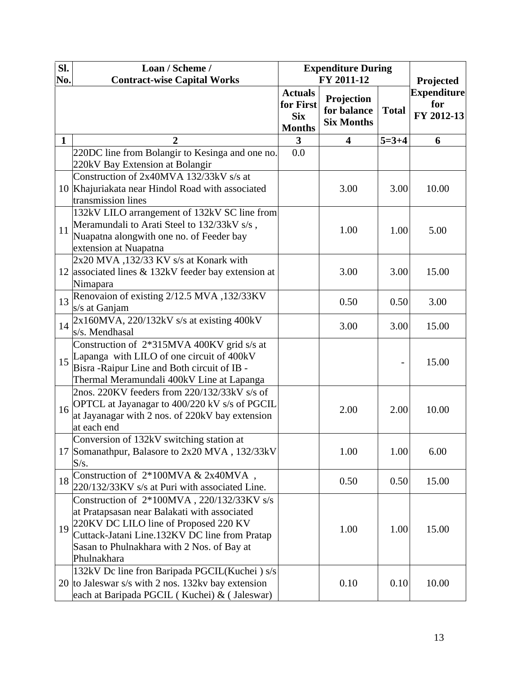| Sl.<br>No.   | Loan / Scheme /<br><b>Contract-wise Capital Works</b>                                            | <b>Expenditure During</b><br>FY 2011-12                    |                                                | Projected    |                                         |
|--------------|--------------------------------------------------------------------------------------------------|------------------------------------------------------------|------------------------------------------------|--------------|-----------------------------------------|
|              |                                                                                                  | <b>Actuals</b><br>for First<br><b>Six</b><br><b>Months</b> | Projection<br>for balance<br><b>Six Months</b> | <b>Total</b> | <b>Expenditure</b><br>for<br>FY 2012-13 |
| $\mathbf{1}$ | $\overline{2}$                                                                                   | $\mathbf{3}$                                               | 4                                              | $5=3+4$      | 6                                       |
|              | 220DC line from Bolangir to Kesinga and one no.                                                  | 0.0                                                        |                                                |              |                                         |
|              | 220kV Bay Extension at Bolangir                                                                  |                                                            |                                                |              |                                         |
|              | Construction of 2x40MVA 132/33kV s/s at                                                          |                                                            |                                                |              |                                         |
|              | 10 Khajuriakata near Hindol Road with associated                                                 |                                                            | 3.00                                           | 3.00         | 10.00                                   |
|              | transmission lines                                                                               |                                                            |                                                |              |                                         |
|              | 132kV LILO arrangement of 132kV SC line from                                                     |                                                            |                                                |              |                                         |
| 11           | Meramundali to Arati Steel to 132/33kV s/s,                                                      |                                                            | 1.00                                           | 1.00         | 5.00                                    |
|              | Nuapatna alongwith one no. of Feeder bay                                                         |                                                            |                                                |              |                                         |
|              | extension at Nuapatna                                                                            |                                                            |                                                |              |                                         |
|              | 2x20 MVA, 132/33 KV s/s at Konark with                                                           |                                                            |                                                |              |                                         |
|              | 12 associated lines & 132kV feeder bay extension at                                              |                                                            | 3.00                                           | 3.00         | 15.00                                   |
|              | Nimapara                                                                                         |                                                            |                                                |              |                                         |
| 13           | Renovaion of existing 2/12.5 MVA, 132/33KV                                                       |                                                            | 0.50                                           | 0.50         | 3.00                                    |
|              | s/s at Ganjam                                                                                    |                                                            |                                                |              |                                         |
| 14           | 2x160MVA, 220/132kV s/s at existing 400kV                                                        |                                                            | 3.00                                           | 3.00         | 15.00                                   |
|              | s/s. Mendhasal                                                                                   |                                                            |                                                |              |                                         |
|              | Construction of 2*315MVA 400KV grid s/s at                                                       |                                                            |                                                |              |                                         |
|              | $15$ Lapanga with LILO of one circuit of 400kV                                                   |                                                            |                                                |              | 15.00                                   |
|              | Bisra-Raipur Line and Both circuit of IB -                                                       |                                                            |                                                |              |                                         |
|              | Thermal Meramundali 400kV Line at Lapanga                                                        |                                                            |                                                |              |                                         |
|              | 2nos. 220KV feeders from 220/132/33kV s/s of                                                     |                                                            |                                                | 2.00         |                                         |
| 16           | OPTCL at Jayanagar to 400/220 kV s/s of PGCIL<br>at Jayanagar with 2 nos. of 220kV bay extension |                                                            | 2.00                                           |              | 10.00                                   |
|              | at each end                                                                                      |                                                            |                                                |              |                                         |
|              | Conversion of 132kV switching station at                                                         |                                                            |                                                |              |                                         |
|              | 17 Somanathpur, Balasore to 2x20 MVA, 132/33kV                                                   |                                                            | 1.00                                           | 1.00         | 6.00                                    |
|              | S/s.                                                                                             |                                                            |                                                |              |                                         |
|              | Construction of 2*100MVA & 2x40MVA,                                                              |                                                            |                                                |              |                                         |
| 18           | 220/132/33KV s/s at Puri with associated Line.                                                   |                                                            | 0.50                                           | 0.50         | 15.00                                   |
|              | Construction of 2*100MVA, 220/132/33KV s/s                                                       |                                                            |                                                |              |                                         |
|              | at Pratapsasan near Balakati with associated                                                     |                                                            |                                                |              |                                         |
|              | $19\left _{\odot}^{220\text{KV}}\right $ DC LILO line of Proposed 220 KV                         |                                                            |                                                |              |                                         |
|              | Cuttack-Jatani Line.132KV DC line from Pratap                                                    |                                                            | 1.00                                           | 1.00         | 15.00                                   |
|              | Sasan to Phulnakhara with 2 Nos. of Bay at                                                       |                                                            |                                                |              |                                         |
|              | Phulnakhara                                                                                      |                                                            |                                                |              |                                         |
|              | 132kV Dc line fron Baripada PGCIL(Kuchei) s/s                                                    |                                                            |                                                |              |                                         |
|              | 20 to Jaleswar s/s with 2 nos. 132kv bay extension                                               |                                                            | 0.10                                           | 0.10         | 10.00                                   |
|              | each at Baripada PGCIL (Kuchei) & (Jaleswar)                                                     |                                                            |                                                |              |                                         |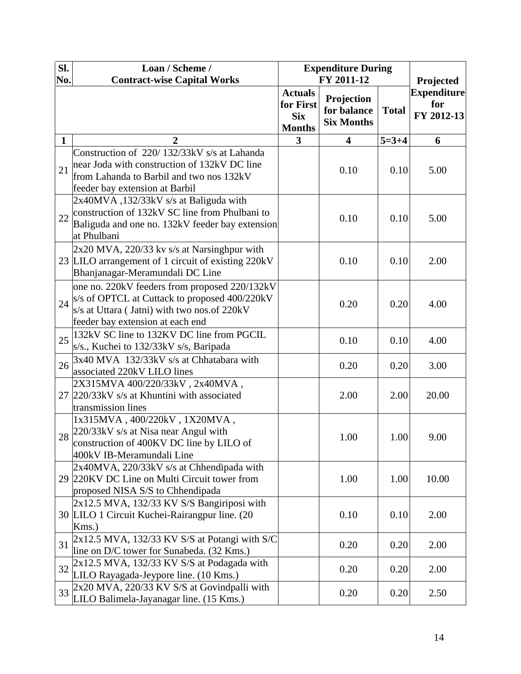| Sl.<br>No.   | Loan / Scheme /<br><b>Contract-wise Capital Works</b>                                                                                                                                  | <b>Expenditure During</b><br>FY 2011-12                    |                                                |              | Projected                               |  |
|--------------|----------------------------------------------------------------------------------------------------------------------------------------------------------------------------------------|------------------------------------------------------------|------------------------------------------------|--------------|-----------------------------------------|--|
|              |                                                                                                                                                                                        | <b>Actuals</b><br>for First<br><b>Six</b><br><b>Months</b> | Projection<br>for balance<br><b>Six Months</b> | <b>Total</b> | <b>Expenditure</b><br>for<br>FY 2012-13 |  |
| $\mathbf{1}$ | 2                                                                                                                                                                                      | 3                                                          | 4                                              | $5=3+4$      | 6                                       |  |
| 21           | Construction of 220/132/33kV s/s at Lahanda<br>near Joda with construction of 132kV DC line<br>from Lahanda to Barbil and two nos 132kV<br>feeder bay extension at Barbil              |                                                            | 0.10                                           | 0.10         | 5.00                                    |  |
| 22           | 2x40MVA, 132/33kV s/s at Baliguda with<br>construction of 132kV SC line from Phulbani to<br>Baliguda and one no. 132kV feeder bay extension<br>at Phulbani                             |                                                            | 0.10                                           | 0.10         | 5.00                                    |  |
|              | $2x20$ MVA, 220/33 kv s/s at Narsinghpur with<br>23 LILO arrangement of 1 circuit of existing 220kV<br>Bhanjanagar-Meramundali DC Line                                                 |                                                            | 0.10                                           | 0.10         | 2.00                                    |  |
|              | one no. 220kV feeders from proposed 220/132kV<br>$24$ S/s of OPTCL at Cuttack to proposed 400/220kV<br>s/s at Uttara (Jatni) with two nos.of 220kV<br>feeder bay extension at each end |                                                            | 0.20                                           | 0.20         | 4.00                                    |  |
| 25           | 132kV SC line to 132KV DC line from PGCIL<br>s/s., Kuchei to 132/33kV s/s, Baripada                                                                                                    |                                                            | 0.10                                           | 0.10         | 4.00                                    |  |
| 26           | 3x40 MVA 132/33kV s/s at Chhatabara with<br>associated 220kV LILO lines                                                                                                                |                                                            | 0.20                                           | 0.20         | 3.00                                    |  |
|              | 2X315MVA 400/220/33kV, 2x40MVA,<br>27 220/33kV s/s at Khuntini with associated<br>transmission lines                                                                                   |                                                            | 2.00                                           | 2.00         | 20.00                                   |  |
|              | 1x315MVA, 400/220kV, 1X20MVA,<br>28 220/33kV s/s at Nisa near Angul with<br>construction of 400KV DC line by LILO of<br>400kV IB-Meramundali Line                                      |                                                            | 1.00                                           | 1.00         | 9.00                                    |  |
|              | 2x40MVA, 220/33kV s/s at Chhendipada with<br>29 220KV DC Line on Multi Circuit tower from<br>proposed NISA S/S to Chhendipada                                                          |                                                            | 1.00                                           | 1.00         | 10.00                                   |  |
|              | 2x12.5 MVA, 132/33 KV S/S Bangiriposi with<br>30 LILO 1 Circuit Kuchei-Rairangpur line. (20<br>Kms.)                                                                                   |                                                            | 0.10                                           | 0.10         | 2.00                                    |  |
| 31           | $2x12.5$ MVA, 132/33 KV S/S at Potangi with S/C<br>line on D/C tower for Sunabeda. (32 Kms.)                                                                                           |                                                            | 0.20                                           | 0.20         | 2.00                                    |  |
| 32           | $2x12.5$ MVA, $132/33$ KV S/S at Podagada with<br>LILO Rayagada-Jeypore line. (10 Kms.)                                                                                                |                                                            | 0.20                                           | 0.20         | 2.00                                    |  |
| 33           | 2x20 MVA, 220/33 KV S/S at Govindpalli with<br>LILO Balimela-Jayanagar line. (15 Kms.)                                                                                                 |                                                            | 0.20                                           | 0.20         | 2.50                                    |  |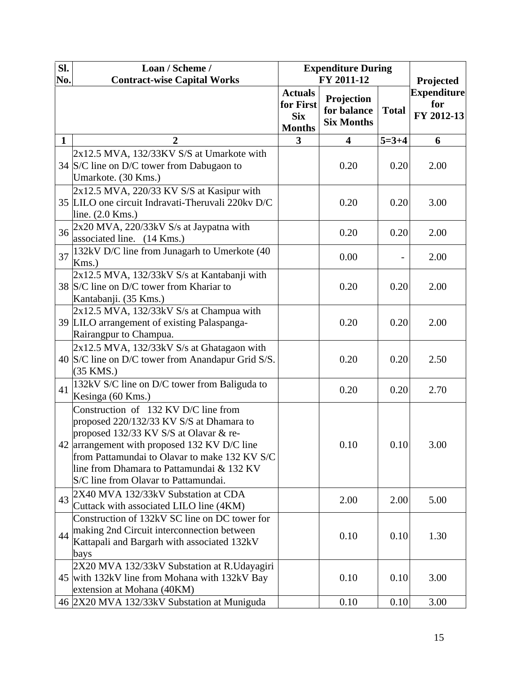| Sl.<br>No.   | Loan / Scheme /<br><b>Contract-wise Capital Works</b>                                                                                                                                                                                                                                                            | <b>Expenditure During</b><br>FY 2011-12                    |                                                |              | Projected                               |  |
|--------------|------------------------------------------------------------------------------------------------------------------------------------------------------------------------------------------------------------------------------------------------------------------------------------------------------------------|------------------------------------------------------------|------------------------------------------------|--------------|-----------------------------------------|--|
|              |                                                                                                                                                                                                                                                                                                                  | <b>Actuals</b><br>for First<br><b>Six</b><br><b>Months</b> | Projection<br>for balance<br><b>Six Months</b> | <b>Total</b> | <b>Expenditure</b><br>for<br>FY 2012-13 |  |
| $\mathbf{1}$ | $\overline{2}$                                                                                                                                                                                                                                                                                                   | 3                                                          | 4                                              | $5=3+4$      | 6                                       |  |
|              | $2x12.5$ MVA, $132/33$ KV S/S at Umarkote with<br>34 S/C line on D/C tower from Dabugaon to<br>Umarkote. (30 Kms.)                                                                                                                                                                                               |                                                            | 0.20                                           | 0.20         | 2.00                                    |  |
|              | $2x12.5$ MVA, $220/33$ KV S/S at Kasipur with<br>35 LILO one circuit Indravati-Theruvali 220kv D/C<br>line. (2.0 Kms.)                                                                                                                                                                                           |                                                            | 0.20                                           | 0.20         | 3.00                                    |  |
| 36           | 2x20 MVA, 220/33kV S/s at Jaypatna with<br>associated line. (14 Kms.)                                                                                                                                                                                                                                            |                                                            | 0.20                                           | 0.20         | 2.00                                    |  |
| 37           | 132kV D/C line from Junagarh to Umerkote (40)<br>Kms.                                                                                                                                                                                                                                                            |                                                            | 0.00                                           |              | 2.00                                    |  |
|              | 2x12.5 MVA, 132/33kV S/s at Kantabanji with<br>38 S/C line on D/C tower from Khariar to<br>Kantabanji. (35 Kms.)                                                                                                                                                                                                 |                                                            | 0.20                                           | 0.20         | 2.00                                    |  |
|              | $2x12.5$ MVA, $132/33kV$ S/s at Champua with<br>39 LILO arrangement of existing Palaspanga-<br>Rairangpur to Champua.                                                                                                                                                                                            |                                                            | 0.20                                           | 0.20         | 2.00                                    |  |
|              | 2x12.5 MVA, 132/33kV S/s at Ghatagaon with<br>40 S/C line on D/C tower from Anandapur Grid S/S.<br>(35 KMS.)                                                                                                                                                                                                     |                                                            | 0.20                                           | 0.20         | 2.50                                    |  |
| 41           | 132kV S/C line on D/C tower from Baliguda to<br>Kesinga (60 Kms.)                                                                                                                                                                                                                                                |                                                            | 0.20                                           | 0.20         | 2.70                                    |  |
|              | Construction of 132 KV D/C line from<br>proposed 220/132/33 KV S/S at Dhamara to<br>proposed 132/33 KV S/S at Olavar & re-<br>42 arrangement with proposed 132 KV D/C line<br>from Pattamundai to Olavar to make 132 KV S/C<br>line from Dhamara to Pattamundai & 132 KV<br>S/C line from Olavar to Pattamundai. |                                                            | 0.10                                           | 0.10         | 3.00                                    |  |
| 43           | 2X40 MVA 132/33kV Substation at CDA<br>Cuttack with associated LILO line (4KM)                                                                                                                                                                                                                                   |                                                            | 2.00                                           | 2.00         | 5.00                                    |  |
| 44           | Construction of 132kV SC line on DC tower for<br>making 2nd Circuit interconnection between<br>Kattapali and Bargarh with associated 132kV<br>bays                                                                                                                                                               |                                                            | 0.10                                           | 0.10         | 1.30                                    |  |
|              | 2X20 MVA 132/33kV Substation at R.Udayagiri<br>45 with 132kV line from Mohana with 132kV Bay<br>extension at Mohana (40KM)                                                                                                                                                                                       |                                                            | 0.10                                           | 0.10         | 3.00                                    |  |
|              | 46 2X20 MVA 132/33kV Substation at Muniguda                                                                                                                                                                                                                                                                      |                                                            | 0.10                                           | 0.10         | 3.00                                    |  |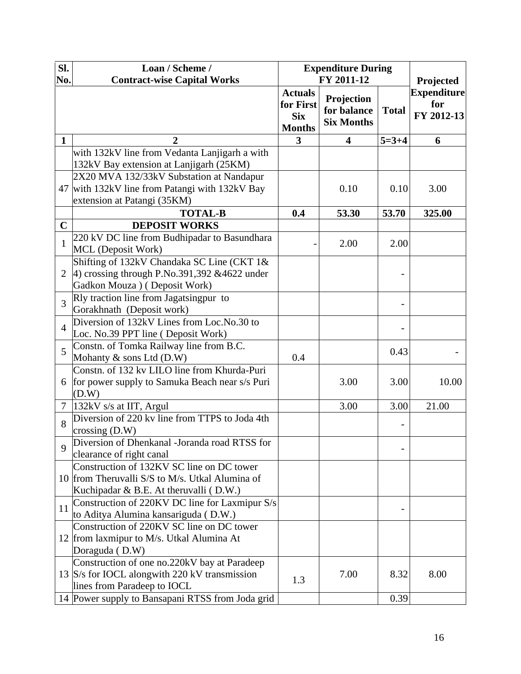| Sl.            | Loan / Scheme /                                                                        | <b>Expenditure During</b>                                  |                                                |              |                                         |
|----------------|----------------------------------------------------------------------------------------|------------------------------------------------------------|------------------------------------------------|--------------|-----------------------------------------|
| No.            | <b>Contract-wise Capital Works</b>                                                     |                                                            | FY 2011-12                                     |              | Projected                               |
|                |                                                                                        | <b>Actuals</b><br>for First<br><b>Six</b><br><b>Months</b> | Projection<br>for balance<br><b>Six Months</b> | <b>Total</b> | <b>Expenditure</b><br>for<br>FY 2012-13 |
| $\mathbf{1}$   | 2                                                                                      | 3                                                          | 4                                              | $5 = 3 + 4$  | 6                                       |
|                | with 132kV line from Vedanta Lanjigarh a with                                          |                                                            |                                                |              |                                         |
|                | 132kV Bay extension at Lanjigarh (25KM)                                                |                                                            |                                                |              |                                         |
|                | 2X20 MVA 132/33kV Substation at Nandapur                                               |                                                            |                                                |              |                                         |
|                | 47 with 132kV line from Patangi with 132kV Bay                                         |                                                            | 0.10                                           | 0.10         | 3.00                                    |
|                | extension at Patangi (35KM)                                                            |                                                            |                                                |              |                                         |
|                | <b>TOTAL-B</b>                                                                         | 0.4                                                        | 53.30                                          | 53.70        | 325.00                                  |
| $\mathbf C$    | <b>DEPOSIT WORKS</b>                                                                   |                                                            |                                                |              |                                         |
| $\mathbf{1}$   | 220 kV DC line from Budhipadar to Basundhara                                           |                                                            | 2.00                                           | 2.00         |                                         |
|                | MCL (Deposit Work)                                                                     |                                                            |                                                |              |                                         |
|                | Shifting of 132kV Chandaka SC Line (CKT 1&                                             |                                                            |                                                |              |                                         |
| $\overline{2}$ | 4) crossing through P.No.391,392 & 4622 under<br>Gadkon Mouza ) (Deposit Work)         |                                                            |                                                |              |                                         |
|                | Rly traction line from Jagatsingpur to                                                 |                                                            |                                                |              |                                         |
| 3              | Gorakhnath (Deposit work)                                                              |                                                            |                                                |              |                                         |
|                | Diversion of 132kV Lines from Loc.No.30 to                                             |                                                            |                                                |              |                                         |
| $\overline{4}$ | Loc. No.39 PPT line (Deposit Work)                                                     |                                                            |                                                |              |                                         |
|                | Constn. of Tomka Railway line from B.C.                                                |                                                            |                                                |              |                                         |
| 5              | Mohanty & sons Ltd (D.W)                                                               | 0.4                                                        |                                                | 0.43         |                                         |
|                | Constn. of 132 kv LILO line from Khurda-Puri                                           |                                                            |                                                |              |                                         |
| 6              | for power supply to Samuka Beach near s/s Puri                                         |                                                            | 3.00                                           | 3.00         | 10.00                                   |
|                | (D.W)                                                                                  |                                                            |                                                |              |                                         |
| $\tau$         | $132kV$ s/s at IIT, Argul                                                              |                                                            | 3.00                                           | 3.00         | 21.00                                   |
| 8              | Diversion of 220 ky line from TTPS to Joda 4th                                         |                                                            |                                                |              |                                         |
|                | crossing $(D.W)$                                                                       |                                                            |                                                |              |                                         |
| 9              | Diversion of Dhenkanal -Joranda road RTSS for                                          |                                                            |                                                |              |                                         |
|                | clearance of right canal                                                               |                                                            |                                                |              |                                         |
|                | Construction of 132KV SC line on DC tower                                              |                                                            |                                                |              |                                         |
|                | 10 from Theruvalli S/S to M/s. Utkal Alumina of                                        |                                                            |                                                |              |                                         |
|                | Kuchipadar & B.E. At theruvalli (D.W.)                                                 |                                                            |                                                |              |                                         |
| 11             | Construction of 220KV DC line for Laxmipur S/s<br>to Aditya Alumina kansariguda (D.W.) |                                                            |                                                |              |                                         |
|                | Construction of 220KV SC line on DC tower                                              |                                                            |                                                |              |                                         |
|                | 12 from laxmipur to M/s. Utkal Alumina At                                              |                                                            |                                                |              |                                         |
|                | Doraguda (D.W)                                                                         |                                                            |                                                |              |                                         |
|                | Construction of one no.220kV bay at Paradeep                                           |                                                            |                                                |              |                                         |
|                | 13 S/s for IOCL alongwith 220 kV transmission                                          |                                                            | 7.00                                           | 8.32         | 8.00                                    |
|                | lines from Paradeep to IOCL                                                            | 1.3                                                        |                                                |              |                                         |
|                | 14 Power supply to Bansapani RTSS from Joda grid                                       |                                                            |                                                | 0.39         |                                         |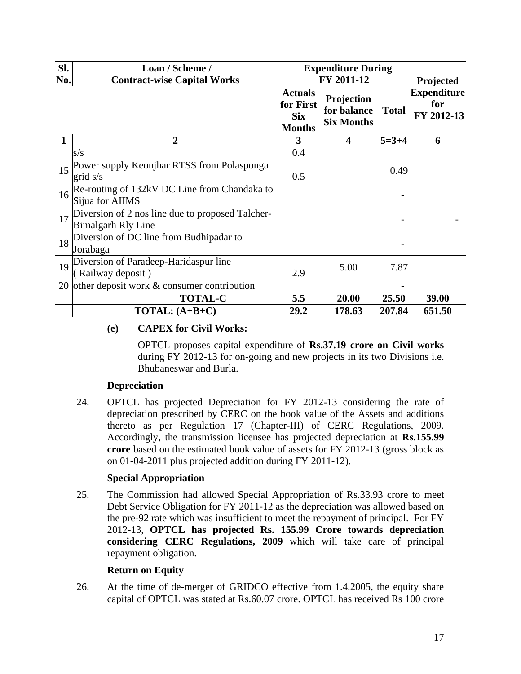| Sl.<br>No. | Loan / Scheme /<br><b>Contract-wise Capital Works</b>                              | <b>Expenditure During</b><br>FY 2011-12                    |                                                |              | Projected                               |  |
|------------|------------------------------------------------------------------------------------|------------------------------------------------------------|------------------------------------------------|--------------|-----------------------------------------|--|
|            |                                                                                    | <b>Actuals</b><br>for First<br><b>Six</b><br><b>Months</b> | Projection<br>for balance<br><b>Six Months</b> | <b>Total</b> | <b>Expenditure</b><br>for<br>FY 2012-13 |  |
|            | $\overline{2}$                                                                     | 3                                                          | 4                                              | $5=3+4$      | 6                                       |  |
|            | s/s                                                                                | 0.4                                                        |                                                |              |                                         |  |
|            | 15 Power supply Keonjhar RTSS from Polasponga<br>grid s/s                          | 0.5                                                        |                                                | 0.49         |                                         |  |
| 16         | Re-routing of 132kV DC Line from Chandaka to<br>Sijua for AIIMS                    |                                                            |                                                |              |                                         |  |
|            | $17$ Diversion of 2 nos line due to proposed Talcher-<br><b>Bimalgarh Rly Line</b> |                                                            |                                                |              |                                         |  |
| 18         | Diversion of DC line from Budhipadar to<br>Jorabaga                                |                                                            |                                                |              |                                         |  |
| 19         | Diversion of Paradeep-Haridaspur line<br>Railway deposit)                          | 2.9                                                        | 5.00                                           | 7.87         |                                         |  |
|            | 20 other deposit work & consumer contribution                                      |                                                            |                                                |              |                                         |  |
|            | <b>TOTAL-C</b>                                                                     | 5.5                                                        | 20.00                                          | 25.50        | 39.00                                   |  |
|            | $TOTAL: (A+B+C)$                                                                   | 29.2                                                       | 178.63                                         | 207.84       | 651.50                                  |  |

# **(e) CAPEX for Civil Works:**

OPTCL proposes capital expenditure of **Rs.37.19 crore on Civil works** during FY 2012-13 for on-going and new projects in its two Divisions i.e. Bhubaneswar and Burla.

# **Depreciation**

24. OPTCL has projected Depreciation for FY 2012-13 considering the rate of depreciation prescribed by CERC on the book value of the Assets and additions thereto as per Regulation 17 (Chapter-III) of CERC Regulations, 2009. Accordingly, the transmission licensee has projected depreciation at **Rs.155.99 crore** based on the estimated book value of assets for FY 2012-13 (gross block as on 01-04-2011 plus projected addition during FY 2011-12).

# **Special Appropriation**

25. The Commission had allowed Special Appropriation of Rs.33.93 crore to meet Debt Service Obligation for FY 2011-12 as the depreciation was allowed based on the pre-92 rate which was insufficient to meet the repayment of principal. For FY 2012-13, **OPTCL has projected Rs. 155.99 Crore towards depreciation considering CERC Regulations, 2009** which will take care of principal repayment obligation.

## **Return on Equity**

26. At the time of de-merger of GRIDCO effective from 1.4.2005, the equity share capital of OPTCL was stated at Rs.60.07 crore. OPTCL has received Rs 100 crore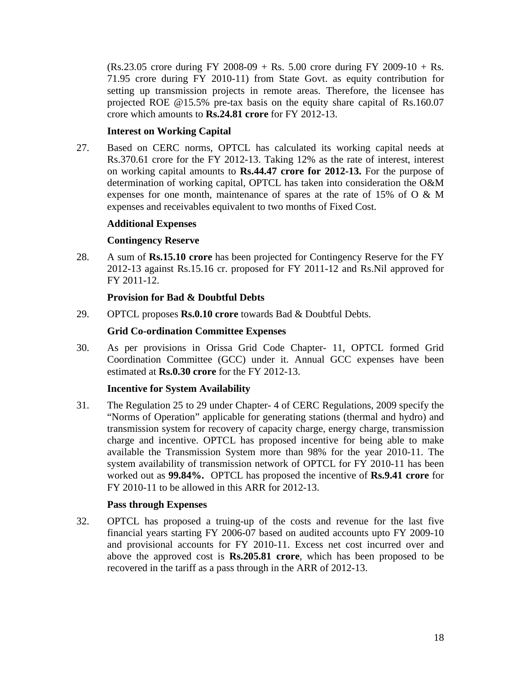$(Rs.23.05$  crore during FY 2008-09 + Rs. 5.00 crore during FY 2009-10 + Rs. 71.95 crore during FY 2010-11) from State Govt. as equity contribution for setting up transmission projects in remote areas. Therefore, the licensee has projected ROE @15.5% pre-tax basis on the equity share capital of Rs.160.07 crore which amounts to **Rs.24.81 crore** for FY 2012-13.

# **Interest on Working Capital**

27. Based on CERC norms, OPTCL has calculated its working capital needs at Rs.370.61 crore for the FY 2012-13. Taking 12% as the rate of interest, interest on working capital amounts to **Rs.44.47 crore for 2012-13.** For the purpose of determination of working capital, OPTCL has taken into consideration the O&M expenses for one month, maintenance of spares at the rate of 15% of  $O \& M$ expenses and receivables equivalent to two months of Fixed Cost.

## **Additional Expenses**

# **Contingency Reserve**

28. A sum of **Rs.15.10 crore** has been projected for Contingency Reserve for the FY 2012-13 against Rs.15.16 cr. proposed for FY 2011-12 and Rs.Nil approved for FY 2011-12.

# **Provision for Bad & Doubtful Debts**

29. OPTCL proposes **Rs.0.10 crore** towards Bad & Doubtful Debts.

# **Grid Co-ordination Committee Expenses**

30. As per provisions in Orissa Grid Code Chapter- 11, OPTCL formed Grid Coordination Committee (GCC) under it. Annual GCC expenses have been estimated at **Rs.0.30 crore** for the FY 2012-13.

## **Incentive for System Availability**

31. The Regulation 25 to 29 under Chapter- 4 of CERC Regulations, 2009 specify the "Norms of Operation" applicable for generating stations (thermal and hydro) and transmission system for recovery of capacity charge, energy charge, transmission charge and incentive. OPTCL has proposed incentive for being able to make available the Transmission System more than 98% for the year 2010-11. The system availability of transmission network of OPTCL for FY 2010-11 has been worked out as **99.84%.** OPTCL has proposed the incentive of **Rs.9.41 crore** for FY 2010-11 to be allowed in this ARR for 2012-13.

## **Pass through Expenses**

32. OPTCL has proposed a truing-up of the costs and revenue for the last five financial years starting FY 2006-07 based on audited accounts upto FY 2009-10 and provisional accounts for FY 2010-11. Excess net cost incurred over and above the approved cost is **Rs.205.81 crore**, which has been proposed to be recovered in the tariff as a pass through in the ARR of 2012-13.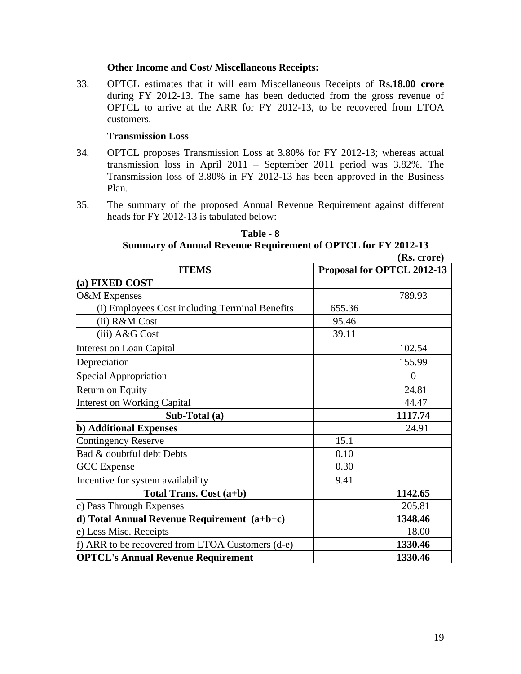#### **Other Income and Cost/ Miscellaneous Receipts:**

33. OPTCL estimates that it will earn Miscellaneous Receipts of **Rs.18.00 crore** during FY 2012-13. The same has been deducted from the gross revenue of OPTCL to arrive at the ARR for FY 2012-13, to be recovered from LTOA customers.

## **Transmission Loss**

- 34. OPTCL proposes Transmission Loss at 3.80% for FY 2012-13; whereas actual transmission loss in April 2011 – September 2011 period was 3.82%. The Transmission loss of 3.80% in FY 2012-13 has been approved in the Business Plan.
- 35. The summary of the proposed Annual Revenue Requirement against different heads for FY 2012-13 is tabulated below:

**Table - 8 Summary of Annual Revenue Requirement of OPTCL for FY 2012-13 (Rs. crore)**

| <b>ITEMS</b>                                     | $(100 \, \mathrm{cm})$<br>Proposal for OPTCL 2012-13 |                |  |  |
|--------------------------------------------------|------------------------------------------------------|----------------|--|--|
| (a) FIXED COST                                   |                                                      |                |  |  |
| O&M Expenses                                     |                                                      | 789.93         |  |  |
| (i) Employees Cost including Terminal Benefits   | 655.36                                               |                |  |  |
| (ii) R&M Cost                                    | 95.46                                                |                |  |  |
| (iii) A&G Cost                                   | 39.11                                                |                |  |  |
| Interest on Loan Capital                         |                                                      | 102.54         |  |  |
| Depreciation                                     |                                                      | 155.99         |  |  |
| Special Appropriation                            |                                                      | $\overline{0}$ |  |  |
| <b>Return on Equity</b>                          |                                                      | 24.81          |  |  |
| <b>Interest on Working Capital</b>               |                                                      | 44.47          |  |  |
| Sub-Total (a)                                    |                                                      | 1117.74        |  |  |
| <b>b</b> ) Additional Expenses                   |                                                      | 24.91          |  |  |
| Contingency Reserve                              | 15.1                                                 |                |  |  |
| Bad & doubtful debt Debts                        | 0.10                                                 |                |  |  |
| <b>GCC</b> Expense                               | 0.30                                                 |                |  |  |
| Incentive for system availability                | 9.41                                                 |                |  |  |
| Total Trans. Cost (a+b)                          |                                                      | 1142.65        |  |  |
| c) Pass Through Expenses                         |                                                      | 205.81         |  |  |
| d) Total Annual Revenue Requirement $(a+b+c)$    |                                                      | 1348.46        |  |  |
| e) Less Misc. Receipts                           |                                                      | 18.00          |  |  |
| f) ARR to be recovered from LTOA Customers (d-e) |                                                      | 1330.46        |  |  |
| <b>OPTCL's Annual Revenue Requirement</b>        |                                                      | 1330.46        |  |  |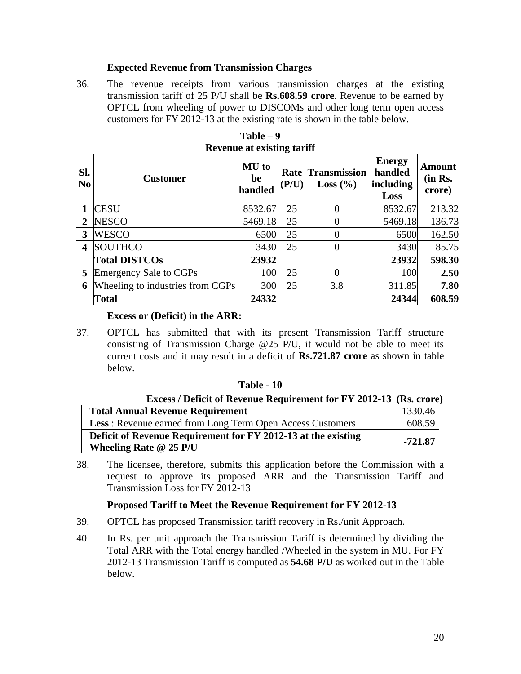## **Expected Revenue from Transmission Charges**

36. The revenue receipts from various transmission charges at the existing transmission tariff of 25 P/U shall be **Rs.608.59 crore**. Revenue to be earned by OPTCL from wheeling of power to DISCOMs and other long term open access customers for FY 2012-13 at the existing rate is shown in the table below.

| SI.<br>N <sub>0</sub> | <b>Customer</b>                  | <b>MU</b> to<br>be<br>handled | ъ.<br>Rate<br>(P/U) | <b>Transmission</b><br>Loss $(\% )$ | <b>Energy</b><br>handled<br>including<br>Loss | <b>Amount</b><br>(in Rs.<br>crore) |
|-----------------------|----------------------------------|-------------------------------|---------------------|-------------------------------------|-----------------------------------------------|------------------------------------|
|                       | <b>CESU</b>                      | 8532.67                       | 25                  | $\theta$                            | 8532.67                                       | 213.32                             |
| 2                     | <b>NESCO</b>                     | 5469.18                       | 25                  | $\overline{0}$                      | 5469.18                                       | 136.73                             |
| 3                     | <b>WESCO</b>                     | 6500                          | 25                  | $\overline{0}$                      | 6500                                          | 162.50                             |
| 4                     | <b>SOUTHCO</b>                   | 3430                          | 25                  | $\overline{0}$                      | 3430                                          | 85.75                              |
|                       | <b>Total DISTCOs</b>             | 23932                         |                     |                                     | 23932                                         | 598.30                             |
| 5                     | Emergency Sale to CGPs           | 100                           | 25                  | $\theta$                            | 100                                           | 2.50                               |
| 6                     | Wheeling to industries from CGPs | 300                           | 25                  | 3.8                                 | 311.85                                        | 7.80                               |
|                       | <b>Total</b>                     | 24332                         |                     |                                     | 24344                                         | 608.59                             |

**Table – 9 Revenue at existing tariff**

## **Excess or (Deficit) in the ARR:**

37. OPTCL has submitted that with its present Transmission Tariff structure consisting of Transmission Charge @25 P/U, it would not be able to meet its current costs and it may result in a deficit of **Rs.721.87 crore** as shown in table below.

## **Table - 10**

| <b>Excess / Deficit of Revenue Requirement for FY 2012-13 (Rs. crore)</b> |           |
|---------------------------------------------------------------------------|-----------|
| <b>Total Annual Revenue Requirement</b>                                   | 1330.46   |
| <b>Less:</b> Revenue earned from Long Term Open Access Customers          | 608.59    |
| Deficit of Revenue Requirement for FY 2012-13 at the existing             | $-721.87$ |
| Wheeling Rate $@$ 25 P/U                                                  |           |

38. The licensee, therefore, submits this application before the Commission with a request to approve its proposed ARR and the Transmission Tariff and Transmission Loss for FY 2012-13

# **Proposed Tariff to Meet the Revenue Requirement for FY 2012-13**

- 39. OPTCL has proposed Transmission tariff recovery in Rs./unit Approach.
- 40. In Rs. per unit approach the Transmission Tariff is determined by dividing the Total ARR with the Total energy handled /Wheeled in the system in MU. For FY 2012-13 Transmission Tariff is computed as **54.68 P/U** as worked out in the Table below.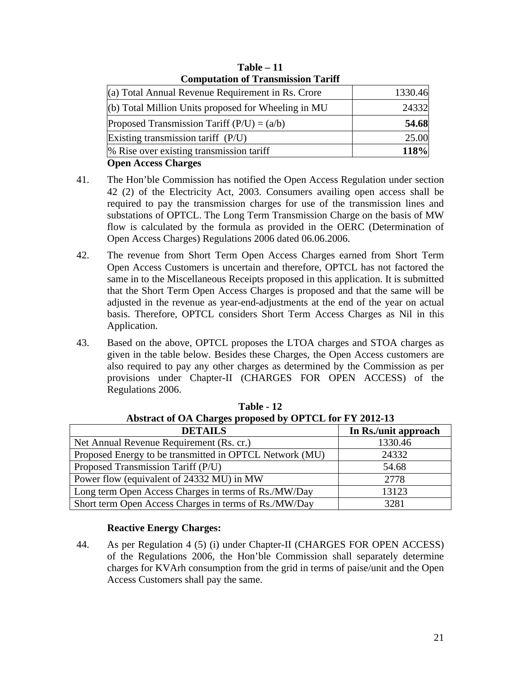| <b>Computation of Transmission Tariff</b>           |         |  |  |  |  |
|-----------------------------------------------------|---------|--|--|--|--|
| (a) Total Annual Revenue Requirement in Rs. Crore   | 1330.46 |  |  |  |  |
| (b) Total Million Units proposed for Wheeling in MU | 24332   |  |  |  |  |
| Proposed Transmission Tariff $(P/U) = (a/b)$        | 54.68   |  |  |  |  |
| Existing transmission tariff $(P/U)$                | 25.00   |  |  |  |  |
| % Rise over existing transmission tariff            | 118%    |  |  |  |  |
| <b>Open Access Charges</b>                          |         |  |  |  |  |

**Table – 11 Computation of Transmission Tariff**

- 41. The Hon'ble Commission has notified the Open Access Regulation under section 42 (2) of the Electricity Act, 2003. Consumers availing open access shall be required to pay the transmission charges for use of the transmission lines and substations of OPTCL. The Long Term Transmission Charge on the basis of MW flow is calculated by the formula as provided in the OERC (Determination of Open Access Charges) Regulations 2006 dated 06.06.2006.
- 42. The revenue from Short Term Open Access Charges earned from Short Term Open Access Customers is uncertain and therefore, OPTCL has not factored the same in to the Miscellaneous Receipts proposed in this application. It is submitted that the Short Term Open Access Charges is proposed and that the same will be adjusted in the revenue as year-end-adjustments at the end of the year on actual basis. Therefore, OPTCL considers Short Term Access Charges as Nil in this Application.
- 43. Based on the above, OPTCL proposes the LTOA charges and STOA charges as given in the table below. Besides these Charges, the Open Access customers are also required to pay any other charges as determined by the Commission as per provisions under Chapter-II (CHARGES FOR OPEN ACCESS) of the Regulations 2006.

| Abstract of OA Charges proposed by OPTCL for FY 2012-13 |                      |  |  |  |  |  |
|---------------------------------------------------------|----------------------|--|--|--|--|--|
| <b>DETAILS</b>                                          | In Rs./unit approach |  |  |  |  |  |
| Net Annual Revenue Requirement (Rs. cr.)                | 1330.46              |  |  |  |  |  |
| Proposed Energy to be transmitted in OPTCL Network (MU) | 24332                |  |  |  |  |  |
| Proposed Transmission Tariff (P/U)                      | 54.68                |  |  |  |  |  |
| Power flow (equivalent of 24332 MU) in MW               | 2778                 |  |  |  |  |  |
| Long term Open Access Charges in terms of Rs./MW/Day    | 13123                |  |  |  |  |  |
| Short term Open Access Charges in terms of Rs./MW/Day   | 3281                 |  |  |  |  |  |

**Table - 12 Abstract of OA Charges proposed by OPTCL for FY 2012-13**

# **Reactive Energy Charges:**

44. As per Regulation 4 (5) (i) under Chapter-II (CHARGES FOR OPEN ACCESS) of the Regulations 2006, the Hon'ble Commission shall separately determine charges for KVArh consumption from the grid in terms of paise/unit and the Open Access Customers shall pay the same.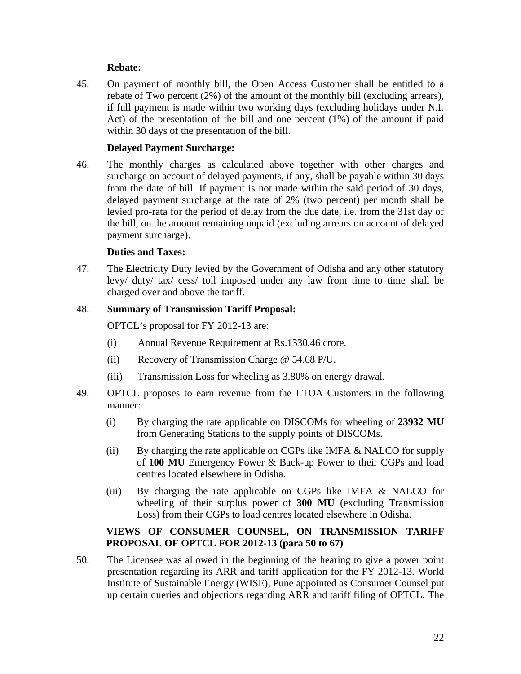# **Rebate:**

45. On payment of monthly bill, the Open Access Customer shall be entitled to a rebate of Two percent (2%) of the amount of the monthly bill (excluding arrears), if full payment is made within two working days (excluding holidays under N.I. Act) of the presentation of the bill and one percent (1%) of the amount if paid within 30 days of the presentation of the bill.

## **Delayed Payment Surcharge:**

46. The monthly charges as calculated above together with other charges and surcharge on account of delayed payments, if any, shall be payable within 30 days from the date of bill. If payment is not made within the said period of 30 days, delayed payment surcharge at the rate of 2% (two percent) per month shall be levied pro-rata for the period of delay from the due date, i.e. from the 31st day of the bill, on the amount remaining unpaid (excluding arrears on account of delayed payment surcharge).

# **Duties and Taxes:**

47. The Electricity Duty levied by the Government of Odisha and any other statutory levy/ duty/ tax/ cess/ toll imposed under any law from time to time shall be charged over and above the tariff.

## 48. **Summary of Transmission Tariff Proposal:**

OPTCL's proposal for FY 2012-13 are:

- (i) Annual Revenue Requirement at Rs.1330.46 crore.
- (ii) Recovery of Transmission Charge @ 54.68 P/U.
- (iii) Transmission Loss for wheeling as 3.80% on energy drawal.
- 49. OPTCL proposes to earn revenue from the LTOA Customers in the following manner:
	- (i) By charging the rate applicable on DISCOMs for wheeling of **23932 MU** from Generating Stations to the supply points of DISCOMs.
	- (ii) By charging the rate applicable on CGPs like IMFA & NALCO for supply of **100 MU** Emergency Power & Back-up Power to their CGPs and load centres located elsewhere in Odisha.
	- (iii) By charging the rate applicable on CGPs like IMFA & NALCO for wheeling of their surplus power of **300 MU** (excluding Transmission Loss) from their CGPs to load centres located elsewhere in Odisha.

# **VIEWS OF CONSUMER COUNSEL, ON TRANSMISSION TARIFF PROPOSAL OF OPTCL FOR 2012-13 (para 50 to 67)**

50. The Licensee was allowed in the beginning of the hearing to give a power point presentation regarding its ARR and tariff application for the FY 2012-13. World Institute of Sustainable Energy (WISE), Pune appointed as Consumer Counsel put up certain queries and objections regarding ARR and tariff filing of OPTCL. The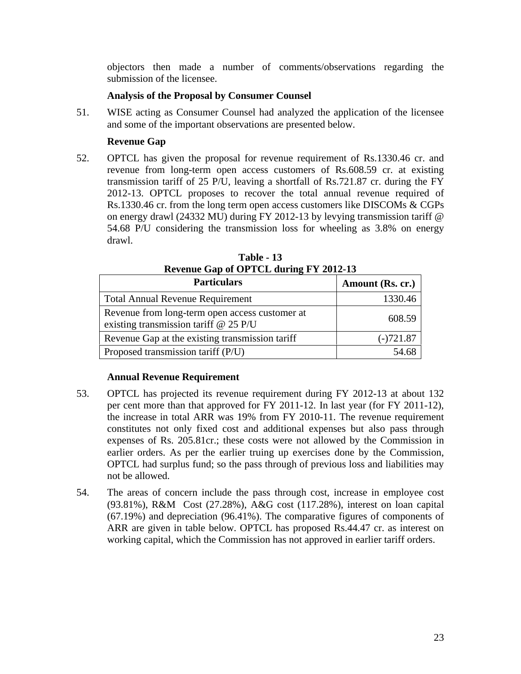objectors then made a number of comments/observations regarding the submission of the licensee.

# **Analysis of the Proposal by Consumer Counsel**

51. WISE acting as Consumer Counsel had analyzed the application of the licensee and some of the important observations are presented below.

# **Revenue Gap**

52. OPTCL has given the proposal for revenue requirement of Rs.1330.46 cr. and revenue from long-term open access customers of Rs.608.59 cr. at existing transmission tariff of 25 P/U, leaving a shortfall of Rs.721.87 cr. during the FY 2012-13. OPTCL proposes to recover the total annual revenue required of Rs.1330.46 cr. from the long term open access customers like DISCOMs & CGPs on energy drawl (24332 MU) during FY 2012-13 by levying transmission tariff @ 54.68 P/U considering the transmission loss for wheeling as 3.8% on energy drawl.

| $0 - 0 - 0 = 0$                                                                           |                  |  |  |  |  |  |
|-------------------------------------------------------------------------------------------|------------------|--|--|--|--|--|
| <b>Particulars</b>                                                                        | Amount (Rs. cr.) |  |  |  |  |  |
| <b>Total Annual Revenue Requirement</b>                                                   | 1330.46          |  |  |  |  |  |
| Revenue from long-term open access customer at<br>existing transmission tariff $@$ 25 P/U | 608.59           |  |  |  |  |  |
| Revenue Gap at the existing transmission tariff                                           | $(-)721.87$      |  |  |  |  |  |
| Proposed transmission tariff (P/U)                                                        | 54.68            |  |  |  |  |  |

**Table - 13 Revenue Gap of OPTCL during FY 2012-13**

# **Annual Revenue Requirement**

- 53. OPTCL has projected its revenue requirement during FY 2012-13 at about 132 per cent more than that approved for FY 2011-12. In last year (for FY 2011-12), the increase in total ARR was 19% from FY 2010-11. The revenue requirement constitutes not only fixed cost and additional expenses but also pass through expenses of Rs. 205.81cr.; these costs were not allowed by the Commission in earlier orders. As per the earlier truing up exercises done by the Commission, OPTCL had surplus fund; so the pass through of previous loss and liabilities may not be allowed.
- 54. The areas of concern include the pass through cost, increase in employee cost (93.81%), R&M Cost (27.28%), A&G cost (117.28%), interest on loan capital (67.19%) and depreciation (96.41%). The comparative figures of components of ARR are given in table below. OPTCL has proposed Rs.44.47 cr. as interest on working capital, which the Commission has not approved in earlier tariff orders.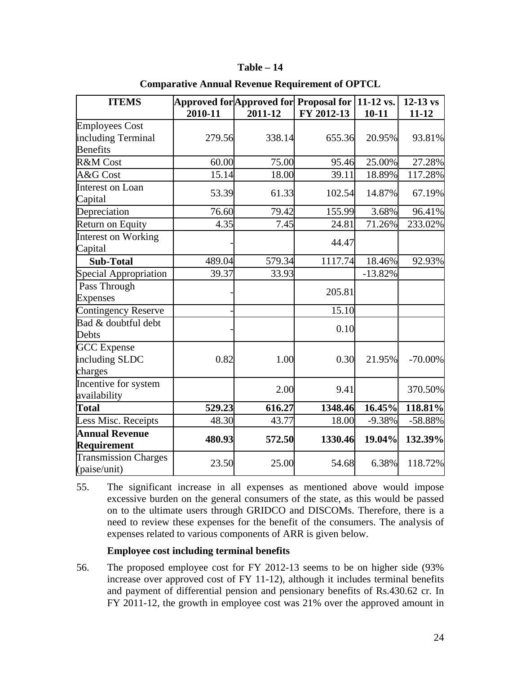#### **Table – 14**

| <b>ITEMS</b>                                |         | Approved for Approved for Proposal for $\sqrt{11-12}$ vs. |            |           | $12-13$ vs |
|---------------------------------------------|---------|-----------------------------------------------------------|------------|-----------|------------|
|                                             | 2010-11 | 2011-12                                                   | FY 2012-13 | $10 - 11$ | $11 - 12$  |
| <b>Employees Cost</b>                       |         |                                                           |            |           |            |
| including Terminal                          | 279.56  | 338.14                                                    | 655.36     | 20.95%    | 93.81%     |
| <b>Benefits</b>                             |         |                                                           |            |           |            |
| R&M Cost                                    | 60.00   | 75.00                                                     | 95.46      | 25.00%    | 27.28%     |
| A&G Cost                                    | 15.14   | 18.00                                                     | 39.11      | 18.89%    | 117.28%    |
| Interest on Loan<br>Capital                 | 53.39   | 61.33                                                     | 102.54     | 14.87%    | 67.19%     |
| Depreciation                                | 76.60   | 79.42                                                     | 155.99     | 3.68%     | 96.41%     |
| Return on Equity                            | 4.35    | 7.45                                                      | 24.81      | 71.26%    | 233.02%    |
| Interest on Working<br>Capital              |         |                                                           | 44.47      |           |            |
| <b>Sub-Total</b>                            | 489.04  | 579.34                                                    | 1117.74    | 18.46%    | 92.93%     |
| Special Appropriation                       | 39.37   | 33.93                                                     |            | $-13.82%$ |            |
| Pass Through                                |         |                                                           | 205.81     |           |            |
| <b>Expenses</b>                             |         |                                                           |            |           |            |
| Contingency Reserve                         |         |                                                           | 15.10      |           |            |
| Bad & doubtful debt<br>Debts                |         |                                                           | 0.10       |           |            |
| <b>GCC</b> Expense                          |         |                                                           |            |           |            |
| including SLDC                              | 0.82    | 1.00                                                      | 0.30       | 21.95%    | $-70.00\%$ |
| charges                                     |         |                                                           |            |           |            |
| Incentive for system                        |         | 2.00                                                      | 9.41       |           | 370.50%    |
| availability                                |         |                                                           |            |           |            |
| <b>Total</b>                                | 529.23  | 616.27                                                    | 1348.46    | 16.45%    | 118.81%    |
| Less Misc. Receipts                         | 48.30   | 43.77                                                     | 18.00      | $-9.38%$  | $-58.88\%$ |
| <b>Annual Revenue</b><br>Requirement        | 480.93  | 572.50                                                    | 1330.46    | 19.04%    | 132.39%    |
| <b>Transmission Charges</b><br>(paise/unit) | 23.50   | 25.00                                                     | 54.68      | 6.38%     | 118.72%    |

## **Comparative Annual Revenue Requirement of OPTCL**

55. The significant increase in all expenses as mentioned above would impose excessive burden on the general consumers of the state, as this would be passed on to the ultimate users through GRIDCO and DISCOMs. Therefore, there is a need to review these expenses for the benefit of the consumers. The analysis of expenses related to various components of ARR is given below.

## **Employee cost including terminal benefits**

56. The proposed employee cost for FY 2012-13 seems to be on higher side (93% increase over approved cost of FY 11-12), although it includes terminal benefits and payment of differential pension and pensionary benefits of Rs.430.62 cr. In FY 2011-12, the growth in employee cost was 21% over the approved amount in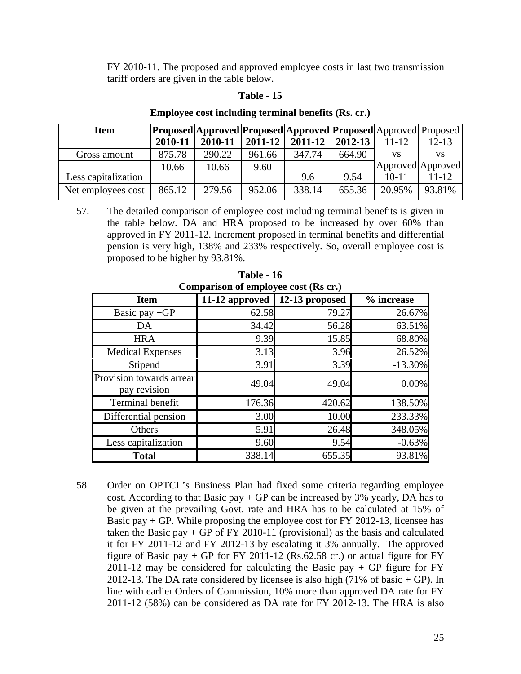FY 2010-11. The proposed and approved employee costs in last two transmission tariff orders are given in the table below.

#### **Table - 15**

| <b>Item</b>         |         | <b>Proposed Approved Proposed Approved Proposed Approved Proposed</b> |         |         |         |                   |           |
|---------------------|---------|-----------------------------------------------------------------------|---------|---------|---------|-------------------|-----------|
|                     | 2010-11 | 2010-11                                                               | 2011-12 | 2011-12 | 2012-13 | 11-12             | $12 - 13$ |
| Gross amount        | 875.78  | 290.22                                                                | 961.66  | 347.74  | 664.90  | VS                | VS        |
|                     | 10.66   | 10.66                                                                 | 9.60    |         |         | Approved Approved |           |
| Less capitalization |         |                                                                       |         | 9.6     | 9.54    | 10-11             | 11-12     |
| Net employees cost  | 865.12  | 279.56                                                                | 952.06  | 338.14  | 655.36  | 20.95%            | 93.81%    |

#### **Employee cost including terminal benefits (Rs. cr.)**

57. The detailed comparison of employee cost including terminal benefits is given in the table below. DA and HRA proposed to be increased by over 60% than approved in FY 2011-12. Increment proposed in terminal benefits and differential pension is very high, 138% and 233% respectively. So, overall employee cost is proposed to be higher by 93.81%.

| Comparison of employee cost (Rs cr.)     |                                       |        |            |  |  |  |
|------------------------------------------|---------------------------------------|--------|------------|--|--|--|
| <b>Item</b>                              | 11-12 approved $\vert$ 12-13 proposed |        | % increase |  |  |  |
| Basic pay $+GP$                          | 62.58                                 | 79.27  | 26.67%     |  |  |  |
| DA                                       | 34.42                                 | 56.28  | 63.51%     |  |  |  |
| <b>HRA</b>                               | 9.39                                  | 15.85  | 68.80%     |  |  |  |
| <b>Medical Expenses</b>                  | 3.13                                  | 3.96   | 26.52%     |  |  |  |
| Stipend                                  | 3.91                                  | 3.39   | $-13.30\%$ |  |  |  |
| Provision towards arrear<br>pay revision | 49.04                                 | 49.04  | 0.00%      |  |  |  |
| Terminal benefit                         | 176.36                                | 420.62 | 138.50%    |  |  |  |
| Differential pension                     | 3.00                                  | 10.00  | 233.33%    |  |  |  |
| Others                                   | 5.91                                  | 26.48  | 348.05%    |  |  |  |
| Less capitalization                      | 9.60                                  | 9.54   | $-0.63%$   |  |  |  |
| <b>Total</b>                             | 338.14                                | 655.35 | 93.81%     |  |  |  |

**Table - 16**

58. Order on OPTCL's Business Plan had fixed some criteria regarding employee cost. According to that Basic pay  $+$  GP can be increased by 3% yearly, DA has to be given at the prevailing Govt. rate and HRA has to be calculated at 15% of Basic pay  $+$  GP. While proposing the employee cost for FY 2012-13, licensee has taken the Basic pay  $+$  GP of FY 2010-11 (provisional) as the basis and calculated it for FY 2011-12 and FY 2012-13 by escalating it 3% annually. The approved figure of Basic pay  $+$  GP for FY 2011-12 (Rs.62.58 cr.) or actual figure for FY 2011-12 may be considered for calculating the Basic pay  $+$  GP figure for FY 2012-13. The DA rate considered by licensee is also high  $(71\% \text{ of basic} + GP)$ . In line with earlier Orders of Commission, 10% more than approved DA rate for FY 2011-12 (58%) can be considered as DA rate for FY 2012-13. The HRA is also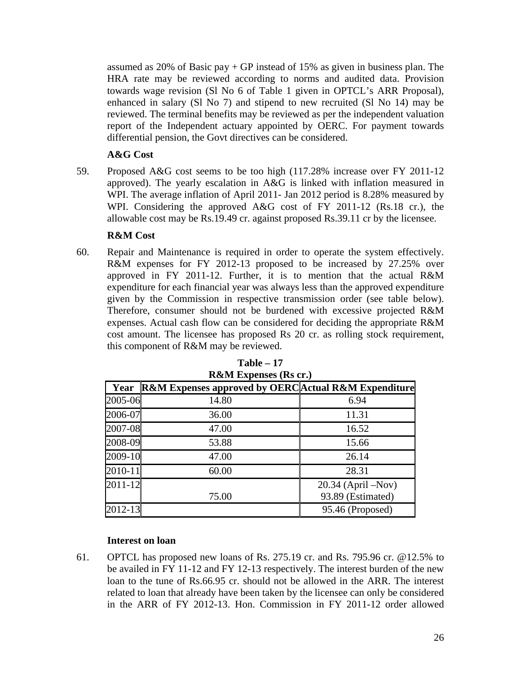assumed as  $20\%$  of Basic pay + GP instead of 15% as given in business plan. The HRA rate may be reviewed according to norms and audited data. Provision towards wage revision (Sl No 6 of Table 1 given in OPTCL's ARR Proposal), enhanced in salary (Sl No 7) and stipend to new recruited (Sl No 14) may be reviewed. The terminal benefits may be reviewed as per the independent valuation report of the Independent actuary appointed by OERC. For payment towards differential pension, the Govt directives can be considered.

# **A&G Cost**

59. Proposed A&G cost seems to be too high (117.28% increase over FY 2011-12 approved). The yearly escalation in A&G is linked with inflation measured in WPI. The average inflation of April 2011- Jan 2012 period is 8.28% measured by WPI. Considering the approved A&G cost of FY 2011-12 (Rs.18 cr.), the allowable cost may be Rs.19.49 cr. against proposed Rs.39.11 cr by the licensee.

# **R&M Cost**

60. Repair and Maintenance is required in order to operate the system effectively. R&M expenses for FY 2012-13 proposed to be increased by 27.25% over approved in FY 2011-12. Further, it is to mention that the actual R&M expenditure for each financial year was always less than the approved expenditure given by the Commission in respective transmission order (see table below). Therefore, consumer should not be burdened with excessive projected R&M expenses. Actual cash flow can be considered for deciding the appropriate R&M cost amount. The licensee has proposed Rs 20 cr. as rolling stock requirement, this component of R&M may be reviewed.

| Year        | Regive Expenses (RS CI.)<br><b>R&amp;M Expenses approved by OERC</b> Actual R&M Expenditure |                                              |
|-------------|---------------------------------------------------------------------------------------------|----------------------------------------------|
| 2005-06     | 14.80                                                                                       | 6.94                                         |
| 2006-07     | 36.00                                                                                       | 11.31                                        |
| 2007-08     | 47.00                                                                                       | 16.52                                        |
| 2008-09     | 53.88                                                                                       | 15.66                                        |
| 2009-10     | 47.00                                                                                       | 26.14                                        |
| $2010 - 11$ | 60.00                                                                                       | 28.31                                        |
| $2011 - 12$ | 75.00                                                                                       | $20.34$ (April $-Nov$ )<br>93.89 (Estimated) |
| $2012 - 13$ |                                                                                             | 95.46 (Proposed)                             |

**Table – 17 R&M Expenses (Rs cr.)**

## **Interest on loan**

61. OPTCL has proposed new loans of Rs. 275.19 cr. and Rs. 795.96 cr. @12.5% to be availed in FY 11-12 and FY 12-13 respectively. The interest burden of the new loan to the tune of Rs.66.95 cr. should not be allowed in the ARR. The interest related to loan that already have been taken by the licensee can only be considered in the ARR of FY 2012-13. Hon. Commission in FY 2011-12 order allowed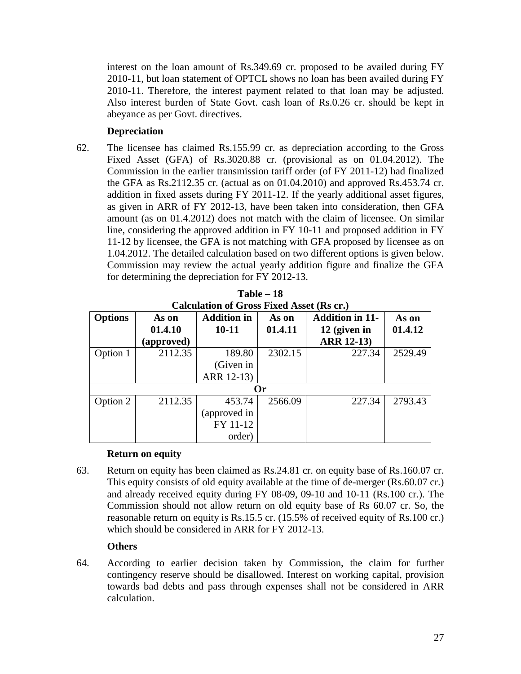interest on the loan amount of Rs.349.69 cr. proposed to be availed during FY 2010-11, but loan statement of OPTCL shows no loan has been availed during FY 2010-11. Therefore, the interest payment related to that loan may be adjusted. Also interest burden of State Govt. cash loan of Rs.0.26 cr. should be kept in abeyance as per Govt. directives.

# **Depreciation**

62. The licensee has claimed Rs.155.99 cr. as depreciation according to the Gross Fixed Asset (GFA) of Rs.3020.88 cr. (provisional as on 01.04.2012). The Commission in the earlier transmission tariff order (of FY 2011-12) had finalized the GFA as Rs.2112.35 cr. (actual as on 01.04.2010) and approved Rs.453.74 cr. addition in fixed assets during FY 2011-12. If the yearly additional asset figures, as given in ARR of FY 2012-13, have been taken into consideration, then GFA amount (as on 01.4.2012) does not match with the claim of licensee. On similar line, considering the approved addition in FY 10-11 and proposed addition in FY 11-12 by licensee, the GFA is not matching with GFA proposed by licensee as on 1.04.2012. The detailed calculation based on two different options is given below. Commission may review the actual yearly addition figure and finalize the GFA for determining the depreciation for FY 2012-13.

| Calculation of Gross Flacu Asset (TGS Cr.) |            |                    |         |                        |         |  |  |
|--------------------------------------------|------------|--------------------|---------|------------------------|---------|--|--|
| <b>Options</b>                             | As on      | <b>Addition in</b> | As on   | <b>Addition in 11-</b> | As on   |  |  |
|                                            | 01.4.10    | $10 - 11$          | 01.4.11 | 12 (given in           | 01.4.12 |  |  |
|                                            | (approved) |                    |         | <b>ARR 12-13)</b>      |         |  |  |
| Option 1                                   | 2112.35    | 189.80             | 2302.15 | 227.34                 | 2529.49 |  |  |
|                                            |            | (Given in          |         |                        |         |  |  |
|                                            |            | ARR 12-13)         |         |                        |         |  |  |
| Or                                         |            |                    |         |                        |         |  |  |
| Option 2                                   | 2112.35    | 453.74             | 2566.09 | 227.34                 | 2793.43 |  |  |
|                                            |            | (approved in       |         |                        |         |  |  |
|                                            |            | FY 11-12           |         |                        |         |  |  |
|                                            |            | order)             |         |                        |         |  |  |

**Table – 18 Calculation of Gross Fixed Asset (Rs cr.)**

# **Return on equity**

63. Return on equity has been claimed as Rs.24.81 cr. on equity base of Rs.160.07 cr. This equity consists of old equity available at the time of de-merger (Rs.60.07 cr.) and already received equity during FY 08-09, 09-10 and 10-11 (Rs.100 cr.). The Commission should not allow return on old equity base of Rs 60.07 cr. So, the reasonable return on equity is Rs.15.5 cr. (15.5% of received equity of Rs.100 cr.) which should be considered in ARR for FY 2012-13.

# **Others**

64. According to earlier decision taken by Commission, the claim for further contingency reserve should be disallowed. Interest on working capital, provision towards bad debts and pass through expenses shall not be considered in ARR calculation.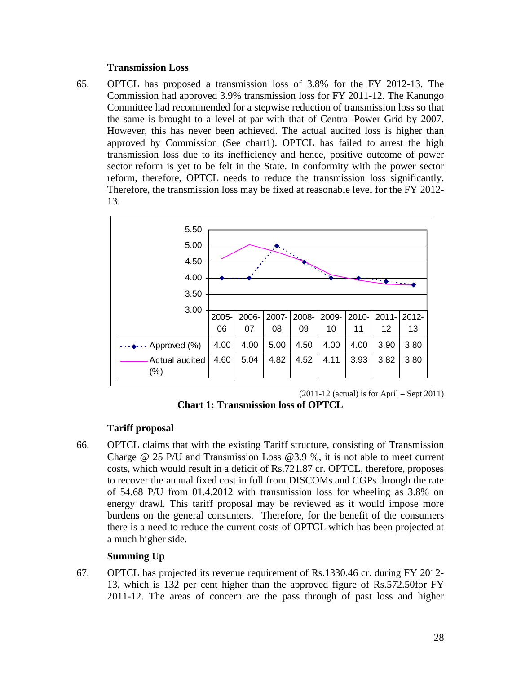#### **Transmission Loss**

65. OPTCL has proposed a transmission loss of 3.8% for the FY 2012-13. The Commission had approved 3.9% transmission loss for FY 2011-12. The Kanungo Committee had recommended for a stepwise reduction of transmission loss so that the same is brought to a level at par with that of Central Power Grid by 2007. However, this has never been achieved. The actual audited loss is higher than approved by Commission (See chart1). OPTCL has failed to arrest the high transmission loss due to its inefficiency and hence, positive outcome of power sector reform is yet to be felt in the State. In conformity with the power sector reform, therefore, OPTCL needs to reduce the transmission loss significantly. Therefore, the transmission loss may be fixed at reasonable level for the FY 2012- 13.



 $(2011-12$  (actual) is for April – Sept 2011)

**Chart 1: Transmission loss of OPTCL**

# **Tariff proposal**

66. OPTCL claims that with the existing Tariff structure, consisting of Transmission Charge @ 25 P/U and Transmission Loss @3.9 %, it is not able to meet current costs, which would result in a deficit of Rs.721.87 cr. OPTCL, therefore, proposes to recover the annual fixed cost in full from DISCOMs and CGPs through the rate of 54.68 P/U from 01.4.2012 with transmission loss for wheeling as 3.8% on energy drawl. This tariff proposal may be reviewed as it would impose more burdens on the general consumers. Therefore, for the benefit of the consumers there is a need to reduce the current costs of OPTCL which has been projected at a much higher side.

# **Summing Up**

67. OPTCL has projected its revenue requirement of Rs.1330.46 cr. during FY 2012- 13, which is 132 per cent higher than the approved figure of Rs.572.50for FY 2011-12. The areas of concern are the pass through of past loss and higher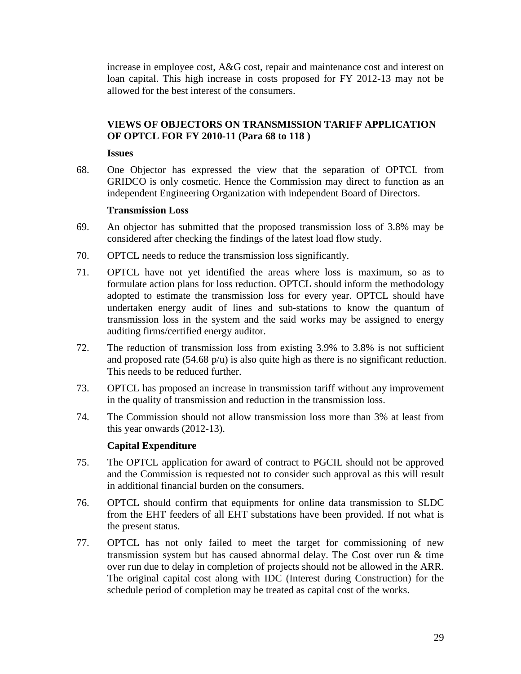increase in employee cost, A&G cost, repair and maintenance cost and interest on loan capital. This high increase in costs proposed for FY 2012-13 may not be allowed for the best interest of the consumers.

# **VIEWS OF OBJECTORS ON TRANSMISSION TARIFF APPLICATION OF OPTCL FOR FY 2010-11 (Para 68 to 118 )**

**Issues**

68. One Objector has expressed the view that the separation of OPTCL from GRIDCO is only cosmetic. Hence the Commission may direct to function as an independent Engineering Organization with independent Board of Directors.

# **Transmission Loss**

- 69. An objector has submitted that the proposed transmission loss of 3.8% may be considered after checking the findings of the latest load flow study.
- 70. OPTCL needs to reduce the transmission loss significantly.
- 71. OPTCL have not yet identified the areas where loss is maximum, so as to formulate action plans for loss reduction. OPTCL should inform the methodology adopted to estimate the transmission loss for every year. OPTCL should have undertaken energy audit of lines and sub-stations to know the quantum of transmission loss in the system and the said works may be assigned to energy auditing firms/certified energy auditor.
- 72. The reduction of transmission loss from existing 3.9% to 3.8% is not sufficient and proposed rate  $(54.68 \text{ p/u})$  is also quite high as there is no significant reduction. This needs to be reduced further.
- 73. OPTCL has proposed an increase in transmission tariff without any improvement in the quality of transmission and reduction in the transmission loss.
- 74. The Commission should not allow transmission loss more than 3% at least from this year onwards (2012-13).

# **Capital Expenditure**

- 75. The OPTCL application for award of contract to PGCIL should not be approved and the Commission is requested not to consider such approval as this will result in additional financial burden on the consumers.
- 76. OPTCL should confirm that equipments for online data transmission to SLDC from the EHT feeders of all EHT substations have been provided. If not what is the present status.
- 77. OPTCL has not only failed to meet the target for commissioning of new transmission system but has caused abnormal delay. The Cost over run & time over run due to delay in completion of projects should not be allowed in the ARR. The original capital cost along with IDC (Interest during Construction) for the schedule period of completion may be treated as capital cost of the works.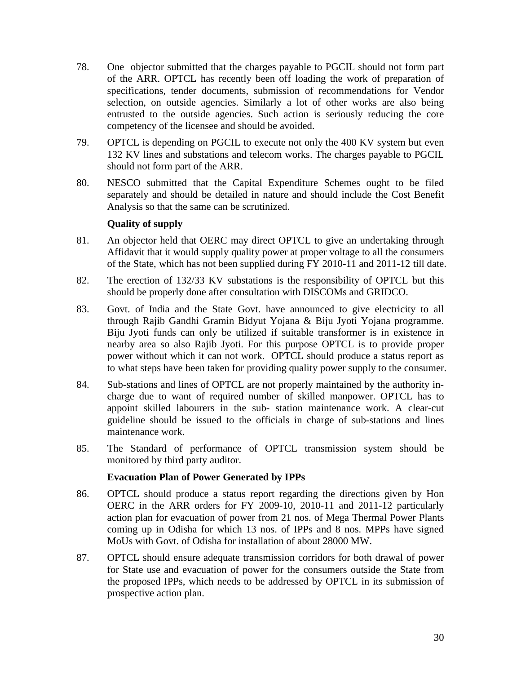- 78. One objector submitted that the charges payable to PGCIL should not form part of the ARR. OPTCL has recently been off loading the work of preparation of specifications, tender documents, submission of recommendations for Vendor selection, on outside agencies. Similarly a lot of other works are also being entrusted to the outside agencies. Such action is seriously reducing the core competency of the licensee and should be avoided.
- 79. OPTCL is depending on PGCIL to execute not only the 400 KV system but even 132 KV lines and substations and telecom works. The charges payable to PGCIL should not form part of the ARR.
- 80. NESCO submitted that the Capital Expenditure Schemes ought to be filed separately and should be detailed in nature and should include the Cost Benefit Analysis so that the same can be scrutinized.

# **Quality of supply**

- 81. An objector held that OERC may direct OPTCL to give an undertaking through Affidavit that it would supply quality power at proper voltage to all the consumers of the State, which has not been supplied during FY 2010-11 and 2011-12 till date.
- 82. The erection of 132/33 KV substations is the responsibility of OPTCL but this should be properly done after consultation with DISCOMs and GRIDCO.
- 83. Govt. of India and the State Govt. have announced to give electricity to all through Rajib Gandhi Gramin Bidyut Yojana & Biju Jyoti Yojana programme. Biju Jyoti funds can only be utilized if suitable transformer is in existence in nearby area so also Rajib Jyoti. For this purpose OPTCL is to provide proper power without which it can not work. OPTCL should produce a status report as to what steps have been taken for providing quality power supply to the consumer.
- 84. Sub-stations and lines of OPTCL are not properly maintained by the authority incharge due to want of required number of skilled manpower. OPTCL has to appoint skilled labourers in the sub- station maintenance work. A clear-cut guideline should be issued to the officials in charge of sub-stations and lines maintenance work.
- 85. The Standard of performance of OPTCL transmission system should be monitored by third party auditor.

# **Evacuation Plan of Power Generated by IPPs**

- 86. OPTCL should produce a status report regarding the directions given by Hon OERC in the ARR orders for FY 2009-10, 2010-11 and 2011-12 particularly action plan for evacuation of power from 21 nos. of Mega Thermal Power Plants coming up in Odisha for which 13 nos. of IPPs and 8 nos. MPPs have signed MoUs with Govt. of Odisha for installation of about 28000 MW.
- 87. OPTCL should ensure adequate transmission corridors for both drawal of power for State use and evacuation of power for the consumers outside the State from the proposed IPPs, which needs to be addressed by OPTCL in its submission of prospective action plan.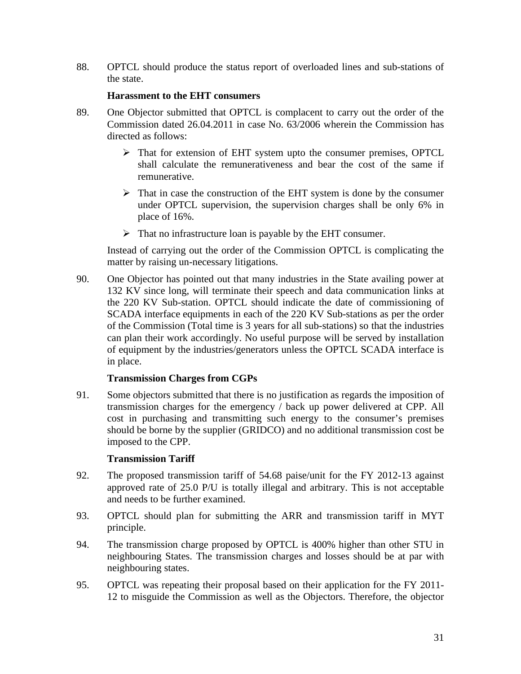88. OPTCL should produce the status report of overloaded lines and sub-stations of the state.

## **Harassment to the EHT consumers**

- 89. One Objector submitted that OPTCL is complacent to carry out the order of the Commission dated 26.04.2011 in case No. 63/2006 wherein the Commission has directed as follows:
	- That for extension of EHT system upto the consumer premises, OPTCL shall calculate the remunerativeness and bear the cost of the same if remunerative.
	- $\triangleright$  That in case the construction of the EHT system is done by the consumer under OPTCL supervision, the supervision charges shall be only 6% in place of 16%.
	- $\triangleright$  That no infrastructure loan is payable by the EHT consumer.

Instead of carrying out the order of the Commission OPTCL is complicating the matter by raising un-necessary litigations.

90. One Objector has pointed out that many industries in the State availing power at 132 KV since long, will terminate their speech and data communication links at the 220 KV Sub-station. OPTCL should indicate the date of commissioning of SCADA interface equipments in each of the 220 KV Sub-stations as per the order of the Commission (Total time is 3 years for all sub-stations) so that the industries can plan their work accordingly. No useful purpose will be served by installation of equipment by the industries/generators unless the OPTCL SCADA interface is in place.

## **Transmission Charges from CGPs**

91. Some objectors submitted that there is no justification as regards the imposition of transmission charges for the emergency / back up power delivered at CPP. All cost in purchasing and transmitting such energy to the consumer's premises should be borne by the supplier (GRIDCO) and no additional transmission cost be imposed to the CPP.

## **Transmission Tariff**

- 92. The proposed transmission tariff of 54.68 paise/unit for the FY 2012-13 against approved rate of 25.0 P/U is totally illegal and arbitrary. This is not acceptable and needs to be further examined.
- 93. OPTCL should plan for submitting the ARR and transmission tariff in MYT principle.
- 94. The transmission charge proposed by OPTCL is 400% higher than other STU in neighbouring States. The transmission charges and losses should be at par with neighbouring states.
- 95. OPTCL was repeating their proposal based on their application for the FY 2011- 12 to misguide the Commission as well as the Objectors. Therefore, the objector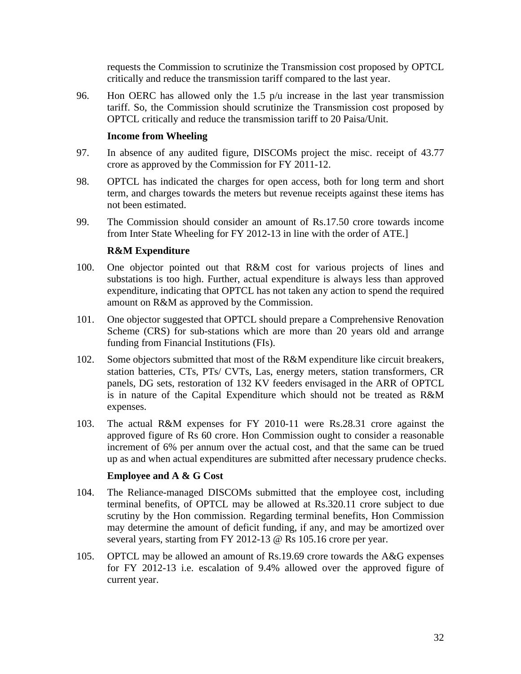requests the Commission to scrutinize the Transmission cost proposed by OPTCL critically and reduce the transmission tariff compared to the last year.

96. Hon OERC has allowed only the 1.5 p/u increase in the last year transmission tariff. So, the Commission should scrutinize the Transmission cost proposed by OPTCL critically and reduce the transmission tariff to 20 Paisa/Unit.

# **Income from Wheeling**

- 97. In absence of any audited figure, DISCOMs project the misc. receipt of 43.77 crore as approved by the Commission for FY 2011-12.
- 98. OPTCL has indicated the charges for open access, both for long term and short term, and charges towards the meters but revenue receipts against these items has not been estimated.
- 99. The Commission should consider an amount of Rs.17.50 crore towards income from Inter State Wheeling for FY 2012-13 in line with the order of ATE.]

# **R&M Expenditure**

- 100. One objector pointed out that R&M cost for various projects of lines and substations is too high. Further, actual expenditure is always less than approved expenditure, indicating that OPTCL has not taken any action to spend the required amount on R&M as approved by the Commission.
- 101. One objector suggested that OPTCL should prepare a Comprehensive Renovation Scheme (CRS) for sub-stations which are more than 20 years old and arrange funding from Financial Institutions (FIs).
- 102. Some objectors submitted that most of the R&M expenditure like circuit breakers, station batteries, CTs, PTs/ CVTs, Las, energy meters, station transformers, CR panels, DG sets, restoration of 132 KV feeders envisaged in the ARR of OPTCL is in nature of the Capital Expenditure which should not be treated as R&M expenses.
- 103. The actual R&M expenses for FY 2010-11 were Rs.28.31 crore against the approved figure of Rs 60 crore. Hon Commission ought to consider a reasonable increment of 6% per annum over the actual cost, and that the same can be trued up as and when actual expenditures are submitted after necessary prudence checks.

## **Employee and A & G Cost**

- 104. The Reliance-managed DISCOMs submitted that the employee cost, including terminal benefits, of OPTCL may be allowed at Rs.320.11 crore subject to due scrutiny by the Hon commission. Regarding terminal benefits, Hon Commission may determine the amount of deficit funding, if any, and may be amortized over several years, starting from FY 2012-13 @ Rs 105.16 crore per year.
- 105. OPTCL may be allowed an amount of Rs.19.69 crore towards the A&G expenses for FY 2012-13 i.e. escalation of 9.4% allowed over the approved figure of current year.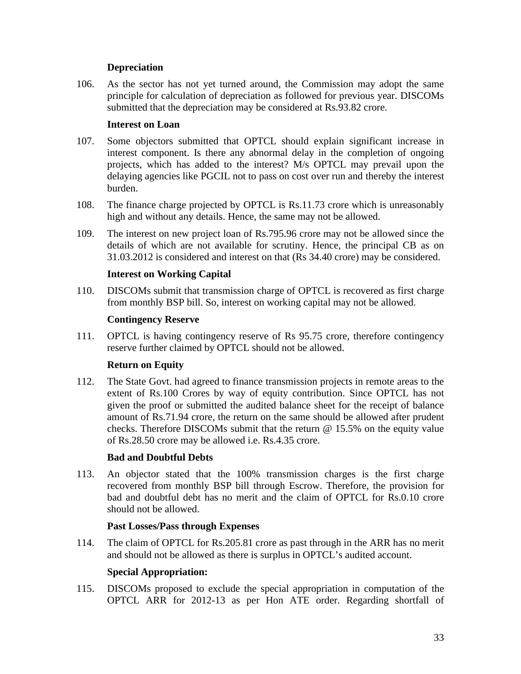# **Depreciation**

106. As the sector has not yet turned around, the Commission may adopt the same principle for calculation of depreciation as followed for previous year. DISCOMs submitted that the depreciation may be considered at Rs.93.82 crore.

# **Interest on Loan**

- 107. Some objectors submitted that OPTCL should explain significant increase in interest component. Is there any abnormal delay in the completion of ongoing projects, which has added to the interest? M/s OPTCL may prevail upon the delaying agencies like PGCIL not to pass on cost over run and thereby the interest burden.
- 108. The finance charge projected by OPTCL is Rs.11.73 crore which is unreasonably high and without any details. Hence, the same may not be allowed.
- 109. The interest on new project loan of Rs.795.96 crore may not be allowed since the details of which are not available for scrutiny. Hence, the principal CB as on 31.03.2012 is considered and interest on that (Rs 34.40 crore) may be considered.

# **Interest on Working Capital**

110. DISCOMs submit that transmission charge of OPTCL is recovered as first charge from monthly BSP bill. So, interest on working capital may not be allowed.

## **Contingency Reserve**

111. OPTCL is having contingency reserve of Rs 95.75 crore, therefore contingency reserve further claimed by OPTCL should not be allowed.

# **Return on Equity**

112. The State Govt. had agreed to finance transmission projects in remote areas to the extent of Rs.100 Crores by way of equity contribution. Since OPTCL has not given the proof or submitted the audited balance sheet for the receipt of balance amount of Rs.71.94 crore, the return on the same should be allowed after prudent checks. Therefore DISCOMs submit that the return @ 15.5% on the equity value of Rs.28.50 crore may be allowed i.e. Rs.4.35 crore.

## **Bad and Doubtful Debts**

113. An objector stated that the 100% transmission charges is the first charge recovered from monthly BSP bill through Escrow. Therefore, the provision for bad and doubtful debt has no merit and the claim of OPTCL for Rs.0.10 crore should not be allowed.

## **Past Losses/Pass through Expenses**

114. The claim of OPTCL for Rs.205.81 crore as past through in the ARR has no merit and should not be allowed as there is surplus in OPTCL's audited account.

## **Special Appropriation:**

115. DISCOMs proposed to exclude the special appropriation in computation of the OPTCL ARR for 2012-13 as per Hon ATE order. Regarding shortfall of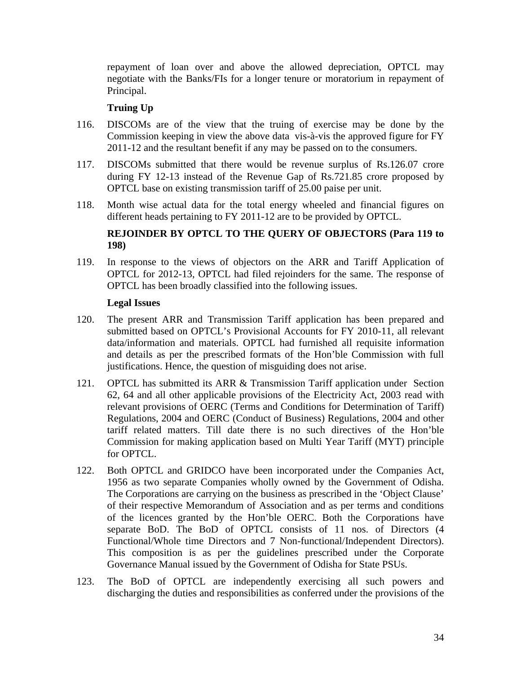repayment of loan over and above the allowed depreciation, OPTCL may negotiate with the Banks/FIs for a longer tenure or moratorium in repayment of Principal.

# **Truing Up**

- 116. DISCOMs are of the view that the truing of exercise may be done by the Commission keeping in view the above data vis-à-vis the approved figure for FY 2011-12 and the resultant benefit if any may be passed on to the consumers.
- 117. DISCOMs submitted that there would be revenue surplus of Rs.126.07 crore during FY 12-13 instead of the Revenue Gap of Rs.721.85 crore proposed by OPTCL base on existing transmission tariff of 25.00 paise per unit.
- 118. Month wise actual data for the total energy wheeled and financial figures on different heads pertaining to FY 2011-12 are to be provided by OPTCL.

# **REJOINDER BY OPTCL TO THE QUERY OF OBJECTORS (Para 119 to 198)**

119. In response to the views of objectors on the ARR and Tariff Application of OPTCL for 2012-13, OPTCL had filed rejoinders for the same. The response of OPTCL has been broadly classified into the following issues.

## **Legal Issues**

- 120. The present ARR and Transmission Tariff application has been prepared and submitted based on OPTCL's Provisional Accounts for FY 2010-11, all relevant data/information and materials. OPTCL had furnished all requisite information and details as per the prescribed formats of the Hon'ble Commission with full justifications. Hence, the question of misguiding does not arise.
- 121. OPTCL has submitted its ARR & Transmission Tariff application under Section 62, 64 and all other applicable provisions of the Electricity Act, 2003 read with relevant provisions of OERC (Terms and Conditions for Determination of Tariff) Regulations, 2004 and OERC (Conduct of Business) Regulations, 2004 and other tariff related matters. Till date there is no such directives of the Hon'ble Commission for making application based on Multi Year Tariff (MYT) principle for OPTCL.
- 122. Both OPTCL and GRIDCO have been incorporated under the Companies Act, 1956 as two separate Companies wholly owned by the Government of Odisha. The Corporations are carrying on the business as prescribed in the 'Object Clause' of their respective Memorandum of Association and as per terms and conditions of the licences granted by the Hon'ble OERC. Both the Corporations have separate BoD. The BoD of OPTCL consists of 11 nos. of Directors (4 Functional/Whole time Directors and 7 Non-functional/Independent Directors). This composition is as per the guidelines prescribed under the Corporate Governance Manual issued by the Government of Odisha for State PSUs.
- 123. The BoD of OPTCL are independently exercising all such powers and discharging the duties and responsibilities as conferred under the provisions of the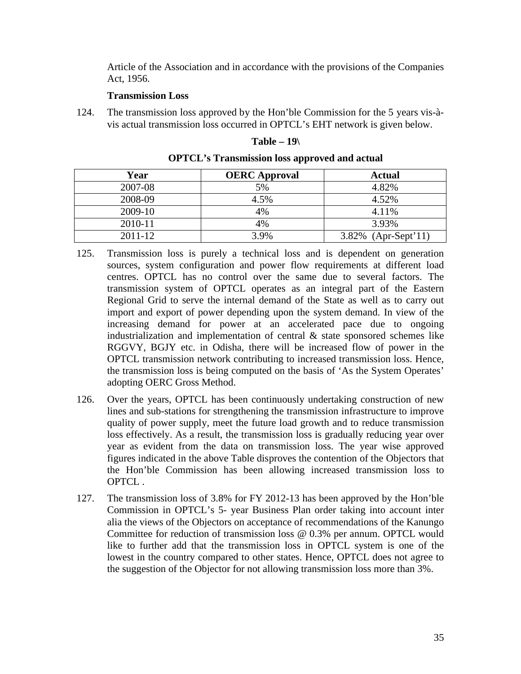Article of the Association and in accordance with the provisions of the Companies Act, 1956.

## **Transmission Loss**

124. The transmission loss approved by the Hon'ble Commission for the 5 years vis-àvis actual transmission loss occurred in OPTCL's EHT network is given below.

#### **Table – 19\**

| Year    | <b>OERC</b> Approval | <b>Actual</b>       |
|---------|----------------------|---------------------|
| 2007-08 | 5%                   | 4.82%               |
| 2008-09 | 4.5%                 | 4.52%               |
| 2009-10 | 4%                   | 4.11%               |
| 2010-11 | 4%                   | 3.93%               |
| 2011-12 | 3.9%                 | 3.82% (Apr-Sept'11) |

**OPTCL's Transmission loss approved and actual**

- 125. Transmission loss is purely a technical loss and is dependent on generation sources, system configuration and power flow requirements at different load centres. OPTCL has no control over the same due to several factors. The transmission system of OPTCL operates as an integral part of the Eastern Regional Grid to serve the internal demand of the State as well as to carry out import and export of power depending upon the system demand. In view of the increasing demand for power at an accelerated pace due to ongoing industrialization and implementation of central & state sponsored schemes like RGGVY, BGJY etc. in Odisha, there will be increased flow of power in the OPTCL transmission network contributing to increased transmission loss. Hence, the transmission loss is being computed on the basis of 'As the System Operates' adopting OERC Gross Method.
- 126. Over the years, OPTCL has been continuously undertaking construction of new lines and sub-stations for strengthening the transmission infrastructure to improve quality of power supply, meet the future load growth and to reduce transmission loss effectively. As a result, the transmission loss is gradually reducing year over year as evident from the data on transmission loss. The year wise approved figures indicated in the above Table disproves the contention of the Objectors that the Hon'ble Commission has been allowing increased transmission loss to OPTCL .
- 127. The transmission loss of 3.8% for FY 2012-13 has been approved by the Hon'ble Commission in OPTCL's 5- year Business Plan order taking into account inter alia the views of the Objectors on acceptance of recommendations of the Kanungo Committee for reduction of transmission loss @ 0.3% per annum. OPTCL would like to further add that the transmission loss in OPTCL system is one of the lowest in the country compared to other states. Hence, OPTCL does not agree to the suggestion of the Objector for not allowing transmission loss more than 3%.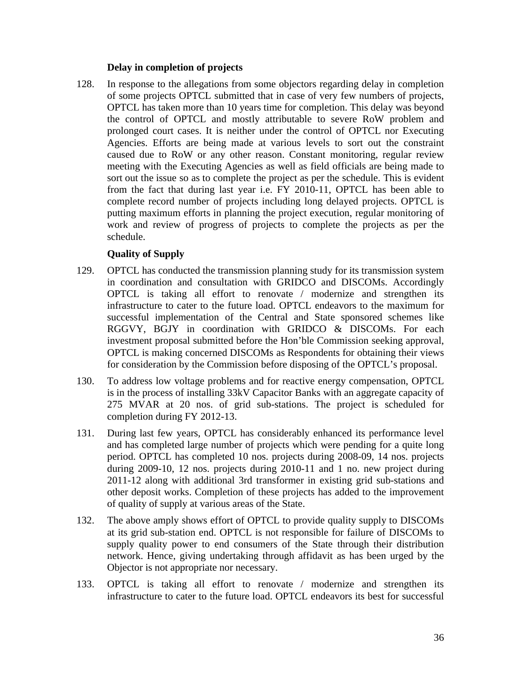## **Delay in completion of projects**

128. In response to the allegations from some objectors regarding delay in completion of some projects OPTCL submitted that in case of very few numbers of projects, OPTCL has taken more than 10 years time for completion. This delay was beyond the control of OPTCL and mostly attributable to severe RoW problem and prolonged court cases. It is neither under the control of OPTCL nor Executing Agencies. Efforts are being made at various levels to sort out the constraint caused due to RoW or any other reason. Constant monitoring, regular review meeting with the Executing Agencies as well as field officials are being made to sort out the issue so as to complete the project as per the schedule. This is evident from the fact that during last year i.e. FY 2010-11, OPTCL has been able to complete record number of projects including long delayed projects. OPTCL is putting maximum efforts in planning the project execution, regular monitoring of work and review of progress of projects to complete the projects as per the schedule.

## **Quality of Supply**

- 129. OPTCL has conducted the transmission planning study for its transmission system in coordination and consultation with GRIDCO and DISCOMs. Accordingly OPTCL is taking all effort to renovate / modernize and strengthen its infrastructure to cater to the future load. OPTCL endeavors to the maximum for successful implementation of the Central and State sponsored schemes like RGGVY, BGJY in coordination with GRIDCO & DISCOMs. For each investment proposal submitted before the Hon'ble Commission seeking approval, OPTCL is making concerned DISCOMs as Respondents for obtaining their views for consideration by the Commission before disposing of the OPTCL's proposal.
- 130. To address low voltage problems and for reactive energy compensation, OPTCL is in the process of installing 33kV Capacitor Banks with an aggregate capacity of 275 MVAR at 20 nos. of grid sub-stations. The project is scheduled for completion during FY 2012-13.
- 131. During last few years, OPTCL has considerably enhanced its performance level and has completed large number of projects which were pending for a quite long period. OPTCL has completed 10 nos. projects during 2008-09, 14 nos. projects during 2009-10, 12 nos. projects during 2010-11 and 1 no. new project during 2011-12 along with additional 3rd transformer in existing grid sub-stations and other deposit works. Completion of these projects has added to the improvement of quality of supply at various areas of the State.
- 132. The above amply shows effort of OPTCL to provide quality supply to DISCOMs at its grid sub-station end. OPTCL is not responsible for failure of DISCOMs to supply quality power to end consumers of the State through their distribution network. Hence, giving undertaking through affidavit as has been urged by the Objector is not appropriate nor necessary.
- 133. OPTCL is taking all effort to renovate / modernize and strengthen its infrastructure to cater to the future load. OPTCL endeavors its best for successful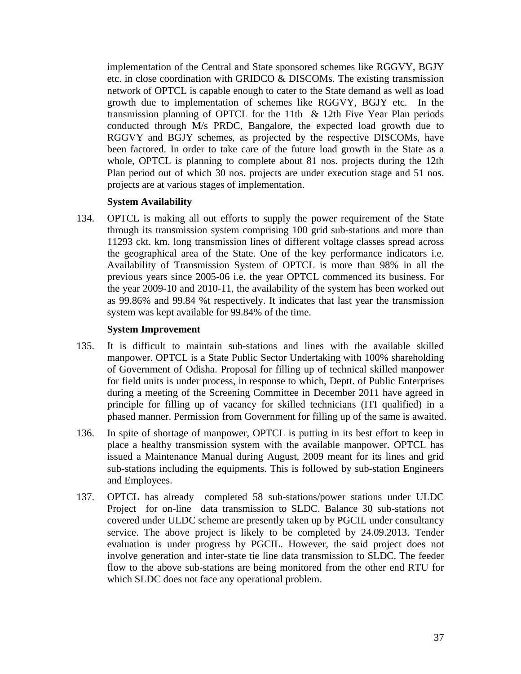implementation of the Central and State sponsored schemes like RGGVY, BGJY etc. in close coordination with GRIDCO & DISCOMs. The existing transmission network of OPTCL is capable enough to cater to the State demand as well as load growth due to implementation of schemes like RGGVY, BGJY etc. In the transmission planning of OPTCL for the 11th & 12th Five Year Plan periods conducted through M/s PRDC, Bangalore, the expected load growth due to RGGVY and BGJY schemes, as projected by the respective DISCOMs, have been factored. In order to take care of the future load growth in the State as a whole, OPTCL is planning to complete about 81 nos. projects during the 12th Plan period out of which 30 nos. projects are under execution stage and 51 nos. projects are at various stages of implementation.

#### **System Availability**

134. OPTCL is making all out efforts to supply the power requirement of the State through its transmission system comprising 100 grid sub-stations and more than 11293 ckt. km. long transmission lines of different voltage classes spread across the geographical area of the State. One of the key performance indicators i.e. Availability of Transmission System of OPTCL is more than 98% in all the previous years since 2005-06 i.e. the year OPTCL commenced its business. For the year 2009-10 and 2010-11, the availability of the system has been worked out as 99.86% and 99.84 %t respectively. It indicates that last year the transmission system was kept available for 99.84% of the time.

#### **System Improvement**

- 135. It is difficult to maintain sub-stations and lines with the available skilled manpower. OPTCL is a State Public Sector Undertaking with 100% shareholding of Government of Odisha. Proposal for filling up of technical skilled manpower for field units is under process, in response to which, Deptt. of Public Enterprises during a meeting of the Screening Committee in December 2011 have agreed in principle for filling up of vacancy for skilled technicians (ITI qualified) in a phased manner. Permission from Government for filling up of the same is awaited.
- 136. In spite of shortage of manpower, OPTCL is putting in its best effort to keep in place a healthy transmission system with the available manpower. OPTCL has issued a Maintenance Manual during August, 2009 meant for its lines and grid sub-stations including the equipments. This is followed by sub-station Engineers and Employees.
- 137. OPTCL has already completed 58 sub-stations/power stations under ULDC Project for on-line data transmission to SLDC. Balance 30 sub-stations not covered under ULDC scheme are presently taken up by PGCIL under consultancy service. The above project is likely to be completed by 24.09.2013. Tender evaluation is under progress by PGCIL. However, the said project does not involve generation and inter-state tie line data transmission to SLDC. The feeder flow to the above sub-stations are being monitored from the other end RTU for which SLDC does not face any operational problem.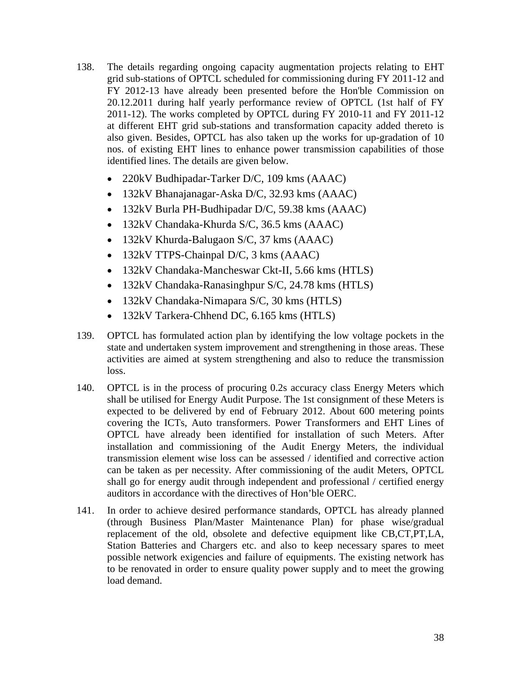- 138. The details regarding ongoing capacity augmentation projects relating to EHT grid sub-stations of OPTCL scheduled for commissioning during FY 2011-12 and FY 2012-13 have already been presented before the Hon'ble Commission on 20.12.2011 during half yearly performance review of OPTCL (1st half of FY 2011-12). The works completed by OPTCL during FY 2010-11 and FY 2011-12 at different EHT grid sub-stations and transformation capacity added thereto is also given. Besides, OPTCL has also taken up the works for up-gradation of 10 nos. of existing EHT lines to enhance power transmission capabilities of those identified lines. The details are given below.
	- 220kV Budhipadar-Tarker D/C, 109 kms (AAAC)
	- 132kV Bhanajanagar-Aska D/C, 32.93 kms (AAAC)
	- 132kV Burla PH-Budhipadar D/C, 59.38 kms (AAAC)
	- 132kV Chandaka-Khurda S/C, 36.5 kms (AAAC)
	- 132kV Khurda-Balugaon S/C, 37 kms (AAAC)
	- 132kV TTPS-Chainpal D/C, 3 kms (AAAC)
	- 132kV Chandaka-Mancheswar Ckt-II, 5.66 kms (HTLS)
	- 132kV Chandaka-Ranasinghpur S/C, 24.78 kms (HTLS)
	- 132kV Chandaka-Nimapara S/C, 30 kms (HTLS)
	- 132kV Tarkera-Chhend DC, 6.165 kms (HTLS)
- 139. OPTCL has formulated action plan by identifying the low voltage pockets in the state and undertaken system improvement and strengthening in those areas. These activities are aimed at system strengthening and also to reduce the transmission loss.
- 140. OPTCL is in the process of procuring 0.2s accuracy class Energy Meters which shall be utilised for Energy Audit Purpose. The 1st consignment of these Meters is expected to be delivered by end of February 2012. About 600 metering points covering the ICTs, Auto transformers. Power Transformers and EHT Lines of OPTCL have already been identified for installation of such Meters. After installation and commissioning of the Audit Energy Meters, the individual transmission element wise loss can be assessed / identified and corrective action can be taken as per necessity. After commissioning of the audit Meters, OPTCL shall go for energy audit through independent and professional / certified energy auditors in accordance with the directives of Hon'ble OERC.
- 141. In order to achieve desired performance standards, OPTCL has already planned (through Business Plan/Master Maintenance Plan) for phase wise/gradual replacement of the old, obsolete and defective equipment like CB,CT,PT,LA, Station Batteries and Chargers etc. and also to keep necessary spares to meet possible network exigencies and failure of equipments. The existing network has to be renovated in order to ensure quality power supply and to meet the growing load demand.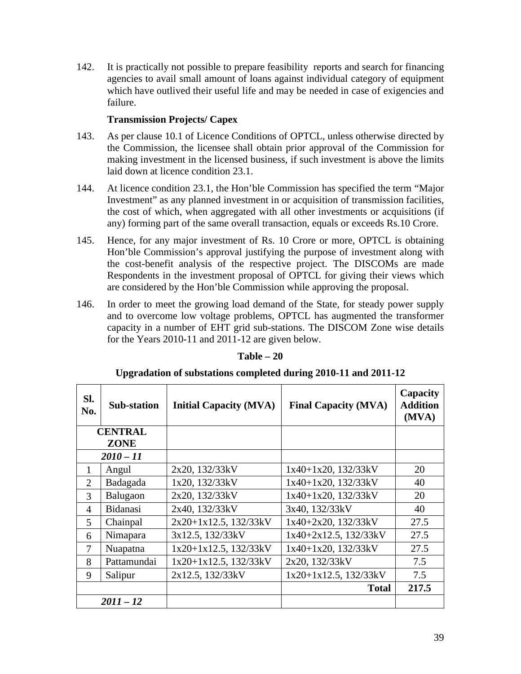142. It is practically not possible to prepare feasibility reports and search for financing agencies to avail small amount of loans against individual category of equipment which have outlived their useful life and may be needed in case of exigencies and failure.

### **Transmission Projects/ Capex**

- 143. As per clause 10.1 of Licence Conditions of OPTCL, unless otherwise directed by the Commission, the licensee shall obtain prior approval of the Commission for making investment in the licensed business, if such investment is above the limits laid down at licence condition 23.1.
- 144. At licence condition 23.1, the Hon'ble Commission has specified the term "Major Investment" as any planned investment in or acquisition of transmission facilities, the cost of which, when aggregated with all other investments or acquisitions (if any) forming part of the same overall transaction, equals or exceeds Rs.10 Crore.
- 145. Hence, for any major investment of Rs. 10 Crore or more, OPTCL is obtaining Hon'ble Commission's approval justifying the purpose of investment along with the cost-benefit analysis of the respective project. The DISCOMs are made Respondents in the investment proposal of OPTCL for giving their views which are considered by the Hon'ble Commission while approving the proposal.
- 146. In order to meet the growing load demand of the State, for steady power supply and to overcome low voltage problems, OPTCL has augmented the transformer capacity in a number of EHT grid sub-stations. The DISCOM Zone wise details for the Years 2010-11 and 2011-12 are given below.

| SI.<br>No.     | <b>Sub-station</b> | <b>Initial Capacity (MVA)</b> | <b>Final Capacity (MVA)</b> | Capacity<br><b>Addition</b><br>(MVA) |
|----------------|--------------------|-------------------------------|-----------------------------|--------------------------------------|
|                | <b>CENTRAL</b>     |                               |                             |                                      |
|                | <b>ZONE</b>        |                               |                             |                                      |
|                | $2010 - 11$        |                               |                             |                                      |
| $\mathbf{1}$   | Angul              | 2x20, 132/33kV                | $1x40+1x20$ , $132/33kV$    | 20                                   |
| $\overline{2}$ | Badagada           | 1x20, 132/33kV                | $1x40+1x20$ , $132/33kV$    | 40                                   |
| 3              | Balugaon           | 2x20, 132/33kV                | $1x40+1x20$ , $132/33kV$    | 20                                   |
| $\overline{4}$ | <b>Bidanasi</b>    | 2x40, 132/33kV                | 3x40, 132/33kV              | 40                                   |
| 5              | Chainpal           | $2x20+1x12.5$ , $132/33kV$    | $1x40+2x20$ , $132/33kV$    | 27.5                                 |
| 6              | Nimapara           | 3x12.5, 132/33kV              | $1x40+2x12.5$ , $132/33kV$  | 27.5                                 |
| 7              | Nuapatna           | $1x20+1x12.5$ , $132/33kV$    | $1x40+1x20$ , $132/33kV$    | 27.5                                 |
| 8              | Pattamundai        | $1x20+1x12.5$ , $132/33kV$    | 2x20, 132/33kV              | 7.5                                  |
| 9              | Salipur            | 2x12.5, 132/33kV              | $1x20+1x12.5$ , $132/33kV$  | 7.5                                  |
|                |                    |                               | <b>Total</b>                | 217.5                                |
|                | $2011 - 12$        |                               |                             |                                      |

### **Table – 20**

#### **Upgradation of substations completed during 2010-11 and 2011-12**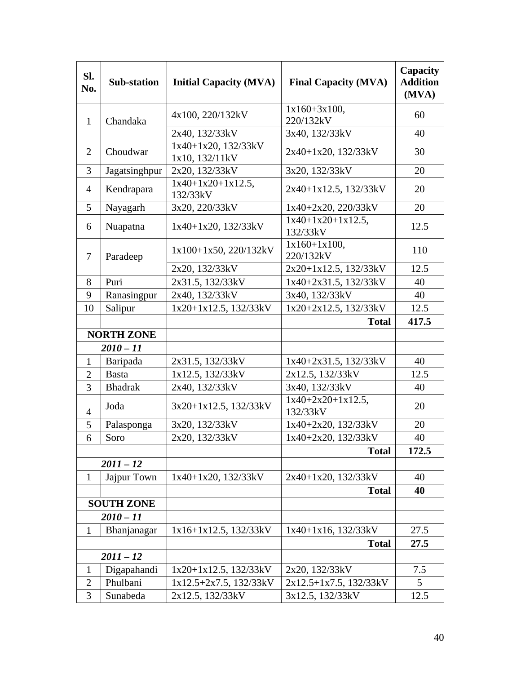| SI.<br>No.     | <b>Sub-station</b> | <b>Initial Capacity (MVA)</b>              | <b>Final Capacity (MVA)</b>      | Capacity<br><b>Addition</b><br>(MVA) |
|----------------|--------------------|--------------------------------------------|----------------------------------|--------------------------------------|
| $\mathbf{1}$   | Chandaka           | 4x100, 220/132kV                           | $1x160+3x100,$<br>220/132kV      | 60                                   |
|                |                    | 2x40, 132/33kV                             | 3x40, 132/33kV                   | 40                                   |
| $\overline{2}$ | Choudwar           | $1x40+1x20$ , $132/33kV$<br>1x10, 132/11kV | 2x40+1x20, 132/33kV              | 30                                   |
| 3              | Jagatsinghpur      | 2x20, 132/33kV                             | 3x20, 132/33kV                   | 20                                   |
| $\overline{4}$ | Kendrapara         | $1x40+1x20+1x12.5$ ,<br>132/33kV           | 2x40+1x12.5, 132/33kV            | 20                                   |
| 5              | Nayagarh           | 3x20, 220/33kV                             | 1x40+2x20, 220/33kV              | 20                                   |
| 6              | Nuapatna           | $1x40+1x20$ , $132/33kV$                   | $1x40+1x20+1x12.5$ ,<br>132/33kV | 12.5                                 |
| $\tau$         | Paradeep           | $1x100+1x50$ , 220/132kV                   | $1x160+1x100,$<br>220/132kV      | 110                                  |
|                |                    | 2x20, 132/33kV                             | 2x20+1x12.5, 132/33kV            | 12.5                                 |
| 8              | Puri               | 2x31.5, 132/33kV                           | 1x40+2x31.5, 132/33kV            | 40                                   |
| 9              | Ranasingpur        | 2x40, 132/33kV                             | 3x40, 132/33kV                   | 40                                   |
| 10             | Salipur            | 1x20+1x12.5, 132/33kV                      | 1x20+2x12.5, 132/33kV            | 12.5                                 |
|                |                    |                                            | <b>Total</b>                     | 417.5                                |
|                | <b>NORTH ZONE</b>  |                                            |                                  |                                      |
|                | $2010 - 11$        |                                            |                                  |                                      |
| $\mathbf{1}$   | Baripada           | 2x31.5, 132/33kV                           | $1x40+2x31.5$ , $132/33kV$       | 40                                   |
| $\overline{2}$ | <b>Basta</b>       | 1x12.5, 132/33kV                           | 2x12.5, 132/33kV                 | 12.5                                 |
| 3              | <b>Bhadrak</b>     | 2x40, 132/33kV                             | 3x40, 132/33kV                   | 40                                   |
| $\overline{4}$ | Joda               | 3x20+1x12.5, 132/33kV                      | $1x40+2x20+1x12.5$ ,<br>132/33kV | 20                                   |
| 5              | Palasponga         | 3x20, 132/33kV                             | $1x40+2x20$ , $132/33kV$         | 20                                   |
| 6              | Soro               | 2x20, 132/33kV                             | 1x40+2x20, 132/33kV              | 40                                   |
|                |                    |                                            | <b>Total</b>                     | 172.5                                |
|                | $2011 - 12$        |                                            |                                  |                                      |
| $\mathbf{1}$   | Jajpur Town        | $1x40+1x20$ , $132/33kV$                   | $2x40+1x20$ , $132/33kV$         | 40                                   |
|                |                    |                                            | <b>Total</b>                     | 40                                   |
|                | <b>SOUTH ZONE</b>  |                                            |                                  |                                      |
|                | $2010 - 11$        |                                            |                                  |                                      |
| $\mathbf{1}$   | Bhanjanagar        | $1x16+1x12.5$ , $132/33kV$                 | $1x40+1x16$ , $132/33kV$         | 27.5                                 |
|                |                    |                                            | <b>Total</b>                     | 27.5                                 |
|                | $2011 - 12$        |                                            |                                  |                                      |
| $\mathbf{1}$   | Digapahandi        | $1x20+1x12.5$ , $132/33kV$                 | 2x20, 132/33kV                   | 7.5                                  |
| $\overline{2}$ | Phulbani           | $1x12.5+2x7.5$ , $132/33kV$                | $2x12.5+1x7.5$ , 132/33kV        | 5                                    |
| 3              | Sunabeda           | 2x12.5, 132/33kV                           | 3x12.5, 132/33kV                 | 12.5                                 |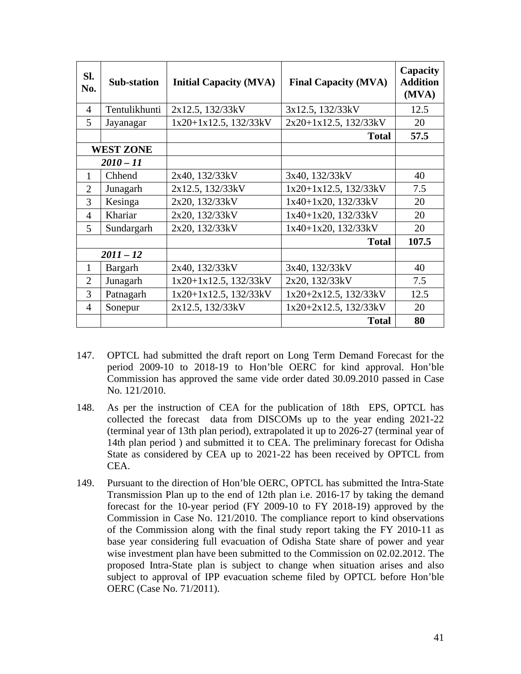| SI.<br>No.     | <b>Sub-station</b> | <b>Initial Capacity (MVA)</b> | <b>Final Capacity (MVA)</b> | Capacity<br><b>Addition</b><br>(MVA) |
|----------------|--------------------|-------------------------------|-----------------------------|--------------------------------------|
| 4              | Tentulikhunti      | 2x12.5, 132/33kV              | 3x12.5, 132/33kV            | 12.5                                 |
| 5              | Jayanagar          | $1x20+1x12.5$ , $132/33kV$    | $2x20+1x12.5$ , 132/33kV    | 20                                   |
|                |                    |                               | <b>Total</b>                | 57.5                                 |
|                | <b>WEST ZONE</b>   |                               |                             |                                      |
|                | $2010 - 11$        |                               |                             |                                      |
| 1              | Chhend             | 2x40, 132/33kV                | 3x40, 132/33kV              | 40                                   |
| $\overline{2}$ | Junagarh           | 2x12.5, 132/33kV              | $1x20+1x12.5$ , $132/33kV$  | 7.5                                  |
| 3              | Kesinga            | 2x20, 132/33kV                | $1x40+1x20$ , $132/33kV$    | 20                                   |
| 4              | Khariar            | 2x20, 132/33kV                | $1x40+1x20$ , $132/33kV$    | 20                                   |
| 5              | Sundargarh         | 2x20, 132/33kV                | $1x40+1x20$ , $132/33kV$    | 20                                   |
|                |                    |                               | <b>Total</b>                | 107.5                                |
|                | $2011 - 12$        |                               |                             |                                      |
| $\mathbf{1}$   | Bargarh            | 2x40, 132/33kV                | 3x40, 132/33kV              | 40                                   |
| $\overline{2}$ | Junagarh           | $1x20+1x12.5$ , $132/33kV$    | 2x20, 132/33kV              | 7.5                                  |
| 3              | Patnagarh          | 1x20+1x12.5, 132/33kV         | $1x20+2x12.5$ , $132/33kV$  | 12.5                                 |
| $\overline{4}$ | Sonepur            | 2x12.5, 132/33kV              | $1x20+2x12.5$ , $132/33kV$  | 20                                   |
|                |                    |                               | <b>Total</b>                | 80                                   |

- 147. OPTCL had submitted the draft report on Long Term Demand Forecast for the period 2009-10 to 2018-19 to Hon'ble OERC for kind approval. Hon'ble Commission has approved the same vide order dated 30.09.2010 passed in Case No. 121/2010.
- 148. As per the instruction of CEA for the publication of 18th EPS, OPTCL has collected the forecast data from DISCOMs up to the year ending 2021-22 (terminal year of 13th plan period), extrapolated it up to 2026-27 (terminal year of 14th plan period ) and submitted it to CEA. The preliminary forecast for Odisha State as considered by CEA up to 2021-22 has been received by OPTCL from CEA.
- 149. Pursuant to the direction of Hon'ble OERC, OPTCL has submitted the Intra-State Transmission Plan up to the end of 12th plan i.e. 2016-17 by taking the demand forecast for the 10-year period (FY 2009-10 to FY 2018-19) approved by the Commission in Case No. 121/2010. The compliance report to kind observations of the Commission along with the final study report taking the FY 2010-11 as base year considering full evacuation of Odisha State share of power and year wise investment plan have been submitted to the Commission on 02.02.2012. The proposed Intra-State plan is subject to change when situation arises and also subject to approval of IPP evacuation scheme filed by OPTCL before Hon'ble OERC (Case No. 71/2011).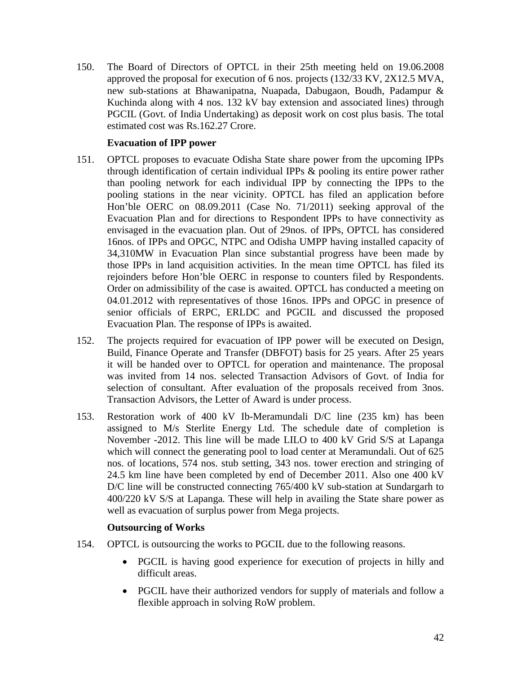150. The Board of Directors of OPTCL in their 25th meeting held on 19.06.2008 approved the proposal for execution of 6 nos. projects (132/33 KV, 2X12.5 MVA, new sub-stations at Bhawanipatna, Nuapada, Dabugaon, Boudh, Padampur & Kuchinda along with 4 nos. 132 kV bay extension and associated lines) through PGCIL (Govt. of India Undertaking) as deposit work on cost plus basis. The total estimated cost was Rs.162.27 Crore.

### **Evacuation of IPP power**

- 151. OPTCL proposes to evacuate Odisha State share power from the upcoming IPPs through identification of certain individual IPPs & pooling its entire power rather than pooling network for each individual IPP by connecting the IPPs to the pooling stations in the near vicinity. OPTCL has filed an application before Hon'ble OERC on 08.09.2011 (Case No. 71/2011) seeking approval of the Evacuation Plan and for directions to Respondent IPPs to have connectivity as envisaged in the evacuation plan. Out of 29nos. of IPPs, OPTCL has considered 16nos. of IPPs and OPGC, NTPC and Odisha UMPP having installed capacity of 34,310MW in Evacuation Plan since substantial progress have been made by those IPPs in land acquisition activities. In the mean time OPTCL has filed its rejoinders before Hon'ble OERC in response to counters filed by Respondents. Order on admissibility of the case is awaited. OPTCL has conducted a meeting on 04.01.2012 with representatives of those 16nos. IPPs and OPGC in presence of senior officials of ERPC, ERLDC and PGCIL and discussed the proposed Evacuation Plan. The response of IPPs is awaited.
- 152. The projects required for evacuation of IPP power will be executed on Design, Build, Finance Operate and Transfer (DBFOT) basis for 25 years. After 25 years it will be handed over to OPTCL for operation and maintenance. The proposal was invited from 14 nos. selected Transaction Advisors of Govt. of India for selection of consultant. After evaluation of the proposals received from 3nos. Transaction Advisors, the Letter of Award is under process.
- 153. Restoration work of 400 kV Ib-Meramundali D/C line (235 km) has been assigned to M/s Sterlite Energy Ltd. The schedule date of completion is November -2012. This line will be made LILO to 400 kV Grid S/S at Lapanga which will connect the generating pool to load center at Meramundali. Out of 625 nos. of locations, 574 nos. stub setting, 343 nos. tower erection and stringing of 24.5 km line have been completed by end of December 2011. Also one 400 kV D/C line will be constructed connecting 765/400 kV sub-station at Sundargarh to 400/220 kV S/S at Lapanga. These will help in availing the State share power as well as evacuation of surplus power from Mega projects.

### **Outsourcing of Works**

- 154. OPTCL is outsourcing the works to PGCIL due to the following reasons.
	- PGCIL is having good experience for execution of projects in hilly and difficult areas.
	- PGCIL have their authorized vendors for supply of materials and follow a flexible approach in solving RoW problem.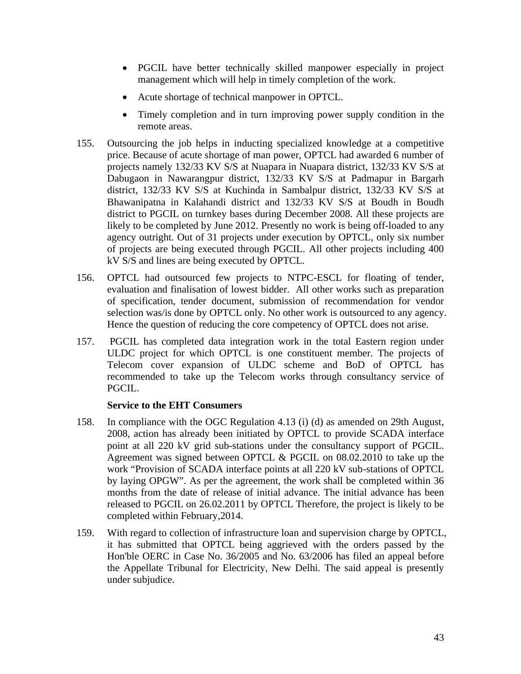- PGCIL have better technically skilled manpower especially in project management which will help in timely completion of the work.
- Acute shortage of technical manpower in OPTCL.
- Timely completion and in turn improving power supply condition in the remote areas.
- 155. Outsourcing the job helps in inducting specialized knowledge at a competitive price. Because of acute shortage of man power, OPTCL had awarded 6 number of projects namely 132/33 KV S/S at Nuapara in Nuapara district, 132/33 KV S/S at Dabugaon in Nawarangpur district, 132/33 KV S/S at Padmapur in Bargarh district, 132/33 KV S/S at Kuchinda in Sambalpur district, 132/33 KV S/S at Bhawanipatna in Kalahandi district and 132/33 KV S/S at Boudh in Boudh district to PGCIL on turnkey bases during December 2008. All these projects are likely to be completed by June 2012. Presently no work is being off-loaded to any agency outright. Out of 31 projects under execution by OPTCL, only six number of projects are being executed through PGCIL. All other projects including 400 kV S/S and lines are being executed by OPTCL.
- 156. OPTCL had outsourced few projects to NTPC-ESCL for floating of tender, evaluation and finalisation of lowest bidder. All other works such as preparation of specification, tender document, submission of recommendation for vendor selection was/is done by OPTCL only. No other work is outsourced to any agency. Hence the question of reducing the core competency of OPTCL does not arise.
- 157. PGCIL has completed data integration work in the total Eastern region under ULDC project for which OPTCL is one constituent member. The projects of Telecom cover expansion of ULDC scheme and BoD of OPTCL has recommended to take up the Telecom works through consultancy service of PGCIL.

#### **Service to the EHT Consumers**

- 158. In compliance with the OGC Regulation 4.13 (i) (d) as amended on 29th August, 2008, action has already been initiated by OPTCL to provide SCADA interface point at all 220 kV grid sub-stations under the consultancy support of PGCIL. Agreement was signed between OPTCL & PGCIL on 08.02.2010 to take up the work "Provision of SCADA interface points at all 220 kV sub-stations of OPTCL by laying OPGW". As per the agreement, the work shall be completed within 36 months from the date of release of initial advance. The initial advance has been released to PGCIL on 26.02.2011 by OPTCL Therefore, the project is likely to be completed within February,2014.
- 159. With regard to collection of infrastructure loan and supervision charge by OPTCL, it has submitted that OPTCL being aggrieved with the orders passed by the Hon'ble OERC in Case No. 36/2005 and No. 63/2006 has filed an appeal before the Appellate Tribunal for Electricity, New Delhi. The said appeal is presently under subjudice.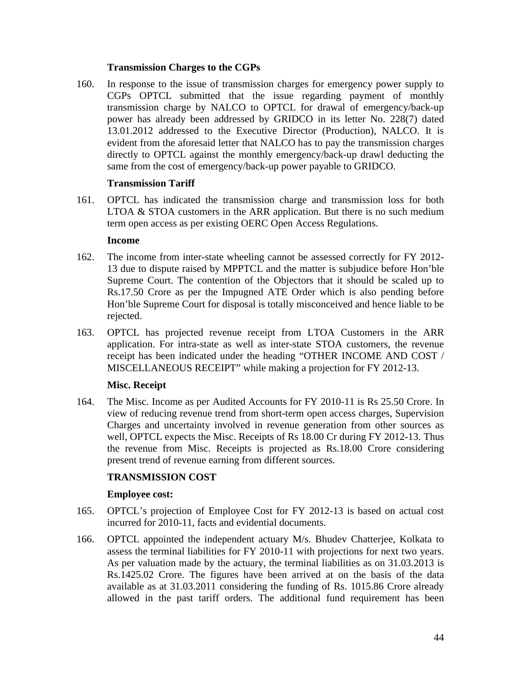### **Transmission Charges to the CGPs**

160. In response to the issue of transmission charges for emergency power supply to CGPs OPTCL submitted that the issue regarding payment of monthly transmission charge by NALCO to OPTCL for drawal of emergency/back-up power has already been addressed by GRIDCO in its letter No. 228(7) dated 13.01.2012 addressed to the Executive Director (Production), NALCO. It is evident from the aforesaid letter that NALCO has to pay the transmission charges directly to OPTCL against the monthly emergency/back-up drawl deducting the same from the cost of emergency/back-up power payable to GRIDCO.

#### **Transmission Tariff**

161. OPTCL has indicated the transmission charge and transmission loss for both LTOA & STOA customers in the ARR application. But there is no such medium term open access as per existing OERC Open Access Regulations.

#### **Income**

- 162. The income from inter-state wheeling cannot be assessed correctly for FY 2012- 13 due to dispute raised by MPPTCL and the matter is subjudice before Hon'ble Supreme Court. The contention of the Objectors that it should be scaled up to Rs.17.50 Crore as per the Impugned ATE Order which is also pending before Hon'ble Supreme Court for disposal is totally misconceived and hence liable to be rejected.
- 163. OPTCL has projected revenue receipt from LTOA Customers in the ARR application. For intra-state as well as inter-state STOA customers, the revenue receipt has been indicated under the heading "OTHER INCOME AND COST / MISCELLANEOUS RECEIPT" while making a projection for FY 2012-13.

#### **Misc. Receipt**

164. The Misc. Income as per Audited Accounts for FY 2010-11 is Rs 25.50 Crore. In view of reducing revenue trend from short-term open access charges, Supervision Charges and uncertainty involved in revenue generation from other sources as well, OPTCL expects the Misc. Receipts of Rs 18.00 Cr during FY 2012-13. Thus the revenue from Misc. Receipts is projected as Rs.18.00 Crore considering present trend of revenue earning from different sources.

#### **TRANSMISSION COST**

#### **Employee cost:**

- 165. OPTCL's projection of Employee Cost for FY 2012-13 is based on actual cost incurred for 2010-11, facts and evidential documents.
- 166. OPTCL appointed the independent actuary M/s. Bhudev Chatterjee, Kolkata to assess the terminal liabilities for FY 2010-11 with projections for next two years. As per valuation made by the actuary, the terminal liabilities as on 31.03.2013 is Rs.1425.02 Crore. The figures have been arrived at on the basis of the data available as at 31.03.2011 considering the funding of Rs. 1015.86 Crore already allowed in the past tariff orders. The additional fund requirement has been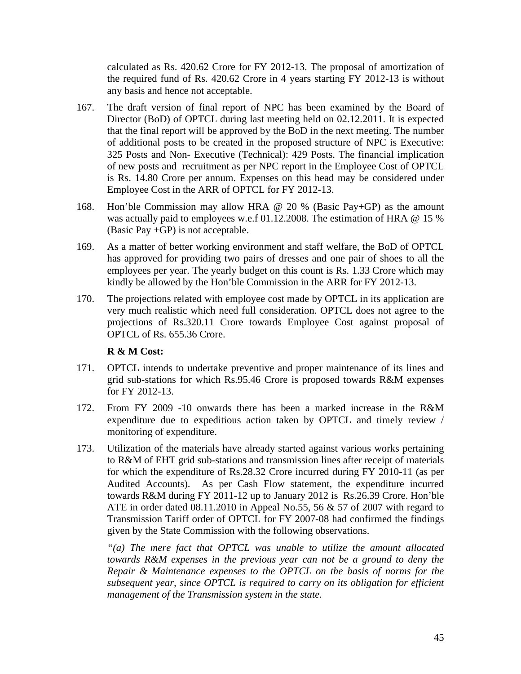calculated as Rs. 420.62 Crore for FY 2012-13. The proposal of amortization of the required fund of Rs. 420.62 Crore in 4 years starting FY 2012-13 is without any basis and hence not acceptable.

- 167. The draft version of final report of NPC has been examined by the Board of Director (BoD) of OPTCL during last meeting held on 02.12.2011. It is expected that the final report will be approved by the BoD in the next meeting. The number of additional posts to be created in the proposed structure of NPC is Executive: 325 Posts and Non- Executive (Technical): 429 Posts. The financial implication of new posts and recruitment as per NPC report in the Employee Cost of OPTCL is Rs. 14.80 Crore per annum. Expenses on this head may be considered under Employee Cost in the ARR of OPTCL for FY 2012-13.
- 168. Hon'ble Commission may allow HRA @ 20 % (Basic Pay+GP) as the amount was actually paid to employees w.e.f 01.12.2008. The estimation of HRA @ 15 % (Basic Pay +GP) is not acceptable.
- 169. As a matter of better working environment and staff welfare, the BoD of OPTCL has approved for providing two pairs of dresses and one pair of shoes to all the employees per year. The yearly budget on this count is Rs. 1.33 Crore which may kindly be allowed by the Hon'ble Commission in the ARR for FY 2012-13.
- 170. The projections related with employee cost made by OPTCL in its application are very much realistic which need full consideration. OPTCL does not agree to the projections of Rs.320.11 Crore towards Employee Cost against proposal of OPTCL of Rs. 655.36 Crore.

### **R & M Cost:**

- 171. OPTCL intends to undertake preventive and proper maintenance of its lines and grid sub-stations for which Rs.95.46 Crore is proposed towards R&M expenses for FY 2012-13.
- 172. From FY 2009 -10 onwards there has been a marked increase in the R&M expenditure due to expeditious action taken by OPTCL and timely review / monitoring of expenditure.
- 173. Utilization of the materials have already started against various works pertaining to R&M of EHT grid sub-stations and transmission lines after receipt of materials for which the expenditure of Rs.28.32 Crore incurred during FY 2010-11 (as per Audited Accounts). As per Cash Flow statement, the expenditure incurred towards R&M during FY 2011-12 up to January 2012 is Rs.26.39 Crore. Hon'ble ATE in order dated 08.11.2010 in Appeal No.55, 56 & 57 of 2007 with regard to Transmission Tariff order of OPTCL for FY 2007-08 had confirmed the findings given by the State Commission with the following observations.

*"(a) The mere fact that OPTCL was unable to utilize the amount allocated towards R&M expenses in the previous year can not be a ground to deny the Repair & Maintenance expenses to the OPTCL on the basis of norms for the subsequent year, since OPTCL is required to carry on its obligation for efficient management of the Transmission system in the state.*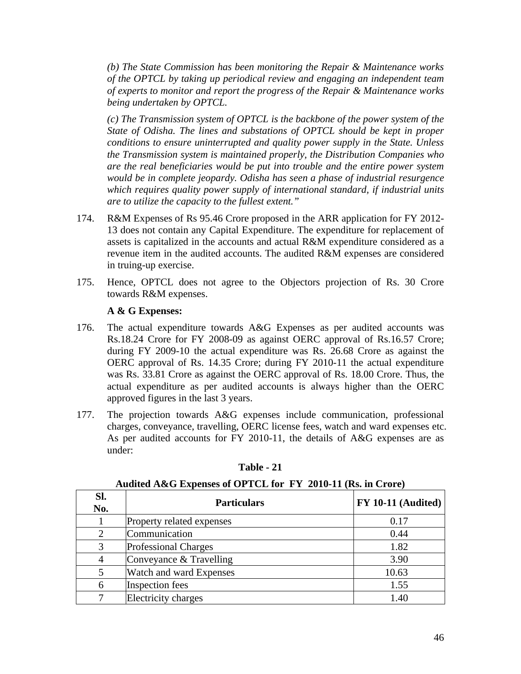*(b) The State Commission has been monitoring the Repair & Maintenance works of the OPTCL by taking up periodical review and engaging an independent team of experts to monitor and report the progress of the Repair & Maintenance works being undertaken by OPTCL.* 

*(c) The Transmission system of OPTCL is the backbone of the power system of the State of Odisha. The lines and substations of OPTCL should be kept in proper conditions to ensure uninterrupted and quality power supply in the State. Unless the Transmission system is maintained properly, the Distribution Companies who are the real beneficiaries would be put into trouble and the entire power system would be in complete jeopardy. Odisha has seen a phase of industrial resurgence which requires quality power supply of international standard, if industrial units are to utilize the capacity to the fullest extent."*

- 174. R&M Expenses of Rs 95.46 Crore proposed in the ARR application for FY 2012- 13 does not contain any Capital Expenditure. The expenditure for replacement of assets is capitalized in the accounts and actual R&M expenditure considered as a revenue item in the audited accounts. The audited R&M expenses are considered in truing-up exercise.
- 175. Hence, OPTCL does not agree to the Objectors projection of Rs. 30 Crore towards R&M expenses.

### **A & G Expenses:**

- 176. The actual expenditure towards A&G Expenses as per audited accounts was Rs.18.24 Crore for FY 2008-09 as against OERC approval of Rs.16.57 Crore; during FY 2009-10 the actual expenditure was Rs. 26.68 Crore as against the OERC approval of Rs. 14.35 Crore; during FY 2010-11 the actual expenditure was Rs. 33.81 Crore as against the OERC approval of Rs. 18.00 Crore. Thus, the actual expenditure as per audited accounts is always higher than the OERC approved figures in the last 3 years.
- 177. The projection towards A&G expenses include communication, professional charges, conveyance, travelling, OERC license fees, watch and ward expenses etc. As per audited accounts for FY 2010-11, the details of A&G expenses are as under:

| SI.<br>No. | <b>Particulars</b>          | $FY$ 10-11 (Audited) |
|------------|-----------------------------|----------------------|
|            | Property related expenses   | 0.17                 |
|            | Communication               | 0.44                 |
| 3          | <b>Professional Charges</b> | 1.82                 |
| 4          | Conveyance & Travelling     | 3.90                 |
| 5          | Watch and ward Expenses     | 10.63                |
| 6          | <b>Inspection fees</b>      | 1.55                 |
|            | <b>Electricity charges</b>  | 1.40                 |

**Table - 21**

#### **Audited A&G Expenses of OPTCL for FY 2010-11 (Rs. in Crore)**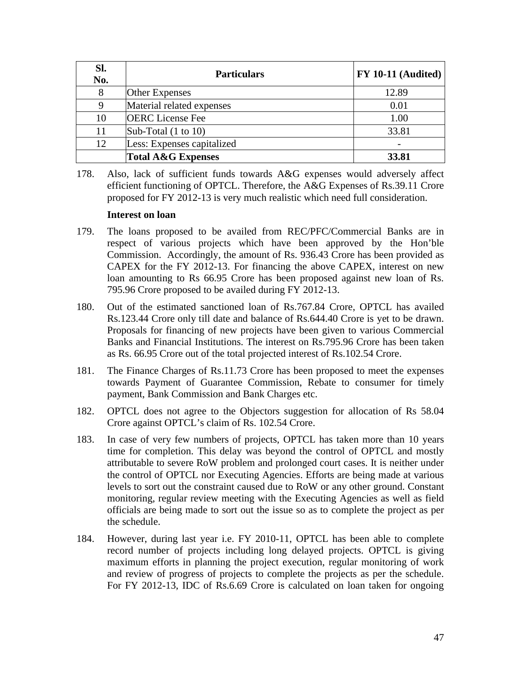| SI.<br>No. | <b>Particulars</b>             | $FY$ 10-11 (Audited) |
|------------|--------------------------------|----------------------|
| 8          | <b>Other Expenses</b>          | 12.89                |
| 9          | Material related expenses      | 0.01                 |
| 10         | <b>OERC</b> License Fee        | 1.00                 |
| 11         | Sub-Total $(1 \text{ to } 10)$ | 33.81                |
| 12         | Less: Expenses capitalized     |                      |
|            | <b>Total A&amp;G Expenses</b>  | 33.81                |

178. Also, lack of sufficient funds towards A&G expenses would adversely affect efficient functioning of OPTCL. Therefore, the A&G Expenses of Rs.39.11 Crore proposed for FY 2012-13 is very much realistic which need full consideration.

#### **Interest on loan**

- 179. The loans proposed to be availed from REC/PFC/Commercial Banks are in respect of various projects which have been approved by the Hon'ble Commission. Accordingly, the amount of Rs. 936.43 Crore has been provided as CAPEX for the FY 2012-13. For financing the above CAPEX, interest on new loan amounting to Rs 66.95 Crore has been proposed against new loan of Rs. 795.96 Crore proposed to be availed during FY 2012-13.
- 180. Out of the estimated sanctioned loan of Rs.767.84 Crore, OPTCL has availed Rs.123.44 Crore only till date and balance of Rs.644.40 Crore is yet to be drawn. Proposals for financing of new projects have been given to various Commercial Banks and Financial Institutions. The interest on Rs.795.96 Crore has been taken as Rs. 66.95 Crore out of the total projected interest of Rs.102.54 Crore.
- 181. The Finance Charges of Rs.11.73 Crore has been proposed to meet the expenses towards Payment of Guarantee Commission, Rebate to consumer for timely payment, Bank Commission and Bank Charges etc.
- 182. OPTCL does not agree to the Objectors suggestion for allocation of Rs 58.04 Crore against OPTCL's claim of Rs. 102.54 Crore.
- 183. In case of very few numbers of projects, OPTCL has taken more than 10 years time for completion. This delay was beyond the control of OPTCL and mostly attributable to severe RoW problem and prolonged court cases. It is neither under the control of OPTCL nor Executing Agencies. Efforts are being made at various levels to sort out the constraint caused due to RoW or any other ground. Constant monitoring, regular review meeting with the Executing Agencies as well as field officials are being made to sort out the issue so as to complete the project as per the schedule.
- 184. However, during last year i.e. FY 2010-11, OPTCL has been able to complete record number of projects including long delayed projects. OPTCL is giving maximum efforts in planning the project execution, regular monitoring of work and review of progress of projects to complete the projects as per the schedule. For FY 2012-13, IDC of Rs.6.69 Crore is calculated on loan taken for ongoing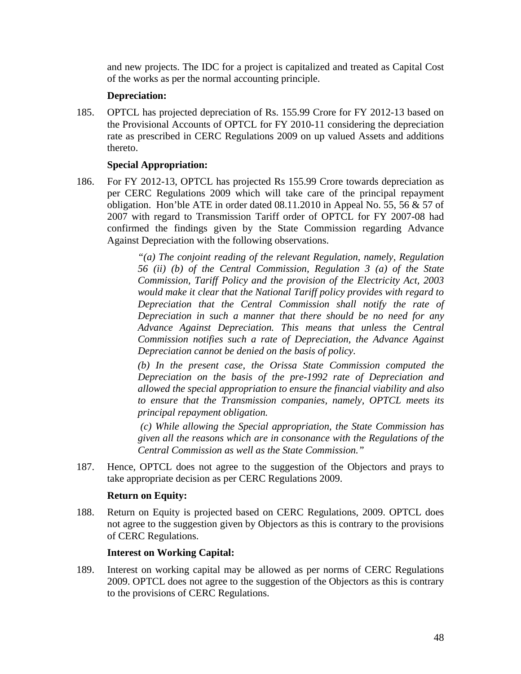and new projects. The IDC for a project is capitalized and treated as Capital Cost of the works as per the normal accounting principle.

### **Depreciation:**

185. OPTCL has projected depreciation of Rs. 155.99 Crore for FY 2012-13 based on the Provisional Accounts of OPTCL for FY 2010-11 considering the depreciation rate as prescribed in CERC Regulations 2009 on up valued Assets and additions thereto.

### **Special Appropriation:**

186. For FY 2012-13, OPTCL has projected Rs 155.99 Crore towards depreciation as per CERC Regulations 2009 which will take care of the principal repayment obligation. Hon'ble ATE in order dated 08.11.2010 in Appeal No. 55, 56 & 57 of 2007 with regard to Transmission Tariff order of OPTCL for FY 2007-08 had confirmed the findings given by the State Commission regarding Advance Against Depreciation with the following observations.

> *"(a) The conjoint reading of the relevant Regulation, namely, Regulation 56 (ii) (b) of the Central Commission, Regulation 3 (a) of the State Commission, Tariff Policy and the provision of the Electricity Act, 2003 would make it clear that the National Tariff policy provides with regard to Depreciation that the Central Commission shall notify the rate of Depreciation in such a manner that there should be no need for any Advance Against Depreciation. This means that unless the Central Commission notifies such a rate of Depreciation, the Advance Against Depreciation cannot be denied on the basis of policy.*

> *(b) In the present case, the Orissa State Commission computed the Depreciation on the basis of the pre-1992 rate of Depreciation and allowed the special appropriation to ensure the financial viability and also to ensure that the Transmission companies, namely, OPTCL meets its principal repayment obligation.*

> *(c) While allowing the Special appropriation, the State Commission has given all the reasons which are in consonance with the Regulations of the Central Commission as well as the State Commission."*

187. Hence, OPTCL does not agree to the suggestion of the Objectors and prays to take appropriate decision as per CERC Regulations 2009.

#### **Return on Equity:**

188. Return on Equity is projected based on CERC Regulations, 2009. OPTCL does not agree to the suggestion given by Objectors as this is contrary to the provisions of CERC Regulations.

#### **Interest on Working Capital:**

189. Interest on working capital may be allowed as per norms of CERC Regulations 2009. OPTCL does not agree to the suggestion of the Objectors as this is contrary to the provisions of CERC Regulations.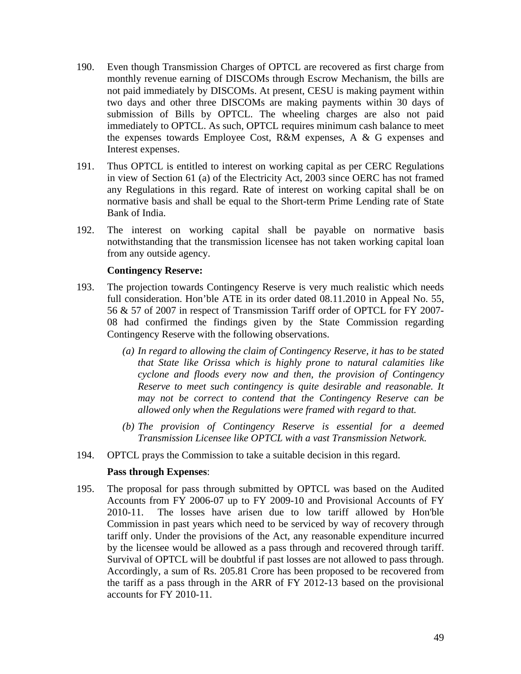- 190. Even though Transmission Charges of OPTCL are recovered as first charge from monthly revenue earning of DISCOMs through Escrow Mechanism, the bills are not paid immediately by DISCOMs. At present, CESU is making payment within two days and other three DISCOMs are making payments within 30 days of submission of Bills by OPTCL. The wheeling charges are also not paid immediately to OPTCL. As such, OPTCL requires minimum cash balance to meet the expenses towards Employee Cost, R&M expenses, A & G expenses and Interest expenses.
- 191. Thus OPTCL is entitled to interest on working capital as per CERC Regulations in view of Section 61 (a) of the Electricity Act, 2003 since OERC has not framed any Regulations in this regard. Rate of interest on working capital shall be on normative basis and shall be equal to the Short-term Prime Lending rate of State Bank of India.
- 192. The interest on working capital shall be payable on normative basis notwithstanding that the transmission licensee has not taken working capital loan from any outside agency.

#### **Contingency Reserve:**

- 193. The projection towards Contingency Reserve is very much realistic which needs full consideration. Hon'ble ATE in its order dated 08.11.2010 in Appeal No. 55, 56 & 57 of 2007 in respect of Transmission Tariff order of OPTCL for FY 2007- 08 had confirmed the findings given by the State Commission regarding Contingency Reserve with the following observations.
	- *(a) In regard to allowing the claim of Contingency Reserve, it has to be stated that State like Orissa which is highly prone to natural calamities like cyclone and floods every now and then, the provision of Contingency Reserve to meet such contingency is quite desirable and reasonable. It may not be correct to contend that the Contingency Reserve can be allowed only when the Regulations were framed with regard to that.*
	- *(b) The provision of Contingency Reserve is essential for a deemed Transmission Licensee like OPTCL with a vast Transmission Network.*
- 194. OPTCL prays the Commission to take a suitable decision in this regard.

#### **Pass through Expenses**:

195. The proposal for pass through submitted by OPTCL was based on the Audited Accounts from FY 2006-07 up to FY 2009-10 and Provisional Accounts of FY 2010-11. The losses have arisen due to low tariff allowed by Hon'ble Commission in past years which need to be serviced by way of recovery through tariff only. Under the provisions of the Act, any reasonable expenditure incurred by the licensee would be allowed as a pass through and recovered through tariff. Survival of OPTCL will be doubtful if past losses are not allowed to pass through. Accordingly, a sum of Rs. 205.81 Crore has been proposed to be recovered from the tariff as a pass through in the ARR of FY 2012-13 based on the provisional accounts for FY 2010-11.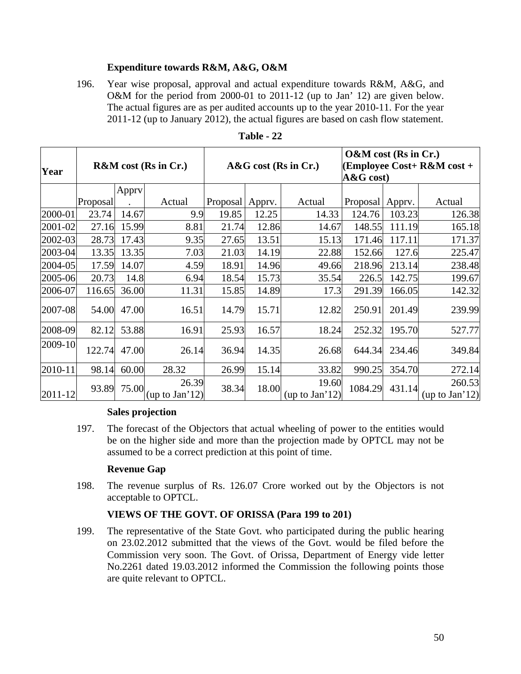### **Expenditure towards R&M, A&G, O&M**

196. Year wise proposal, approval and actual expenditure towards R&M, A&G, and O&M for the period from 2000-01 to 2011-12 (up to Jan' 12) are given below. The actual figures are as per audited accounts up to the year 2010-11. For the year 2011-12 (up to January 2012), the actual figures are based on cash flow statement.

| Year    | <b>R&amp;M</b> cost (Rs in Cr.) |       |                         | $A&G$ cost (Rs in Cr.) |        |                         | O&M cost (Rs in Cr.)<br>(Employee Cost+ $R\&M \text{ cost} +$<br>$\mathbf{A}\&\mathbf{G}\cos t$ |        |                          |
|---------|---------------------------------|-------|-------------------------|------------------------|--------|-------------------------|-------------------------------------------------------------------------------------------------|--------|--------------------------|
|         |                                 | Apprv |                         |                        |        |                         |                                                                                                 |        |                          |
|         | Proposal                        |       | Actual                  | Proposal               | Apprv. | Actual                  | Proposal                                                                                        | Apprv. | Actual                   |
| 2000-01 | 23.74                           | 14.67 | 9.9                     | 19.85                  | 12.25  | 14.33                   | 124.76                                                                                          | 103.23 | 126.38                   |
| 2001-02 | 27.16                           | 15.99 | 8.81                    | 21.74                  | 12.86  | 14.67                   | 148.55                                                                                          | 111.19 | 165.18                   |
| 2002-03 | 28.73                           | 17.43 | 9.35                    | 27.65                  | 13.51  | 15.13                   | 171.46                                                                                          | 117.11 | 171.37                   |
| 2003-04 | 13.35                           | 13.35 | 7.03                    | 21.03                  | 14.19  | 22.88                   | 152.66                                                                                          | 127.6  | 225.47                   |
| 2004-05 | 17.59                           | 14.07 | 4.59                    | 18.91                  | 14.96  | 49.66                   | 218.96                                                                                          | 213.14 | 238.48                   |
| 2005-06 | 20.73                           | 14.8  | 6.94                    | 18.54                  | 15.73  | 35.54                   | 226.5                                                                                           | 142.75 | 199.67                   |
| 2006-07 | 116.65                          | 36.00 | 11.31                   | 15.85                  | 14.89  | 17.3                    | 291.39                                                                                          | 166.05 | 142.32                   |
| 2007-08 | 54.00                           | 47.00 | 16.51                   | 14.79                  | 15.71  | 12.82                   | 250.91                                                                                          | 201.49 | 239.99                   |
| 2008-09 | 82.12                           | 53.88 | 16.91                   | 25.93                  | 16.57  | 18.24                   | 252.32                                                                                          | 195.70 | 527.77                   |
| 2009-10 | 122.74                          | 47.00 | 26.14                   | 36.94                  | 14.35  | 26.68                   | 644.34                                                                                          | 234.46 | 349.84                   |
| 2010-11 | 98.14                           | 60.00 | 28.32                   | 26.99                  | 15.14  | 33.82                   | 990.25                                                                                          | 354.70 | 272.14                   |
| 2011-12 | 93.89                           | 75.00 | 26.39<br>(up to Jan'12) | 38.34                  | 18.00  | 19.60<br>(up to Jan'12) | 1084.29                                                                                         | 431.14 | 260.53<br>(up to Jan'12) |

**Table - 22**

#### **Sales projection**

197. The forecast of the Objectors that actual wheeling of power to the entities would be on the higher side and more than the projection made by OPTCL may not be assumed to be a correct prediction at this point of time.

#### **Revenue Gap**

198. The revenue surplus of Rs. 126.07 Crore worked out by the Objectors is not acceptable to OPTCL.

### **VIEWS OF THE GOVT. OF ORISSA (Para 199 to 201)**

199. The representative of the State Govt. who participated during the public hearing on 23.02.2012 submitted that the views of the Govt. would be filed before the Commission very soon. The Govt. of Orissa, Department of Energy vide letter No.2261 dated 19.03.2012 informed the Commission the following points those are quite relevant to OPTCL.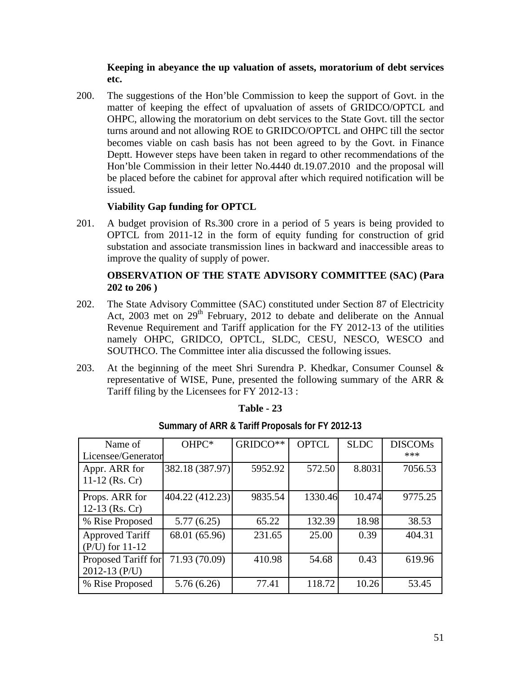### **Keeping in abeyance the up valuation of assets, moratorium of debt services etc.**

200. The suggestions of the Hon'ble Commission to keep the support of Govt. in the matter of keeping the effect of upvaluation of assets of GRIDCO/OPTCL and OHPC, allowing the moratorium on debt services to the State Govt. till the sector turns around and not allowing ROE to GRIDCO/OPTCL and OHPC till the sector becomes viable on cash basis has not been agreed to by the Govt. in Finance Deptt. However steps have been taken in regard to other recommendations of the Hon'ble Commission in their letter No.4440 dt.19.07.2010 and the proposal will be placed before the cabinet for approval after which required notification will be issued.

### **Viability Gap funding for OPTCL**

201. A budget provision of Rs.300 crore in a period of 5 years is being provided to OPTCL from 2011-12 in the form of equity funding for construction of grid substation and associate transmission lines in backward and inaccessible areas to improve the quality of supply of power.

### **OBSERVATION OF THE STATE ADVISORY COMMITTEE (SAC) (Para 202 to 206 )**

- 202. The State Advisory Committee (SAC) constituted under Section 87 of Electricity Act, 2003 met on  $29<sup>th</sup>$  February, 2012 to debate and deliberate on the Annual Revenue Requirement and Tariff application for the FY 2012-13 of the utilities namely OHPC, GRIDCO, OPTCL, SLDC, CESU, NESCO, WESCO and SOUTHCO. The Committee inter alia discussed the following issues.
- 203. At the beginning of the meet Shri Surendra P. Khedkar, Consumer Counsel & representative of WISE, Pune, presented the following summary of the ARR & Tariff filing by the Licensees for FY 2012-13 :

| Name of<br>Licensee/Generator               | OHPC*           | GRIDCO** | <b>OPTCL</b> | <b>SLDC</b> | <b>DISCOMs</b><br>*** |
|---------------------------------------------|-----------------|----------|--------------|-------------|-----------------------|
| Appr. ARR for<br>11-12 (Rs. Cr)             | 382.18 (387.97) | 5952.92  | 572.50       | 8.8031      | 7056.53               |
| Props. ARR for<br>12-13 (Rs. Cr)            | 404.22 (412.23) | 9835.54  | 1330.46      | 10.474      | 9775.25               |
| % Rise Proposed                             | 5.77(6.25)      | 65.22    | 132.39       | 18.98       | 38.53                 |
| <b>Approved Tariff</b><br>$(P/U)$ for 11-12 | 68.01 (65.96)   | 231.65   | 25.00        | 0.39        | 404.31                |
| Proposed Tariff for<br>2012-13 $(P/U)$      | 71.93 (70.09)   | 410.98   | 54.68        | 0.43        | 619.96                |
| % Rise Proposed                             | 5.76(6.26)      | 77.41    | 118.72       | 10.26       | 53.45                 |

# **Table - 23 Summary of ARR & Tariff Proposals for FY 2012-13**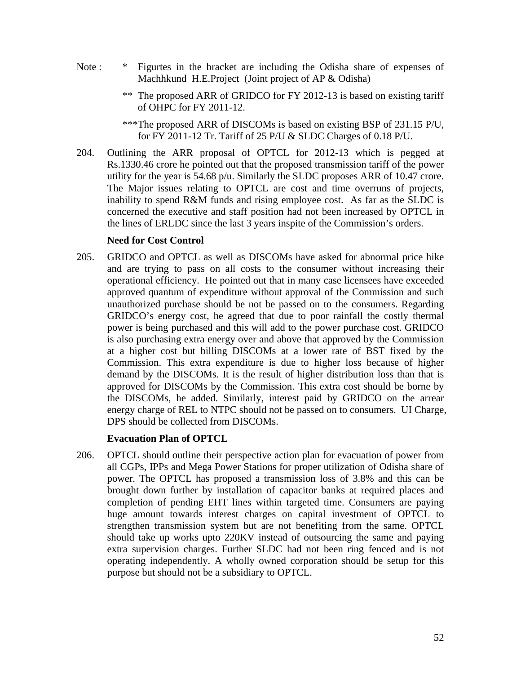- Note : \* Figurtes in the bracket are including the Odisha share of expenses of Machhkund H.E.Project (Joint project of AP & Odisha)
	- \*\* The proposed ARR of GRIDCO for FY 2012-13 is based on existing tariff of OHPC for FY 2011-12.
	- \*\*\*The proposed ARR of DISCOMs is based on existing BSP of 231.15 P/U, for FY 2011-12 Tr. Tariff of 25 P/U & SLDC Charges of 0.18 P/U.
- 204. Outlining the ARR proposal of OPTCL for 2012-13 which is pegged at Rs.1330.46 crore he pointed out that the proposed transmission tariff of the power utility for the year is 54.68 p/u. Similarly the SLDC proposes ARR of 10.47 crore. The Major issues relating to OPTCL are cost and time overruns of projects, inability to spend R&M funds and rising employee cost. As far as the SLDC is concerned the executive and staff position had not been increased by OPTCL in the lines of ERLDC since the last 3 years inspite of the Commission's orders.

#### **Need for Cost Control**

205. GRIDCO and OPTCL as well as DISCOMs have asked for abnormal price hike and are trying to pass on all costs to the consumer without increasing their operational efficiency. He pointed out that in many case licensees have exceeded approved quantum of expenditure without approval of the Commission and such unauthorized purchase should be not be passed on to the consumers. Regarding GRIDCO's energy cost, he agreed that due to poor rainfall the costly thermal power is being purchased and this will add to the power purchase cost. GRIDCO is also purchasing extra energy over and above that approved by the Commission at a higher cost but billing DISCOMs at a lower rate of BST fixed by the Commission. This extra expenditure is due to higher loss because of higher demand by the DISCOMs. It is the result of higher distribution loss than that is approved for DISCOMs by the Commission. This extra cost should be borne by the DISCOMs, he added. Similarly, interest paid by GRIDCO on the arrear energy charge of REL to NTPC should not be passed on to consumers. UI Charge, DPS should be collected from DISCOMs.

#### **Evacuation Plan of OPTCL**

206. OPTCL should outline their perspective action plan for evacuation of power from all CGPs, IPPs and Mega Power Stations for proper utilization of Odisha share of power. The OPTCL has proposed a transmission loss of 3.8% and this can be brought down further by installation of capacitor banks at required places and completion of pending EHT lines within targeted time. Consumers are paying huge amount towards interest charges on capital investment of OPTCL to strengthen transmission system but are not benefiting from the same. OPTCL should take up works upto 220KV instead of outsourcing the same and paying extra supervision charges. Further SLDC had not been ring fenced and is not operating independently. A wholly owned corporation should be setup for this purpose but should not be a subsidiary to OPTCL.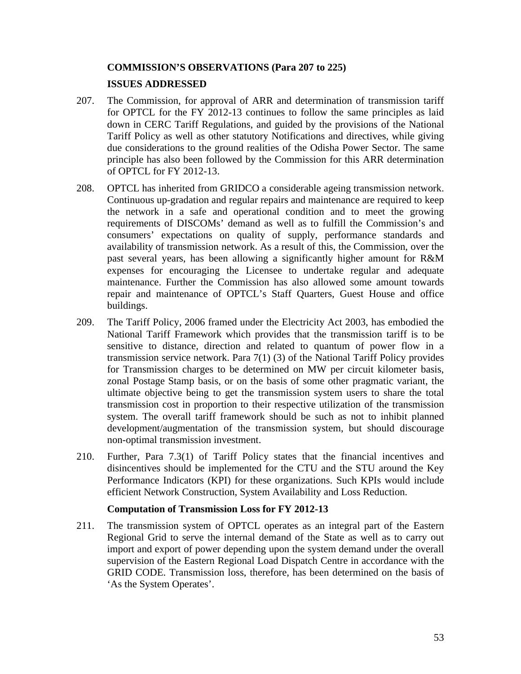#### **COMMISSION'S OBSERVATIONS (Para 207 to 225)**

#### **ISSUES ADDRESSED**

- 207. The Commission, for approval of ARR and determination of transmission tariff for OPTCL for the FY 2012-13 continues to follow the same principles as laid down in CERC Tariff Regulations, and guided by the provisions of the National Tariff Policy as well as other statutory Notifications and directives, while giving due considerations to the ground realities of the Odisha Power Sector. The same principle has also been followed by the Commission for this ARR determination of OPTCL for FY 2012-13.
- 208. OPTCL has inherited from GRIDCO a considerable ageing transmission network. Continuous up-gradation and regular repairs and maintenance are required to keep the network in a safe and operational condition and to meet the growing requirements of DISCOMs' demand as well as to fulfill the Commission's and consumers' expectations on quality of supply, performance standards and availability of transmission network. As a result of this, the Commission, over the past several years, has been allowing a significantly higher amount for R&M expenses for encouraging the Licensee to undertake regular and adequate maintenance. Further the Commission has also allowed some amount towards repair and maintenance of OPTCL's Staff Quarters, Guest House and office buildings.
- 209. The Tariff Policy, 2006 framed under the Electricity Act 2003, has embodied the National Tariff Framework which provides that the transmission tariff is to be sensitive to distance, direction and related to quantum of power flow in a transmission service network. Para 7(1) (3) of the National Tariff Policy provides for Transmission charges to be determined on MW per circuit kilometer basis, zonal Postage Stamp basis, or on the basis of some other pragmatic variant, the ultimate objective being to get the transmission system users to share the total transmission cost in proportion to their respective utilization of the transmission system. The overall tariff framework should be such as not to inhibit planned development/augmentation of the transmission system, but should discourage non-optimal transmission investment.
- 210. Further, Para 7.3(1) of Tariff Policy states that the financial incentives and disincentives should be implemented for the CTU and the STU around the Key Performance Indicators (KPI) for these organizations. Such KPIs would include efficient Network Construction, System Availability and Loss Reduction.

#### **Computation of Transmission Loss for FY 2012-13**

211. The transmission system of OPTCL operates as an integral part of the Eastern Regional Grid to serve the internal demand of the State as well as to carry out import and export of power depending upon the system demand under the overall supervision of the Eastern Regional Load Dispatch Centre in accordance with the GRID CODE. Transmission loss, therefore, has been determined on the basis of 'As the System Operates'.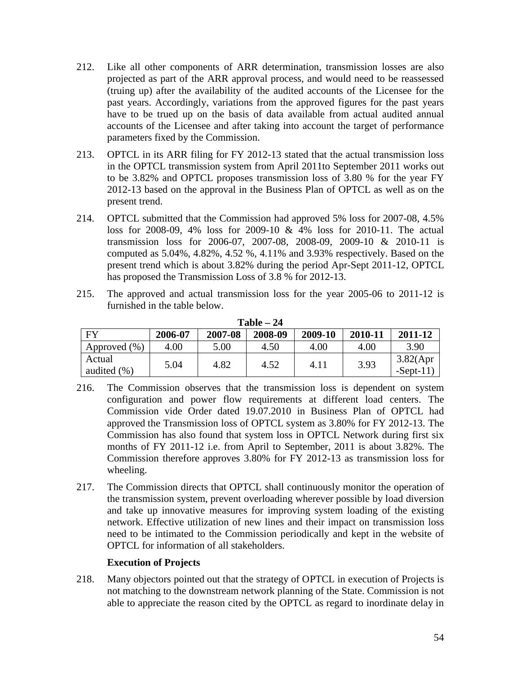- 212. Like all other components of ARR determination, transmission losses are also projected as part of the ARR approval process, and would need to be reassessed (truing up) after the availability of the audited accounts of the Licensee for the past years. Accordingly, variations from the approved figures for the past years have to be trued up on the basis of data available from actual audited annual accounts of the Licensee and after taking into account the target of performance parameters fixed by the Commission.
- 213. OPTCL in its ARR filing for FY 2012-13 stated that the actual transmission loss in the OPTCL transmission system from April 2011to September 2011 works out to be 3.82% and OPTCL proposes transmission loss of 3.80 % for the year FY 2012-13 based on the approval in the Business Plan of OPTCL as well as on the present trend.
- 214. OPTCL submitted that the Commission had approved 5% loss for 2007-08, 4.5% loss for 2008-09, 4% loss for 2009-10 & 4% loss for 2010-11. The actual transmission loss for 2006-07, 2007-08, 2008-09, 2009-10 & 2010-11 is computed as 5.04%, 4.82%, 4.52 %, 4.11% and 3.93% respectively. Based on the present trend which is about 3.82% during the period Apr-Sept 2011-12, OPTCL has proposed the Transmission Loss of 3.8 % for 2012-13.
- 215. The approved and actual transmission loss for the year 2005-06 to 2011-12 is furnished in the table below.

| $\mathbf{1}$ aple $-$ 24 |         |         |         |         |         |                          |
|--------------------------|---------|---------|---------|---------|---------|--------------------------|
| <b>FY</b>                | 2006-07 | 2007-08 | 2008-09 | 2009-10 | 2010-11 | 2011-12                  |
| (% )<br>Approved         | 4.00    | 5.00    | 4.50    | 4.00    | 4.00    | 3.90                     |
| Actual<br>audited $(\%)$ | 5.04    | 4.82    | 4.52    | 4.11    | 3.93    | 3.82(Apr)<br>$-Sept-11)$ |

| Table – 24 |  |
|------------|--|
|            |  |

- 216. The Commission observes that the transmission loss is dependent on system configuration and power flow requirements at different load centers. The Commission vide Order dated 19.07.2010 in Business Plan of OPTCL had approved the Transmission loss of OPTCL system as 3.80% for FY 2012-13. The Commission has also found that system loss in OPTCL Network during first six months of FY 2011-12 i.e. from April to September, 2011 is about 3.82%. The Commission therefore approves 3.80% for FY 2012-13 as transmission loss for wheeling.
- 217. The Commission directs that OPTCL shall continuously monitor the operation of the transmission system, prevent overloading wherever possible by load diversion and take up innovative measures for improving system loading of the existing network. Effective utilization of new lines and their impact on transmission loss need to be intimated to the Commission periodically and kept in the website of OPTCL for information of all stakeholders.

#### **Execution of Projects**

218. Many objectors pointed out that the strategy of OPTCL in execution of Projects is not matching to the downstream network planning of the State. Commission is not able to appreciate the reason cited by the OPTCL as regard to inordinate delay in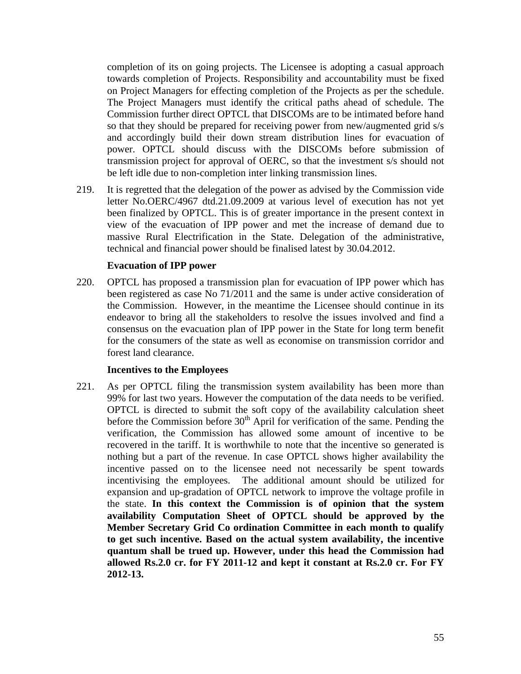completion of its on going projects. The Licensee is adopting a casual approach towards completion of Projects. Responsibility and accountability must be fixed on Project Managers for effecting completion of the Projects as per the schedule. The Project Managers must identify the critical paths ahead of schedule. The Commission further direct OPTCL that DISCOMs are to be intimated before hand so that they should be prepared for receiving power from new/augmented grid s/s and accordingly build their down stream distribution lines for evacuation of power. OPTCL should discuss with the DISCOMs before submission of transmission project for approval of OERC, so that the investment s/s should not be left idle due to non-completion inter linking transmission lines.

219. It is regretted that the delegation of the power as advised by the Commission vide letter No.OERC/4967 dtd.21.09.2009 at various level of execution has not yet been finalized by OPTCL. This is of greater importance in the present context in view of the evacuation of IPP power and met the increase of demand due to massive Rural Electrification in the State. Delegation of the administrative, technical and financial power should be finalised latest by 30.04.2012.

#### **Evacuation of IPP power**

220. OPTCL has proposed a transmission plan for evacuation of IPP power which has been registered as case No 71/2011 and the same is under active consideration of the Commission. However, in the meantime the Licensee should continue in its endeavor to bring all the stakeholders to resolve the issues involved and find a consensus on the evacuation plan of IPP power in the State for long term benefit for the consumers of the state as well as economise on transmission corridor and forest land clearance.

#### **Incentives to the Employees**

221. As per OPTCL filing the transmission system availability has been more than 99% for last two years. However the computation of the data needs to be verified. OPTCL is directed to submit the soft copy of the availability calculation sheet before the Commission before  $30<sup>th</sup>$  April for verification of the same. Pending the verification, the Commission has allowed some amount of incentive to be recovered in the tariff. It is worthwhile to note that the incentive so generated is nothing but a part of the revenue. In case OPTCL shows higher availability the incentive passed on to the licensee need not necessarily be spent towards incentivising the employees. The additional amount should be utilized for expansion and up-gradation of OPTCL network to improve the voltage profile in the state. **In this context the Commission is of opinion that the system availability Computation Sheet of OPTCL should be approved by the Member Secretary Grid Co ordination Committee in each month to qualify to get such incentive. Based on the actual system availability, the incentive quantum shall be trued up. However, under this head the Commission had allowed Rs.2.0 cr. for FY 2011-12 and kept it constant at Rs.2.0 cr. For FY 2012-13.**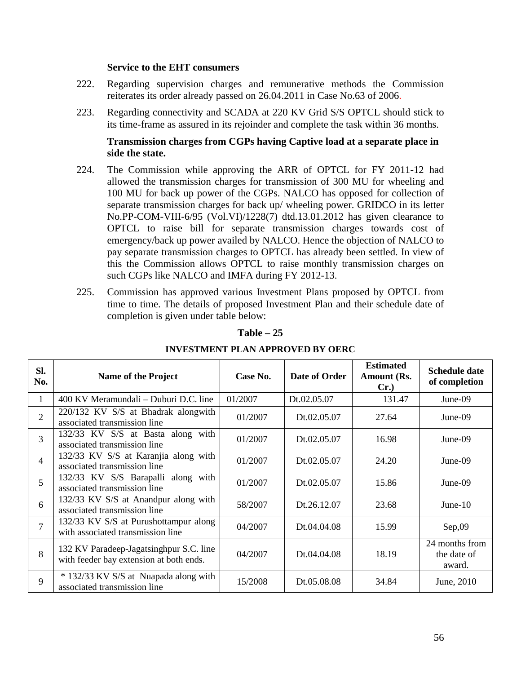#### **Service to the EHT consumers**

- 222. Regarding supervision charges and remunerative methods the Commission reiterates its order already passed on 26.04.2011 in Case No.63 of 2006.
- 223. Regarding connectivity and SCADA at 220 KV Grid S/S OPTCL should stick to its time-frame as assured in its rejoinder and complete the task within 36 months.

#### **Transmission charges from CGPs having Captive load at a separate place in side the state.**

- 224. The Commission while approving the ARR of OPTCL for FY 2011-12 had allowed the transmission charges for transmission of 300 MU for wheeling and 100 MU for back up power of the CGPs. NALCO has opposed for collection of separate transmission charges for back up/ wheeling power. GRIDCO in its letter No.PP-COM-VIII-6/95 (Vol.VI)/1228(7) dtd.13.01.2012 has given clearance to OPTCL to raise bill for separate transmission charges towards cost of emergency/back up power availed by NALCO. Hence the objection of NALCO to pay separate transmission charges to OPTCL has already been settled. In view of this the Commission allows OPTCL to raise monthly transmission charges on such CGPs like NALCO and IMFA during FY 2012-13.
- 225. Commission has approved various Investment Plans proposed by OPTCL from time to time. The details of proposed Investment Plan and their schedule date of completion is given under table below:

| SI.<br>No.               | <b>Name of the Project</b>                                                         | Case No. | Date of Order | <b>Estimated</b><br>Amount (Rs.<br>Cr. | <b>Schedule date</b><br>of completion   |
|--------------------------|------------------------------------------------------------------------------------|----------|---------------|----------------------------------------|-----------------------------------------|
| 1                        | 400 KV Meramundali – Duburi D.C. line                                              | 01/2007  | Dt.02.05.07   | 131.47                                 | June-09                                 |
| $\overline{2}$           | 220/132 KV S/S at Bhadrak alongwith<br>associated transmission line                | 01/2007  | Dt.02.05.07   | 27.64                                  | $June-09$                               |
| 3                        | 132/33 KV S/S at Basta along with<br>associated transmission line                  | 01/2007  | Dt.02.05.07   | 16.98                                  | June-09                                 |
| $\overline{\mathcal{A}}$ | 132/33 KV S/S at Karanjia along with<br>associated transmission line               | 01/2007  | Dt.02.05.07   | 24.20                                  | $June-09$                               |
| 5                        | 132/33 KV S/S Barapalli along with<br>associated transmission line                 | 01/2007  | Dt.02.05.07   | 15.86                                  | $June-09$                               |
| 6                        | 132/33 KV S/S at Anandpur along with<br>associated transmission line               | 58/2007  | Dt.26.12.07   | 23.68                                  | June- $10$                              |
| $\overline{7}$           | 132/33 KV S/S at Purushottampur along<br>with associated transmission line         | 04/2007  | Dt.04.04.08   | 15.99                                  | Sep,09                                  |
| 8                        | 132 KV Paradeep-Jagatsinghpur S.C. line<br>with feeder bay extension at both ends. | 04/2007  | Dt.04.04.08   | 18.19                                  | 24 months from<br>the date of<br>award. |
| 9                        | * 132/33 KV S/S at Nuapada along with<br>associated transmission line              | 15/2008  | Dt.05.08.08   | 34.84                                  | June, 2010                              |

### **Table – 25**

#### **INVESTMENT PLAN APPROVED BY OERC**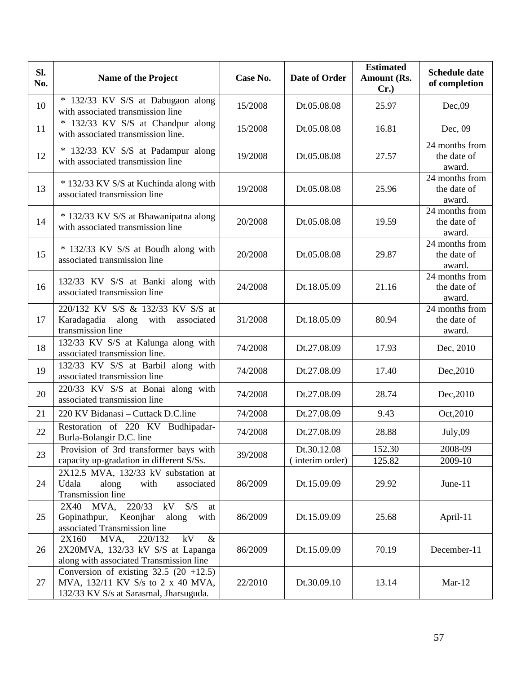| SI.<br>No. | <b>Name of the Project</b>                                                                                              | Case No. | <b>Date of Order</b> | <b>Estimated</b><br>Amount (Rs.<br>$Cr.$ ) | <b>Schedule date</b><br>of completion   |
|------------|-------------------------------------------------------------------------------------------------------------------------|----------|----------------------|--------------------------------------------|-----------------------------------------|
| 10         | * 132/33 KV S/S at Dabugaon along<br>with associated transmission line                                                  | 15/2008  | Dt.05.08.08          | 25.97                                      | Dec,09                                  |
| 11         | 132/33 KV S/S at Chandpur along<br>$\ast$<br>with associated transmission line.                                         | 15/2008  | Dt.05.08.08          | 16.81                                      | Dec, 09                                 |
| 12         | * 132/33 KV S/S at Padampur along<br>with associated transmission line                                                  | 19/2008  | Dt.05.08.08          | 27.57                                      | 24 months from<br>the date of<br>award. |
| 13         | * 132/33 KV S/S at Kuchinda along with<br>associated transmission line                                                  | 19/2008  | Dt.05.08.08          | 25.96                                      | 24 months from<br>the date of<br>award. |
| 14         | * 132/33 KV S/S at Bhawanipatna along<br>with associated transmission line                                              | 20/2008  | Dt.05.08.08          | 19.59                                      | 24 months from<br>the date of<br>award. |
| 15         | * 132/33 KV S/S at Boudh along with<br>associated transmission line                                                     | 20/2008  | Dt.05.08.08          | 29.87                                      | 24 months from<br>the date of<br>award. |
| 16         | 132/33 KV S/S at Banki along with<br>associated transmission line                                                       | 24/2008  | Dt.18.05.09          | 21.16                                      | 24 months from<br>the date of<br>award. |
| 17         | 220/132 KV S/S & 132/33 KV S/S at<br>Karadagadia along<br>with<br>associated<br>transmission line                       | 31/2008  | Dt.18.05.09          | 80.94                                      | 24 months from<br>the date of<br>award. |
| 18         | 132/33 KV S/S at Kalunga along with<br>associated transmission line.                                                    | 74/2008  | Dt.27.08.09          | 17.93                                      | Dec, 2010                               |
| 19         | 132/33 KV S/S at Barbil along with<br>associated transmission line                                                      | 74/2008  | Dt.27.08.09          | 17.40                                      | Dec, 2010                               |
| 20         | 220/33 KV S/S at Bonai along with<br>associated transmission line                                                       | 74/2008  | Dt.27.08.09          | 28.74                                      | Dec, 2010                               |
| 21         | 220 KV Bidanasi – Cuttack D.C.line                                                                                      | 74/2008  | Dt.27.08.09          | 9.43                                       | Oct, 2010                               |
| 22         | Restoration of 220 KV Budhipadar-<br>Burla-Bolangir D.C. line                                                           | 74/2008  | Dt.27.08.09          | 28.88                                      | July,09                                 |
| 23         | Provision of 3rd transformer bays with                                                                                  | 39/2008  | Dt.30.12.08          | 152.30                                     | 2008-09                                 |
|            | capacity up-gradation in different S/Ss.                                                                                |          | interim order)       | 125.82                                     | $\overline{2009} - 10$                  |
| 24         | 2X12.5 MVA, 132/33 kV substation at<br>Udala<br>along<br>with<br>associated<br><b>Transmission line</b>                 | 86/2009  | Dt.15.09.09          | 29.92                                      | June-11                                 |
| 25         | MVA,<br>220/33 kV S/S<br>2X40<br>at<br>Gopinathpur,<br>Keonjhar<br>along<br>with<br>associated Transmission line        | 86/2009  | Dt.15.09.09          | 25.68                                      | April-11                                |
| 26         | kV<br>$\&$<br>2X160<br>MVA,<br>220/132<br>2X20MVA, 132/33 kV S/S at Lapanga<br>along with associated Transmission line  | 86/2009  | Dt.15.09.09          | 70.19                                      | December-11                             |
| 27         | Conversion of existing $32.5$ (20 +12.5)<br>MVA, 132/11 KV S/s to 2 x 40 MVA,<br>132/33 KV S/s at Sarasmal, Jharsuguda. | 22/2010  | Dt.30.09.10          | 13.14                                      | $Mar-12$                                |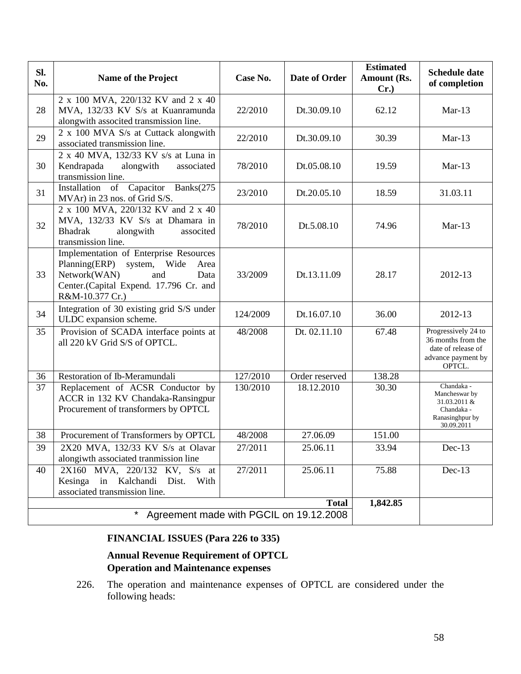| Sl.<br>No. | <b>Name of the Project</b>                                                                                                                                                     | Case No. | Date of Order  | <b>Estimated</b><br>Amount (Rs.<br>$Cr.$ ) | <b>Schedule date</b><br>of completion                                                           |
|------------|--------------------------------------------------------------------------------------------------------------------------------------------------------------------------------|----------|----------------|--------------------------------------------|-------------------------------------------------------------------------------------------------|
| 28         | 2 x 100 MVA, 220/132 KV and 2 x 40<br>MVA, 132/33 KV S/s at Kuanramunda<br>alongwith associted transmission line.                                                              | 22/2010  | Dt.30.09.10    | 62.12                                      | $Mar-13$                                                                                        |
| 29         | 2 x 100 MVA S/s at Cuttack alongwith<br>associated transmission line.                                                                                                          | 22/2010  | Dt.30.09.10    | 30.39                                      | $Mar-13$                                                                                        |
| 30         | 2 x 40 MVA, 132/33 KV s/s at Luna in<br>Kendrapada<br>alongwith<br>associated<br>transmission line.                                                                            | 78/2010  | Dt.05.08.10    | 19.59                                      | $Mar-13$                                                                                        |
| 31         | Installation of Capacitor<br>Banks(275<br>MVAr) in 23 nos. of Grid S/S.                                                                                                        | 23/2010  | Dt.20.05.10    | 18.59                                      | 31.03.11                                                                                        |
| 32         | 2 x 100 MVA, 220/132 KV and 2 x 40<br>MVA, 132/33 KV S/s at Dhamara in<br>alongwith<br><b>Bhadrak</b><br>associted<br>transmission line.                                       | 78/2010  | Dt.5.08.10     | 74.96                                      | $Mar-13$                                                                                        |
| 33         | Implementation of Enterprise Resources<br>system,<br>Planning(ERP)<br>Wide<br>Area<br>Network(WAN)<br>and<br>Data<br>Center.(Capital Expend. 17.796 Cr. and<br>R&M-10.377 Cr.) | 33/2009  | Dt.13.11.09    | 28.17                                      | 2012-13                                                                                         |
| 34         | Integration of 30 existing grid S/S under<br>ULDC expansion scheme.                                                                                                            | 124/2009 | Dt.16.07.10    | 36.00                                      | 2012-13                                                                                         |
| 35         | Provision of SCADA interface points at<br>all 220 kV Grid S/S of OPTCL.                                                                                                        | 48/2008  | Dt. 02.11.10   | 67.48                                      | Progressively 24 to<br>36 months from the<br>date of release of<br>advance payment by<br>OPTCL. |
| 36         | Restoration of Ib-Meramundali                                                                                                                                                  | 127/2010 | Order reserved | 138.28                                     |                                                                                                 |
| 37         | Replacement of ACSR Conductor by<br>ACCR in 132 KV Chandaka-Ransingpur<br>Procurement of transformers by OPTCL                                                                 | 130/2010 | 18.12.2010     | 30.30                                      | Chandaka -<br>Mancheswar by<br>31.03.2011 &<br>Chandaka -<br>Ranasinghpur by<br>30.09.2011      |
| 38         | Procurement of Transformers by OPTCL                                                                                                                                           | 48/2008  | 27.06.09       | 151.00                                     |                                                                                                 |
| 39         | 2X20 MVA, 132/33 KV S/s at Olavar<br>alongiwth associated tranmission line                                                                                                     | 27/2011  | 25.06.11       | 33.94                                      | $Dec-13$                                                                                        |
| 40         | 2X160 MVA, 220/132 KV, S/s at<br>Kesinga in Kalchandi<br>Dist.<br>With<br>associated transmission line.                                                                        | 27/2011  | 25.06.11       | 75.88                                      | $Dec-13$                                                                                        |
|            |                                                                                                                                                                                |          | <b>Total</b>   | 1,842.85                                   |                                                                                                 |
|            | Agreement made with PGCIL on 19.12.2008                                                                                                                                        |          |                |                                            |                                                                                                 |

# **FINANCIAL ISSUES (Para 226 to 335)**

# **Annual Revenue Requirement of OPTCL Operation and Maintenance expenses**

226. The operation and maintenance expenses of OPTCL are considered under the following heads: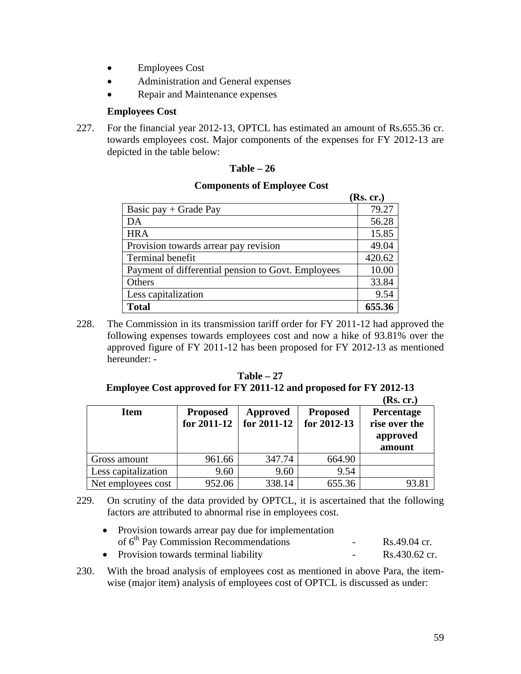- Employees Cost
- Administration and General expenses
- Repair and Maintenance expenses

#### **Employees Cost**

227. For the financial year 2012-13, OPTCL has estimated an amount of Rs.655.36 cr. towards employees cost. Major components of the expenses for FY 2012-13 are depicted in the table below:

#### **Table – 26**

#### **Components of Employee Cost**

|                                                    | (Rs. cr.) |
|----------------------------------------------------|-----------|
| Basic pay $+$ Grade Pay                            | 79.27     |
| DA                                                 | 56.28     |
| <b>HRA</b>                                         | 15.85     |
| Provision towards arrear pay revision              | 49.04     |
| Terminal benefit                                   | 420.62    |
| Payment of differential pension to Govt. Employees | 10.00     |
| Others                                             | 33.84     |
| Less capitalization                                | 9.54      |
| <b>Total</b>                                       | 655.36    |

228. The Commission in its transmission tariff order for FY 2011-12 had approved the following expenses towards employees cost and now a hike of 93.81% over the approved figure of FY 2011-12 has been proposed for FY 2012-13 as mentioned hereunder: -

**Table – 27 Employee Cost approved for FY 2011-12 and proposed for FY 2012-13 (Rs. cr.)**

|                     |                                |                                |                                | (INS. CE.)                                        |
|---------------------|--------------------------------|--------------------------------|--------------------------------|---------------------------------------------------|
| <b>Item</b>         | <b>Proposed</b><br>for 2011-12 | <b>Approved</b><br>for 2011-12 | <b>Proposed</b><br>for 2012-13 | Percentage<br>rise over the<br>approved<br>amount |
| Gross amount        | 961.66                         | 347.74                         | 664.90                         |                                                   |
| Less capitalization | 9.60                           | 9.60                           | 9.54                           |                                                   |
| Net employees cost  | 952.06                         | 338.14                         | 655.36                         | 93.81                                             |

- 229. On scrutiny of the data provided by OPTCL, it is ascertained that the following factors are attributed to abnormal rise in employees cost.
	- Provision towards arrear pay due for implementation of 6th Pay Commission Recommendations - Rs.49.04 cr. • Provision towards terminal liability - Rs.430.62 cr.
- 230. With the broad analysis of employees cost as mentioned in above Para, the itemwise (major item) analysis of employees cost of OPTCL is discussed as under: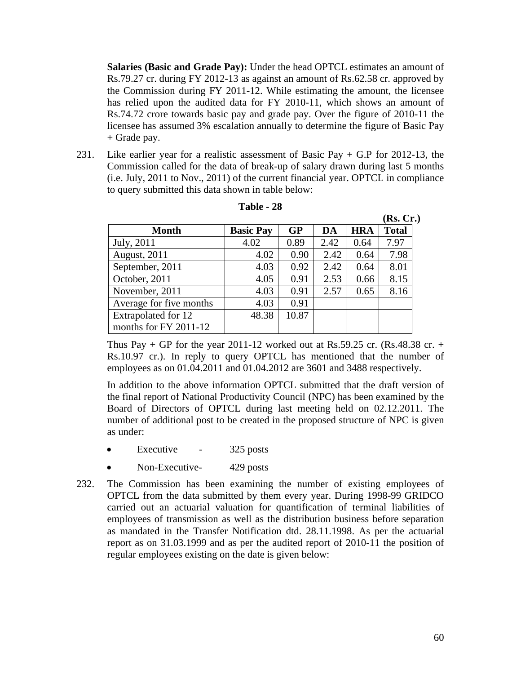**Salaries (Basic and Grade Pay):** Under the head OPTCL estimates an amount of Rs.79.27 cr. during FY 2012-13 as against an amount of Rs.62.58 cr. approved by the Commission during FY 2011-12. While estimating the amount, the licensee has relied upon the audited data for FY 2010-11, which shows an amount of Rs.74.72 crore towards basic pay and grade pay. Over the figure of 2010-11 the licensee has assumed 3% escalation annually to determine the figure of Basic Pay + Grade pay.

231. Like earlier year for a realistic assessment of Basic Pay  $+$  G.P for 2012-13, the Commission called for the data of break-up of salary drawn during last 5 months (i.e. July, 2011 to Nov., 2011) of the current financial year. OPTCL in compliance to query submitted this data shown in table below:

|                         |                  |       |      |            | (Rs, Cr.)    |
|-------------------------|------------------|-------|------|------------|--------------|
| <b>Month</b>            | <b>Basic Pay</b> | GP    | DA   | <b>HRA</b> | <b>Total</b> |
| July, 2011              | 4.02             | 0.89  | 2.42 | 0.64       | 7.97         |
| <b>August</b> , 2011    | 4.02             | 0.90  | 2.42 | 0.64       | 7.98         |
| September, 2011         | 4.03             | 0.92  | 2.42 | 0.64       | 8.01         |
| October, 2011           | 4.05             | 0.91  | 2.53 | 0.66       | 8.15         |
| November, 2011          | 4.03             | 0.91  | 2.57 | 0.65       | 8.16         |
| Average for five months | 4.03             | 0.91  |      |            |              |
| Extrapolated for 12     | 48.38            | 10.87 |      |            |              |
| months for FY 2011-12   |                  |       |      |            |              |

**Table - 28**

Thus Pay  $+$  GP for the year 2011-12 worked out at Rs.59.25 cr. (Rs.48.38 cr.  $+$ Rs.10.97 cr.). In reply to query OPTCL has mentioned that the number of employees as on 01.04.2011 and 01.04.2012 are 3601 and 3488 respectively.

In addition to the above information OPTCL submitted that the draft version of the final report of National Productivity Council (NPC) has been examined by the Board of Directors of OPTCL during last meeting held on 02.12.2011. The number of additional post to be created in the proposed structure of NPC is given as under:

- Executive 325 posts
- Non-Executive- 429 posts
- 232. The Commission has been examining the number of existing employees of OPTCL from the data submitted by them every year. During 1998-99 GRIDCO carried out an actuarial valuation for quantification of terminal liabilities of employees of transmission as well as the distribution business before separation as mandated in the Transfer Notification dtd. 28.11.1998. As per the actuarial report as on 31.03.1999 and as per the audited report of 2010-11 the position of regular employees existing on the date is given below: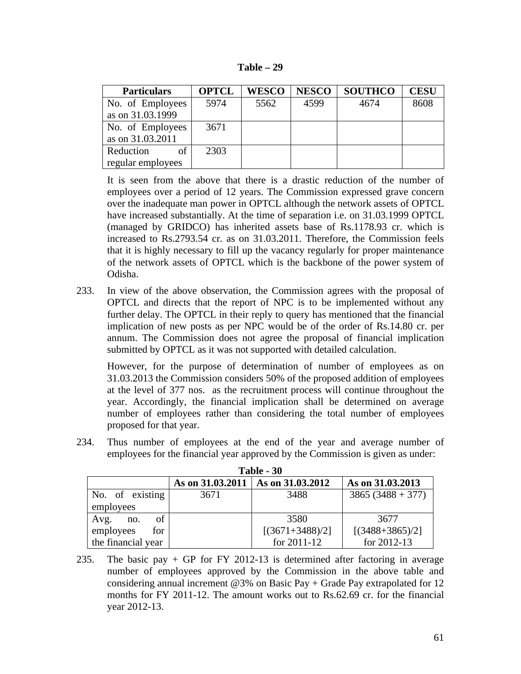| Fable |  |
|-------|--|
|-------|--|

| <b>Particulars</b> | <b>OPTCL</b> | <b>WESCO</b> | <b>NESCO</b> | <b>SOUTHCO</b> | <b>CESU</b> |
|--------------------|--------------|--------------|--------------|----------------|-------------|
| No. of Employees   | 5974         | 5562         | 4599         | 4674           | 8608        |
| as on 31.03.1999   |              |              |              |                |             |
| No. of Employees   | 3671         |              |              |                |             |
| as on 31.03.2011   |              |              |              |                |             |
| of<br>Reduction    | 2303         |              |              |                |             |
| regular employees  |              |              |              |                |             |

It is seen from the above that there is a drastic reduction of the number of employees over a period of 12 years. The Commission expressed grave concern over the inadequate man power in OPTCL although the network assets of OPTCL have increased substantially. At the time of separation i.e. on 31.03.1999 OPTCL (managed by GRIDCO) has inherited assets base of Rs.1178.93 cr. which is increased to Rs.2793.54 cr. as on 31.03.2011. Therefore, the Commission feels that it is highly necessary to fill up the vacancy regularly for proper maintenance of the network assets of OPTCL which is the backbone of the power system of Odisha.

233. In view of the above observation, the Commission agrees with the proposal of OPTCL and directs that the report of NPC is to be implemented without any further delay. The OPTCL in their reply to query has mentioned that the financial implication of new posts as per NPC would be of the order of Rs.14.80 cr. per annum. The Commission does not agree the proposal of financial implication submitted by OPTCL as it was not supported with detailed calculation.

However, for the purpose of determination of number of employees as on 31.03.2013 the Commission considers 50% of the proposed addition of employees at the level of 377 nos. as the recruitment process will continue throughout the year. Accordingly, the financial implication shall be determined on average number of employees rather than considering the total number of employees proposed for that year.

234. Thus number of employees at the end of the year and average number of employees for the financial year approved by the Commission is given as under:

| Table - 30                                              |      |                   |                     |  |  |  |  |  |
|---------------------------------------------------------|------|-------------------|---------------------|--|--|--|--|--|
| As on 31.03.2013<br>As on 31.03.2011   As on 31.03.2012 |      |                   |                     |  |  |  |  |  |
| No. of existing                                         | 3671 | 3488              | $3865 (3488 + 377)$ |  |  |  |  |  |
| employees                                               |      |                   |                     |  |  |  |  |  |
| οf<br>Avg.<br>no.                                       |      | 3580              | 3677                |  |  |  |  |  |
| employees<br>for                                        |      | $[(3671+3488)/2]$ | $[(3488+3865)/2]$   |  |  |  |  |  |
| the financial year                                      |      | for 2011-12       | for 2012-13         |  |  |  |  |  |

<sup>235.</sup> The basic pay + GP for FY 2012-13 is determined after factoring in average number of employees approved by the Commission in the above table and considering annual increment  $@3\%$  on Basic Pay + Grade Pay extrapolated for 12 months for FY 2011-12. The amount works out to Rs.62.69 cr. for the financial year 2012-13.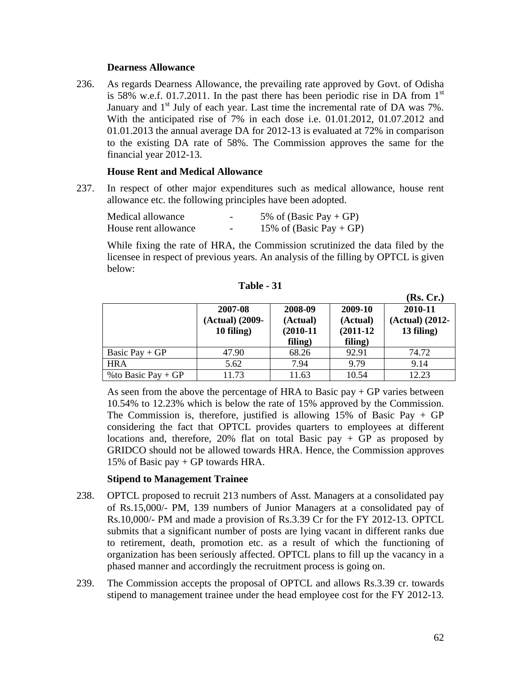#### **Dearness Allowance**

236. As regards Dearness Allowance, the prevailing rate approved by Govt. of Odisha is 58% w.e.f. 01.7.2011. In the past there has been periodic rise in DA from  $1<sup>st</sup>$ January and  $1<sup>st</sup>$  July of each year. Last time the incremental rate of DA was 7%. With the anticipated rise of 7% in each dose i.e. 01.01.2012, 01.07.2012 and 01.01.2013 the annual average DA for 2012-13 is evaluated at 72% in comparison to the existing DA rate of 58%. The Commission approves the same for the financial year 2012-13.

### **House Rent and Medical Allowance**

237. In respect of other major expenditures such as medical allowance, house rent allowance etc. the following principles have been adopted.

| Medical allowance    | -                        | 5% of (Basic Pay + GP)  |
|----------------------|--------------------------|-------------------------|
| House rent allowance | $\overline{\phantom{0}}$ | 15% of (Basic Pay + GP) |

While fixing the rate of HRA, the Commission scrutinized the data filed by the licensee in respect of previous years. An analysis of the filling by OPTCL is given below:

|                      |                                          |                                               |                                               | (Rs, Cr.)                                |
|----------------------|------------------------------------------|-----------------------------------------------|-----------------------------------------------|------------------------------------------|
|                      | 2007-08<br>(Actual) (2009-<br>10 filing) | 2008-09<br>(Actual)<br>$(2010-11)$<br>filing) | 2009-10<br>(Actual)<br>$(2011-12)$<br>filing) | 2010-11<br>(Actual) (2012-<br>13 filing) |
| Basic Pay $+GP$      | 47.90                                    | 68.26                                         | 92.91                                         | 74.72                                    |
| <b>HRA</b>           | 5.62                                     | 7.94                                          | 9.79                                          | 9.14                                     |
| % to Basic Pay $+GP$ | 11.73                                    | 11.63                                         | 10.54                                         | 12.23                                    |

**Table - 31**

As seen from the above the percentage of HRA to Basic pay  $+$  GP varies between 10.54% to 12.23% which is below the rate of 15% approved by the Commission. The Commission is, therefore, justified is allowing 15% of Basic Pay + GP considering the fact that OPTCL provides quarters to employees at different locations and, therefore,  $20\%$  flat on total Basic pay + GP as proposed by GRIDCO should not be allowed towards HRA. Hence, the Commission approves 15% of Basic pay + GP towards HRA.

#### **Stipend to Management Trainee**

- 238. OPTCL proposed to recruit 213 numbers of Asst. Managers at a consolidated pay of Rs.15,000/- PM, 139 numbers of Junior Managers at a consolidated pay of Rs.10,000/- PM and made a provision of Rs.3.39 Cr for the FY 2012-13. OPTCL submits that a significant number of posts are lying vacant in different ranks due to retirement, death, promotion etc. as a result of which the functioning of organization has been seriously affected. OPTCL plans to fill up the vacancy in a phased manner and accordingly the recruitment process is going on.
- 239. The Commission accepts the proposal of OPTCL and allows Rs.3.39 cr. towards stipend to management trainee under the head employee cost for the FY 2012-13.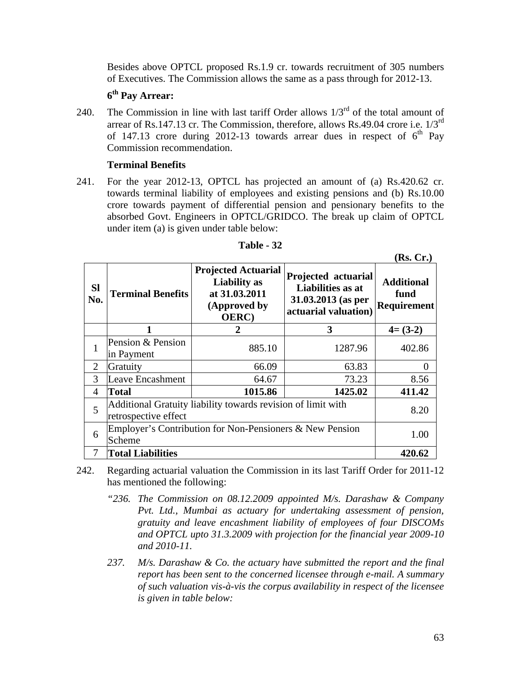Besides above OPTCL proposed Rs.1.9 cr. towards recruitment of 305 numbers of Executives. The Commission allows the same as a pass through for 2012-13.

## **6th Pay Arrear:**

240. The Commission in line with last tariff Order allows  $1/3^{rd}$  of the total amount of arrear of Rs.147.13 cr. The Commission, therefore, allows Rs.49.04 crore i.e.  $1/3^{rd}$ of 147.13 crore during 2012-13 towards arrear dues in respect of  $6<sup>th</sup>$  Pay Commission recommendation.

### **Terminal Benefits**

241. For the year 2012-13, OPTCL has projected an amount of (a) Rs.420.62 cr. towards terminal liability of employees and existing pensions and (b) Rs.10.00 crore towards payment of differential pension and pensionary benefits to the absorbed Govt. Engineers in OPTCL/GRIDCO. The break up claim of OPTCL under item (a) is given under table below:

| <b>SI</b><br>No. | <b>Terminal Benefits</b>                                                             | <b>Projected Actuarial</b><br><b>Liability</b> as<br>at 31.03.2011<br>(Approved by<br><b>OERC</b> ) | Projected actuarial<br>Liabilities as at<br>31.03.2013 (as per<br>actuarial valuation) | <b>Additional</b><br>fund<br>Requirement |  |  |
|------------------|--------------------------------------------------------------------------------------|-----------------------------------------------------------------------------------------------------|----------------------------------------------------------------------------------------|------------------------------------------|--|--|
|                  |                                                                                      | 2                                                                                                   | 3                                                                                      | $4=(3-2)$                                |  |  |
| $\mathbf{1}$     | Pension & Pension                                                                    | 885.10                                                                                              | 1287.96                                                                                | 402.86                                   |  |  |
|                  | in Payment                                                                           |                                                                                                     |                                                                                        |                                          |  |  |
| $\overline{2}$   | Gratuity                                                                             | 66.09                                                                                               | 63.83                                                                                  |                                          |  |  |
| 3                | <b>Leave Encashment</b>                                                              | 64.67                                                                                               | 73.23                                                                                  | 8.56                                     |  |  |
| 4                | <b>Total</b>                                                                         | 1015.86                                                                                             | 1425.02                                                                                | 411.42                                   |  |  |
| 5                | Additional Gratuity liability towards revision of limit with<br>retrospective effect |                                                                                                     |                                                                                        |                                          |  |  |
| 6                | Employer's Contribution for Non-Pensioners & New Pension<br>Scheme                   |                                                                                                     |                                                                                        |                                          |  |  |
| $\overline{7}$   | <b>Total Liabilities</b>                                                             |                                                                                                     |                                                                                        | 420.62                                   |  |  |

| - 32<br><b>Table</b> |
|----------------------|
|----------------------|

242. Regarding actuarial valuation the Commission in its last Tariff Order for 2011-12 has mentioned the following:

- *"236. The Commission on 08.12.2009 appointed M/s. Darashaw & Company Pvt. Ltd., Mumbai as actuary for undertaking assessment of pension, gratuity and leave encashment liability of employees of four DISCOMs and OPTCL upto 31.3.2009 with projection for the financial year 2009-10 and 2010-11.*
- *237. M/s. Darashaw & Co. the actuary have submitted the report and the final report has been sent to the concerned licensee through e-mail. A summary of such valuation vis-à-vis the corpus availability in respect of the licensee is given in table below:*

**(Rs. Cr.)**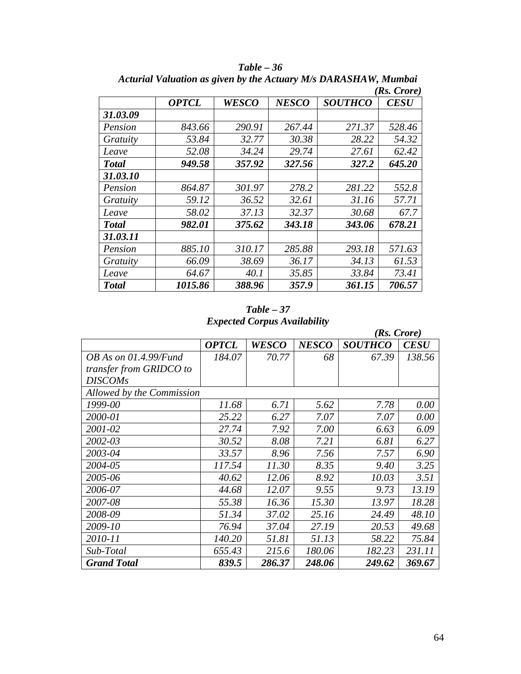|              |              |              |              |                | $(Rs. \text{ C}rore)$ |
|--------------|--------------|--------------|--------------|----------------|-----------------------|
|              | <b>OPTCL</b> | <b>WESCO</b> | <b>NESCO</b> | <b>SOUTHCO</b> | <b>CESU</b>           |
| 31.03.09     |              |              |              |                |                       |
| Pension      | 843.66       | 290.91       | 267.44       | 271.37         | 528.46                |
| Gratuity     | 53.84        | 32.77        | 30.38        | 28.22          | 54.32                 |
| Leave        | 52.08        | 34.24        | 29.74        | 27.61          | 62.42                 |
| <b>Total</b> | 949.58       | 357.92       | 327.56       | 327.2          | 645.20                |
| 31.03.10     |              |              |              |                |                       |
| Pension      | 864.87       | 301.97       | 278.2        | 281.22         | 552.8                 |
| Gratuity     | 59.12        | 36.52        | 32.61        | 31.16          | 57.71                 |
| Leave        | 58.02        | 37.13        | 32.37        | 30.68          | 67.7                  |
| <b>Total</b> | 982.01       | 375.62       | 343.18       | 343.06         | 678.21                |
| 31.03.11     |              |              |              |                |                       |
| Pension      | 885.10       | 310.17       | 285.88       | 293.18         | 571.63                |
| Gratuity     | 66.09        | 38.69        | 36.17        | 34.13          | 61.53                 |
| Leave        | 64.67        | 40.1         | 35.85        | 33.84          | 73.41                 |
| <b>Total</b> | 1015.86      | 388.96       | 357.9        | 361.15         | 706.57                |

*Table – 36 Acturial Valuation as given by the Actuary M/s DARASHAW, Mumbai*

*Table – 37 Expected Corpus Availability*

|                           |              |              |              | $(Rs. \text{ C}rore)$ |             |
|---------------------------|--------------|--------------|--------------|-----------------------|-------------|
|                           | <b>OPTCL</b> | <b>WESCO</b> | <b>NESCO</b> | <b>SOUTHCO</b>        | <b>CESU</b> |
| OB As on $01.4.99$ /Fund  | 184.07       | 70.77        | 68           | 67.39                 | 138.56      |
| transfer from GRIDCO to   |              |              |              |                       |             |
| <b>DISCOMs</b>            |              |              |              |                       |             |
| Allowed by the Commission |              |              |              |                       |             |
| 1999-00                   | 11.68        | 6.71         | 5.62         | 7.78                  | 0.00        |
| 2000-01                   | 25.22        | 6.27         | 7.07         | 7.07                  | 0.00        |
| 2001-02                   | 27.74        | 7.92         | 7.00         | 6.63                  | 6.09        |
| 2002-03                   | 30.52        | 8.08         | 7.21         | 6.81                  | 6.27        |
| 2003-04                   | 33.57        | 8.96         | 7.56         | 7.57                  | 6.90        |
| 2004-05                   | 117.54       | 11.30        | 8.35         | 9.40                  | 3.25        |
| 2005-06                   | 40.62        | 12.06        | 8.92         | 10.03                 | 3.51        |
| 2006-07                   | 44.68        | 12.07        | 9.55         | 9.73                  | 13.19       |
| 2007-08                   | 55.38        | 16.36        | 15.30        | 13.97                 | 18.28       |
| 2008-09                   | 51.34        | 37.02        | 25.16        | 24.49                 | 48.10       |
| 2009-10                   | 76.94        | 37.04        | 27.19        | 20.53                 | 49.68       |
| 2010-11                   | 140.20       | 51.81        | 51.13        | 58.22                 | 75.84       |
| Sub-Total                 | 655.43       | 215.6        | 180.06       | 182.23                | 231.11      |
| <b>Grand Total</b>        | 839.5        | 286.37       | 248.06       | 249.62                | 369.67      |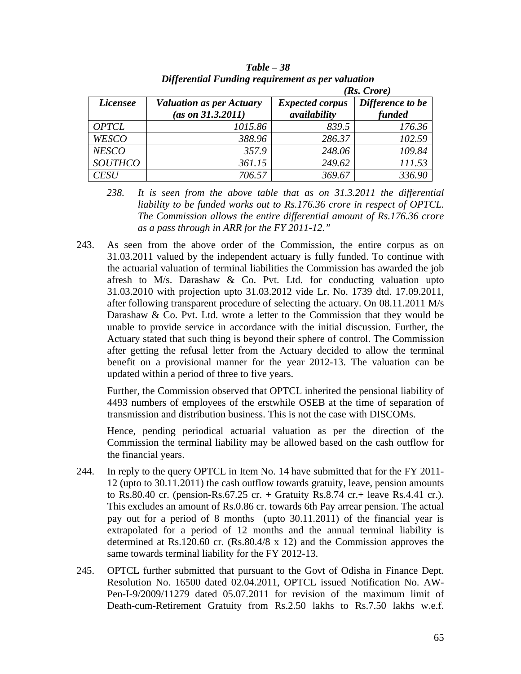|                 |                                 |                        | $(Rs. \text{Core})$ |
|-----------------|---------------------------------|------------------------|---------------------|
| <i>Licensee</i> | <b>Valuation as per Actuary</b> | <b>Expected corpus</b> | Difference to be    |
|                 | $(as \, on \, 31.3.2011)$       | availability           | funded              |
| <b>OPTCL</b>    | 1015.86                         | 839.5                  | 176.36              |
| <b>WESCO</b>    | 388.96                          | 286.37                 | 102.59              |
| <b>NESCO</b>    | 357.9                           | 248.06                 | 109.84              |
| <b>SOUTHCO</b>  | 361.15                          | 249.62                 | 111.53              |
| <b>CESU</b>     | 706.57                          | 369.67                 | 336.90              |

*Table – 38 Differential Funding requirement as per valuation*

- *238. It is seen from the above table that as on 31.3.2011 the differential liability to be funded works out to Rs.176.36 crore in respect of OPTCL. The Commission allows the entire differential amount of Rs.176.36 crore as a pass through in ARR for the FY 2011-12."*
- 243. As seen from the above order of the Commission, the entire corpus as on 31.03.2011 valued by the independent actuary is fully funded. To continue with the actuarial valuation of terminal liabilities the Commission has awarded the job afresh to  $M/s$ . Darashaw  $\&$  Co. Pvt. Ltd. for conducting valuation upto 31.03.2010 with projection upto 31.03.2012 vide Lr. No. 1739 dtd. 17.09.2011, after following transparent procedure of selecting the actuary. On 08.11.2011 M/s Darashaw & Co. Pvt. Ltd. wrote a letter to the Commission that they would be unable to provide service in accordance with the initial discussion. Further, the Actuary stated that such thing is beyond their sphere of control. The Commission after getting the refusal letter from the Actuary decided to allow the terminal benefit on a provisional manner for the year 2012-13. The valuation can be updated within a period of three to five years.

Further, the Commission observed that OPTCL inherited the pensional liability of 4493 numbers of employees of the erstwhile OSEB at the time of separation of transmission and distribution business. This is not the case with DISCOMs.

Hence, pending periodical actuarial valuation as per the direction of the Commission the terminal liability may be allowed based on the cash outflow for the financial years.

- 244. In reply to the query OPTCL in Item No. 14 have submitted that for the FY 2011- 12 (upto to 30.11.2011) the cash outflow towards gratuity, leave, pension amounts to Rs.80.40 cr. (pension-Rs.67.25 cr. + Gratuity Rs.8.74 cr. + leave Rs.4.41 cr.). This excludes an amount of Rs.0.86 cr. towards 6th Pay arrear pension. The actual pay out for a period of 8 months (upto 30.11.2011) of the financial year is extrapolated for a period of 12 months and the annual terminal liability is determined at Rs.120.60 cr. (Rs.80.4/8 x 12) and the Commission approves the same towards terminal liability for the FY 2012-13.
- 245. OPTCL further submitted that pursuant to the Govt of Odisha in Finance Dept. Resolution No. 16500 dated 02.04.2011, OPTCL issued Notification No. AW-Pen-I-9/2009/11279 dated 05.07.2011 for revision of the maximum limit of Death-cum-Retirement Gratuity from Rs.2.50 lakhs to Rs.7.50 lakhs w.e.f.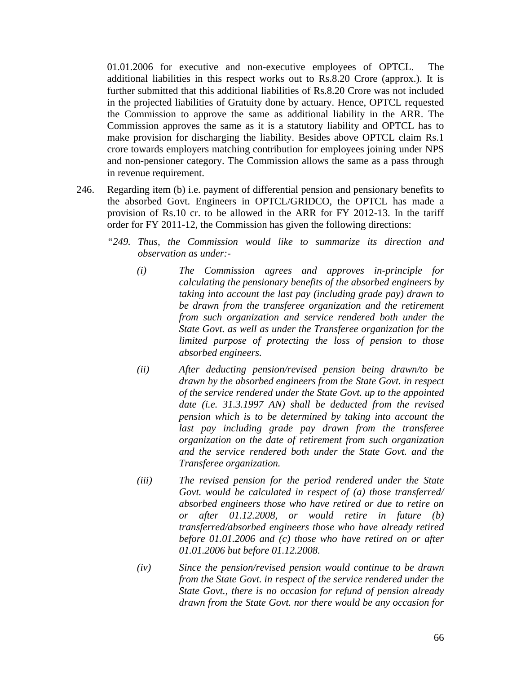01.01.2006 for executive and non-executive employees of OPTCL. The additional liabilities in this respect works out to Rs.8.20 Crore (approx.). It is further submitted that this additional liabilities of Rs.8.20 Crore was not included in the projected liabilities of Gratuity done by actuary. Hence, OPTCL requested the Commission to approve the same as additional liability in the ARR. The Commission approves the same as it is a statutory liability and OPTCL has to make provision for discharging the liability. Besides above OPTCL claim Rs.1 crore towards employers matching contribution for employees joining under NPS and non-pensioner category. The Commission allows the same as a pass through in revenue requirement.

- 246. Regarding item (b) i.e. payment of differential pension and pensionary benefits to the absorbed Govt. Engineers in OPTCL/GRIDCO, the OPTCL has made a provision of Rs.10 cr. to be allowed in the ARR for FY 2012-13. In the tariff order for FY 2011-12, the Commission has given the following directions:
	- *"249. Thus, the Commission would like to summarize its direction and observation as under:-*
		- *(i) The Commission agrees and approves in-principle for calculating the pensionary benefits of the absorbed engineers by taking into account the last pay (including grade pay) drawn to be drawn from the transferee organization and the retirement from such organization and service rendered both under the State Govt. as well as under the Transferee organization for the limited purpose of protecting the loss of pension to those absorbed engineers.*
		- *(ii) After deducting pension/revised pension being drawn/to be drawn by the absorbed engineers from the State Govt. in respect of the service rendered under the State Govt. up to the appointed date (i.e. 31.3.1997 AN) shall be deducted from the revised pension which is to be determined by taking into account the last pay including grade pay drawn from the transferee organization on the date of retirement from such organization and the service rendered both under the State Govt. and the Transferee organization.*
		- *(iii) The revised pension for the period rendered under the State Govt. would be calculated in respect of (a) those transferred/ absorbed engineers those who have retired or due to retire on or after 01.12.2008, or would retire in future (b) transferred/absorbed engineers those who have already retired before 01.01.2006 and (c) those who have retired on or after 01.01.2006 but before 01.12.2008.*
		- *(iv) Since the pension/revised pension would continue to be drawn from the State Govt. in respect of the service rendered under the State Govt., there is no occasion for refund of pension already drawn from the State Govt. nor there would be any occasion for*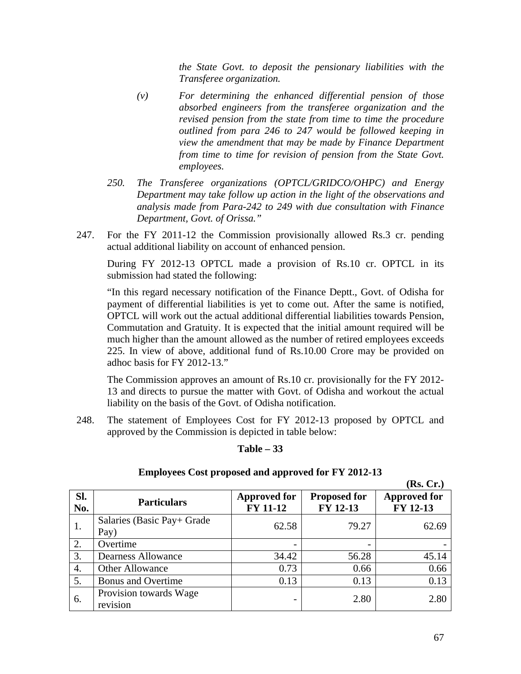*the State Govt. to deposit the pensionary liabilities with the Transferee organization.* 

- *(v) For determining the enhanced differential pension of those absorbed engineers from the transferee organization and the revised pension from the state from time to time the procedure outlined from para 246 to 247 would be followed keeping in view the amendment that may be made by Finance Department from time to time for revision of pension from the State Govt. employees.*
- *250. The Transferee organizations (OPTCL/GRIDCO/OHPC) and Energy Department may take follow up action in the light of the observations and analysis made from Para-242 to 249 with due consultation with Finance Department, Govt. of Orissa."*
- 247. For the FY 2011-12 the Commission provisionally allowed Rs.3 cr. pending actual additional liability on account of enhanced pension.

During FY 2012-13 OPTCL made a provision of Rs.10 cr. OPTCL in its submission had stated the following:

"In this regard necessary notification of the Finance Deptt., Govt. of Odisha for payment of differential liabilities is yet to come out. After the same is notified, OPTCL will work out the actual additional differential liabilities towards Pension, Commutation and Gratuity. It is expected that the initial amount required will be much higher than the amount allowed as the number of retired employees exceeds 225. In view of above, additional fund of Rs.10.00 Crore may be provided on adhoc basis for FY 2012-13."

The Commission approves an amount of Rs.10 cr. provisionally for the FY 2012- 13 and directs to pursue the matter with Govt. of Odisha and workout the actual liability on the basis of the Govt. of Odisha notification.

248. The statement of Employees Cost for FY 2012-13 proposed by OPTCL and approved by the Commission is depicted in table below:

#### **Table – 33**

#### **(Rs. Cr.) Sl. No. Particulars Approved for Particulars Approved for Approved for FY 11-12 Proposed for FY 12-13 Approved for FY 12-13** 1. Salaries (Basic Pay+ Grade  $\begin{bmatrix} \text{Bay} \\ \text{Pay} \end{bmatrix}$  62.58 79.27 62.69 2. Overtime  $\vert$  -  $\vert$  -  $\vert$  -  $\vert$  -  $\vert$  -3. Dearness Allowance 1 34.42 56.28 45.14 4. Other Allowance  $\begin{array}{|c|c|c|c|c|c|c|c|c|} \hline 4. & 0.66 & 0.66 \hline \end{array}$ 5. Bonus and Overtime 1 0.13 0.13 0.13 0.13 6. Provision towards Wage revision revision towards wage  $\begin{bmatrix} 2.80 \\ 2.80 \end{bmatrix}$  2.80

#### **Employees Cost proposed and approved for FY 2012-13**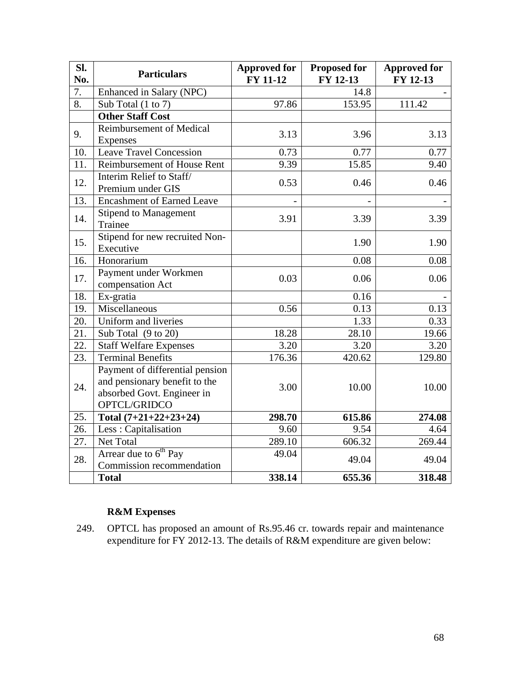| Sl.<br>No. | <b>Particulars</b>                                                                                             | <b>Approved for</b><br>FY 11-12 | <b>Proposed for</b><br>FY 12-13 | <b>Approved for</b><br>FY 12-13 |
|------------|----------------------------------------------------------------------------------------------------------------|---------------------------------|---------------------------------|---------------------------------|
| 7.         | Enhanced in Salary (NPC)                                                                                       |                                 | 14.8                            |                                 |
| 8.         | Sub Total (1 to 7)                                                                                             | 97.86                           | 153.95                          | 111.42                          |
|            | <b>Other Staff Cost</b>                                                                                        |                                 |                                 |                                 |
| 9.         | <b>Reimbursement of Medical</b><br>Expenses                                                                    | 3.13                            | 3.96                            | 3.13                            |
| 10.        | <b>Leave Travel Concession</b>                                                                                 | 0.73                            | 0.77                            | 0.77                            |
| 11.        | Reimbursement of House Rent                                                                                    | 9.39                            | 15.85                           | 9.40                            |
| 12.        | Interim Relief to Staff/<br>Premium under GIS                                                                  | 0.53                            | 0.46                            | 0.46                            |
| 13.        | <b>Encashment of Earned Leave</b>                                                                              |                                 |                                 |                                 |
| 14.        | <b>Stipend to Management</b><br>Trainee                                                                        | 3.91                            | 3.39                            | 3.39                            |
| 15.        | Stipend for new recruited Non-<br>Executive                                                                    |                                 | 1.90                            | 1.90                            |
| 16.        | Honorarium                                                                                                     |                                 | 0.08                            | 0.08                            |
| 17.        | Payment under Workmen<br>compensation Act                                                                      | 0.03                            | 0.06                            | 0.06                            |
| 18.        | Ex-gratia                                                                                                      |                                 | 0.16                            |                                 |
| 19.        | Miscellaneous                                                                                                  | 0.56                            | 0.13                            | 0.13                            |
| 20.        | Uniform and liveries                                                                                           |                                 | 1.33                            | 0.33                            |
| 21.        | Sub Total (9 to 20)                                                                                            | 18.28                           | 28.10                           | 19.66                           |
| 22.        | <b>Staff Welfare Expenses</b>                                                                                  | 3.20                            | 3.20                            | 3.20                            |
| 23.        | <b>Terminal Benefits</b>                                                                                       | 176.36                          | 420.62                          | 129.80                          |
| 24.        | Payment of differential pension<br>and pensionary benefit to the<br>absorbed Govt. Engineer in<br>OPTCL/GRIDCO | 3.00                            | 10.00                           | 10.00                           |
| 25.        | Total $(7+21+22+23+24)$                                                                                        | 298.70                          | 615.86                          | 274.08                          |
| 26.        | Less: Capitalisation                                                                                           | 9.60                            | 9.54                            | 4.64                            |
| 27.        | Net Total                                                                                                      | 289.10                          | 606.32                          | 269.44                          |
| 28.        | Arrear due to 6 <sup>th</sup> Pay<br>Commission recommendation                                                 | 49.04                           | 49.04                           | 49.04                           |
|            | <b>Total</b>                                                                                                   | 338.14                          | 655.36                          | 318.48                          |

# **R&M Expenses**

249. OPTCL has proposed an amount of Rs.95.46 cr. towards repair and maintenance expenditure for FY 2012-13. The details of R&M expenditure are given below: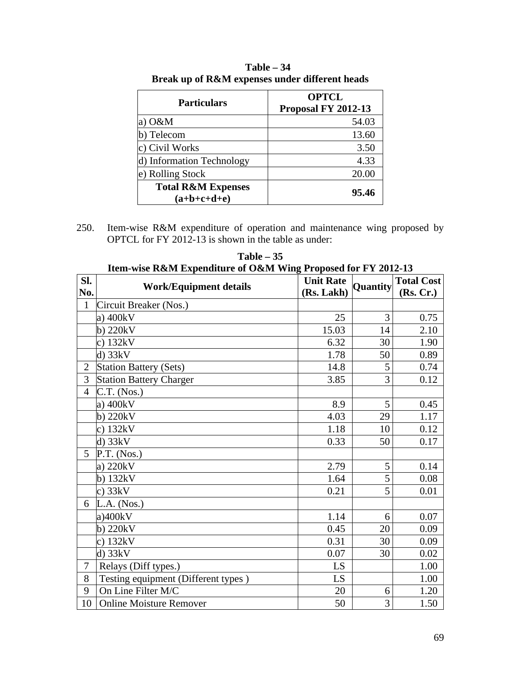| Proposal FY 2012-13 |
|---------------------|
| 54.03               |
| 13.60               |
| 3.50                |
| 4.33                |
| 20.00               |
| 95.46               |
|                     |

**Table – 34 Break up of R&M expenses under different heads**

250. Item-wise R&M expenditure of operation and maintenance wing proposed by OPTCL for FY 2012-13 is shown in the table as under:

|                | Item-wise R&M Expenditure of O&M Wing Proposed for FY 2012-13 |                  |          |                   |
|----------------|---------------------------------------------------------------|------------------|----------|-------------------|
| SI.            | <b>Work/Equipment details</b>                                 | <b>Unit Rate</b> | Quantity | <b>Total Cost</b> |
| No.            |                                                               | (Rs. Lakh)       |          | (Rs, Cr.)         |
| $\mathbf{1}$   | Circuit Breaker (Nos.)                                        |                  |          |                   |
|                | a) $400kV$                                                    | 25               | 3        | 0.75              |
|                | $b)$ 220 $kV$                                                 | 15.03            | 14       | 2.10              |
|                | c) $132kV$                                                    | 6.32             | 30       | 1.90              |
|                | $d)$ 33 $kV$                                                  | 1.78             | 50       | 0.89              |
| $\overline{2}$ | <b>Station Battery (Sets)</b>                                 | 14.8             | 5        | 0.74              |
| 3              | <b>Station Battery Charger</b>                                | 3.85             | 3        | 0.12              |
| $\overline{4}$ | $C.T.$ (Nos.)                                                 |                  |          |                   |
|                | a) $400kV$                                                    | 8.9              | 5        | 0.45              |
|                | $b)$ 220 $kV$                                                 | 4.03             | 29       | 1.17              |
|                | c) $132kV$                                                    | 1.18             | 10       | 0.12              |
|                | $d)$ 33 $kV$                                                  | 0.33             | 50       | 0.17              |
| 5              | P.T. (Nos.)                                                   |                  |          |                   |
|                | a) 220kV                                                      | 2.79             | 5        | 0.14              |
|                | $b)$ 132 $kV$                                                 | 1.64             | 5        | 0.08              |
|                | c) $33kV$                                                     | 0.21             | 5        | 0.01              |
| 6              | $L.A.$ (Nos.)                                                 |                  |          |                   |
|                | a)400kV                                                       | 1.14             | 6        | 0.07              |
|                | $b)$ 220 $kV$                                                 | 0.45             | 20       | 0.09              |
|                | c) $132kV$                                                    | 0.31             | 30       | 0.09              |
|                | $d)$ 33 $kV$                                                  | 0.07             | 30       | 0.02              |
| 7              | Relays (Diff types.)                                          | LS               |          | 1.00              |
| 8              | Testing equipment (Different types)                           | LS               |          | 1.00              |
| 9              | On Line Filter M/C                                            | 20               | 6        | 1.20              |
| 10             | <b>Online Moisture Remover</b>                                | 50               | 3        | 1.50              |

**Table – 35**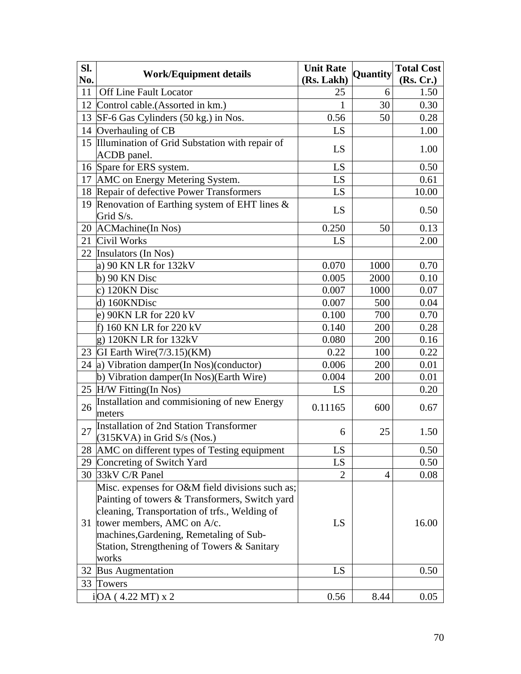| SI.<br>No. | <b>Work/Equipment details</b>                                            | <b>Unit Rate</b><br>(Rs. Lakh) | Quantity       | <b>Total Cost</b><br>(Rs, Cr.) |
|------------|--------------------------------------------------------------------------|--------------------------------|----------------|--------------------------------|
| 11         | Off Line Fault Locator                                                   | 25                             | 6              | 1.50                           |
|            | 12 Control cable. (Assorted in km.)                                      | 1                              | 30             | 0.30                           |
| 13         | SF-6 Gas Cylinders (50 kg.) in Nos.                                      | 0.56                           | 50             | 0.28                           |
|            | 14 Overhauling of CB                                                     | LS                             |                | 1.00                           |
|            | 15 Illumination of Grid Substation with repair of                        |                                |                |                                |
|            | ACDB panel.                                                              | LS                             |                | 1.00                           |
|            | 16 Spare for ERS system.                                                 | LS                             |                | 0.50                           |
| 17         | AMC on Energy Metering System.                                           | LS                             |                | 0.61                           |
|            | 18 Repair of defective Power Transformers                                | LS                             |                | 10.00                          |
|            | 19 Renovation of Earthing system of EHT lines $\&$                       | LS                             |                | 0.50                           |
|            | Grid S/s.                                                                |                                |                |                                |
|            | 20 ACMachine(In Nos)                                                     | 0.250                          | 50             | 0.13                           |
| 21         | Civil Works                                                              | LS                             |                | 2.00                           |
|            | 22 Insulators (In Nos)                                                   |                                |                |                                |
|            | a) 90 KN LR for 132kV                                                    | 0.070                          | 1000           | 0.70                           |
|            | $b)$ 90 KN Disc                                                          | 0.005                          | 2000           | 0.10                           |
|            | c) 120KN Disc                                                            | 0.007                          | 1000           | 0.07                           |
|            | d) 160KNDisc                                                             | 0.007                          | 500            | 0.04                           |
|            | e) 90KN LR for 220 kV                                                    | 0.100                          | 700            | 0.70                           |
|            | f) 160 KN LR for 220 kV                                                  | 0.140                          | 200            | 0.28                           |
|            | $g)$ 120KN LR for 132kV                                                  | 0.080                          | 200            | 0.16                           |
|            | 23 GI Earth Wire (7/3.15) (KM)                                           | 0.22                           | 100            | 0.22                           |
|            | 24 a) Vibration damper(In Nos)(conductor)                                | 0.006                          | 200            | 0.01                           |
|            | b) Vibration damper(In Nos)(Earth Wire)                                  | 0.004                          | 200            | 0.01                           |
|            | 25 H/W Fitting(In Nos)                                                   | LS                             |                | 0.20                           |
| 26         | Installation and commisioning of new Energy<br>meters                    | 0.11165                        | 600            | 0.67                           |
| 27         | Installation of 2nd Station Transformer<br>$(315KVA)$ in Grid S/s (Nos.) | 6                              | 25             | 1.50                           |
| 28         | AMC on different types of Testing equipment                              | LS                             |                | 0.50                           |
|            | 29 Concreting of Switch Yard                                             | LS                             |                | 0.50                           |
|            | 30 33kV C/R Panel                                                        | $\overline{2}$                 | $\overline{4}$ | 0.08                           |
|            | Misc. expenses for O&M field divisions such as;                          |                                |                |                                |
|            | Painting of towers & Transformers, Switch yard                           |                                |                |                                |
|            | cleaning, Transportation of trfs., Welding of                            |                                |                |                                |
|            | 31 tower members, AMC on A/c.                                            | LS                             |                | 16.00                          |
|            | machines, Gardening, Remetaling of Sub-                                  |                                |                |                                |
|            | Station, Strengthening of Towers & Sanitary                              |                                |                |                                |
|            | works                                                                    |                                |                |                                |
|            | 32 Bus Augmentation                                                      | LS                             |                | 0.50                           |
|            | 33 Towers                                                                |                                |                |                                |
|            | i[OA (4.22 MT) x 2]                                                      | 0.56                           | 8.44           | 0.05                           |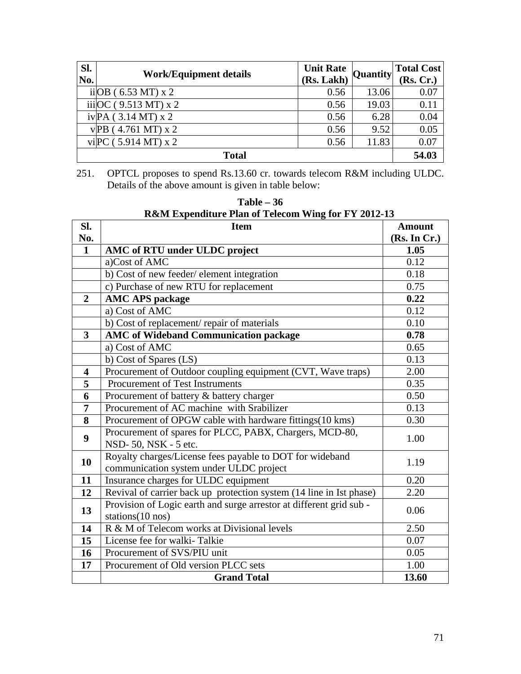| Sl.<br>No.   | <b>Work/Equipment details</b> | <b>Unit Rate</b><br>(Rs. Lakh) | <b>Quantity</b> | <b>Total Cost</b><br>(Rs, Cr.) |
|--------------|-------------------------------|--------------------------------|-----------------|--------------------------------|
|              | ii OB (6.53 MT) x 2           | 0.56                           | 13.06           | 0.07                           |
|              | iii $OC(9.513 MT)$ x 2        | 0.56                           | 19.03           | 0.11                           |
|              | $ivPA$ (3.14 MT) x 2          | 0.56                           | 6.28            | 0.04                           |
|              | $v$ PB (4.761 MT) x 2         | 0.56                           | 9.52            | 0.05                           |
|              | vi PC (5.914 MT) x 2          | 0.56                           | 11.83           | 0.07                           |
| <b>Total</b> |                               |                                |                 | 54.03                          |

251. OPTCL proposes to spend Rs.13.60 cr. towards telecom R&M including ULDC. Details of the above amount is given in table below:

| <b>R&amp;M Expenditure Plan of Telecom Wing for FY 2012-13</b> |                                                                                         |               |  |
|----------------------------------------------------------------|-----------------------------------------------------------------------------------------|---------------|--|
| SI.                                                            | <b>Item</b>                                                                             | <b>Amount</b> |  |
| No.                                                            |                                                                                         | (Rs. In Cr.)  |  |
| $\mathbf{1}$                                                   | AMC of RTU under ULDC project                                                           | 1.05          |  |
|                                                                | a)Cost of AMC                                                                           | 0.12          |  |
|                                                                | b) Cost of new feeder/element integration                                               | 0.18          |  |
|                                                                | c) Purchase of new RTU for replacement                                                  | 0.75          |  |
| $\overline{2}$                                                 | <b>AMC APS package</b>                                                                  | 0.22          |  |
|                                                                | a) Cost of AMC                                                                          | 0.12          |  |
|                                                                | b) Cost of replacement/repair of materials                                              | 0.10          |  |
| $\overline{\mathbf{3}}$                                        | <b>AMC</b> of Wideband Communication package                                            | 0.78          |  |
|                                                                | a) Cost of AMC                                                                          | 0.65          |  |
|                                                                | b) Cost of Spares (LS)                                                                  | 0.13          |  |
| $\overline{\mathbf{4}}$                                        | Procurement of Outdoor coupling equipment (CVT, Wave traps)                             | 2.00          |  |
| 5                                                              | Procurement of Test Instruments                                                         | 0.35          |  |
| 6                                                              | Procurement of battery & battery charger                                                | 0.50          |  |
| 7                                                              | Procurement of AC machine with Srabilizer                                               | 0.13          |  |
| 8                                                              | Procurement of OPGW cable with hardware fittings (10 kms)                               | 0.30          |  |
| 9                                                              | Procurement of spares for PLCC, PABX, Chargers, MCD-80,                                 |               |  |
|                                                                | 1.00<br>NSD-50, NSK - 5 etc.                                                            |               |  |
| 10                                                             | Royalty charges/License fees payable to DOT for wideband                                | 1.19          |  |
|                                                                | communication system under ULDC project                                                 |               |  |
| 11                                                             | Insurance charges for ULDC equipment                                                    | 0.20<br>2.20  |  |
|                                                                | Revival of carrier back up protection system (14 line in Ist phase)<br>12               |               |  |
| 13                                                             | Provision of Logic earth and surge arrestor at different grid sub -<br>stations(10 nos) | 0.06          |  |
| 14                                                             | R & M of Telecom works at Divisional levels                                             | 2.50          |  |
| 15                                                             | License fee for walki-Talkie                                                            | 0.07          |  |
| 16                                                             | Procurement of SVS/PIU unit                                                             | 0.05          |  |
| 17                                                             | Procurement of Old version PLCC sets                                                    | 1.00          |  |
|                                                                | <b>Grand Total</b>                                                                      | 13.60         |  |

**Table – 36**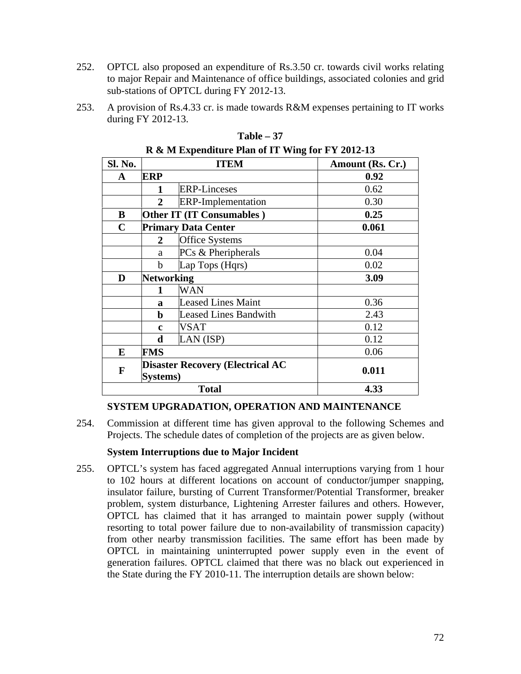- 252. OPTCL also proposed an expenditure of Rs.3.50 cr. towards civil works relating to major Repair and Maintenance of office buildings, associated colonies and grid sub-stations of OPTCL during FY 2012-13.
- 253. A provision of Rs.4.33 cr. is made towards R&M expenses pertaining to IT works during FY 2012-13.

| Sl. No.                                                  |                   | <b>ITEM</b>                  | Amount (Rs. Cr.) |
|----------------------------------------------------------|-------------------|------------------------------|------------------|
| A                                                        | ERP               |                              | 0.92             |
|                                                          | 1                 | <b>ERP-Linceses</b>          | 0.62             |
|                                                          | $\mathbf{2}$      | <b>ERP-Implementation</b>    | 0.30             |
| B                                                        |                   | Other IT (IT Consumables)    | 0.25             |
| $\mathbf C$                                              |                   | <b>Primary Data Center</b>   | 0.061            |
|                                                          | $\mathbf{2}$      | <b>Office Systems</b>        |                  |
|                                                          | a                 | PCs & Pheripherals           | 0.04             |
|                                                          | $\mathbf b$       | Lap Tops (Hqrs)              | 0.02             |
| D                                                        | <b>Networking</b> |                              | 3.09             |
|                                                          | 1                 | <b>WAN</b>                   |                  |
|                                                          | a                 | <b>Leased Lines Maint</b>    | 0.36             |
|                                                          | $\mathbf b$       | <b>Leased Lines Bandwith</b> | 2.43             |
|                                                          | $\mathbf c$       | <b>VSAT</b>                  | 0.12             |
|                                                          | d                 | LAN (ISP)                    | 0.12             |
| E                                                        | <b>FMS</b>        |                              | 0.06             |
| <b>Disaster Recovery (Electrical AC</b><br>F<br>Systems) |                   |                              | 0.011            |
| <b>Total</b>                                             |                   |                              | 4.33             |

#### **Table – 37 R & M Expenditure Plan of IT Wing for FY 2012-13**

### **SYSTEM UPGRADATION, OPERATION AND MAINTENANCE**

254. Commission at different time has given approval to the following Schemes and Projects. The schedule dates of completion of the projects are as given below.

### **System Interruptions due to Major Incident**

255. OPTCL's system has faced aggregated Annual interruptions varying from 1 hour to 102 hours at different locations on account of conductor/jumper snapping, insulator failure, bursting of Current Transformer/Potential Transformer, breaker problem, system disturbance, Lightening Arrester failures and others. However, OPTCL has claimed that it has arranged to maintain power supply (without resorting to total power failure due to non-availability of transmission capacity) from other nearby transmission facilities. The same effort has been made by OPTCL in maintaining uninterrupted power supply even in the event of generation failures. OPTCL claimed that there was no black out experienced in the State during the FY 2010-11. The interruption details are shown below: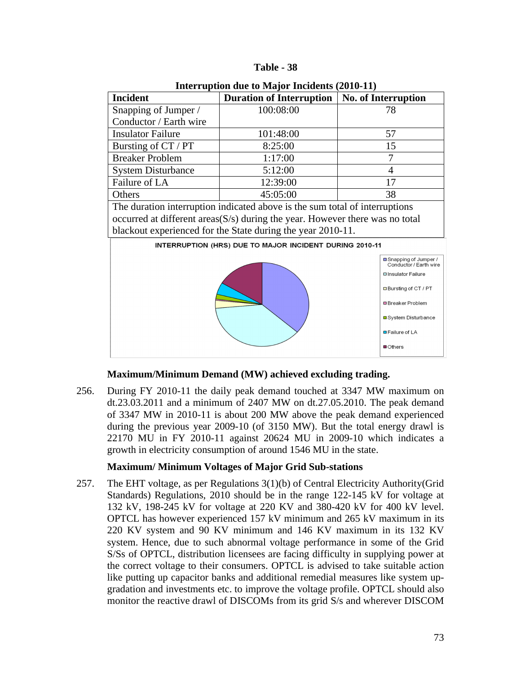| <b>Table</b> |  | - 38 |
|--------------|--|------|
|--------------|--|------|

| Interaption and to $\mathbf{m}$ in Indiachts (2010-11) |                                 |                            |  |  |  |  |  |
|--------------------------------------------------------|---------------------------------|----------------------------|--|--|--|--|--|
| <b>Incident</b>                                        | <b>Duration of Interruption</b> | <b>No. of Interruption</b> |  |  |  |  |  |
| Snapping of Jumper /                                   | 100:08:00                       | 78                         |  |  |  |  |  |
| Conductor / Earth wire                                 |                                 |                            |  |  |  |  |  |
| <b>Insulator Failure</b>                               | 101:48:00                       | 57                         |  |  |  |  |  |
| Bursting of CT / PT                                    | 8:25:00                         | 15                         |  |  |  |  |  |
| <b>Breaker Problem</b>                                 | 1:17:00                         |                            |  |  |  |  |  |
| <b>System Disturbance</b>                              | 5:12:00                         |                            |  |  |  |  |  |
| Failure of LA                                          | 12:39:00                        |                            |  |  |  |  |  |
| Others                                                 | 45:05:00                        | 38                         |  |  |  |  |  |

**Interruption due to Major Incidents (2010-11)**

The duration interruption indicated above is the sum total of interruptions occurred at different areas(S/s) during the year. However there was no total blackout experienced for the State during the year 2010-11.



**Maximum/Minimum Demand (MW) achieved excluding trading.**

256. During FY 2010-11 the daily peak demand touched at 3347 MW maximum on dt.23.03.2011 and a minimum of 2407 MW on dt.27.05.2010. The peak demand of 3347 MW in 2010-11 is about 200 MW above the peak demand experienced during the previous year 2009-10 (of 3150 MW). But the total energy drawl is 22170 MU in FY 2010-11 against 20624 MU in 2009-10 which indicates a growth in electricity consumption of around 1546 MU in the state.

### **Maximum/ Minimum Voltages of Major Grid Sub-stations**

257. The EHT voltage, as per Regulations 3(1)(b) of Central Electricity Authority(Grid Standards) Regulations, 2010 should be in the range 122-145 kV for voltage at 132 kV, 198-245 kV for voltage at 220 KV and 380-420 kV for 400 kV level. OPTCL has however experienced 157 kV minimum and 265 kV maximum in its 220 KV system and 90 KV minimum and 146 KV maximum in its 132 KV system. Hence, due to such abnormal voltage performance in some of the Grid S/Ss of OPTCL, distribution licensees are facing difficulty in supplying power at the correct voltage to their consumers. OPTCL is advised to take suitable action like putting up capacitor banks and additional remedial measures like system upgradation and investments etc. to improve the voltage profile. OPTCL should also monitor the reactive drawl of DISCOMs from its grid S/s and wherever DISCOM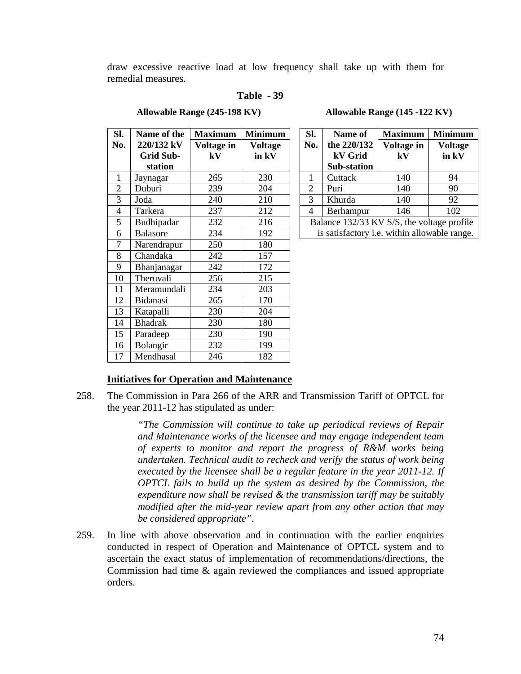draw excessive reactive load at low frequency shall take up with them for remedial measures.

#### **Table - 39**

| Sl.            | Name of the      | <b>Maximum</b> | <b>Minimum</b> |  |
|----------------|------------------|----------------|----------------|--|
| No.            | 220/132 kV       | Voltage in     | <b>Voltage</b> |  |
|                | <b>Grid Sub-</b> | kV             | in kV          |  |
|                | station          |                |                |  |
| $\mathbf{1}$   | Jaynagar         | 265            | 230            |  |
| $\overline{c}$ | Duburi           | 239            | 204            |  |
| 3              | Joda             | 240            | 210            |  |
| 4              | Tarkera          | 237            | 212            |  |
| 5              | Budhipadar       | 232            | 216            |  |
| 6              | <b>Balasore</b>  | 234            | 192            |  |
| 7              | Narendrapur      | 250            | 180            |  |
| 8              | Chandaka         | 242            | 157            |  |
| 9              | Bhanjanagar      | 242            | 172            |  |
| 10             | Theruvali        | 256            | 215            |  |
| 11             | Meramundali      | 234            | 203            |  |
| 12             | Bidanasi         | 265            | 170            |  |
| 13             | Katapalli        | 230            | 204            |  |
| 14             | <b>Bhadrak</b>   | 230            | 180            |  |
| 15             | Paradeep         | 230            | 190            |  |
| 16             | Bolangir         | 232            | 199            |  |
| 17             | Mendhasal        | 246            | 182            |  |

**Allowable Range (245-198 KV) Allowable Range (145 -122 KV)**

| Sl.                                        | Name of                                      | <b>Maximum</b> | <b>Minimum</b> |  |  |
|--------------------------------------------|----------------------------------------------|----------------|----------------|--|--|
| No.                                        | the 220/132                                  | Voltage in     | <b>Voltage</b> |  |  |
|                                            | kV Grid                                      | ${\bf kV}$     | in kV          |  |  |
|                                            | Sub-station                                  |                |                |  |  |
|                                            | Cuttack                                      | 140            | 94             |  |  |
| 2                                          | Puri                                         | 140            | 90             |  |  |
| 3                                          | Khurda                                       | 140            | 92             |  |  |
| 4                                          | Berhampur                                    | 146            | 102            |  |  |
| Balance 132/33 KV S/S, the voltage profile |                                              |                |                |  |  |
|                                            | is satisfactory i.e. within allowable range. |                |                |  |  |

#### **Initiatives for Operation and Maintenance**

258. The Commission in Para 266 of the ARR and Transmission Tariff of OPTCL for the year 2011-12 has stipulated as under:

> *"The Commission will continue to take up periodical reviews of Repair and Maintenance works of the licensee and may engage independent team of experts to monitor and report the progress of R&M works being undertaken. Technical audit to recheck and verify the status of work being executed by the licensee shall be a regular feature in the year 2011-12. If OPTCL fails to build up the system as desired by the Commission, the expenditure now shall be revised & the transmission tariff may be suitably modified after the mid-year review apart from any other action that may be considered appropriate".*

259. In line with above observation and in continuation with the earlier enquiries conducted in respect of Operation and Maintenance of OPTCL system and to ascertain the exact status of implementation of recommendations/directions, the Commission had time & again reviewed the compliances and issued appropriate orders.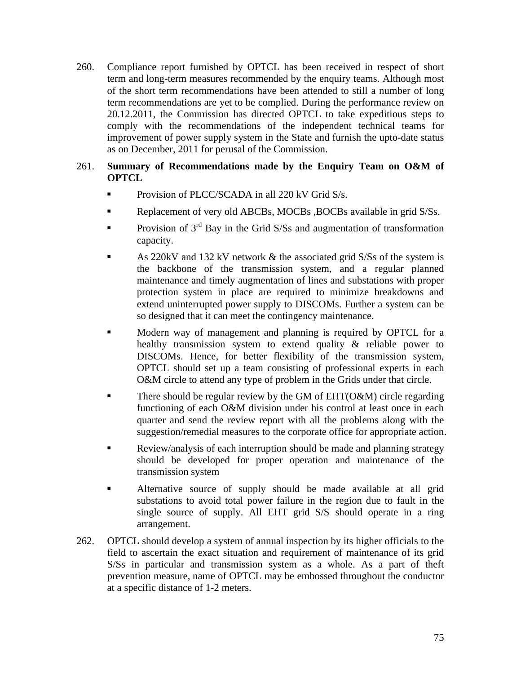- 260. Compliance report furnished by OPTCL has been received in respect of short term and long-term measures recommended by the enquiry teams. Although most of the short term recommendations have been attended to still a number of long term recommendations are yet to be complied. During the performance review on 20.12.2011, the Commission has directed OPTCL to take expeditious steps to comply with the recommendations of the independent technical teams for improvement of power supply system in the State and furnish the upto-date status as on December, 2011 for perusal of the Commission.
- 261. **Summary of Recommendations made by the Enquiry Team on O&M of OPTCL**
	- **Provision of PLCC/SCADA in all 220 kV Grid S/s.**
	- Replacement of very old ABCBs, MOCBs, BOCBs available in grid S/Ss.
	- Provision of 3<sup>rd</sup> Bay in the Grid S/Ss and augmentation of transformation capacity.
	- As 220kV and 132 kV network & the associated grid S/Ss of the system is the backbone of the transmission system, and a regular planned maintenance and timely augmentation of lines and substations with proper protection system in place are required to minimize breakdowns and extend uninterrupted power supply to DISCOMs. Further a system can be so designed that it can meet the contingency maintenance.
	- Modern way of management and planning is required by OPTCL for a healthy transmission system to extend quality & reliable power to DISCOMs. Hence, for better flexibility of the transmission system, OPTCL should set up a team consisting of professional experts in each O&M circle to attend any type of problem in the Grids under that circle.
	- There should be regular review by the GM of  $EHT(O\&M)$  circle regarding functioning of each O&M division under his control at least once in each quarter and send the review report with all the problems along with the suggestion/remedial measures to the corporate office for appropriate action.
	- **Review/analysis of each interruption should be made and planning strategy** should be developed for proper operation and maintenance of the transmission system
	- Alternative source of supply should be made available at all grid substations to avoid total power failure in the region due to fault in the single source of supply. All EHT grid S/S should operate in a ring arrangement.
- 262. OPTCL should develop a system of annual inspection by its higher officials to the field to ascertain the exact situation and requirement of maintenance of its grid S/Ss in particular and transmission system as a whole. As a part of theft prevention measure, name of OPTCL may be embossed throughout the conductor at a specific distance of 1-2 meters.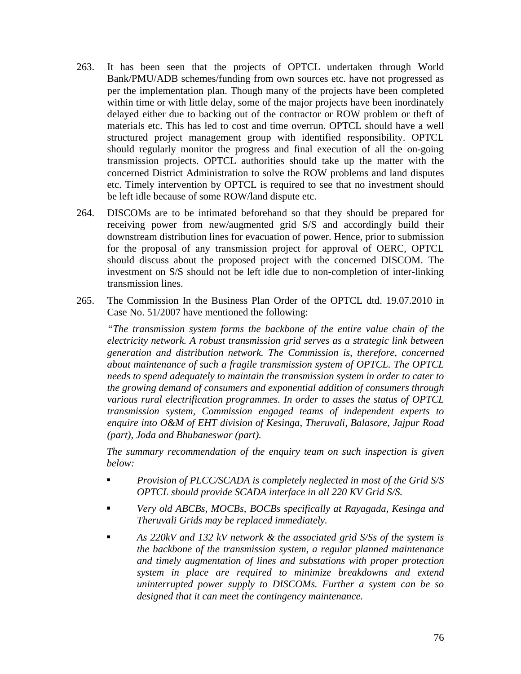- 263. It has been seen that the projects of OPTCL undertaken through World Bank/PMU/ADB schemes/funding from own sources etc. have not progressed as per the implementation plan. Though many of the projects have been completed within time or with little delay, some of the major projects have been inordinately delayed either due to backing out of the contractor or ROW problem or theft of materials etc. This has led to cost and time overrun. OPTCL should have a well structured project management group with identified responsibility. OPTCL should regularly monitor the progress and final execution of all the on-going transmission projects. OPTCL authorities should take up the matter with the concerned District Administration to solve the ROW problems and land disputes etc. Timely intervention by OPTCL is required to see that no investment should be left idle because of some ROW/land dispute etc.
- 264. DISCOMs are to be intimated beforehand so that they should be prepared for receiving power from new/augmented grid S/S and accordingly build their downstream distribution lines for evacuation of power. Hence, prior to submission for the proposal of any transmission project for approval of OERC, OPTCL should discuss about the proposed project with the concerned DISCOM. The investment on S/S should not be left idle due to non-completion of inter-linking transmission lines.
- 265. The Commission In the Business Plan Order of the OPTCL dtd. 19.07.2010 in Case No. 51/2007 have mentioned the following:

*"The transmission system forms the backbone of the entire value chain of the electricity network. A robust transmission grid serves as a strategic link between generation and distribution network. The Commission is, therefore, concerned about maintenance of such a fragile transmission system of OPTCL. The OPTCL needs to spend adequately to maintain the transmission system in order to cater to the growing demand of consumers and exponential addition of consumers through various rural electrification programmes. In order to asses the status of OPTCL transmission system, Commission engaged teams of independent experts to enquire into O&M of EHT division of Kesinga, Theruvali, Balasore, Jajpur Road (part), Joda and Bhubaneswar (part).*

*The summary recommendation of the enquiry team on such inspection is given below:*

- *Provision of PLCC/SCADA is completely neglected in most of the Grid S/S OPTCL should provide SCADA interface in all 220 KV Grid S/S.*
- *Very old ABCBs, MOCBs, BOCBs specifically at Rayagada, Kesinga and Theruvali Grids may be replaced immediately.*
- *As 220kV and 132 kV network & the associated grid S/Ss of the system is the backbone of the transmission system, a regular planned maintenance and timely augmentation of lines and substations with proper protection system in place are required to minimize breakdowns and extend uninterrupted power supply to DISCOMs. Further a system can be so designed that it can meet the contingency maintenance.*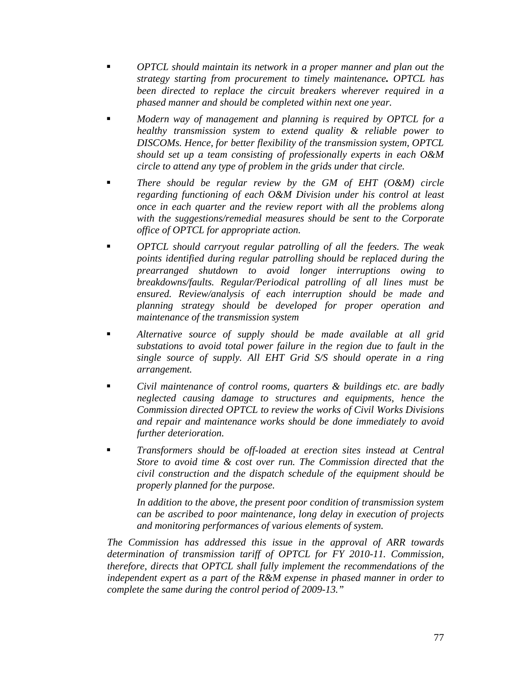- *OPTCL should maintain its network in a proper manner and plan out the strategy starting from procurement to timely maintenance. OPTCL has been directed to replace the circuit breakers wherever required in a phased manner and should be completed within next one year.*
- *Modern way of management and planning is required by OPTCL for a healthy transmission system to extend quality & reliable power to DISCOMs. Hence, for better flexibility of the transmission system, OPTCL should set up a team consisting of professionally experts in each O&M circle to attend any type of problem in the grids under that circle.*
- *There should be regular review by the GM of EHT (O&M) circle regarding functioning of each O&M Division under his control at least once in each quarter and the review report with all the problems along with the suggestions/remedial measures should be sent to the Corporate office of OPTCL for appropriate action.*
- *OPTCL should carryout regular patrolling of all the feeders. The weak points identified during regular patrolling should be replaced during the prearranged shutdown to avoid longer interruptions owing to breakdowns/faults. Regular/Periodical patrolling of all lines must be ensured. Review/analysis of each interruption should be made and planning strategy should be developed for proper operation and maintenance of the transmission system*
- *Alternative source of supply should be made available at all grid substations to avoid total power failure in the region due to fault in the single source of supply. All EHT Grid S/S should operate in a ring arrangement.*
- *Civil maintenance of control rooms, quarters & buildings etc. are badly neglected causing damage to structures and equipments, hence the Commission directed OPTCL to review the works of Civil Works Divisions and repair and maintenance works should be done immediately to avoid further deterioration.*
- *Transformers should be off-loaded at erection sites instead at Central Store to avoid time & cost over run. The Commission directed that the civil construction and the dispatch schedule of the equipment should be properly planned for the purpose.*

*In addition to the above, the present poor condition of transmission system can be ascribed to poor maintenance, long delay in execution of projects and monitoring performances of various elements of system.*

*The Commission has addressed this issue in the approval of ARR towards determination of transmission tariff of OPTCL for FY 2010-11. Commission, therefore, directs that OPTCL shall fully implement the recommendations of the independent expert as a part of the R&M expense in phased manner in order to complete the same during the control period of 2009-13."*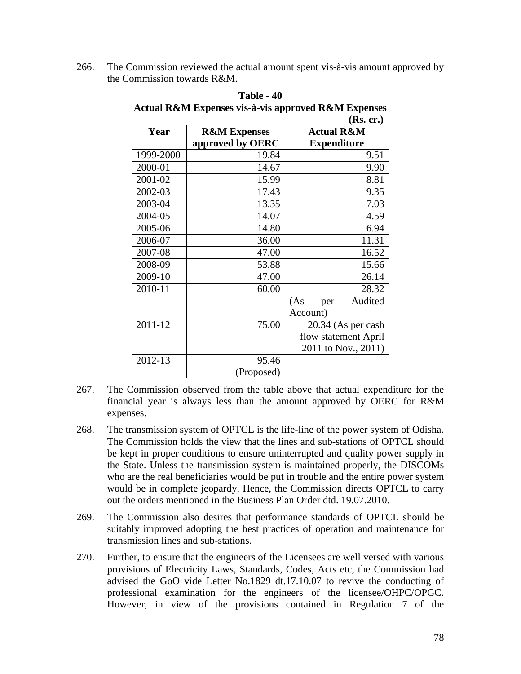266. The Commission reviewed the actual amount spent vis-à-vis amount approved by the Commission towards R&M.

|           |                         | (KS. CF.)             |
|-----------|-------------------------|-----------------------|
| Year      | <b>R&amp;M Expenses</b> | <b>Actual R&amp;M</b> |
|           | approved by OERC        | <b>Expenditure</b>    |
| 1999-2000 | 19.84                   | 9.51                  |
| 2000-01   | 14.67                   | 9.90                  |
| 2001-02   | 15.99                   | 8.81                  |
| 2002-03   | 17.43                   | 9.35                  |
| 2003-04   | 13.35                   | 7.03                  |
| 2004-05   | 14.07                   | 4.59                  |
| 2005-06   | 14.80                   | 6.94                  |
| 2006-07   | 36.00                   | 11.31                 |
| 2007-08   | 47.00                   | 16.52                 |
| 2008-09   | 53.88                   | 15.66                 |
| 2009-10   | 47.00                   | 26.14                 |
| 2010-11   | 60.00                   | 28.32                 |
|           |                         | Audited<br>(As<br>per |
|           |                         | Account)              |
| 2011-12   | 75.00                   | 20.34 (As per cash    |
|           |                         | flow statement April  |
|           |                         | 2011 to Nov., 2011)   |
| 2012-13   | 95.46                   |                       |
|           | (Proposed)              |                       |

**Table - 40 Actual R&M Expenses vis-à-vis approved R&M Expenses**  $(\mathbf{p}_{\alpha}, \mathbf{q})$ 

- 267. The Commission observed from the table above that actual expenditure for the financial year is always less than the amount approved by OERC for R&M expenses.
- 268. The transmission system of OPTCL is the life-line of the power system of Odisha. The Commission holds the view that the lines and sub-stations of OPTCL should be kept in proper conditions to ensure uninterrupted and quality power supply in the State. Unless the transmission system is maintained properly, the DISCOMs who are the real beneficiaries would be put in trouble and the entire power system would be in complete jeopardy. Hence, the Commission directs OPTCL to carry out the orders mentioned in the Business Plan Order dtd. 19.07.2010.
- 269. The Commission also desires that performance standards of OPTCL should be suitably improved adopting the best practices of operation and maintenance for transmission lines and sub-stations.
- 270. Further, to ensure that the engineers of the Licensees are well versed with various provisions of Electricity Laws, Standards, Codes, Acts etc, the Commission had advised the GoO vide Letter No.1829 dt.17.10.07 to revive the conducting of professional examination for the engineers of the licensee/OHPC/OPGC. However, in view of the provisions contained in Regulation 7 of the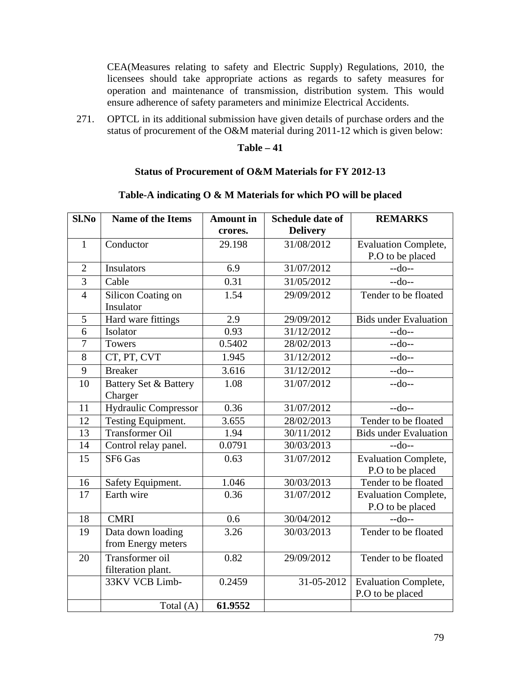CEA(Measures relating to safety and Electric Supply) Regulations, 2010, the licensees should take appropriate actions as regards to safety measures for operation and maintenance of transmission, distribution system. This would ensure adherence of safety parameters and minimize Electrical Accidents.

271. OPTCL in its additional submission have given details of purchase orders and the status of procurement of the O&M material during 2011-12 which is given below:

## **Table – 41**

#### **Status of Procurement of O&M Materials for FY 2012-13**

# **Table-A indicating O & M Materials for which PO will be placed**

| Sl.No          | <b>Name of the Items</b>                    | <b>Amount</b> in | <b>Schedule date of</b> | <b>REMARKS</b>                                  |  |
|----------------|---------------------------------------------|------------------|-------------------------|-------------------------------------------------|--|
|                |                                             | crores.          | <b>Delivery</b>         |                                                 |  |
| $\mathbf{1}$   | Conductor                                   | 29.198           | 31/08/2012              | <b>Evaluation Complete,</b>                     |  |
|                |                                             |                  |                         | P.O to be placed                                |  |
| $\overline{2}$ | <b>Insulators</b>                           | 6.9              | 31/07/2012              | $-do-$                                          |  |
| $\overline{3}$ | Cable                                       | 0.31             | 31/05/2012              | $-do-$                                          |  |
| $\overline{4}$ | Silicon Coating on<br>Insulator             | 1.54             | 29/09/2012              | Tender to be floated                            |  |
| 5              | Hard ware fittings                          | 2.9              | 29/09/2012              | <b>Bids under Evaluation</b>                    |  |
| 6              | Isolator                                    | 0.93             | 31/12/2012              | $-do-$                                          |  |
| $\overline{7}$ | <b>Towers</b>                               | 0.5402           | 28/02/2013              | $-do-$                                          |  |
| 8              | CT, PT, CVT                                 | 1.945            | 31/12/2012              | $-do-$                                          |  |
| 9              | <b>Breaker</b>                              | 3.616            | 31/12/2012              | $-do-$                                          |  |
| 10             | <b>Battery Set &amp; Battery</b><br>Charger | 1.08             | 31/07/2012              | $-do-$                                          |  |
| 11             | <b>Hydraulic Compressor</b>                 | 0.36             | 31/07/2012              | $-do-$                                          |  |
| 12             | Testing Equipment.                          | 3.655            | 28/02/2013              | Tender to be floated                            |  |
| 13             | <b>Transformer Oil</b>                      | 1.94             | 30/11/2012              | <b>Bids under Evaluation</b>                    |  |
| 14             | Control relay panel.                        | 0.0791           | 30/03/2013              | $-do-$                                          |  |
| 15             | SF6 Gas                                     | 0.63             | 31/07/2012              | <b>Evaluation Complete,</b><br>P.O to be placed |  |
| 16             | Safety Equipment.                           | 1.046            | 30/03/2013              | Tender to be floated                            |  |
| 17             | Earth wire                                  | 0.36             | 31/07/2012              | <b>Evaluation Complete,</b><br>P.O to be placed |  |
| 18             | <b>CMRI</b>                                 | 0.6              | 30/04/2012              | $-do-$                                          |  |
| 19             | Data down loading<br>from Energy meters     | 3.26             | 30/03/2013              | Tender to be floated                            |  |
| 20             | Transformer oil<br>filteration plant.       | 0.82             | 29/09/2012              | Tender to be floated                            |  |
|                | 33KV VCB Limb-                              | 0.2459           | 31-05-2012              | <b>Evaluation Complete,</b><br>P.O to be placed |  |
|                | Total $(A)$                                 | 61.9552          |                         |                                                 |  |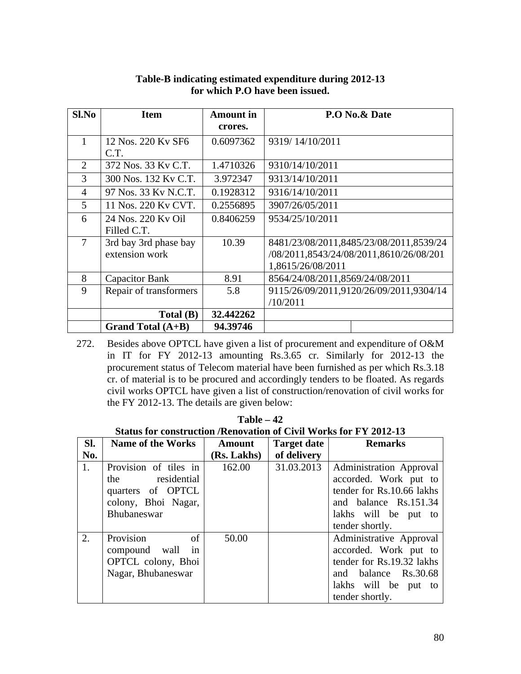| $Sl$ .No       | <b>Item</b>            | <b>Amount</b> in | P.O No.& Date                           |
|----------------|------------------------|------------------|-----------------------------------------|
|                |                        | crores.          |                                         |
|                | 12 Nos. 220 Ky SF6     | 0.6097362        | 9319/14/10/2011                         |
|                | C.T.                   |                  |                                         |
| $\overline{2}$ | 372 Nos. 33 Ky C.T.    | 1.4710326        | 9310/14/10/2011                         |
| 3              | 300 Nos. 132 Ky C.T.   | 3.972347         | 9313/14/10/2011                         |
| $\overline{4}$ | 97 Nos. 33 Ky N.C.T.   | 0.1928312        | 9316/14/10/2011                         |
| 5              | 11 Nos. 220 Ky CVT.    | 0.2556895        | 3907/26/05/2011                         |
| 6              | 24 Nos. 220 Ky Oil     | 0.8406259        | 9534/25/10/2011                         |
|                | Filled C.T.            |                  |                                         |
| $\overline{7}$ | 3rd bay 3rd phase bay  | 10.39            | 8481/23/08/2011,8485/23/08/2011,8539/24 |
|                | extension work         |                  | /08/2011,8543/24/08/2011,8610/26/08/201 |
|                |                        |                  | 1,8615/26/08/2011                       |
| 8              | Capacitor Bank         | 8.91             | 8564/24/08/2011,8569/24/08/2011         |
| 9              | Repair of transformers | 5.8              | 9115/26/09/2011,9120/26/09/2011,9304/14 |
|                |                        |                  | /10/2011                                |
|                | Total(B)               | 32.442262        |                                         |
|                | Grand Total $(A+B)$    | 94.39746         |                                         |

# **Table-B indicating estimated expenditure during 2012-13 for which P.O have been issued.**

272. Besides above OPTCL have given a list of procurement and expenditure of O&M in IT for FY 2012-13 amounting Rs.3.65 cr. Similarly for 2012-13 the procurement status of Telecom material have been furnished as per which Rs.3.18 cr. of material is to be procured and accordingly tenders to be floated. As regards civil works OPTCL have given a list of construction/renovation of civil works for the FY 2012-13. The details are given below:

**Table – 42 Status for construction /Renovation of Civil Works for FY 2012-13**

| Sl. | <b>Name of the Works</b>                                                                               | <b>Amount</b> | <b>Target date</b> | <b>Remarks</b>                                                                                                                                           |
|-----|--------------------------------------------------------------------------------------------------------|---------------|--------------------|----------------------------------------------------------------------------------------------------------------------------------------------------------|
| No. |                                                                                                        | (Rs. Lakhs)   | of delivery        |                                                                                                                                                          |
| 1.  | Provision of tiles in<br>residential<br>the<br>quarters of OPTCL<br>colony, Bhoi Nagar,<br>Bhubaneswar | 162.00        | 31.03.2013         | <b>Administration</b> Approval<br>accorded. Work put to<br>tender for Rs.10.66 lakhs<br>and balance Rs.151.34<br>lakhs will be put to<br>tender shortly. |
| 2.  | Provision<br>of<br>compound wall<br>in<br>OPTCL colony, Bhoi<br>Nagar, Bhubaneswar                     | 50.00         |                    | Administrative Approval<br>accorded. Work put to<br>tender for Rs.19.32 lakhs<br>and balance Rs.30.68<br>lakhs will be put to<br>tender shortly.         |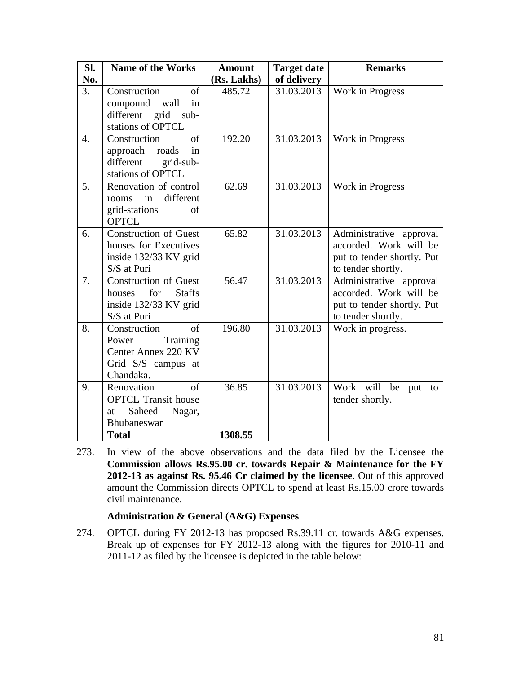| Sl.              | <b>Name of the Works</b>                                                                               | <b>Amount</b> | <b>Target date</b> | <b>Remarks</b>                                                                                           |
|------------------|--------------------------------------------------------------------------------------------------------|---------------|--------------------|----------------------------------------------------------------------------------------------------------|
| No.              |                                                                                                        | (Rs. Lakhs)   | of delivery        |                                                                                                          |
| 3.               | Construction<br>of<br>compound wall<br>in<br>different grid sub-<br>stations of OPTCL                  | 485.72        | 31.03.2013         | Work in Progress                                                                                         |
| $\overline{4}$ . | of<br>Construction<br>approach roads<br>in<br>different<br>grid-sub-<br>stations of OPTCL              | 192.20        | 31.03.2013         | Work in Progress                                                                                         |
| 5.               | Renovation of control<br>different<br>in<br>rooms<br>grid-stations<br>of<br><b>OPTCL</b>               | 62.69         | 31.03.2013         | Work in Progress                                                                                         |
| 6.               | Construction of Guest<br>houses for Executives<br>inside 132/33 KV grid<br>S/S at Puri                 | 65.82         | 31.03.2013         | Administrative<br>approval<br>accorded. Work will be<br>put to tender shortly. Put<br>to tender shortly. |
| 7.               | <b>Construction of Guest</b><br>for<br><b>Staffs</b><br>houses<br>inside 132/33 KV grid<br>S/S at Puri | 56.47         | 31.03.2013         | Administrative approval<br>accorded. Work will be<br>put to tender shortly. Put<br>to tender shortly.    |
| 8.               | Construction<br>of<br>Training<br>Power<br>Center Annex 220 KV<br>Grid S/S campus at<br>Chandaka.      | 196.80        | 31.03.2013         | Work in progress.                                                                                        |
| 9.               | Renovation<br>$\sigma$ f<br><b>OPTCL Transit house</b><br>Saheed<br>Nagar,<br>at<br><b>Bhubaneswar</b> | 36.85         | 31.03.2013         | Work will<br>be<br>put<br>to<br>tender shortly.                                                          |
|                  | <b>Total</b>                                                                                           | 1308.55       |                    |                                                                                                          |

273. In view of the above observations and the data filed by the Licensee the **Commission allows Rs.95.00 cr. towards Repair & Maintenance for the FY 2012-13 as against Rs. 95.46 Cr claimed by the licensee**. Out of this approved amount the Commission directs OPTCL to spend at least Rs.15.00 crore towards civil maintenance.

### **Administration & General (A&G) Expenses**

274. OPTCL during FY 2012-13 has proposed Rs.39.11 cr. towards A&G expenses. Break up of expenses for FY 2012-13 along with the figures for 2010-11 and 2011-12 as filed by the licensee is depicted in the table below: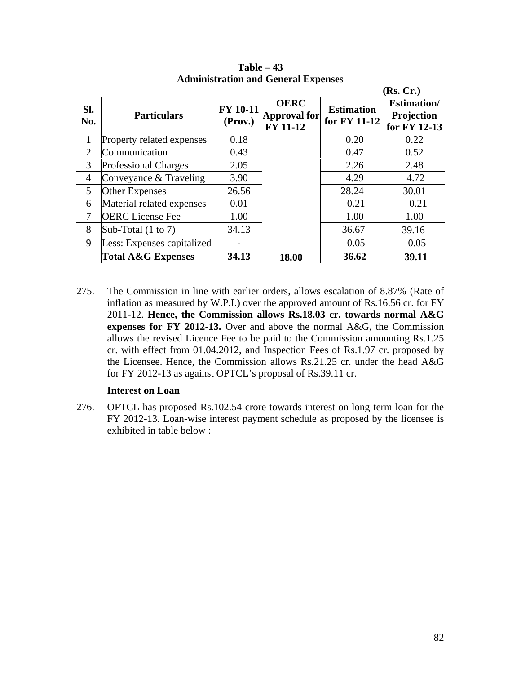|                |                               |                            |                                                       |                                   | (Rs, Cr.)                                         |
|----------------|-------------------------------|----------------------------|-------------------------------------------------------|-----------------------------------|---------------------------------------------------|
| SI.<br>No.     | <b>Particulars</b>            | <b>FY 10-11</b><br>(Prov.) | <b>OERC</b><br><b>Approval for</b><br><b>FY 11-12</b> | <b>Estimation</b><br>for FY 11-12 | <b>Estimation</b> /<br>Projection<br>for FY 12-13 |
| 1              | Property related expenses     | 0.18                       |                                                       | 0.20                              | 0.22                                              |
| $\overline{2}$ | Communication                 | 0.43                       |                                                       | 0.47                              | 0.52                                              |
| 3              | <b>Professional Charges</b>   | 2.05                       |                                                       | 2.26                              | 2.48                                              |
| 4              | Conveyance & Traveling        | 3.90                       |                                                       | 4.29                              | 4.72                                              |
| 5              | Other Expenses                | 26.56                      |                                                       | 28.24                             | 30.01                                             |
| 6              | Material related expenses     | 0.01                       |                                                       | 0.21                              | 0.21                                              |
| 7              | <b>OERC</b> License Fee       | 1.00                       |                                                       | 1.00                              | 1.00                                              |
| 8              | Sub-Total $(1 \text{ to } 7)$ | 34.13                      |                                                       | 36.67                             | 39.16                                             |
| 9              | Less: Expenses capitalized    |                            |                                                       | 0.05                              | 0.05                                              |
|                | <b>Total A&amp;G Expenses</b> | 34.13                      | 18.00                                                 | 36.62                             | 39.11                                             |

**Table – 43 Administration and General Expenses**

275. The Commission in line with earlier orders, allows escalation of 8.87% (Rate of inflation as measured by W.P.I.) over the approved amount of Rs.16.56 cr. for FY 2011-12. **Hence, the Commission allows Rs.18.03 cr. towards normal A&G expenses for FY 2012-13.** Over and above the normal A&G, the Commission allows the revised Licence Fee to be paid to the Commission amounting Rs.1.25 cr. with effect from 01.04.2012, and Inspection Fees of Rs.1.97 cr. proposed by the Licensee. Hence, the Commission allows Rs.21.25 cr. under the head A&G for FY 2012-13 as against OPTCL's proposal of Rs.39.11 cr.

### **Interest on Loan**

276. OPTCL has proposed Rs.102.54 crore towards interest on long term loan for the FY 2012-13. Loan-wise interest payment schedule as proposed by the licensee is exhibited in table below :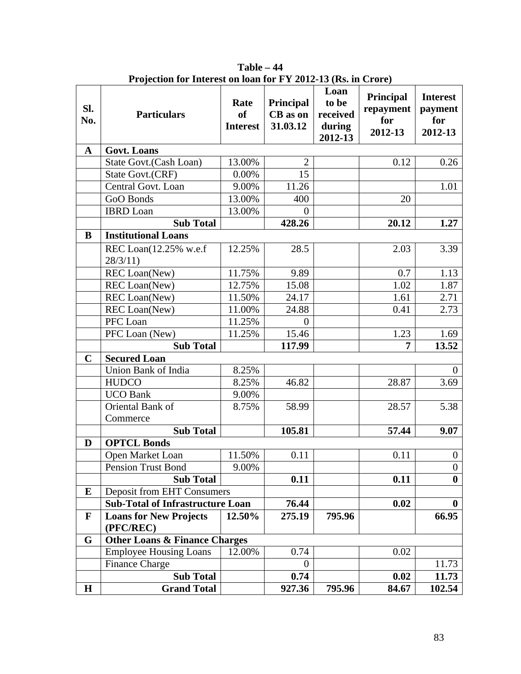| SI.<br>No.   | <b>Particulars</b>                         | Rate<br><b>of</b><br><b>Interest</b> | Principal<br><b>CB</b> as on<br>31.03.12 | Loan<br>to be<br>received<br>during<br>2012-13 | Principal<br>repayment<br>for<br>2012-13 | <b>Interest</b><br>payment<br>for<br>2012-13 |
|--------------|--------------------------------------------|--------------------------------------|------------------------------------------|------------------------------------------------|------------------------------------------|----------------------------------------------|
| $\mathbf{A}$ | <b>Govt. Loans</b>                         |                                      |                                          |                                                |                                          |                                              |
|              | State Govt. (Cash Loan)                    | 13.00%                               | $\overline{2}$                           |                                                | 0.12                                     | 0.26                                         |
|              | <b>State Govt.(CRF)</b>                    | 0.00%                                | 15                                       |                                                |                                          |                                              |
|              | Central Govt. Loan                         | 9.00%                                | 11.26                                    |                                                |                                          | 1.01                                         |
|              | GoO Bonds                                  | 13.00%                               | 400                                      |                                                | 20                                       |                                              |
|              | <b>IBRD</b> Loan                           | 13.00%                               | $\Omega$                                 |                                                |                                          |                                              |
|              | <b>Sub Total</b>                           |                                      | 428.26                                   |                                                | 20.12                                    | 1.27                                         |
| B            | <b>Institutional Loans</b>                 |                                      |                                          |                                                |                                          |                                              |
|              | REC Loan(12.25% w.e.f                      | 12.25%                               | 28.5                                     |                                                | 2.03                                     | 3.39                                         |
|              | 28/3/11                                    |                                      |                                          |                                                |                                          |                                              |
|              | <b>REC</b> Loan(New)                       | 11.75%                               | 9.89                                     |                                                | 0.7                                      | 1.13                                         |
|              | <b>REC</b> Loan(New)                       | 12.75%                               | 15.08                                    |                                                | 1.02                                     | 1.87                                         |
|              | <b>REC</b> Loan(New)                       | 11.50%                               | 24.17                                    |                                                | 1.61                                     | 2.71                                         |
|              | <b>REC</b> Loan(New)                       | 11.00%                               | 24.88                                    |                                                | 0.41                                     | 2.73                                         |
|              | PFC Loan                                   | 11.25%                               | $\overline{0}$                           |                                                |                                          |                                              |
|              | PFC Loan (New)                             | 11.25%                               | 15.46                                    |                                                | 1.23                                     | 1.69                                         |
|              | <b>Sub Total</b>                           |                                      | 117.99                                   |                                                | 7                                        | 13.52                                        |
| $\mathbf C$  | <b>Secured Loan</b>                        |                                      |                                          |                                                |                                          |                                              |
|              | Union Bank of India                        | 8.25%                                |                                          |                                                |                                          | $\mathbf{0}$                                 |
|              | <b>HUDCO</b>                               | 8.25%                                | 46.82                                    |                                                | 28.87                                    | 3.69                                         |
|              | <b>UCO Bank</b>                            | 9.00%                                |                                          |                                                |                                          |                                              |
|              | Oriental Bank of                           | 8.75%                                | 58.99                                    |                                                | 28.57                                    | 5.38                                         |
|              | Commerce                                   |                                      |                                          |                                                |                                          |                                              |
|              | <b>Sub Total</b>                           |                                      | 105.81                                   |                                                | 57.44                                    | 9.07                                         |
| D            | <b>OPTCL Bonds</b>                         |                                      |                                          |                                                |                                          |                                              |
|              | Open Market Loan                           | 11.50%                               | 0.11                                     |                                                | 0.11                                     | $\boldsymbol{0}$                             |
|              | Pension Trust Bond                         | 9.00%                                |                                          |                                                |                                          | $\boldsymbol{0}$                             |
|              | <b>Sub Total</b>                           |                                      | 0.11                                     |                                                | 0.11                                     | $\bf{0}$                                     |
| E            | <b>Deposit from EHT Consumers</b>          |                                      |                                          |                                                |                                          |                                              |
|              | <b>Sub-Total of Infrastructure Loan</b>    |                                      | 76.44                                    |                                                | 0.02                                     | $\bf{0}$                                     |
| $\mathbf{F}$ | <b>Loans for New Projects</b><br>(PFC/REC) | 12.50%                               | 275.19                                   | 795.96                                         |                                          | 66.95                                        |
| G            | <b>Other Loans &amp; Finance Charges</b>   |                                      |                                          |                                                |                                          |                                              |
|              | <b>Employee Housing Loans</b>              | 12.00%                               | 0.74                                     |                                                | 0.02                                     |                                              |
|              | <b>Finance Charge</b>                      |                                      | $\overline{0}$                           |                                                |                                          | 11.73                                        |
|              | <b>Sub Total</b>                           |                                      | 0.74                                     |                                                | 0.02                                     | 11.73                                        |
| $\mathbf H$  | <b>Grand Total</b>                         |                                      | 927.36                                   | 795.96                                         | 84.67                                    | 102.54                                       |

**Table – 44 Projection for Interest on loan for FY 2012-13 (Rs. in Crore)**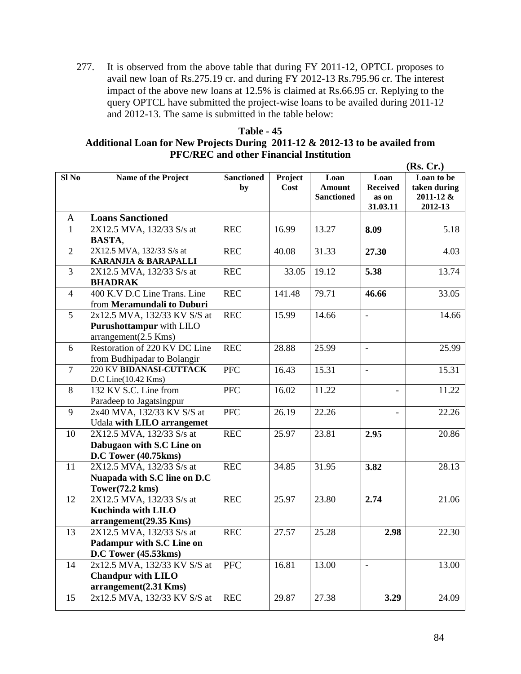277. It is observed from the above table that during FY 2011-12, OPTCL proposes to avail new loan of Rs.275.19 cr. and during FY 2012-13 Rs.795.96 cr. The interest impact of the above new loans at 12.5% is claimed at Rs.66.95 cr. Replying to the query OPTCL have submitted the project-wise loans to be availed during 2011-12 and 2012-13. The same is submitted in the table below:

## **Table - 45 Additional Loan for New Projects During 2011-12 & 2012-13 to be availed from PFC/REC and other Financial Institution**

|                |                                 |                   |         |                   |                          | (Rs, Cr.)            |
|----------------|---------------------------------|-------------------|---------|-------------------|--------------------------|----------------------|
| $SI$ No        | Name of the Project             | <b>Sanctioned</b> | Project | Loan              | Loan                     | Loan to be           |
|                |                                 | by                | Cost    | <b>Amount</b>     | <b>Received</b>          | taken during         |
|                |                                 |                   |         | <b>Sanctioned</b> | as on<br>31.03.11        | 2011-12 &<br>2012-13 |
| A              | <b>Loans Sanctioned</b>         |                   |         |                   |                          |                      |
| $\mathbf{1}$   | 2X12.5 MVA, 132/33 S/s at       | <b>REC</b>        | 16.99   | 13.27             | 8.09                     | 5.18                 |
|                | <b>BASTA,</b>                   |                   |         |                   |                          |                      |
| $\overline{2}$ | 2X12.5 MVA, 132/33 S/s at       | <b>REC</b>        | 40.08   | 31.33             | 27.30                    | 4.03                 |
|                | <b>KARANJIA &amp; BARAPALLI</b> |                   |         |                   |                          |                      |
| 3              | 2X12.5 MVA, 132/33 S/s at       | <b>REC</b>        | 33.05   | 19.12             | 5.38                     | 13.74                |
|                | <b>BHADRAK</b>                  |                   |         |                   |                          |                      |
| $\overline{4}$ | 400 K.V D.C Line Trans. Line    | <b>REC</b>        | 141.48  | 79.71             | 46.66                    | 33.05                |
|                | from Meramundali to Duburi      |                   |         |                   |                          |                      |
| 5              | 2x12.5 MVA, 132/33 KV S/S at    | <b>REC</b>        | 15.99   | 14.66             | $\blacksquare$           | 14.66                |
|                | Purushottampur with LILO        |                   |         |                   |                          |                      |
|                | arrangement(2.5 Kms)            |                   |         |                   |                          |                      |
| 6              | Restoration of 220 KV DC Line   | <b>REC</b>        | 28.88   | 25.99             | $\overline{\phantom{a}}$ | 25.99                |
|                | from Budhipadar to Bolangir     |                   |         |                   |                          |                      |
| $\overline{7}$ | 220 KV BIDANASI-CUTTACK         | <b>PFC</b>        | 16.43   | 15.31             | $\overline{\phantom{a}}$ | 15.31                |
|                | $D.C$ Line $(10.42$ Kms $)$     |                   |         |                   |                          |                      |
| 8              | 132 KV S.C. Line from           | <b>PFC</b>        | 16.02   | 11.22             |                          | 11.22                |
|                | Paradeep to Jagatsingpur        |                   |         |                   |                          |                      |
| 9              | 2x40 MVA, 132/33 KV S/S at      | <b>PFC</b>        | 26.19   | 22.26             |                          | 22.26                |
|                | Udala with LILO arrangemet      |                   |         |                   |                          |                      |
| 10             | 2X12.5 MVA, 132/33 S/s at       | <b>REC</b>        | 25.97   | 23.81             | 2.95                     | 20.86                |
|                | Dabugaon with S.C Line on       |                   |         |                   |                          |                      |
|                | D.C Tower (40.75kms)            |                   |         |                   |                          |                      |
| 11             | 2X12.5 MVA, 132/33 S/s at       | <b>REC</b>        | 34.85   | 31.95             | 3.82                     | 28.13                |
|                | Nuapada with S.C line on D.C    |                   |         |                   |                          |                      |
|                | Tower $(72.2 \text{ km})$       |                   |         |                   |                          |                      |
| 12             | 2X12.5 MVA, 132/33 S/s at       | <b>REC</b>        | 25.97   | 23.80             | 2.74                     | 21.06                |
|                | <b>Kuchinda with LILO</b>       |                   |         |                   |                          |                      |
|                | arrangement(29.35 Kms)          |                   |         |                   |                          |                      |
| 13             | 2X12.5 MVA, 132/33 S/s at       | <b>REC</b>        | 27.57   | 25.28             | 2.98                     | 22.30                |
|                | Padampur with S.C Line on       |                   |         |                   |                          |                      |
|                | D.C Tower (45.53kms)            |                   |         |                   |                          |                      |
| 14             | 2x12.5 MVA, 132/33 KV S/S at    | <b>PFC</b>        | 16.81   | 13.00             |                          | 13.00                |
|                | <b>Chandpur with LILO</b>       |                   |         |                   |                          |                      |
|                | arrangement(2.31 Kms)           |                   |         |                   |                          |                      |
| 15             | 2x12.5 MVA, 132/33 KV S/S at    | <b>REC</b>        | 29.87   | 27.38             | 3.29                     | 24.09                |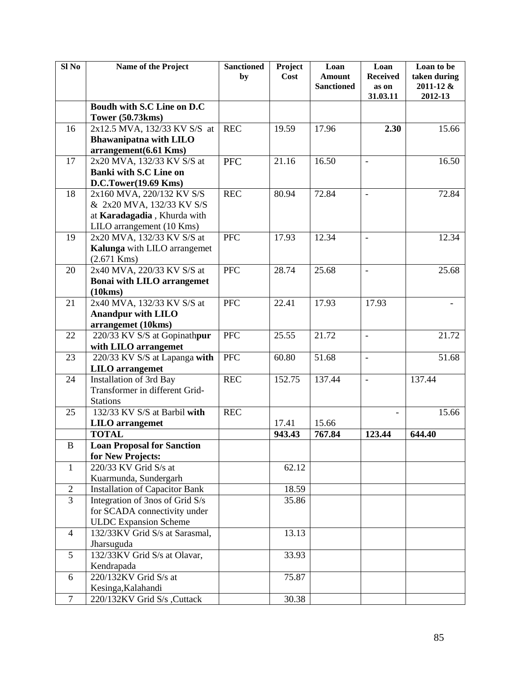| Sl <sub>No</sub> | Name of the Project                                   | <b>Sanctioned</b><br>by | Project<br>Cost | Loan<br><b>Amount</b><br><b>Sanctioned</b> | Loan<br><b>Received</b><br>as on | Loan to be<br>taken during<br>2011-12 & |
|------------------|-------------------------------------------------------|-------------------------|-----------------|--------------------------------------------|----------------------------------|-----------------------------------------|
|                  |                                                       |                         |                 |                                            | 31.03.11                         | 2012-13                                 |
|                  | Boudh with S.C Line on D.C<br><b>Tower (50.73kms)</b> |                         |                 |                                            |                                  |                                         |
| 16               | 2x12.5 MVA, 132/33 KV S/S at                          | <b>REC</b>              | 19.59           | 17.96                                      | 2.30                             | 15.66                                   |
|                  | <b>Bhawanipatna with LILO</b>                         |                         |                 |                                            |                                  |                                         |
|                  | arrangement(6.61 Kms)                                 |                         |                 |                                            |                                  |                                         |
| 17               | 2x20 MVA, 132/33 KV S/S at                            | <b>PFC</b>              | 21.16           | 16.50                                      |                                  | 16.50                                   |
|                  | <b>Banki with S.C Line on</b>                         |                         |                 |                                            |                                  |                                         |
|                  | D.C.Tower(19.69 Kms)                                  |                         |                 |                                            |                                  |                                         |
| 18               | 2x160 MVA, 220/132 KV S/S                             | <b>REC</b>              | 80.94           | 72.84                                      | $\overline{\phantom{a}}$         | 72.84                                   |
|                  | & 2x20 MVA, 132/33 KV S/S                             |                         |                 |                                            |                                  |                                         |
|                  | at Karadagadia, Khurda with                           |                         |                 |                                            |                                  |                                         |
|                  | LILO arrangement (10 Kms)                             |                         |                 |                                            |                                  |                                         |
| 19               | 2x20 MVA, 132/33 KV S/S at                            | <b>PFC</b>              | 17.93           | 12.34                                      | $\blacksquare$                   | 12.34                                   |
|                  | Kalunga with LILO arrangemet                          |                         |                 |                                            |                                  |                                         |
|                  | $(2.671$ Kms)                                         |                         |                 |                                            |                                  |                                         |
| 20               | 2x40 MVA, 220/33 KV S/S at                            | <b>PFC</b>              | 28.74           | 25.68                                      | $\overline{\phantom{a}}$         | 25.68                                   |
|                  | <b>Bonai with LILO arrangemet</b>                     |                         |                 |                                            |                                  |                                         |
|                  | (10kms)                                               |                         |                 |                                            |                                  |                                         |
| 21               | 2x40 MVA, 132/33 KV S/S at                            | <b>PFC</b>              | 22.41           | 17.93                                      | 17.93                            |                                         |
|                  | <b>Anandpur with LILO</b>                             |                         |                 |                                            |                                  |                                         |
|                  | arrangemet (10kms)                                    |                         |                 |                                            |                                  |                                         |
| 22               | 220/33 KV S/S at Gopinathpur                          | PFC                     | 25.55           | 21.72                                      | $\overline{\phantom{a}}$         | 21.72                                   |
|                  | with LILO arrangemet                                  |                         |                 |                                            |                                  |                                         |
| 23               | 220/33 KV S/S at Lapanga with                         | <b>PFC</b>              | 60.80           | 51.68                                      | $\overline{\phantom{a}}$         | 51.68                                   |
|                  | <b>LILO</b> arrangemet                                |                         |                 |                                            |                                  |                                         |
| 24               | <b>Installation of 3rd Bay</b>                        | <b>REC</b>              | 152.75          | 137.44                                     | $\bar{\phantom{a}}$              | 137.44                                  |
|                  | Transformer in different Grid-                        |                         |                 |                                            |                                  |                                         |
|                  | <b>Stations</b>                                       |                         |                 |                                            |                                  |                                         |
| 25               | 132/33 KV S/S at Barbil with                          | <b>REC</b>              |                 |                                            |                                  | 15.66                                   |
|                  | <b>LILO</b> arrangemet                                |                         | 17.41           | 15.66                                      |                                  |                                         |
|                  | <b>TOTAL</b>                                          |                         | 943.43          | 767.84                                     | 123.44                           | 644.40                                  |
| B                | <b>Loan Proposal for Sanction</b>                     |                         |                 |                                            |                                  |                                         |
|                  | for New Projects:                                     |                         |                 |                                            |                                  |                                         |
| $\mathbf{1}$     | 220/33 KV Grid S/s at                                 |                         | 62.12           |                                            |                                  |                                         |
|                  | Kuarmunda, Sundergarh                                 |                         |                 |                                            |                                  |                                         |
| $\mathbf{2}$     | <b>Installation of Capacitor Bank</b>                 |                         | 18.59           |                                            |                                  |                                         |
| $\overline{3}$   | Integration of 3nos of Grid S/s                       |                         | 35.86           |                                            |                                  |                                         |
|                  | for SCADA connectivity under                          |                         |                 |                                            |                                  |                                         |
|                  | <b>ULDC</b> Expansion Scheme                          |                         |                 |                                            |                                  |                                         |
| $\overline{4}$   | 132/33KV Grid S/s at Sarasmal,                        |                         | 13.13           |                                            |                                  |                                         |
|                  | Jharsuguda                                            |                         |                 |                                            |                                  |                                         |
| 5                | 132/33KV Grid S/s at Olavar,                          |                         | 33.93           |                                            |                                  |                                         |
|                  | Kendrapada                                            |                         |                 |                                            |                                  |                                         |
| 6                | 220/132KV Grid S/s at                                 |                         | 75.87           |                                            |                                  |                                         |
|                  | Kesinga, Kalahandi                                    |                         |                 |                                            |                                  |                                         |
| $\tau$           | 220/132KV Grid S/s ,Cuttack                           |                         | 30.38           |                                            |                                  |                                         |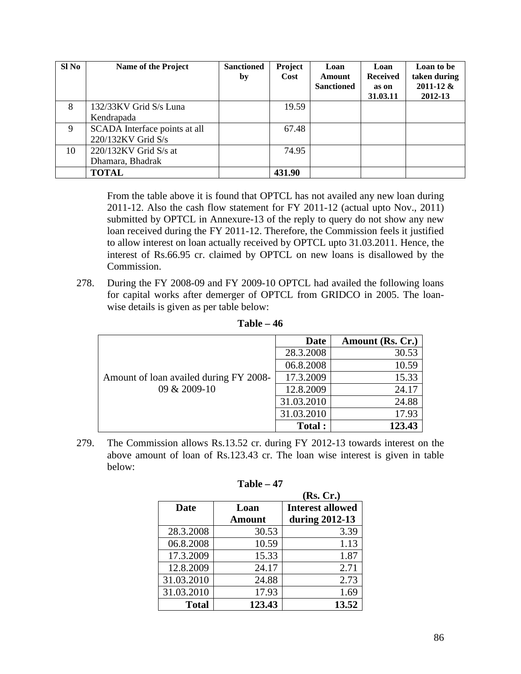| Sl No | <b>Name of the Project</b>                          | <b>Sanctioned</b><br>by | Project<br>Cost | Loan<br><b>Amount</b><br><b>Sanctioned</b> | Loan<br><b>Received</b><br>as on<br>31.03.11 | Loan to be<br>taken during<br>$2011 - 12 &$<br>2012-13 |
|-------|-----------------------------------------------------|-------------------------|-----------------|--------------------------------------------|----------------------------------------------|--------------------------------------------------------|
| 8     | 132/33KV Grid S/s Luna<br>Kendrapada                |                         | 19.59           |                                            |                                              |                                                        |
| 9     | SCADA Interface points at all<br>220/132KV Grid S/s |                         | 67.48           |                                            |                                              |                                                        |
| 10    | $220/132$ KV Grid S/s at<br>Dhamara, Bhadrak        |                         | 74.95           |                                            |                                              |                                                        |
|       | <b>TOTAL</b>                                        |                         | 431.90          |                                            |                                              |                                                        |

From the table above it is found that OPTCL has not availed any new loan during 2011-12. Also the cash flow statement for FY 2011-12 (actual upto Nov., 2011) submitted by OPTCL in Annexure-13 of the reply to query do not show any new loan received during the FY 2011-12. Therefore, the Commission feels it justified to allow interest on loan actually received by OPTCL upto 31.03.2011. Hence, the interest of Rs.66.95 cr. claimed by OPTCL on new loans is disallowed by the Commission.

278. During the FY 2008-09 and FY 2009-10 OPTCL had availed the following loans for capital works after demerger of OPTCL from GRIDCO in 2005. The loanwise details is given as per table below:

|                                        | Date       | Amount (Rs. Cr.) |
|----------------------------------------|------------|------------------|
| Amount of loan availed during FY 2008- | 28.3.2008  | 30.53            |
|                                        | 06.8.2008  | 10.59            |
|                                        | 17.3.2009  | 15.33            |
| 09 & 2009-10                           | 12.8.2009  | 24.17            |
|                                        | 31.03.2010 | 24.88            |
|                                        | 31.03.2010 | 17.93            |
|                                        | Total:     | 123.43           |

**Table – 46**

279. The Commission allows Rs.13.52 cr. during FY 2012-13 towards interest on the above amount of loan of Rs.123.43 cr. The loan wise interest is given in table below:

|              |               | (Rs, Cr.)               |
|--------------|---------------|-------------------------|
| Date         | Loan          | <b>Interest allowed</b> |
|              | <b>Amount</b> | during 2012-13          |
| 28.3.2008    | 30.53         | 3.39                    |
| 06.8.2008    | 10.59         | 1.13                    |
| 17.3.2009    | 15.33         | 1.87                    |
| 12.8.2009    | 24.17         | 2.71                    |
| 31.03.2010   | 24.88         | 2.73                    |
| 31.03.2010   | 17.93         | 1.69                    |
| <b>Total</b> | 123.43        | 13.52                   |

| Table |  | 47 |
|-------|--|----|
|-------|--|----|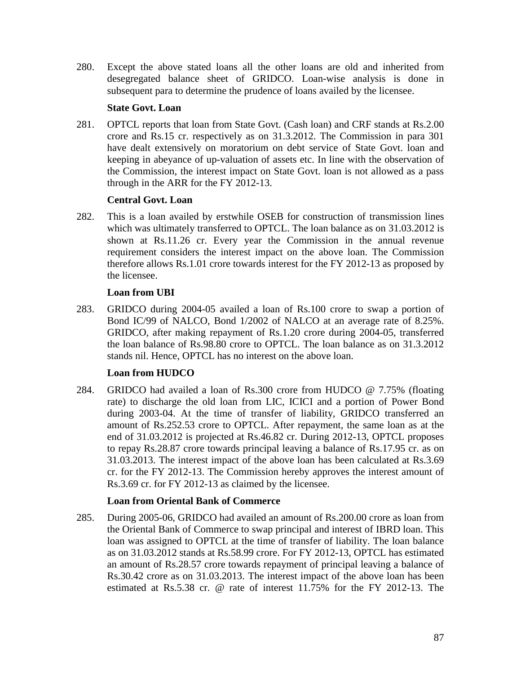280. Except the above stated loans all the other loans are old and inherited from desegregated balance sheet of GRIDCO. Loan-wise analysis is done in subsequent para to determine the prudence of loans availed by the licensee.

## **State Govt. Loan**

281. OPTCL reports that loan from State Govt. (Cash loan) and CRF stands at Rs.2.00 crore and Rs.15 cr. respectively as on 31.3.2012. The Commission in para 301 have dealt extensively on moratorium on debt service of State Govt. loan and keeping in abeyance of up-valuation of assets etc. In line with the observation of the Commission, the interest impact on State Govt. loan is not allowed as a pass through in the ARR for the FY 2012-13.

## **Central Govt. Loan**

282. This is a loan availed by erstwhile OSEB for construction of transmission lines which was ultimately transferred to OPTCL. The loan balance as on 31.03.2012 is shown at Rs.11.26 cr. Every year the Commission in the annual revenue requirement considers the interest impact on the above loan. The Commission therefore allows Rs.1.01 crore towards interest for the FY 2012-13 as proposed by the licensee.

# **Loan from UBI**

283. GRIDCO during 2004-05 availed a loan of Rs.100 crore to swap a portion of Bond IC/99 of NALCO, Bond 1/2002 of NALCO at an average rate of 8.25%. GRIDCO, after making repayment of Rs.1.20 crore during 2004-05, transferred the loan balance of Rs.98.80 crore to OPTCL. The loan balance as on 31.3.2012 stands nil. Hence, OPTCL has no interest on the above loan.

# **Loan from HUDCO**

284. GRIDCO had availed a loan of Rs.300 crore from HUDCO @ 7.75% (floating rate) to discharge the old loan from LIC, ICICI and a portion of Power Bond during 2003-04. At the time of transfer of liability, GRIDCO transferred an amount of Rs.252.53 crore to OPTCL. After repayment, the same loan as at the end of 31.03.2012 is projected at Rs.46.82 cr. During 2012-13, OPTCL proposes to repay Rs.28.87 crore towards principal leaving a balance of Rs.17.95 cr. as on 31.03.2013. The interest impact of the above loan has been calculated at Rs.3.69 cr. for the FY 2012-13. The Commission hereby approves the interest amount of Rs.3.69 cr. for FY 2012-13 as claimed by the licensee.

# **Loan from Oriental Bank of Commerce**

285. During 2005-06, GRIDCO had availed an amount of Rs.200.00 crore as loan from the Oriental Bank of Commerce to swap principal and interest of IBRD loan. This loan was assigned to OPTCL at the time of transfer of liability. The loan balance as on 31.03.2012 stands at Rs.58.99 crore. For FY 2012-13, OPTCL has estimated an amount of Rs.28.57 crore towards repayment of principal leaving a balance of Rs.30.42 crore as on 31.03.2013. The interest impact of the above loan has been estimated at Rs.5.38 cr. @ rate of interest 11.75% for the FY 2012-13. The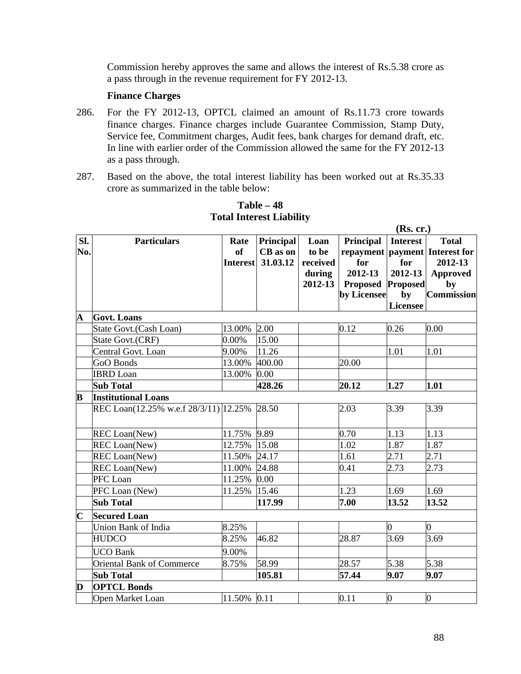Commission hereby approves the same and allows the interest of Rs.5.38 crore as a pass through in the revenue requirement for FY 2012-13.

### **Finance Charges**

- 286. For the FY 2012-13, OPTCL claimed an amount of Rs.11.73 crore towards finance charges. Finance charges include Guarantee Commission, Stamp Duty, Service fee, Commitment charges, Audit fees, bank charges for demand draft, etc. In line with earlier order of the Commission allowed the same for the FY 2012-13 as a pass through.
- 287. Based on the above, the total interest liability has been worked out at Rs.35.33 crore as summarized in the table below:

|                         |                                       |                                      |                                   |                                                | (Rs. cr.)                                                     |                                                                               |                                                                                                             |  |
|-------------------------|---------------------------------------|--------------------------------------|-----------------------------------|------------------------------------------------|---------------------------------------------------------------|-------------------------------------------------------------------------------|-------------------------------------------------------------------------------------------------------------|--|
| Sl.<br>No.              | <b>Particulars</b>                    | Rate<br><b>of</b><br><b>Interest</b> | Principal<br>CB as on<br>31.03.12 | Loan<br>to be<br>received<br>during<br>2012-13 | Principal<br>for<br>2012-13<br><b>Proposed</b><br>by Licensee | <b>Interest</b><br>for<br>2012-13<br><b>Proposed</b><br>by<br><b>Licensee</b> | <b>Total</b><br>repayment   payment   Interest for<br>2012-13<br><b>Approved</b><br>by<br><b>Commission</b> |  |
| $\overline{\mathbf{A}}$ | <b>Govt.</b> Loans                    |                                      |                                   |                                                |                                                               |                                                                               |                                                                                                             |  |
|                         | State Govt. (Cash Loan)               | 13.00%                               | 2.00                              |                                                | 0.12                                                          | 0.26                                                                          | 0.00                                                                                                        |  |
|                         | State Govt.(CRF)                      | 0.00%                                | 15.00                             |                                                |                                                               |                                                                               |                                                                                                             |  |
|                         | Central Govt. Loan                    | 9.00%                                | 11.26                             |                                                |                                                               | 1.01                                                                          | 1.01                                                                                                        |  |
|                         | GoO Bonds                             | 13.00%                               | 400.00                            |                                                | 20.00                                                         |                                                                               |                                                                                                             |  |
|                         | <b>IBRD</b> Loan                      | 13.00%                               | 0.00                              |                                                |                                                               |                                                                               |                                                                                                             |  |
|                         | <b>Sub Total</b>                      |                                      | 428.26                            |                                                | 20.12                                                         | 1.27                                                                          | 1.01                                                                                                        |  |
| B                       | <b>Institutional Loans</b>            |                                      |                                   |                                                |                                                               |                                                                               |                                                                                                             |  |
|                         | REC Loan(12.25% w.e.f 28/3/11) 12.25% |                                      | 28.50                             |                                                | 2.03                                                          | 3.39                                                                          | 3.39                                                                                                        |  |
|                         | <b>REC</b> Loan(New)                  | 11.75%                               | 9.89                              |                                                | 0.70                                                          | 1.13                                                                          | 1.13                                                                                                        |  |
|                         | <b>REC</b> Loan(New)                  | 12.75%                               | 15.08                             |                                                | 1.02                                                          | 1.87                                                                          | 1.87                                                                                                        |  |
|                         | <b>REC</b> Loan(New)                  | 11.50%                               | 24.17                             |                                                | 1.61                                                          | 2.71                                                                          | 2.71                                                                                                        |  |
|                         | <b>REC</b> Loan(New)                  | 11.00%                               | 24.88                             |                                                | 0.41                                                          | 2.73                                                                          | 2.73                                                                                                        |  |
|                         | PFC Loan                              | 11.25%                               | 0.00                              |                                                |                                                               |                                                                               |                                                                                                             |  |
|                         | PFC Loan (New)                        | 11.25%                               | 15.46                             |                                                | 1.23                                                          | 1.69                                                                          | 1.69                                                                                                        |  |
|                         | <b>Sub Total</b>                      |                                      | 117.99                            |                                                | 7.00                                                          | 13.52                                                                         | 13.52                                                                                                       |  |
| $\overline{\mathbf{C}}$ | <b>Secured Loan</b>                   |                                      |                                   |                                                |                                                               |                                                                               |                                                                                                             |  |
|                         | Union Bank of India                   | 8.25%                                |                                   |                                                |                                                               | $\overline{0}$                                                                | 0                                                                                                           |  |
|                         | <b>HUDCO</b>                          | 8.25%                                | 46.82                             |                                                | 28.87                                                         | 3.69                                                                          | 3.69                                                                                                        |  |
|                         | <b>UCO Bank</b>                       | 9.00%                                |                                   |                                                |                                                               |                                                                               |                                                                                                             |  |
|                         | <b>Oriental Bank of Commerce</b>      | 8.75%                                | 58.99                             |                                                | 28.57                                                         | 5.38                                                                          | 5.38                                                                                                        |  |
|                         | <b>Sub Total</b>                      |                                      | 105.81                            |                                                | 57.44                                                         | 9.07                                                                          | 9.07                                                                                                        |  |
| $\mathbf{D}$            | <b>OPTCL Bonds</b>                    |                                      |                                   |                                                |                                                               |                                                                               |                                                                                                             |  |
|                         | Open Market Loan                      | 11.50%                               | 0.11                              |                                                | 0.11                                                          | $\overline{0}$                                                                | $\mathbf{0}$                                                                                                |  |

# **Table – 48 Total Interest Liability**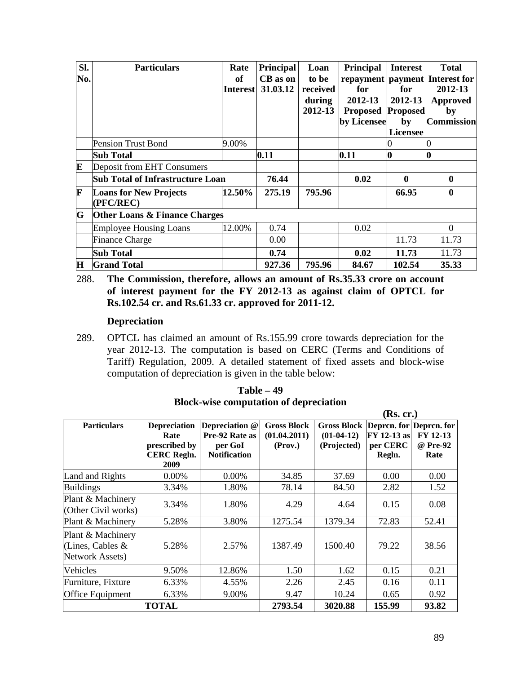| Sl. | <b>Particulars</b>                         | Rate            | Principal | Loan     | Principal                | <b>Interest</b> | <b>Total</b>                       |
|-----|--------------------------------------------|-----------------|-----------|----------|--------------------------|-----------------|------------------------------------|
| No. |                                            | of              | CB as on  | to be    |                          |                 | repayment   payment   Interest for |
|     |                                            | <b>Interest</b> | 31.03.12  | received | for                      | for             | 2012-13                            |
|     |                                            |                 |           | during   | 2012-13                  | 2012-13         | <b>Approved</b>                    |
|     |                                            |                 |           | 2012-13  | <b>Proposed Proposed</b> |                 | by                                 |
|     |                                            |                 |           |          | by Licensee              | by              | <b>Commission</b>                  |
|     |                                            |                 |           |          |                          | <b>Licensee</b> |                                    |
|     | <b>Pension Trust Bond</b>                  | 9.00%           |           |          |                          |                 |                                    |
|     | <b>Sub Total</b>                           |                 | 0.11      |          | 0.11                     | 0               | Ю                                  |
| E   | Deposit from EHT Consumers                 |                 |           |          |                          |                 |                                    |
|     | <b>Sub Total of Infrastructure Loan</b>    |                 | 76.44     |          | 0.02                     | $\mathbf{0}$    | $\mathbf{0}$                       |
| F   | <b>Loans for New Projects</b><br>(PFC/REC) | 12.50%          | 275.19    | 795.96   |                          | 66.95           | $\bf{0}$                           |
| G   | <b>Other Loans &amp; Finance Charges</b>   |                 |           |          |                          |                 |                                    |
|     | <b>Employee Housing Loans</b>              | 12.00%          | 0.74      |          | 0.02                     |                 | $\Omega$                           |
|     | <b>Finance Charge</b>                      |                 | 0.00      |          |                          | 11.73           | 11.73                              |
|     | <b>Sub Total</b>                           |                 | 0.74      |          | 0.02                     | 11.73           | 11.73                              |
| H   | <b>Grand Total</b>                         |                 | 927.36    | 795.96   | 84.67                    | 102.54          | 35.33                              |

288. **The Commission, therefore, allows an amount of Rs.35.33 crore on account of interest payment for the FY 2012-13 as against claim of OPTCL for Rs.102.54 cr. and Rs.61.33 cr. approved for 2011-12.**

#### **Depreciation**

289. OPTCL has claimed an amount of Rs.155.99 crore towards depreciation for the year 2012-13. The computation is based on CERC (Terms and Conditions of Tariff) Regulation, 2009. A detailed statement of fixed assets and block-wise computation of depreciation is given in the table below:

|                                                          |                                                                            |                                                                    |                                               |                                                                    | (Rs. cr.)                         |                              |
|----------------------------------------------------------|----------------------------------------------------------------------------|--------------------------------------------------------------------|-----------------------------------------------|--------------------------------------------------------------------|-----------------------------------|------------------------------|
| <b>Particulars</b>                                       | <b>Depreciation</b><br>Rate<br>prescribed by<br><b>CERC Regln.</b><br>2009 | Depreciation @<br>Pre-92 Rate as<br>per GoI<br><b>Notification</b> | <b>Gross Block</b><br>(01.04.2011)<br>(Prov.) | Gross Block Depren. for Depren. for<br>$(01-04-12)$<br>(Projected) | FY 12-13 as<br>per CERC<br>Regln. | FY 12-13<br>@ Pre-92<br>Rate |
| Land and Rights                                          | 0.00%                                                                      | $0.00\%$                                                           | 34.85                                         | 37.69                                                              | 0.00                              | 0.00                         |
| <b>Buildings</b>                                         | 3.34%                                                                      | 1.80%                                                              | 78.14                                         | 84.50                                                              | 2.82                              | 1.52                         |
| Plant & Machinery<br>(Other Civil works)                 | 3.34%                                                                      | 1.80%                                                              | 4.29                                          | 4.64                                                               | 0.15                              | 0.08                         |
| Plant & Machinery                                        | 5.28%                                                                      | 3.80%                                                              | 1275.54                                       | 1379.34                                                            | 72.83                             | 52.41                        |
| Plant & Machinery<br>(Lines, Cables &<br>Network Assets) | 5.28%                                                                      | 2.57%                                                              | 1387.49                                       | 1500.40                                                            | 79.22                             | 38.56                        |
| Vehicles                                                 | 9.50%                                                                      | 12.86%                                                             | 1.50                                          | 1.62                                                               | 0.15                              | 0.21                         |
| Furniture, Fixture                                       | 6.33%                                                                      | 4.55%                                                              | 2.26                                          | 2.45                                                               | 0.16                              | 0.11                         |
| Office Equipment                                         | 6.33%                                                                      | 9.00%                                                              | 9.47                                          | 10.24                                                              | 0.65                              | 0.92                         |
|                                                          | <b>TOTAL</b>                                                               |                                                                    | 2793.54                                       | 3020.88                                                            | 155.99                            | 93.82                        |

**Table – 49 Block-wise computation of depreciation**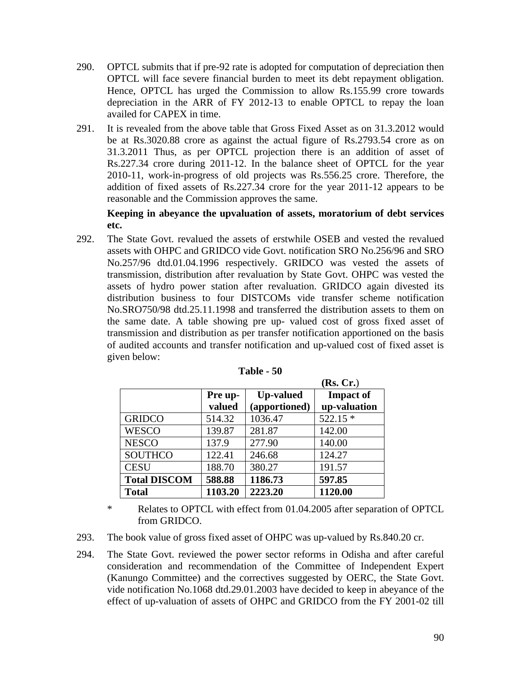- 290. OPTCL submits that if pre-92 rate is adopted for computation of depreciation then OPTCL will face severe financial burden to meet its debt repayment obligation. Hence, OPTCL has urged the Commission to allow Rs.155.99 crore towards depreciation in the ARR of FY 2012-13 to enable OPTCL to repay the loan availed for CAPEX in time.
- 291. It is revealed from the above table that Gross Fixed Asset as on 31.3.2012 would be at Rs.3020.88 crore as against the actual figure of Rs.2793.54 crore as on 31.3.2011 Thus, as per OPTCL projection there is an addition of asset of Rs.227.34 crore during 2011-12. In the balance sheet of OPTCL for the year 2010-11, work-in-progress of old projects was Rs.556.25 crore. Therefore, the addition of fixed assets of Rs.227.34 crore for the year 2011-12 appears to be reasonable and the Commission approves the same.

**Keeping in abeyance the upvaluation of assets, moratorium of debt services etc.** 

292. The State Govt. revalued the assets of erstwhile OSEB and vested the revalued assets with OHPC and GRIDCO vide Govt. notification SRO No.256/96 and SRO No.257/96 dtd.01.04.1996 respectively. GRIDCO was vested the assets of transmission, distribution after revaluation by State Govt. OHPC was vested the assets of hydro power station after revaluation. GRIDCO again divested its distribution business to four DISTCOMs vide transfer scheme notification No.SRO750/98 dtd.25.11.1998 and transferred the distribution assets to them on the same date. A table showing pre up- valued cost of gross fixed asset of transmission and distribution as per transfer notification apportioned on the basis of audited accounts and transfer notification and up-valued cost of fixed asset is given below:

|                     |         |                  | (Rs, Cr.)        |
|---------------------|---------|------------------|------------------|
|                     | Pre up- | <b>Up-valued</b> | <b>Impact of</b> |
|                     | valued  | (apportioned)    | up-valuation     |
| <b>GRIDCO</b>       | 514.32  | 1036.47          | $522.15*$        |
| <b>WESCO</b>        | 139.87  | 281.87           | 142.00           |
| <b>NESCO</b>        | 137.9   | 277.90           | 140.00           |
| <b>SOUTHCO</b>      | 122.41  | 246.68           | 124.27           |
| <b>CESU</b>         | 188.70  | 380.27           | 191.57           |
| <b>Total DISCOM</b> | 588.88  | 1186.73          | 597.85           |
| <b>Total</b>        | 1103.20 | 2223.20          | 1120.00          |

| <b>Table - 50</b> |  |  |
|-------------------|--|--|
|-------------------|--|--|

\* Relates to OPTCL with effect from 01.04.2005 after separation of OPTCL from GRIDCO.

293. The book value of gross fixed asset of OHPC was up-valued by Rs.840.20 cr.

294. The State Govt. reviewed the power sector reforms in Odisha and after careful consideration and recommendation of the Committee of Independent Expert (Kanungo Committee) and the correctives suggested by OERC, the State Govt. vide notification No.1068 dtd.29.01.2003 have decided to keep in abeyance of the effect of up-valuation of assets of OHPC and GRIDCO from the FY 2001-02 till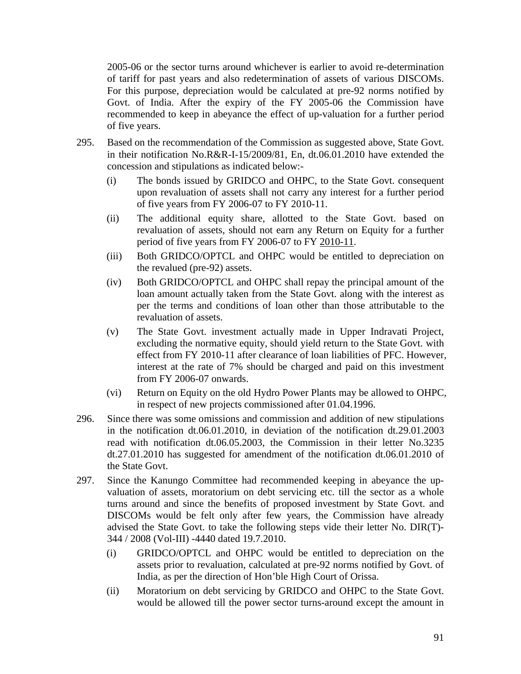2005-06 or the sector turns around whichever is earlier to avoid re-determination of tariff for past years and also redetermination of assets of various DISCOMs. For this purpose, depreciation would be calculated at pre-92 norms notified by Govt. of India. After the expiry of the FY 2005-06 the Commission have recommended to keep in abeyance the effect of up-valuation for a further period of five years.

- 295. Based on the recommendation of the Commission as suggested above, State Govt. in their notification No.R&R-I-15/2009/81, En, dt.06.01.2010 have extended the concession and stipulations as indicated below:-
	- (i) The bonds issued by GRIDCO and OHPC, to the State Govt. consequent upon revaluation of assets shall not carry any interest for a further period of five years from FY 2006-07 to FY 2010-11.
	- (ii) The additional equity share, allotted to the State Govt. based on revaluation of assets, should not earn any Return on Equity for a further period of five years from FY 2006-07 to FY 2010-11.
	- (iii) Both GRIDCO/OPTCL and OHPC would be entitled to depreciation on the revalued (pre-92) assets.
	- (iv) Both GRIDCO/OPTCL and OHPC shall repay the principal amount of the loan amount actually taken from the State Govt. along with the interest as per the terms and conditions of loan other than those attributable to the revaluation of assets.
	- (v) The State Govt. investment actually made in Upper Indravati Project, excluding the normative equity, should yield return to the State Govt. with effect from FY 2010-11 after clearance of loan liabilities of PFC. However, interest at the rate of 7% should be charged and paid on this investment from FY 2006-07 onwards.
	- (vi) Return on Equity on the old Hydro Power Plants may be allowed to OHPC, in respect of new projects commissioned after 01.04.1996.
- 296. Since there was some omissions and commission and addition of new stipulations in the notification dt.06.01.2010, in deviation of the notification dt.29.01.2003 read with notification dt.06.05.2003, the Commission in their letter No.3235 dt.27.01.2010 has suggested for amendment of the notification dt.06.01.2010 of the State Govt.
- 297. Since the Kanungo Committee had recommended keeping in abeyance the upvaluation of assets, moratorium on debt servicing etc. till the sector as a whole turns around and since the benefits of proposed investment by State Govt. and DISCOMs would be felt only after few years, the Commission have already advised the State Govt. to take the following steps vide their letter No. DIR(T)- 344 / 2008 (Vol-III) -4440 dated 19.7.2010.
	- (i) GRIDCO/OPTCL and OHPC would be entitled to depreciation on the assets prior to revaluation, calculated at pre-92 norms notified by Govt. of India, as per the direction of Hon'ble High Court of Orissa.
	- (ii) Moratorium on debt servicing by GRIDCO and OHPC to the State Govt. would be allowed till the power sector turns-around except the amount in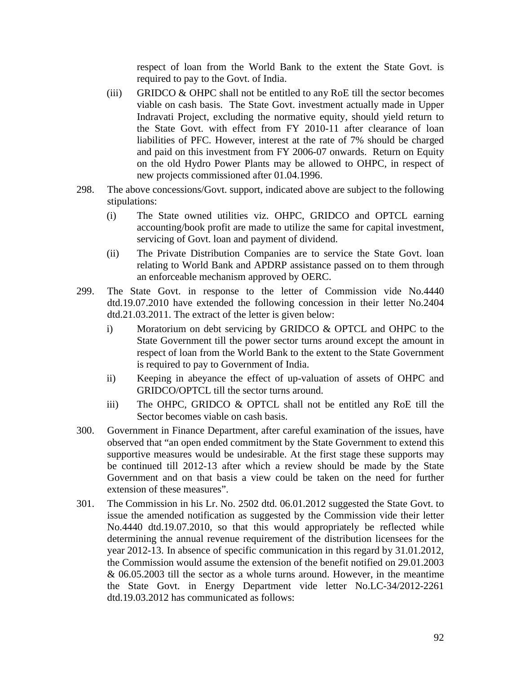respect of loan from the World Bank to the extent the State Govt. is required to pay to the Govt. of India.

- (iii) GRIDCO & OHPC shall not be entitled to any RoE till the sector becomes viable on cash basis. The State Govt. investment actually made in Upper Indravati Project, excluding the normative equity, should yield return to the State Govt. with effect from FY 2010-11 after clearance of loan liabilities of PFC. However, interest at the rate of 7% should be charged and paid on this investment from FY 2006-07 onwards. Return on Equity on the old Hydro Power Plants may be allowed to OHPC, in respect of new projects commissioned after 01.04.1996.
- 298. The above concessions/Govt. support, indicated above are subject to the following stipulations:
	- (i) The State owned utilities viz. OHPC, GRIDCO and OPTCL earning accounting/book profit are made to utilize the same for capital investment, servicing of Govt. loan and payment of dividend.
	- (ii) The Private Distribution Companies are to service the State Govt. loan relating to World Bank and APDRP assistance passed on to them through an enforceable mechanism approved by OERC.
- 299. The State Govt. in response to the letter of Commission vide No.4440 dtd.19.07.2010 have extended the following concession in their letter No.2404 dtd.21.03.2011. The extract of the letter is given below:
	- i) Moratorium on debt servicing by GRIDCO & OPTCL and OHPC to the State Government till the power sector turns around except the amount in respect of loan from the World Bank to the extent to the State Government is required to pay to Government of India.
	- ii) Keeping in abeyance the effect of up-valuation of assets of OHPC and GRIDCO/OPTCL till the sector turns around.
	- iii) The OHPC, GRIDCO & OPTCL shall not be entitled any RoE till the Sector becomes viable on cash basis.
- 300. Government in Finance Department, after careful examination of the issues, have observed that "an open ended commitment by the State Government to extend this supportive measures would be undesirable. At the first stage these supports may be continued till 2012-13 after which a review should be made by the State Government and on that basis a view could be taken on the need for further extension of these measures".
- 301. The Commission in his Lr. No. 2502 dtd. 06.01.2012 suggested the State Govt. to issue the amended notification as suggested by the Commission vide their letter No.4440 dtd.19.07.2010, so that this would appropriately be reflected while determining the annual revenue requirement of the distribution licensees for the year 2012-13. In absence of specific communication in this regard by 31.01.2012, the Commission would assume the extension of the benefit notified on 29.01.2003 & 06.05.2003 till the sector as a whole turns around. However, in the meantime the State Govt. in Energy Department vide letter No.LC-34/2012-2261 dtd.19.03.2012 has communicated as follows: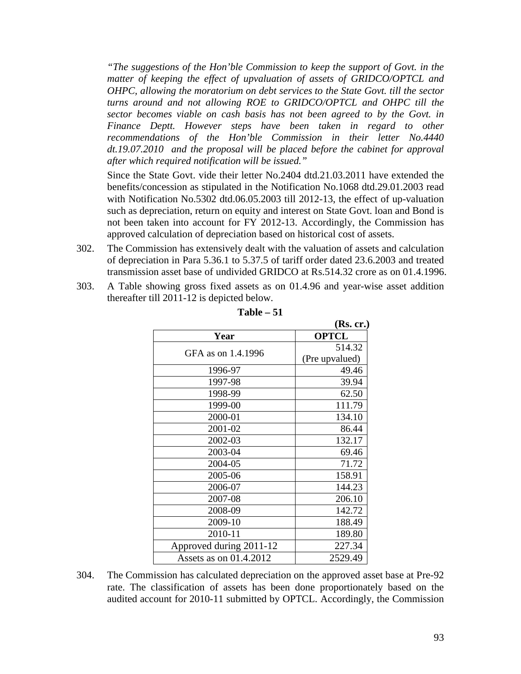*"The suggestions of the Hon'ble Commission to keep the support of Govt. in the matter of keeping the effect of upvaluation of assets of GRIDCO/OPTCL and OHPC, allowing the moratorium on debt services to the State Govt. till the sector turns around and not allowing ROE to GRIDCO/OPTCL and OHPC till the sector becomes viable on cash basis has not been agreed to by the Govt. in Finance Deptt. However steps have been taken in regard to other recommendations of the Hon'ble Commission in their letter No.4440 dt.19.07.2010 and the proposal will be placed before the cabinet for approval after which required notification will be issued."*

Since the State Govt. vide their letter No.2404 dtd.21.03.2011 have extended the benefits/concession as stipulated in the Notification No.1068 dtd.29.01.2003 read with Notification No.5302 dtd.06.05.2003 till 2012-13, the effect of up-valuation such as depreciation, return on equity and interest on State Govt. loan and Bond is not been taken into account for FY 2012-13. Accordingly, the Commission has approved calculation of depreciation based on historical cost of assets.

- 302. The Commission has extensively dealt with the valuation of assets and calculation of depreciation in Para 5.36.1 to 5.37.5 of tariff order dated 23.6.2003 and treated transmission asset base of undivided GRIDCO at Rs.514.32 crore as on 01.4.1996.
- 303. A Table showing gross fixed assets as on 01.4.96 and year-wise asset addition thereafter till 2011-12 is depicted below.

|                         | (Rs. cr.)      |
|-------------------------|----------------|
| Year                    | <b>OPTCL</b>   |
| GFA as on 1.4.1996      | 514.32         |
|                         | (Pre upvalued) |
| 1996-97                 | 49.46          |
| 1997-98                 | 39.94          |
| 1998-99                 | 62.50          |
| 1999-00                 | 111.79         |
| 2000-01                 | 134.10         |
| 2001-02                 | 86.44          |
| 2002-03                 | 132.17         |
| 2003-04                 | 69.46          |
| 2004-05                 | 71.72          |
| 2005-06                 | 158.91         |
| 2006-07                 | 144.23         |
| 2007-08                 | 206.10         |
| 2008-09                 | 142.72         |
| 2009-10                 | 188.49         |
| 2010-11                 | 189.80         |
| Approved during 2011-12 | 227.34         |
| Assets as on 01.4.2012  | 2529.49        |

**Table – 51**

304. The Commission has calculated depreciation on the approved asset base at Pre-92 rate. The classification of assets has been done proportionately based on the audited account for 2010-11 submitted by OPTCL. Accordingly, the Commission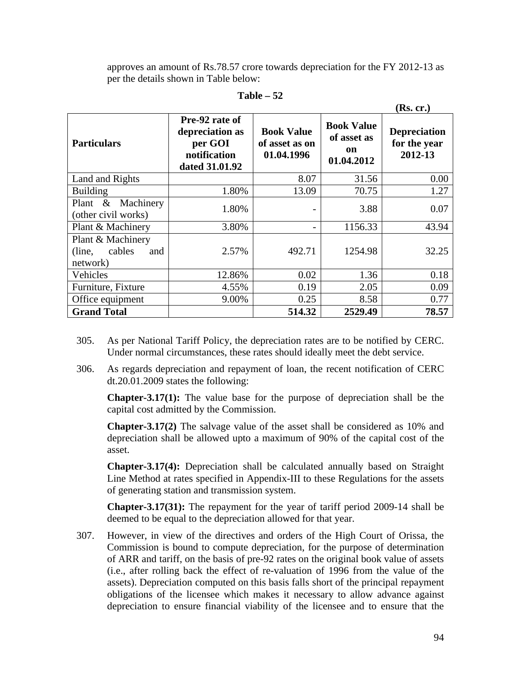approves an amount of Rs.78.57 crore towards depreciation for the FY 2012-13 as per the details shown in Table below:

|                                                          |                                                                                |                                                   |                                                      | (KS. CF.)                                      |
|----------------------------------------------------------|--------------------------------------------------------------------------------|---------------------------------------------------|------------------------------------------------------|------------------------------------------------|
| <b>Particulars</b>                                       | Pre-92 rate of<br>depreciation as<br>per GOI<br>notification<br>dated 31.01.92 | <b>Book Value</b><br>of asset as on<br>01.04.1996 | <b>Book Value</b><br>of asset as<br>on<br>01.04.2012 | <b>Depreciation</b><br>for the year<br>2012-13 |
| Land and Rights                                          |                                                                                | 8.07                                              | 31.56                                                | 0.00                                           |
| <b>Building</b>                                          | 1.80%                                                                          | 13.09                                             | 70.75                                                | 1.27                                           |
| Plant $\&$<br>Machinery<br>(other civil works)           | 1.80%                                                                          |                                                   | 3.88                                                 | 0.07                                           |
| Plant & Machinery                                        | 3.80%                                                                          |                                                   | 1156.33                                              | 43.94                                          |
| Plant & Machinery<br>cables<br>(line,<br>and<br>network) | 2.57%                                                                          | 492.71                                            | 1254.98                                              | 32.25                                          |
| Vehicles                                                 | 12.86%                                                                         | 0.02                                              | 1.36                                                 | 0.18                                           |
| Furniture, Fixture                                       | 4.55%                                                                          | 0.19                                              | 2.05                                                 | 0.09                                           |
| Office equipment                                         | 9.00%                                                                          | 0.25                                              | 8.58                                                 | 0.77                                           |
| <b>Grand Total</b>                                       |                                                                                | 514.32                                            | 2529.49                                              | 78.57                                          |

**Table – 52**

- 305. As per National Tariff Policy, the depreciation rates are to be notified by CERC. Under normal circumstances, these rates should ideally meet the debt service.
- 306. As regards depreciation and repayment of loan, the recent notification of CERC dt.20.01.2009 states the following:

**Chapter-3.17(1):** The value base for the purpose of depreciation shall be the capital cost admitted by the Commission.

**Chapter-3.17(2)** The salvage value of the asset shall be considered as 10% and depreciation shall be allowed upto a maximum of 90% of the capital cost of the asset.

**Chapter-3.17(4):** Depreciation shall be calculated annually based on Straight Line Method at rates specified in Appendix-III to these Regulations for the assets of generating station and transmission system.

**Chapter-3.17(31):** The repayment for the year of tariff period 2009-14 shall be deemed to be equal to the depreciation allowed for that year.

307. However, in view of the directives and orders of the High Court of Orissa, the Commission is bound to compute depreciation, for the purpose of determination of ARR and tariff, on the basis of pre-92 rates on the original book value of assets (i.e., after rolling back the effect of re-valuation of 1996 from the value of the assets). Depreciation computed on this basis falls short of the principal repayment obligations of the licensee which makes it necessary to allow advance against depreciation to ensure financial viability of the licensee and to ensure that the

 **(Rs. cr.)**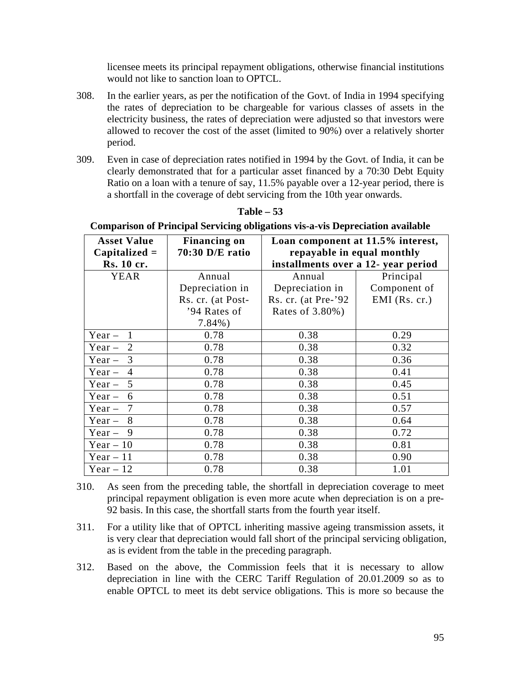licensee meets its principal repayment obligations, otherwise financial institutions would not like to sanction loan to OPTCL.

- 308. In the earlier years, as per the notification of the Govt. of India in 1994 specifying the rates of depreciation to be chargeable for various classes of assets in the electricity business, the rates of depreciation were adjusted so that investors were allowed to recover the cost of the asset (limited to 90%) over a relatively shorter period.
- 309. Even in case of depreciation rates notified in 1994 by the Govt. of India, it can be clearly demonstrated that for a particular asset financed by a 70:30 Debt Equity Ratio on a loan with a tenure of say, 11.5% payable over a 12-year period, there is a shortfall in the coverage of debt servicing from the 10th year onwards.

| $\sim$ only a tool of a function bet vieing obligations vis a visible predation available |                                                          |                                     |                 |  |  |  |
|-------------------------------------------------------------------------------------------|----------------------------------------------------------|-------------------------------------|-----------------|--|--|--|
| <b>Asset Value</b>                                                                        | <b>Financing on</b><br>Loan component at 11.5% interest, |                                     |                 |  |  |  |
| $Capitalized =$                                                                           | 70:30 D/E ratio                                          | repayable in equal monthly          |                 |  |  |  |
| Rs. 10 cr.                                                                                |                                                          | installments over a 12- year period |                 |  |  |  |
| <b>YEAR</b>                                                                               | Annual                                                   | Annual                              | Principal       |  |  |  |
|                                                                                           | Depreciation in                                          | Depreciation in                     | Component of    |  |  |  |
|                                                                                           | Rs. cr. (at Post-                                        | Rs. cr. (at Pre- $92$ )             | $EMI$ (Rs. cr.) |  |  |  |
|                                                                                           | '94 Rates of                                             | Rates of 3.80%)                     |                 |  |  |  |
|                                                                                           | $7.84\%$ )                                               |                                     |                 |  |  |  |
| Year $-$<br>$\mathbf{1}$                                                                  | 0.78                                                     | 0.38                                | 0.29            |  |  |  |
| 2<br>$Year -$                                                                             | 0.78                                                     | 0.38                                | 0.32            |  |  |  |
| $Year -$<br>3                                                                             | 0.78                                                     | 0.38                                | 0.36            |  |  |  |
| $Year -$<br>$\overline{4}$                                                                | 0.78                                                     | 0.38                                | 0.41            |  |  |  |
| 5<br>$Year -$                                                                             | 0.78                                                     | 0.38                                | 0.45            |  |  |  |
| $Year -$<br>6                                                                             | 0.78                                                     | 0.38                                | 0.51            |  |  |  |
| $Year -$<br>7                                                                             | 0.78                                                     | 0.38                                | 0.57            |  |  |  |
| 8<br>$Year -$                                                                             | 0.78                                                     | 0.38                                | 0.64            |  |  |  |
| Year $-9$                                                                                 | 0.78                                                     | 0.38                                | 0.72            |  |  |  |
| Year $-10$                                                                                | 0.78                                                     | 0.38                                | 0.81            |  |  |  |
| Year $-11$                                                                                | 0.78                                                     | 0.38                                | 0.90            |  |  |  |
| Year $-12$                                                                                | 0.78                                                     | 0.38                                | 1.01            |  |  |  |

#### **Table – 53**

# **Comparison of Principal Servicing obligations vis-a-vis Depreciation available**

- 310. As seen from the preceding table, the shortfall in depreciation coverage to meet principal repayment obligation is even more acute when depreciation is on a pre-92 basis. In this case, the shortfall starts from the fourth year itself.
- 311. For a utility like that of OPTCL inheriting massive ageing transmission assets, it is very clear that depreciation would fall short of the principal servicing obligation, as is evident from the table in the preceding paragraph.
- 312. Based on the above, the Commission feels that it is necessary to allow depreciation in line with the CERC Tariff Regulation of 20.01.2009 so as to enable OPTCL to meet its debt service obligations. This is more so because the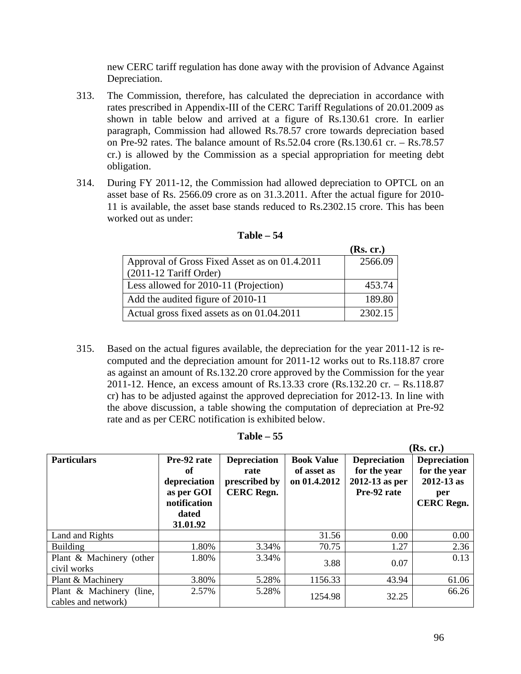new CERC tariff regulation has done away with the provision of Advance Against Depreciation.

- 313. The Commission, therefore, has calculated the depreciation in accordance with rates prescribed in Appendix-III of the CERC Tariff Regulations of 20.01.2009 as shown in table below and arrived at a figure of Rs.130.61 crore. In earlier paragraph, Commission had allowed Rs.78.57 crore towards depreciation based on Pre-92 rates. The balance amount of Rs.52.04 crore (Rs.130.61 cr. – Rs.78.57 cr.) is allowed by the Commission as a special appropriation for meeting debt obligation.
- 314. During FY 2011-12, the Commission had allowed depreciation to OPTCL on an asset base of Rs. 2566.09 crore as on 31.3.2011. After the actual figure for 2010- 11 is available, the asset base stands reduced to Rs.2302.15 crore. This has been worked out as under:

|                                               | (Rs. cr.) |
|-----------------------------------------------|-----------|
| Approval of Gross Fixed Asset as on 01.4.2011 | 2566.09   |
| $(2011-12$ Tariff Order)                      |           |
| Less allowed for 2010-11 (Projection)         | 453.74    |
| Add the audited figure of 2010-11             | 189.80    |
| Actual gross fixed assets as on 01.04.2011    | 2302.15   |

| Table |  |
|-------|--|
|-------|--|

315. Based on the actual figures available, the depreciation for the year 2011-12 is recomputed and the depreciation amount for 2011-12 works out to Rs.118.87 crore as against an amount of Rs.132.20 crore approved by the Commission for the year 2011-12. Hence, an excess amount of Rs.13.33 crore (Rs.132.20 cr. – Rs.118.87 cr) has to be adjusted against the approved depreciation for 2012-13. In line with the above discussion, a table showing the computation of depreciation at Pre-92 rate and as per CERC notification is exhibited below.

|                                                 |                                                                                      |                                                                   |                                                  |                                                                      | (Rs. cr.)                                                                         |
|-------------------------------------------------|--------------------------------------------------------------------------------------|-------------------------------------------------------------------|--------------------------------------------------|----------------------------------------------------------------------|-----------------------------------------------------------------------------------|
| <b>Particulars</b>                              | Pre-92 rate<br>of<br>depreciation<br>as per GOI<br>notification<br>dated<br>31.01.92 | <b>Depreciation</b><br>rate<br>prescribed by<br><b>CERC Regn.</b> | <b>Book Value</b><br>of asset as<br>on 01.4.2012 | <b>Depreciation</b><br>for the year<br>2012-13 as per<br>Pre-92 rate | <b>Depreciation</b><br>for the year<br>$2012 - 13$ as<br>per<br><b>CERC Regn.</b> |
| Land and Rights                                 |                                                                                      |                                                                   | 31.56                                            | 0.00                                                                 | 0.00                                                                              |
| <b>Building</b>                                 | 1.80%                                                                                | 3.34%                                                             | 70.75                                            | 1.27                                                                 | 2.36                                                                              |
| Plant & Machinery (other<br>civil works         | 1.80%                                                                                | 3.34%                                                             | 3.88                                             | 0.07                                                                 | 0.13                                                                              |
| Plant & Machinery                               | 3.80%                                                                                | 5.28%                                                             | 1156.33                                          | 43.94                                                                | 61.06                                                                             |
| Plant & Machinery (line,<br>cables and network) | 2.57%                                                                                | 5.28%                                                             | 1254.98                                          | 32.25                                                                | 66.26                                                                             |

**Table – 55**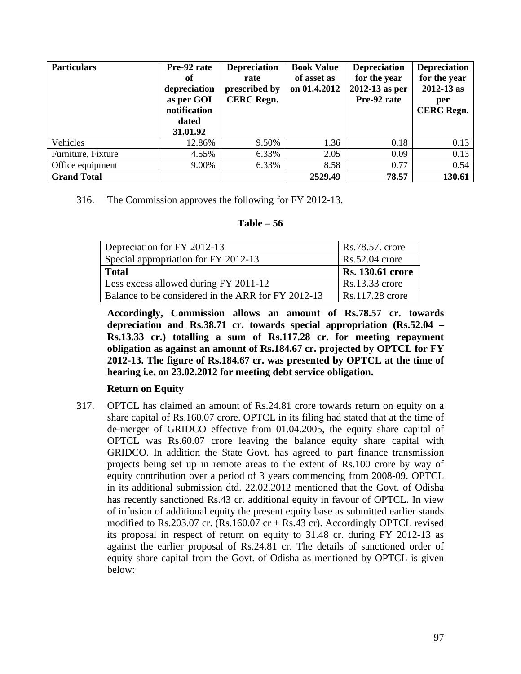| <b>Particulars</b> | Pre-92 rate<br>оf<br>depreciation<br>as per GOI<br>notification<br>dated<br>31.01.92 | <b>Depreciation</b><br>rate<br>prescribed by<br><b>CERC Regn.</b> | <b>Book Value</b><br>of asset as<br>on 01.4.2012 | <b>Depreciation</b><br>for the year<br>2012-13 as per<br>Pre-92 rate | <b>Depreciation</b><br>for the year<br>$2012 - 13$ as<br>per<br><b>CERC</b> Regn. |
|--------------------|--------------------------------------------------------------------------------------|-------------------------------------------------------------------|--------------------------------------------------|----------------------------------------------------------------------|-----------------------------------------------------------------------------------|
| Vehicles           | 12.86%                                                                               | 9.50%                                                             | 1.36                                             | 0.18                                                                 | 0.13                                                                              |
| Furniture, Fixture | 4.55%                                                                                | 6.33%                                                             | 2.05                                             | 0.09                                                                 | 0.13                                                                              |
| Office equipment   | 9.00%                                                                                | 6.33%                                                             | 8.58                                             | 0.77                                                                 | 0.54                                                                              |
| <b>Grand Total</b> |                                                                                      |                                                                   | 2529.49                                          | 78.57                                                                | 130.61                                                                            |

316. The Commission approves the following for FY 2012-13.

#### **Table – 56**

| Depreciation for FY 2012-13                        | Rs.78.57. crore         |
|----------------------------------------------------|-------------------------|
| Special appropriation for FY 2012-13               | $Rs.52.04$ crore        |
| <b>Total</b>                                       | <b>Rs. 130.61 crore</b> |
| Less excess allowed during FY 2011-12              | $Rs.13.33$ crore        |
| Balance to be considered in the ARR for FY 2012-13 | Rs.117.28 crore         |

**Accordingly, Commission allows an amount of Rs.78.57 cr. towards depreciation and Rs.38.71 cr. towards special appropriation (Rs.52.04 – Rs.13.33 cr.) totalling a sum of Rs.117.28 cr. for meeting repayment obligation as against an amount of Rs.184.67 cr. projected by OPTCL for FY 2012-13. The figure of Rs.184.67 cr. was presented by OPTCL at the time of hearing i.e. on 23.02.2012 for meeting debt service obligation.**

# **Return on Equity**

317. OPTCL has claimed an amount of Rs.24.81 crore towards return on equity on a share capital of Rs.160.07 crore. OPTCL in its filing had stated that at the time of de-merger of GRIDCO effective from 01.04.2005, the equity share capital of OPTCL was Rs.60.07 crore leaving the balance equity share capital with GRIDCO. In addition the State Govt. has agreed to part finance transmission projects being set up in remote areas to the extent of Rs.100 crore by way of equity contribution over a period of 3 years commencing from 2008-09. OPTCL in its additional submission dtd. 22.02.2012 mentioned that the Govt. of Odisha has recently sanctioned Rs.43 cr. additional equity in favour of OPTCL. In view of infusion of additional equity the present equity base as submitted earlier stands modified to Rs.203.07 cr. (Rs.160.07 cr  $+$  Rs.43 cr). Accordingly OPTCL revised its proposal in respect of return on equity to 31.48 cr. during FY 2012-13 as against the earlier proposal of Rs.24.81 cr. The details of sanctioned order of equity share capital from the Govt. of Odisha as mentioned by OPTCL is given below: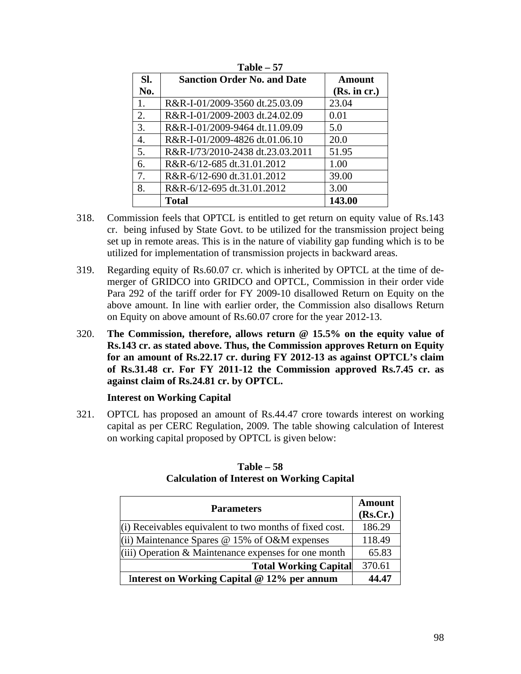| .                |                                    |               |  |  |  |
|------------------|------------------------------------|---------------|--|--|--|
| SI.              | <b>Sanction Order No. and Date</b> | <b>Amount</b> |  |  |  |
| No.              |                                    | (Rs. in cr.)  |  |  |  |
| 1.               | R&R-I-01/2009-3560 dt.25.03.09     | 23.04         |  |  |  |
| 2.               | R&R-I-01/2009-2003 dt.24.02.09     | 0.01          |  |  |  |
| 3.               | R&R-I-01/2009-9464 dt.11.09.09     | 5.0           |  |  |  |
| $\overline{4}$ . | R&R-I-01/2009-4826 dt.01.06.10     | 20.0          |  |  |  |
| 5.               | R&R-I/73/2010-2438 dt.23.03.2011   | 51.95         |  |  |  |
| 6.               | R&R-6/12-685 dt.31.01.2012         | 1.00          |  |  |  |
| 7.               | R&R-6/12-690 dt.31.01.2012         | 39.00         |  |  |  |
| 8.               | R&R-6/12-695 dt.31.01.2012         | 3.00          |  |  |  |
|                  | <b>Total</b>                       | 143.00        |  |  |  |

**Table – 57**

- 318. Commission feels that OPTCL is entitled to get return on equity value of Rs.143 cr. being infused by State Govt. to be utilized for the transmission project being set up in remote areas. This is in the nature of viability gap funding which is to be utilized for implementation of transmission projects in backward areas.
- 319. Regarding equity of Rs.60.07 cr. which is inherited by OPTCL at the time of demerger of GRIDCO into GRIDCO and OPTCL, Commission in their order vide Para 292 of the tariff order for FY 2009-10 disallowed Return on Equity on the above amount. In line with earlier order, the Commission also disallows Return on Equity on above amount of Rs.60.07 crore for the year 2012-13.
- 320. **The Commission, therefore, allows return @ 15.5% on the equity value of Rs.143 cr. as stated above. Thus, the Commission approves Return on Equity for an amount of Rs.22.17 cr. during FY 2012-13 as against OPTCL's claim of Rs.31.48 cr. For FY 2011-12 the Commission approved Rs.7.45 cr. as against claim of Rs.24.81 cr. by OPTCL.**

### **Interest on Working Capital**

321. OPTCL has proposed an amount of Rs.44.47 crore towards interest on working capital as per CERC Regulation, 2009. The table showing calculation of Interest on working capital proposed by OPTCL is given below:

| <b>Parameters</b>                                         | <b>Amount</b><br>(Rs.Cr.) |
|-----------------------------------------------------------|---------------------------|
| $(i)$ Receivables equivalent to two months of fixed cost. | 186.29                    |
| (ii) Maintenance Spares $@$ 15% of O&M expenses           | 118.49                    |
| $(iii)$ Operation & Maintenance expenses for one month    | 65.83                     |
| <b>Total Working Capital</b>                              | 370.61                    |
| Interest on Working Capital @ 12% per annum               | 44.47                     |

#### **Table – 58 Calculation of Interest on Working Capital**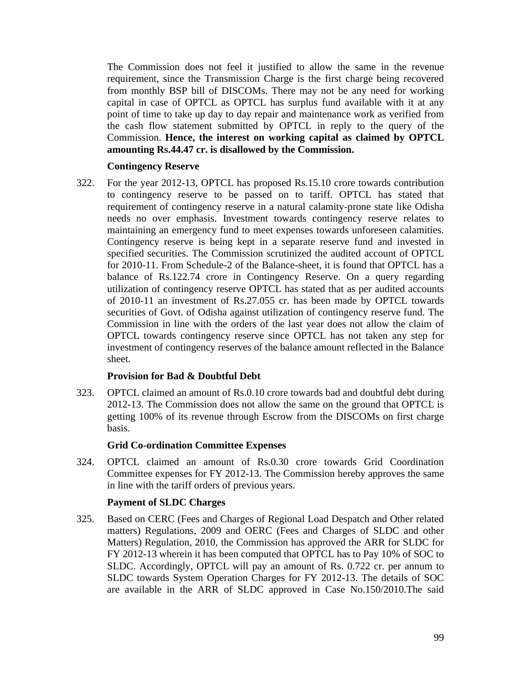The Commission does not feel it justified to allow the same in the revenue requirement, since the Transmission Charge is the first charge being recovered from monthly BSP bill of DISCOMs. There may not be any need for working capital in case of OPTCL as OPTCL has surplus fund available with it at any point of time to take up day to day repair and maintenance work as verified from the cash flow statement submitted by OPTCL in reply to the query of the Commission. **Hence, the interest on working capital as claimed by OPTCL amounting Rs.44.47 cr. is disallowed by the Commission.**

### **Contingency Reserve**

322. For the year 2012-13, OPTCL has proposed Rs.15.10 crore towards contribution to contingency reserve to be passed on to tariff. OPTCL has stated that requirement of contingency reserve in a natural calamity-prone state like Odisha needs no over emphasis. Investment towards contingency reserve relates to maintaining an emergency fund to meet expenses towards unforeseen calamities. Contingency reserve is being kept in a separate reserve fund and invested in specified securities. The Commission scrutinized the audited account of OPTCL for 2010-11. From Schedule-2 of the Balance-sheet, it is found that OPTCL has a balance of Rs.122.74 crore in Contingency Reserve. On a query regarding utilization of contingency reserve OPTCL has stated that as per audited accounts of 2010-11 an investment of Rs.27.055 cr. has been made by OPTCL towards securities of Govt. of Odisha against utilization of contingency reserve fund. The Commission in line with the orders of the last year does not allow the claim of OPTCL towards contingency reserve since OPTCL has not taken any step for investment of contingency reserves of the balance amount reflected in the Balance sheet.

### **Provision for Bad & Doubtful Debt**

323. OPTCL claimed an amount of Rs.0.10 crore towards bad and doubtful debt during 2012-13. The Commission does not allow the same on the ground that OPTCL is getting 100% of its revenue through Escrow from the DISCOMs on first charge basis.

#### **Grid Co-ordination Committee Expenses**

324. OPTCL claimed an amount of Rs.0.30 crore towards Grid Coordination Committee expenses for FY 2012-13. The Commission hereby approves the same in line with the tariff orders of previous years.

#### **Payment of SLDC Charges**

325. Based on CERC (Fees and Charges of Regional Load Despatch and Other related matters) Regulations, 2009 and OERC (Fees and Charges of SLDC and other Matters) Regulation, 2010, the Commission has approved the ARR for SLDC for FY 2012-13 wherein it has been computed that OPTCL has to Pay 10% of SOC to SLDC. Accordingly, OPTCL will pay an amount of Rs. 0.722 cr. per annum to SLDC towards System Operation Charges for FY 2012-13. The details of SOC are available in the ARR of SLDC approved in Case No.150/2010.The said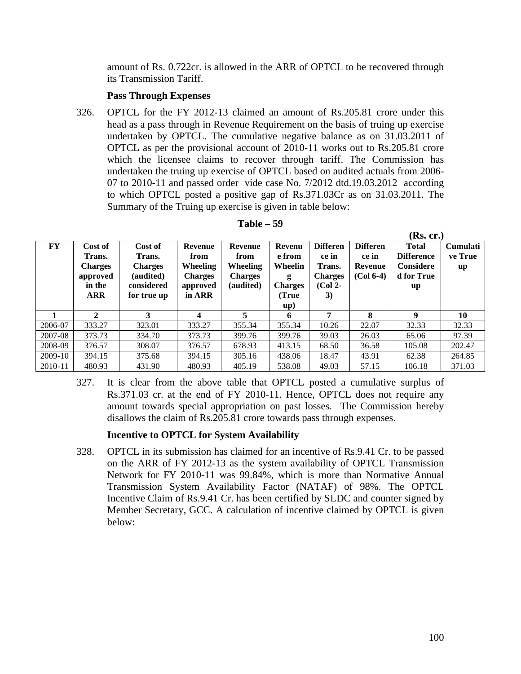amount of Rs. 0.722cr. is allowed in the ARR of OPTCL to be recovered through its Transmission Tariff.

### **Pass Through Expenses**

326. OPTCL for the FY 2012-13 claimed an amount of Rs.205.81 crore under this head as a pass through in Revenue Requirement on the basis of truing up exercise undertaken by OPTCL. The cumulative negative balance as on 31.03.2011 of OPTCL as per the provisional account of 2010-11 works out to Rs.205.81 crore which the licensee claims to recover through tariff. The Commission has undertaken the truing up exercise of OPTCL based on audited actuals from 2006- 07 to 2010-11 and passed order vide case No. 7/2012 dtd.19.03.2012 according to which OPTCL posted a positive gap of Rs.371.03Cr as on 31.03.2011. The Summary of the Truing up exercise is given in table below:

| FY      | Cost of<br>Trans.<br><b>Charges</b><br>approved<br>in the<br><b>ARR</b> | Cost of<br>Trans.<br><b>Charges</b><br>(audited)<br>considered<br>for true up | <b>Revenue</b><br>from<br><b>Wheeling</b><br><b>Charges</b><br>approved<br>in ARR | Revenue<br>from<br>Wheeling<br><b>Charges</b><br>(audited) | Revenu<br>e from<br>Wheelin<br>g<br><b>Charges</b><br>True)<br>up) | <b>Differen</b><br>ce in<br>Trans.<br><b>Charges</b><br>$(Col 2-$<br>3) | <b>Differen</b><br>ce in<br>Revenue<br>$(Col 6-4)$ | <b>Total</b><br><b>Difference</b><br><b>Considere</b><br>d for True<br>up | <b>Cumulati</b><br>ve True<br>up |
|---------|-------------------------------------------------------------------------|-------------------------------------------------------------------------------|-----------------------------------------------------------------------------------|------------------------------------------------------------|--------------------------------------------------------------------|-------------------------------------------------------------------------|----------------------------------------------------|---------------------------------------------------------------------------|----------------------------------|
|         | 2                                                                       | 3                                                                             | 4                                                                                 | 5                                                          | 6                                                                  | 7                                                                       | 8                                                  | 9                                                                         | 10                               |
| 2006-07 | 333.27                                                                  | 323.01                                                                        | 333.27                                                                            | 355.34                                                     | 355.34                                                             | 10.26                                                                   | 22.07                                              | 32.33                                                                     | 32.33                            |
| 2007-08 | 373.73                                                                  | 334.70                                                                        | 373.73                                                                            | 399.76                                                     | 399.76                                                             | 39.03                                                                   | 26.03                                              | 65.06                                                                     | 97.39                            |
| 2008-09 | 376.57                                                                  | 308.07                                                                        | 376.57                                                                            | 678.93                                                     | 413.15                                                             | 68.50                                                                   | 36.58                                              | 105.08                                                                    | 202.47                           |
| 2009-10 | 394.15                                                                  | 375.68                                                                        | 394.15                                                                            | 305.16                                                     | 438.06                                                             | 18.47                                                                   | 43.91                                              | 62.38                                                                     | 264.85                           |
| 2010-11 | 480.93                                                                  | 431.90                                                                        | 480.93                                                                            | 405.19                                                     | 538.08                                                             | 49.03                                                                   | 57.15                                              | 106.18                                                                    | 371.03                           |

| Table |  | 59 |
|-------|--|----|
|-------|--|----|

327. It is clear from the above table that OPTCL posted a cumulative surplus of Rs.371.03 cr. at the end of FY 2010-11. Hence, OPTCL does not require any amount towards special appropriation on past losses. The Commission hereby disallows the claim of Rs.205.81 crore towards pass through expenses.

# **Incentive to OPTCL for System Availability**

328. OPTCL in its submission has claimed for an incentive of Rs.9.41 Cr. to be passed on the ARR of FY 2012-13 as the system availability of OPTCL Transmission Network for FY 2010-11 was 99.84%, which is more than Normative Annual Transmission System Availability Factor (NATAF) of 98%. The OPTCL Incentive Claim of Rs.9.41 Cr. has been certified by SLDC and counter signed by Member Secretary, GCC. A calculation of incentive claimed by OPTCL is given below:

**(Rs. cr.)**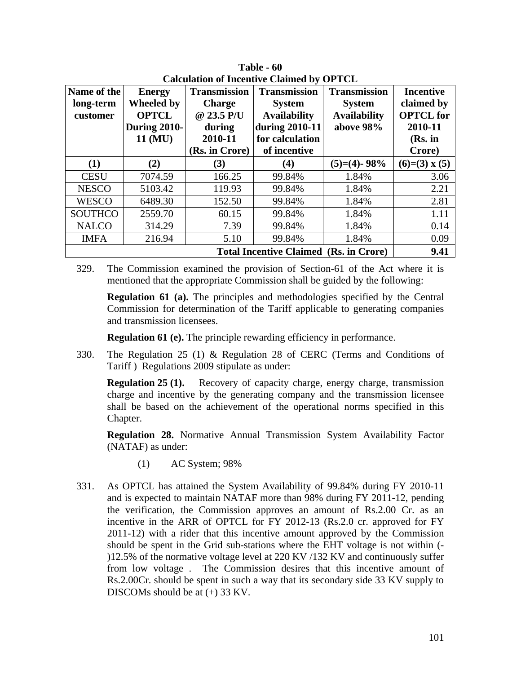| Name of the<br>long-term<br>customer                  | <b>Energy</b><br>Wheeled by<br><b>OPTCL</b><br><b>During 2010-</b><br>11 (MU) | <b>Transmission</b><br><b>Charge</b><br>@ 23.5 P/U<br>during<br>2010-11<br>(Rs. in Crore) | <b>Transmission</b><br><b>System</b><br><b>Availability</b><br>during 2010-11<br>for calculation<br>of incentive | <b>Transmission</b><br><b>System</b><br><b>Availability</b><br>above 98% | <b>Incentive</b><br>claimed by<br><b>OPTCL</b> for<br>2010-11<br>$(Rs.$ in<br>Crore) |  |
|-------------------------------------------------------|-------------------------------------------------------------------------------|-------------------------------------------------------------------------------------------|------------------------------------------------------------------------------------------------------------------|--------------------------------------------------------------------------|--------------------------------------------------------------------------------------|--|
| (1)                                                   | (2)                                                                           | (3)                                                                                       | (4)                                                                                                              | $(5)=(4)$ - 98%                                                          | $(6)=(3)$ x $(5)$                                                                    |  |
| <b>CESU</b>                                           | 7074.59                                                                       | 166.25                                                                                    | 99.84%                                                                                                           | 1.84%                                                                    | 3.06                                                                                 |  |
| <b>NESCO</b>                                          | 5103.42                                                                       | 119.93                                                                                    | 99.84%                                                                                                           | 1.84%                                                                    | 2.21                                                                                 |  |
| <b>WESCO</b>                                          | 6489.30                                                                       | 152.50                                                                                    | 99.84%                                                                                                           | 1.84%                                                                    | 2.81                                                                                 |  |
| <b>SOUTHCO</b>                                        | 2559.70                                                                       | 60.15                                                                                     | 99.84%                                                                                                           | 1.84%                                                                    | 1.11                                                                                 |  |
| <b>NALCO</b>                                          | 314.29                                                                        | 7.39                                                                                      | 99.84%                                                                                                           | 1.84%                                                                    | 0.14                                                                                 |  |
| <b>IMFA</b>                                           | 216.94                                                                        | 5.10                                                                                      | 99.84%                                                                                                           | 1.84%                                                                    | 0.09                                                                                 |  |
| 9.41<br><b>Total Incentive Claimed (Rs. in Crore)</b> |                                                                               |                                                                                           |                                                                                                                  |                                                                          |                                                                                      |  |

**Table - 60 Calculation of Incentive Claimed by OPTCL** 

329. The Commission examined the provision of Section-61 of the Act where it is mentioned that the appropriate Commission shall be guided by the following:

**Regulation 61 (a).** The principles and methodologies specified by the Central Commission for determination of the Tariff applicable to generating companies and transmission licensees.

**Regulation 61 (e).** The principle rewarding efficiency in performance.

330. The Regulation 25 (1) & Regulation 28 of CERC (Terms and Conditions of Tariff ) Regulations 2009 stipulate as under:

**Regulation 25 (1).** Recovery of capacity charge, energy charge, transmission charge and incentive by the generating company and the transmission licensee shall be based on the achievement of the operational norms specified in this Chapter.

**Regulation 28.** Normative Annual Transmission System Availability Factor (NATAF) as under:

- (1) AC System; 98%
- 331. As OPTCL has attained the System Availability of 99.84% during FY 2010-11 and is expected to maintain NATAF more than 98% during FY 2011-12, pending the verification, the Commission approves an amount of Rs.2.00 Cr. as an incentive in the ARR of OPTCL for FY 2012-13 (Rs.2.0 cr. approved for FY 2011-12) with a rider that this incentive amount approved by the Commission should be spent in the Grid sub-stations where the EHT voltage is not within (- )12.5% of the normative voltage level at 220 KV /132 KV and continuously suffer from low voltage . The Commission desires that this incentive amount of Rs.2.00Cr. should be spent in such a way that its secondary side 33 KV supply to DISCOMs should be at (+) 33 KV.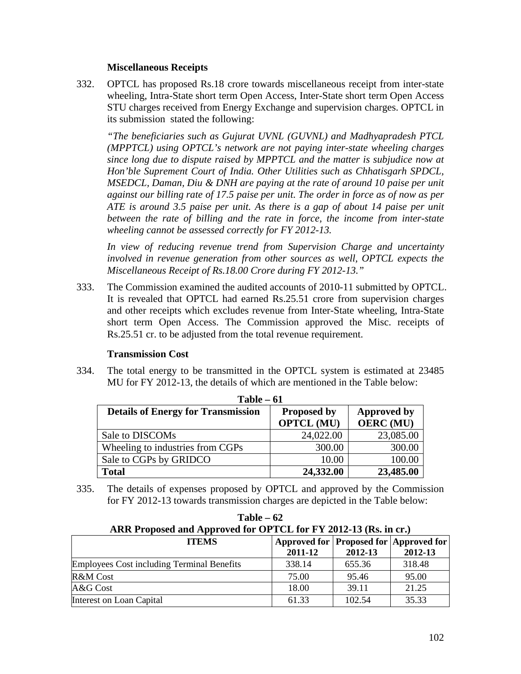### **Miscellaneous Receipts**

332. OPTCL has proposed Rs.18 crore towards miscellaneous receipt from inter-state wheeling, Intra-State short term Open Access, Inter-State short term Open Access STU charges received from Energy Exchange and supervision charges. OPTCL in its submission stated the following:

*"The beneficiaries such as Gujurat UVNL (GUVNL) and Madhyapradesh PTCL (MPPTCL) using OPTCL's network are not paying inter-state wheeling charges since long due to dispute raised by MPPTCL and the matter is subjudice now at Hon'ble Suprement Court of India. Other Utilities such as Chhatisgarh SPDCL, MSEDCL, Daman, Diu & DNH are paying at the rate of around 10 paise per unit against our billing rate of 17.5 paise per unit. The order in force as of now as per ATE is around 3.5 paise per unit. As there is a gap of about 14 paise per unit between the rate of billing and the rate in force, the income from inter-state wheeling cannot be assessed correctly for FY 2012-13.*

*In view of reducing revenue trend from Supervision Charge and uncertainty involved in revenue generation from other sources as well, OPTCL expects the Miscellaneous Receipt of Rs.18.00 Crore during FY 2012-13."*

333. The Commission examined the audited accounts of 2010-11 submitted by OPTCL. It is revealed that OPTCL had earned Rs.25.51 crore from supervision charges and other receipts which excludes revenue from Inter-State wheeling, Intra-State short term Open Access. The Commission approved the Misc. receipts of Rs.25.51 cr. to be adjusted from the total revenue requirement.

### **Transmission Cost**

334. The total energy to be transmitted in the OPTCL system is estimated at 23485 MU for FY 2012-13, the details of which are mentioned in the Table below:

| Table – 61                                |                    |                    |  |  |  |
|-------------------------------------------|--------------------|--------------------|--|--|--|
| <b>Details of Energy for Transmission</b> | <b>Proposed by</b> | <b>Approved by</b> |  |  |  |
|                                           | <b>OPTCL (MU)</b>  | <b>OERC</b> (MU)   |  |  |  |
| Sale to DISCOMs                           | 24,022.00          | 23,085.00          |  |  |  |
| Wheeling to industries from CGPs          | 300.00             | 300.00             |  |  |  |
| Sale to CGPs by GRIDCO                    | 10.00              | 100.00             |  |  |  |
| <b>Total</b>                              | 24,332.00          | 23,485.00          |  |  |  |

**Table – 61** 

335. The details of expenses proposed by OPTCL and approved by the Commission for FY 2012-13 towards transmission charges are depicted in the Table below:

| ARR Proposed and Approved for OPTCL for FY 2012-13 (Rs. in cr.) |                                                   |         |         |  |
|-----------------------------------------------------------------|---------------------------------------------------|---------|---------|--|
| <b>ITEMS</b>                                                    | Approved for Proposed for Approved for<br>2011-12 | 2012-13 | 2012-13 |  |
| <b>Employees Cost including Terminal Benefits</b>               | 338.14                                            | 655.36  | 318.48  |  |
| R&M Cost                                                        | 75.00                                             | 95.46   | 95.00   |  |
| A&G Cost                                                        | 18.00                                             | 39.11   | 21.25   |  |
| Interest on Loan Capital                                        | 61.33                                             | 102.54  | 35.33   |  |

**Table – 62**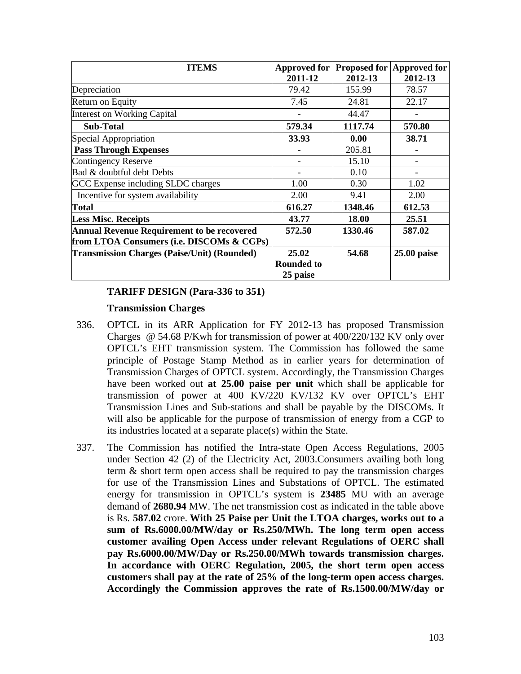| <b>ITEMS</b>                                       | 2011-12           | 2012-13 | Approved for Proposed for Approved for<br>2012-13 |
|----------------------------------------------------|-------------------|---------|---------------------------------------------------|
| Depreciation                                       | 79.42             | 155.99  | 78.57                                             |
| Return on Equity                                   | 7.45              | 24.81   | 22.17                                             |
| Interest on Working Capital                        |                   | 44.47   |                                                   |
| <b>Sub-Total</b>                                   | 579.34            | 1117.74 | 570.80                                            |
| Special Appropriation                              | 33.93             | 0.00    | 38.71                                             |
| <b>Pass Through Expenses</b>                       |                   | 205.81  |                                                   |
| Contingency Reserve                                |                   | 15.10   |                                                   |
| Bad & doubtful debt Debts                          |                   | 0.10    |                                                   |
| GCC Expense including SLDC charges                 | 1.00              | 0.30    | 1.02                                              |
| Incentive for system availability                  | 2.00              | 9.41    | 2.00                                              |
| <b>Total</b>                                       | 616.27            | 1348.46 | 612.53                                            |
| <b>Less Misc. Receipts</b>                         | 43.77             | 18.00   | 25.51                                             |
| <b>Annual Revenue Requirement to be recovered</b>  | 572.50            | 1330.46 | 587.02                                            |
| from LTOA Consumers (i.e. DISCOMs & CGPs)          |                   |         |                                                   |
| <b>Transmission Charges (Paise/Unit) (Rounded)</b> | 25.02             | 54.68   | $25.00$ paise                                     |
|                                                    | <b>Rounded to</b> |         |                                                   |
|                                                    | 25 paise          |         |                                                   |

## **TARIFF DESIGN (Para-336 to 351)**

### **Transmission Charges**

- 336. OPTCL in its ARR Application for FY 2012-13 has proposed Transmission Charges @ 54.68 P/Kwh for transmission of power at 400/220/132 KV only over OPTCL's EHT transmission system. The Commission has followed the same principle of Postage Stamp Method as in earlier years for determination of Transmission Charges of OPTCL system. Accordingly, the Transmission Charges have been worked out **at 25.00 paise per unit** which shall be applicable for transmission of power at 400 KV/220 KV/132 KV over OPTCL's EHT Transmission Lines and Sub-stations and shall be payable by the DISCOMs. It will also be applicable for the purpose of transmission of energy from a CGP to its industries located at a separate place(s) within the State.
- 337. The Commission has notified the Intra-state Open Access Regulations, 2005 under Section 42 (2) of the Electricity Act, 2003.Consumers availing both long term & short term open access shall be required to pay the transmission charges for use of the Transmission Lines and Substations of OPTCL. The estimated energy for transmission in OPTCL's system is **23485** MU with an average demand of **2680.94** MW. The net transmission cost as indicated in the table above is Rs. **587.02** crore. **With 25 Paise per Unit the LTOA charges, works out to a sum of Rs.6000.00/MW/day or Rs.250/MWh. The long term open access customer availing Open Access under relevant Regulations of OERC shall pay Rs.6000.00/MW/Day or Rs.250.00/MWh towards transmission charges. In accordance with OERC Regulation, 2005, the short term open access customers shall pay at the rate of 25% of the long-term open access charges. Accordingly the Commission approves the rate of Rs.1500.00/MW/day or**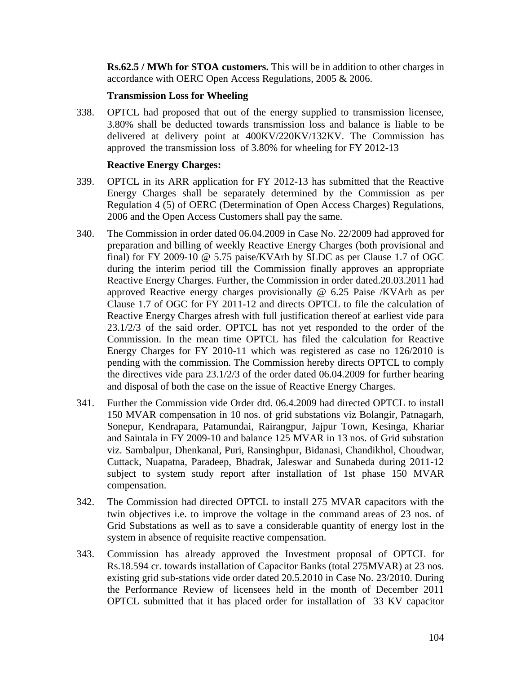**Rs.62.5 / MWh for STOA customers.** This will be in addition to other charges in accordance with OERC Open Access Regulations, 2005 & 2006.

## **Transmission Loss for Wheeling**

338. OPTCL had proposed that out of the energy supplied to transmission licensee, 3.80% shall be deducted towards transmission loss and balance is liable to be delivered at delivery point at 400KV/220KV/132KV. The Commission has approved the transmission loss of 3.80% for wheeling for FY 2012-13

## **Reactive Energy Charges:**

- 339. OPTCL in its ARR application for FY 2012-13 has submitted that the Reactive Energy Charges shall be separately determined by the Commission as per Regulation 4 (5) of OERC (Determination of Open Access Charges) Regulations, 2006 and the Open Access Customers shall pay the same.
- 340. The Commission in order dated 06.04.2009 in Case No. 22/2009 had approved for preparation and billing of weekly Reactive Energy Charges (both provisional and final) for FY 2009-10 @ 5.75 paise/KVArh by SLDC as per Clause 1.7 of OGC during the interim period till the Commission finally approves an appropriate Reactive Energy Charges. Further, the Commission in order dated.20.03.2011 had approved Reactive energy charges provisionally @ 6.25 Paise /KVArh as per Clause 1.7 of OGC for FY 2011-12 and directs OPTCL to file the calculation of Reactive Energy Charges afresh with full justification thereof at earliest vide para 23.1/2/3 of the said order. OPTCL has not yet responded to the order of the Commission. In the mean time OPTCL has filed the calculation for Reactive Energy Charges for FY 2010-11 which was registered as case no 126/2010 is pending with the commission. The Commission hereby directs OPTCL to comply the directives vide para 23.1/2/3 of the order dated 06.04.2009 for further hearing and disposal of both the case on the issue of Reactive Energy Charges.
- 341. Further the Commission vide Order dtd. 06.4.2009 had directed OPTCL to install 150 MVAR compensation in 10 nos. of grid substations viz Bolangir, Patnagarh, Sonepur, Kendrapara, Patamundai, Rairangpur, Jajpur Town, Kesinga, Khariar and Saintala in FY 2009-10 and balance 125 MVAR in 13 nos. of Grid substation viz. Sambalpur, Dhenkanal, Puri, Ransinghpur, Bidanasi, Chandikhol, Choudwar, Cuttack, Nuapatna, Paradeep, Bhadrak, Jaleswar and Sunabeda during 2011-12 subject to system study report after installation of 1st phase 150 MVAR compensation.
- 342. The Commission had directed OPTCL to install 275 MVAR capacitors with the twin objectives i.e. to improve the voltage in the command areas of 23 nos. of Grid Substations as well as to save a considerable quantity of energy lost in the system in absence of requisite reactive compensation.
- 343. Commission has already approved the Investment proposal of OPTCL for Rs.18.594 cr. towards installation of Capacitor Banks (total 275MVAR) at 23 nos. existing grid sub-stations vide order dated 20.5.2010 in Case No. 23/2010. During the Performance Review of licensees held in the month of December 2011 OPTCL submitted that it has placed order for installation of 33 KV capacitor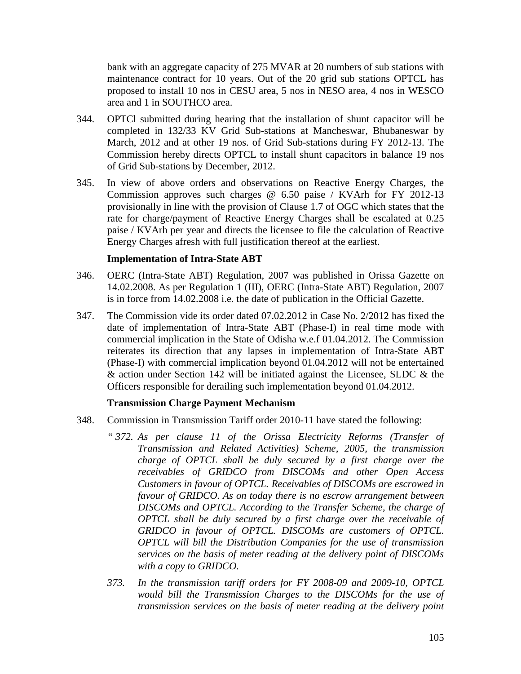bank with an aggregate capacity of 275 MVAR at 20 numbers of sub stations with maintenance contract for 10 years. Out of the 20 grid sub stations OPTCL has proposed to install 10 nos in CESU area, 5 nos in NESO area, 4 nos in WESCO area and 1 in SOUTHCO area.

- 344. OPTCl submitted during hearing that the installation of shunt capacitor will be completed in 132/33 KV Grid Sub-stations at Mancheswar, Bhubaneswar by March, 2012 and at other 19 nos. of Grid Sub-stations during FY 2012-13. The Commission hereby directs OPTCL to install shunt capacitors in balance 19 nos of Grid Sub-stations by December, 2012.
- 345. In view of above orders and observations on Reactive Energy Charges, the Commission approves such charges @ 6.50 paise / KVArh for FY 2012-13 provisionally in line with the provision of Clause 1.7 of OGC which states that the rate for charge/payment of Reactive Energy Charges shall be escalated at 0.25 paise / KVArh per year and directs the licensee to file the calculation of Reactive Energy Charges afresh with full justification thereof at the earliest.

### **Implementation of Intra-State ABT**

- 346. OERC (Intra-State ABT) Regulation, 2007 was published in Orissa Gazette on 14.02.2008. As per Regulation 1 (III), OERC (Intra-State ABT) Regulation, 2007 is in force from 14.02.2008 i.e. the date of publication in the Official Gazette.
- 347. The Commission vide its order dated 07.02.2012 in Case No. 2/2012 has fixed the date of implementation of Intra-State ABT (Phase-I) in real time mode with commercial implication in the State of Odisha w.e.f 01.04.2012. The Commission reiterates its direction that any lapses in implementation of Intra-State ABT (Phase-I) with commercial implication beyond 01.04.2012 will not be entertained & action under Section 142 will be initiated against the Licensee, SLDC & the Officers responsible for derailing such implementation beyond 01.04.2012.

# **Transmission Charge Payment Mechanism**

- 348. Commission in Transmission Tariff order 2010-11 have stated the following:
	- *" 372. As per clause 11 of the Orissa Electricity Reforms (Transfer of Transmission and Related Activities) Scheme, 2005, the transmission charge of OPTCL shall be duly secured by a first charge over the receivables of GRIDCO from DISCOMs and other Open Access Customers in favour of OPTCL. Receivables of DISCOMs are escrowed in favour of GRIDCO. As on today there is no escrow arrangement between DISCOMs and OPTCL. According to the Transfer Scheme, the charge of OPTCL shall be duly secured by a first charge over the receivable of GRIDCO in favour of OPTCL. DISCOMs are customers of OPTCL. OPTCL will bill the Distribution Companies for the use of transmission services on the basis of meter reading at the delivery point of DISCOMs with a copy to GRIDCO.*
	- *373. In the transmission tariff orders for FY 2008-09 and 2009-10, OPTCL would bill the Transmission Charges to the DISCOMs for the use of transmission services on the basis of meter reading at the delivery point*